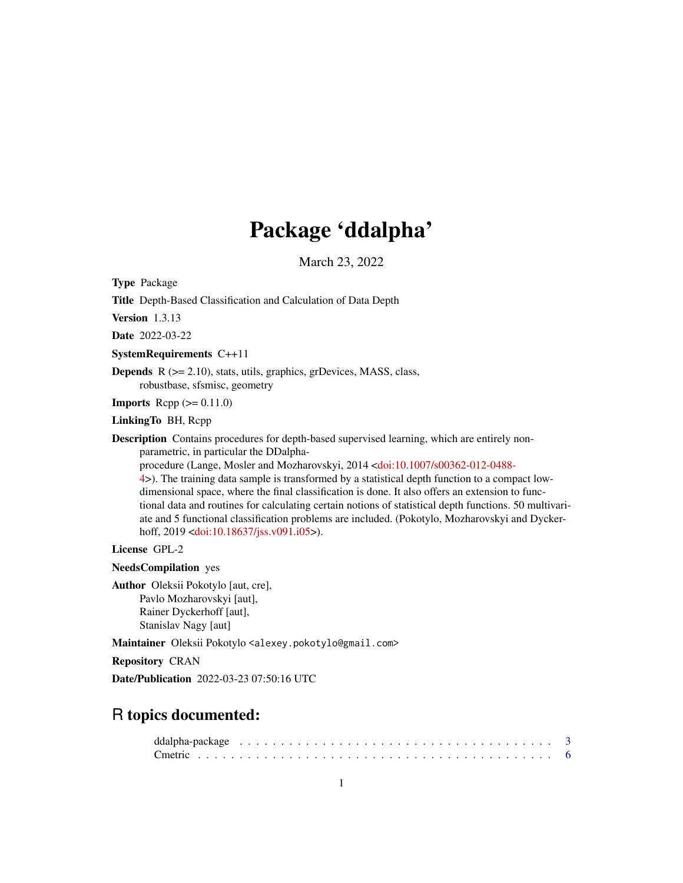# Package 'ddalpha'

March 23, 2022

<span id="page-0-0"></span>Type Package

Title Depth-Based Classification and Calculation of Data Depth

Version 1.3.13

Date 2022-03-22

SystemRequirements C++11

Depends R (>= 2.10), stats, utils, graphics, grDevices, MASS, class, robustbase, sfsmisc, geometry

**Imports** Rcpp  $(>= 0.11.0)$ 

LinkingTo BH, Rcpp

Description Contains procedures for depth-based supervised learning, which are entirely nonparametric, in particular the DDalpha-

procedure (Lange, Mosler and Mozharovskyi, 2014 [<doi:10.1007/s00362-012-0488-](https://doi.org/10.1007/s00362-012-0488-4) [4>](https://doi.org/10.1007/s00362-012-0488-4)). The training data sample is transformed by a statistical depth function to a compact lowdimensional space, where the final classification is done. It also offers an extension to functional data and routines for calculating certain notions of statistical depth functions. 50 multivariate and 5 functional classification problems are included. (Pokotylo, Mozharovskyi and Dycker-hoff, 2019 [<doi:10.18637/jss.v091.i05>](https://doi.org/10.18637/jss.v091.i05)).

License GPL-2

NeedsCompilation yes

Author Oleksii Pokotylo [aut, cre], Pavlo Mozharovskyi [aut], Rainer Dyckerhoff [aut], Stanislav Nagy [aut]

Maintainer Oleksii Pokotylo <alexey.pokotylo@gmail.com>

Repository CRAN

Date/Publication 2022-03-23 07:50:16 UTC

## R topics documented: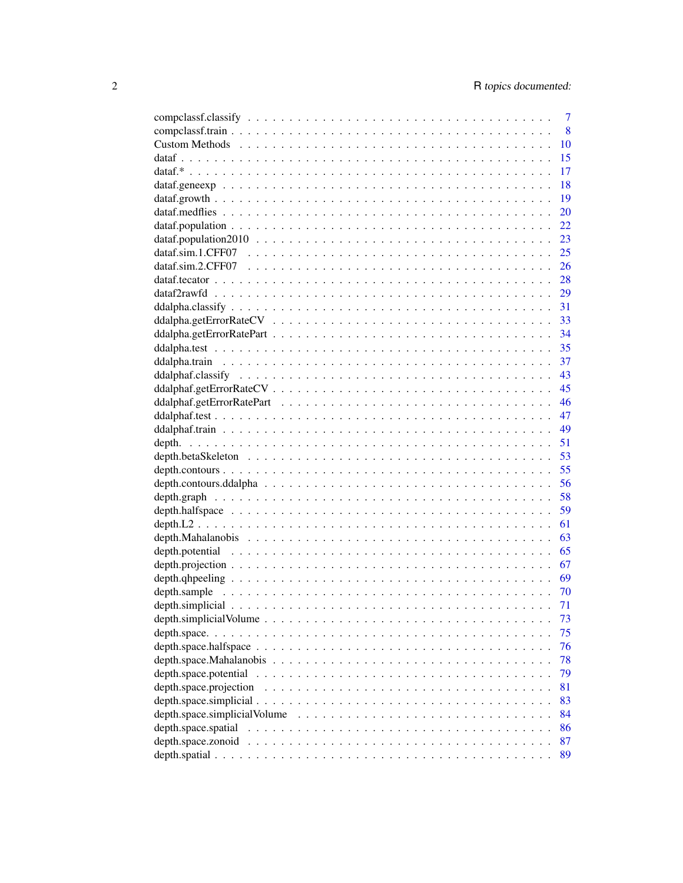|                                                                                                                  | $\overline{7}$ |
|------------------------------------------------------------------------------------------------------------------|----------------|
|                                                                                                                  | 8              |
|                                                                                                                  | 10             |
|                                                                                                                  | 15             |
|                                                                                                                  | 17             |
|                                                                                                                  | 18             |
|                                                                                                                  | 19             |
|                                                                                                                  | 20             |
|                                                                                                                  | 22             |
|                                                                                                                  | 23             |
|                                                                                                                  | 25             |
|                                                                                                                  |                |
|                                                                                                                  |                |
|                                                                                                                  | 29             |
|                                                                                                                  | 31             |
|                                                                                                                  | 33             |
|                                                                                                                  | 34             |
|                                                                                                                  | 35             |
|                                                                                                                  | 37             |
|                                                                                                                  | 43             |
|                                                                                                                  |                |
|                                                                                                                  |                |
|                                                                                                                  |                |
|                                                                                                                  | 49             |
|                                                                                                                  | 51             |
|                                                                                                                  | 53             |
|                                                                                                                  | 55             |
|                                                                                                                  | 56             |
|                                                                                                                  | 58             |
|                                                                                                                  | 59             |
|                                                                                                                  | 61             |
|                                                                                                                  | 63             |
|                                                                                                                  | 65             |
|                                                                                                                  |                |
|                                                                                                                  | 67<br>- 69     |
|                                                                                                                  |                |
|                                                                                                                  | 70             |
|                                                                                                                  | 71             |
|                                                                                                                  | 73             |
|                                                                                                                  | 75             |
|                                                                                                                  | 76             |
|                                                                                                                  | 78             |
| depth.space.potential                                                                                            | 79             |
| depth.space.projection                                                                                           | 81             |
|                                                                                                                  | 83             |
| depth.space.simplicialVolume $\ldots \ldots \ldots \ldots \ldots \ldots \ldots \ldots \ldots \ldots \ldots$      | 84             |
| depth.space.spatial $\ldots \ldots \ldots \ldots \ldots \ldots \ldots \ldots \ldots \ldots \ldots \ldots \ldots$ | 86             |
|                                                                                                                  | 87             |
|                                                                                                                  | 89             |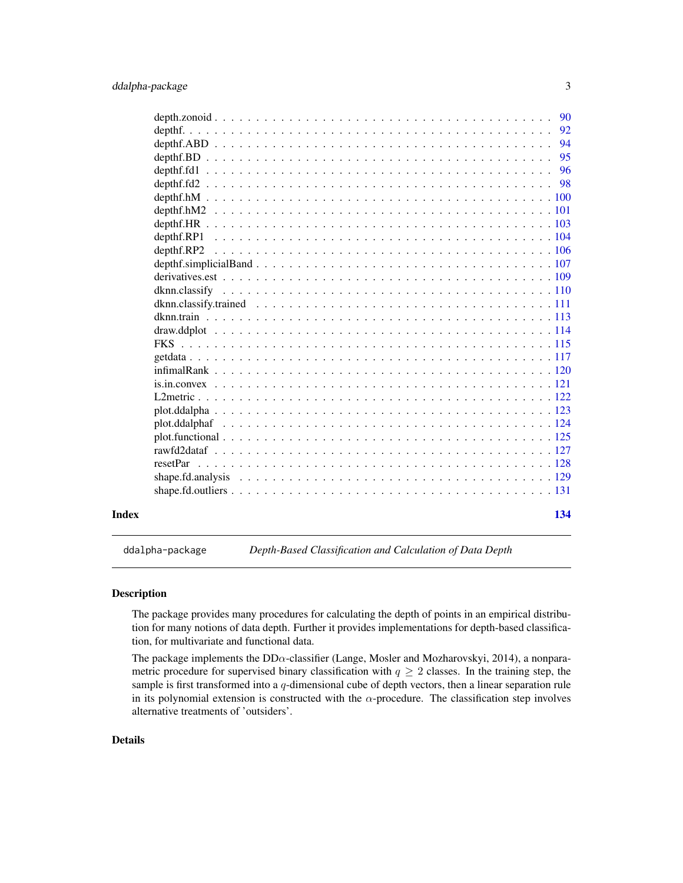<span id="page-2-0"></span>

|       |          | 94  |
|-------|----------|-----|
|       |          | 95  |
|       |          | 96  |
|       |          |     |
|       |          |     |
|       |          |     |
|       |          |     |
|       |          |     |
|       |          |     |
|       |          |     |
|       |          |     |
|       |          |     |
|       |          |     |
|       |          |     |
|       |          |     |
|       |          |     |
|       |          |     |
|       |          |     |
|       |          |     |
|       |          |     |
|       |          |     |
|       |          |     |
|       |          |     |
|       |          |     |
|       | resetPar |     |
|       |          |     |
|       |          |     |
|       |          |     |
| Index |          | 134 |

ddalpha-package *Depth-Based Classification and Calculation of Data Depth*

## Description

The package provides many procedures for calculating the depth of points in an empirical distribution for many notions of data depth. Further it provides implementations for depth-based classification, for multivariate and functional data.

The package implements the  $DD\alpha$ -classifier (Lange, Mosler and Mozharovskyi, 2014), a nonparametric procedure for supervised binary classification with  $q \geq 2$  classes. In the training step, the sample is first transformed into a  $q$ -dimensional cube of depth vectors, then a linear separation rule in its polynomial extension is constructed with the  $\alpha$ -procedure. The classification step involves alternative treatments of 'outsiders'.

## Details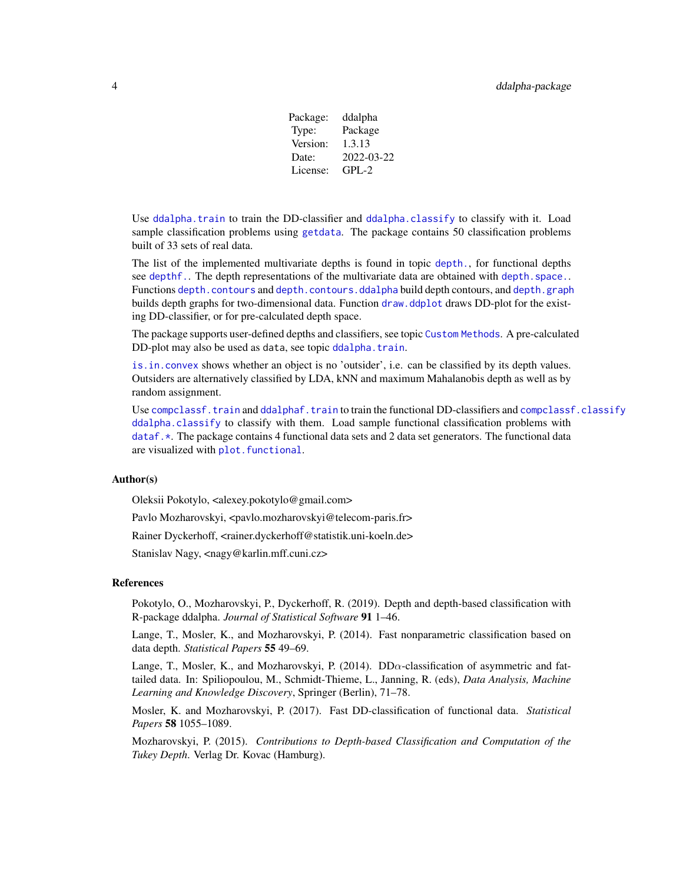Package: ddalpha Type: Package Version: 1.3.13 Date: 2022-03-22 License: GPL-2

Use [ddalpha.train](#page-36-1) to train the DD-classifier and [ddalpha.classify](#page-30-1) to classify with it. Load sample classification problems using [getdata](#page-116-1). The package contains 50 classification problems built of 33 sets of real data.

The list of the implemented multivariate depths is found in topic [depth.](#page-50-1), for functional depths see [depthf.](#page-91-1). The depth representations of the multivariate data are obtained with [depth.space.](#page-74-1). Functions [depth.contours](#page-54-1) and [depth.contours.ddalpha](#page-55-1) build depth contours, and [depth.graph](#page-57-1) builds depth graphs for two-dimensional data. Function [draw.ddplot](#page-113-1) draws DD-plot for the existing DD-classifier, or for pre-calculated depth space.

The package supports user-defined depths and classifiers, see topic [Custom Methods](#page-9-1). A pre-calculated DD-plot may also be used as data, see topic [ddalpha.train](#page-36-1).

[is.in.convex](#page-120-1) shows whether an object is no 'outsider', i.e. can be classified by its depth values. Outsiders are alternatively classified by LDA, kNN and maximum Mahalanobis depth as well as by random assignment.

Use [compclassf.train](#page-7-1) and [ddalphaf.train](#page-48-1) to train the functional DD-classifiers and [compclassf.classify](#page-6-1) [ddalpha.classify](#page-30-1) to classify with them. Load sample functional classification problems with [dataf.\\*](#page-16-1). The package contains 4 functional data sets and 2 data set generators. The functional data are visualized with plot. functional.

## Author(s)

Oleksii Pokotylo, <alexey.pokotylo@gmail.com>

Pavlo Mozharovskyi, <pavlo.mozharovskyi@telecom-paris.fr>

Rainer Dyckerhoff, <rainer.dyckerhoff@statistik.uni-koeln.de>

Stanislav Nagy, <nagy@karlin.mff.cuni.cz>

## References

Pokotylo, O., Mozharovskyi, P., Dyckerhoff, R. (2019). Depth and depth-based classification with R-package ddalpha. *Journal of Statistical Software* 91 1–46.

Lange, T., Mosler, K., and Mozharovskyi, P. (2014). Fast nonparametric classification based on data depth. *Statistical Papers* 55 49–69.

Lange, T., Mosler, K., and Mozharovskyi, P. (2014). DD $\alpha$ -classification of asymmetric and fattailed data. In: Spiliopoulou, M., Schmidt-Thieme, L., Janning, R. (eds), *Data Analysis, Machine Learning and Knowledge Discovery*, Springer (Berlin), 71–78.

Mosler, K. and Mozharovskyi, P. (2017). Fast DD-classification of functional data. *Statistical Papers* 58 1055–1089.

Mozharovskyi, P. (2015). *Contributions to Depth-based Classification and Computation of the Tukey Depth*. Verlag Dr. Kovac (Hamburg).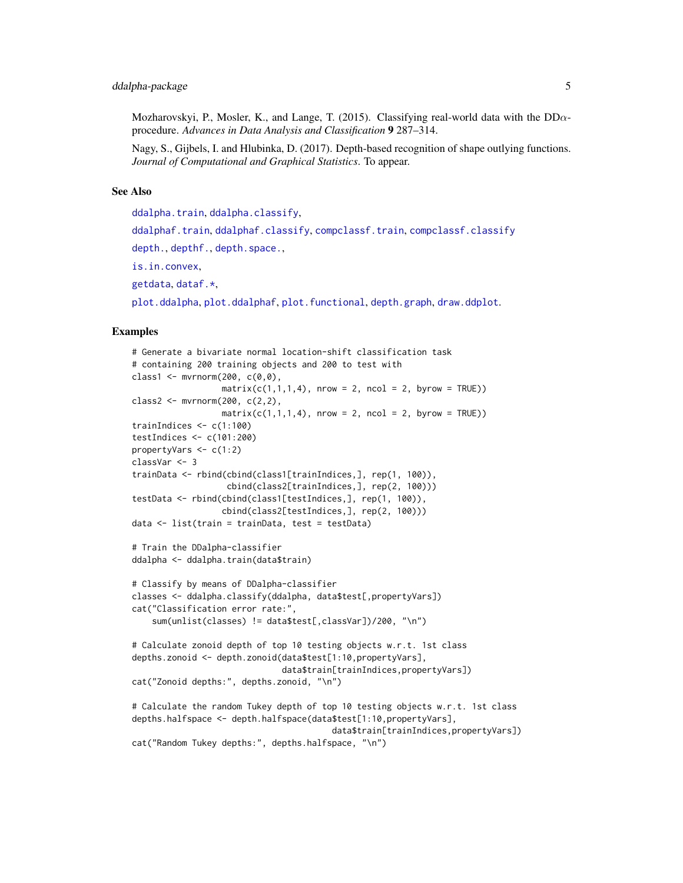Mozharovskyi, P., Mosler, K., and Lange, T. (2015). Classifying real-world data with the  $DD\alpha$ procedure. *Advances in Data Analysis and Classification* 9 287–314.

Nagy, S., Gijbels, I. and Hlubinka, D. (2017). Depth-based recognition of shape outlying functions. *Journal of Computational and Graphical Statistics*. To appear.

#### See Also

[ddalpha.train](#page-36-1), [ddalpha.classify](#page-30-1),

```
ddalphaf.trainddalphaf.classifycompclassf.traincompclassf.classify
depth., depthf., depth.space.,
is.in.convex,
getdata, dataf.*,
plot.ddalpha, plot.ddalphaf, plot.functional, depth.graph, draw.ddplot.
```

```
# Generate a bivariate normal location-shift classification task
# containing 200 training objects and 200 to test with
class1 \leq mvrnorm(200, c(0,0),
                  matrix(c(1,1,1,4), nrow = 2, ncol = 2, byrow = TRUE))class2 <- mvrnorm(200, c(2,2),
                 matrix(c(1,1,1,4)), nrow = 2, ncol = 2, byrow = TRUE))
trainIndices \leq c(1:100)
testIndices <- c(101:200)
propertyVars <- c(1:2)
classVar <- 3
trainData <- rbind(cbind(class1[trainIndices,], rep(1, 100)),
                   cbind(class2[trainIndices,], rep(2, 100)))
testData <- rbind(cbind(class1[testIndices,], rep(1, 100)),
                  cbind(class2[testIndices,], rep(2, 100)))
data <- list(train = trainData, test = testData)
# Train the DDalpha-classifier
ddalpha <- ddalpha.train(data$train)
# Classify by means of DDalpha-classifier
classes <- ddalpha.classify(ddalpha, data$test[,propertyVars])
cat("Classification error rate:",
    sum(unlist(classes) != data$test[,classVar])/200, "\n")
# Calculate zonoid depth of top 10 testing objects w.r.t. 1st class
depths.zonoid <- depth.zonoid(data$test[1:10,propertyVars],
                              data$train[trainIndices,propertyVars])
cat("Zonoid depths:", depths.zonoid, "\n")
# Calculate the random Tukey depth of top 10 testing objects w.r.t. 1st class
depths.halfspace <- depth.halfspace(data$test[1:10,propertyVars],
                                        data$train[trainIndices,propertyVars])
cat("Random Tukey depths:", depths.halfspace, "\n")
```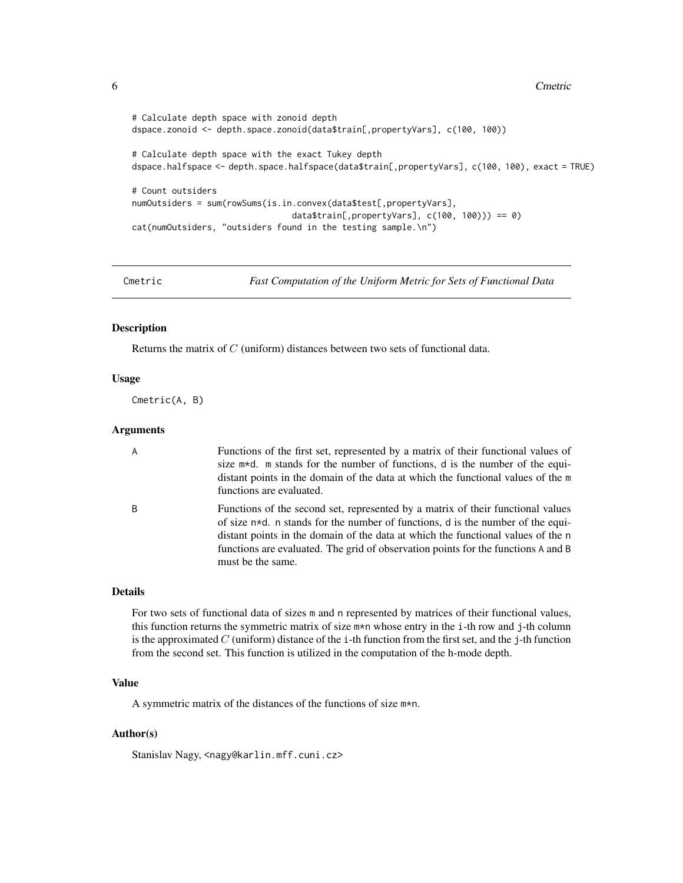```
# Calculate depth space with zonoid depth
dspace.zonoid <- depth.space.zonoid(data$train[,propertyVars], c(100, 100))
# Calculate depth space with the exact Tukey depth
dspace.halfspace <- depth.space.halfspace(data$train[,propertyVars], c(100, 100), exact = TRUE)
# Count outsiders
numOutsiders = sum(rowSums(is.in.convex(data$test[,propertyVars],
                                data$train[,propertyVars], c(100, 100))) == 0)
cat(numOutsiders, "outsiders found in the testing sample.\n")
```
Cmetric *Fast Computation of the Uniform Metric for Sets of Functional Data*

#### Description

Returns the matrix of C (uniform) distances between two sets of functional data.

#### Usage

Cmetric(A, B)

## Arguments

| $\overline{A}$ | Functions of the first set, represented by a matrix of their functional values of<br>size m*d. m stands for the number of functions, d is the number of the equi-<br>distant points in the domain of the data at which the functional values of the m<br>functions are evaluated.                                                                                   |
|----------------|---------------------------------------------------------------------------------------------------------------------------------------------------------------------------------------------------------------------------------------------------------------------------------------------------------------------------------------------------------------------|
| B              | Functions of the second set, represented by a matrix of their functional values<br>of size $n*d$ . n stands for the number of functions, d is the number of the equi-<br>distant points in the domain of the data at which the functional values of the n<br>functions are evaluated. The grid of observation points for the functions A and B<br>must be the same. |

## Details

For two sets of functional data of sizes m and n represented by matrices of their functional values, this function returns the symmetric matrix of size m\*n whose entry in the i-th row and j-th column is the approximated  $C$  (uniform) distance of the i-th function from the first set, and the j-th function from the second set. This function is utilized in the computation of the h-mode depth.

## Value

A symmetric matrix of the distances of the functions of size m\*n.

## Author(s)

Stanislav Nagy, <nagy@karlin.mff.cuni.cz>

<span id="page-5-0"></span>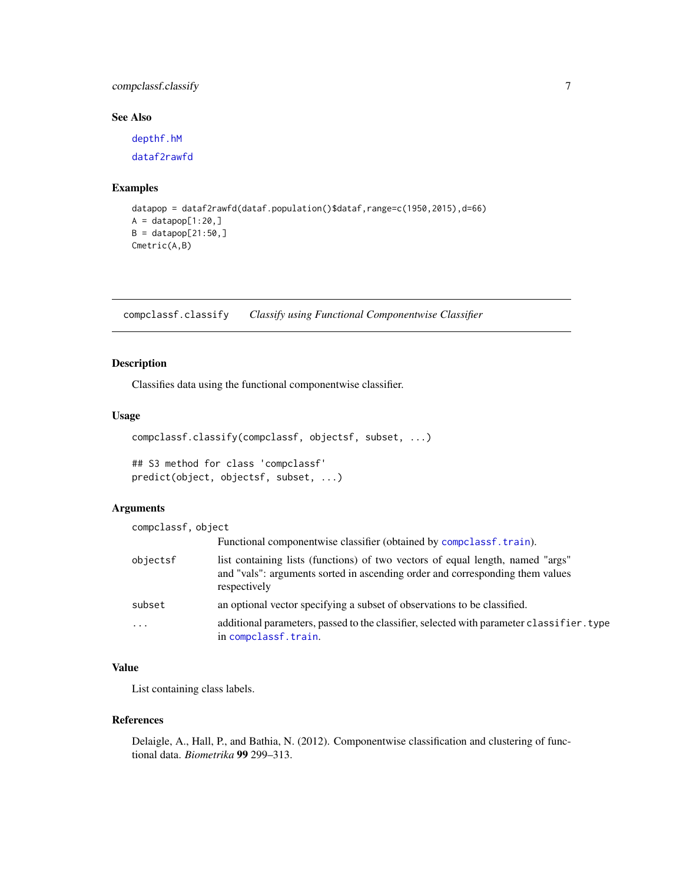## <span id="page-6-0"></span>compclassf.classify 7

## See Also

[depthf.hM](#page-99-1) [dataf2rawfd](#page-28-1)

#### Examples

```
datapop = dataf2rawfd(dataf.population()$dataf,range=c(1950,2015),d=66)
A = datapop[1:20, ]B = datapop[21:50, ]Cmetric(A,B)
```
<span id="page-6-1"></span>compclassf.classify *Classify using Functional Componentwise Classifier*

## Description

Classifies data using the functional componentwise classifier.

## Usage

```
compclassf.classify(compclassf, objectsf, subset, ...)
```
## S3 method for class 'compclassf' predict(object, objectsf, subset, ...)

## Arguments

| compclassf, object |                                                                                                                                                                                 |  |  |  |  |  |  |
|--------------------|---------------------------------------------------------------------------------------------------------------------------------------------------------------------------------|--|--|--|--|--|--|
|                    | Functional componentwise classifier (obtained by composition train).                                                                                                            |  |  |  |  |  |  |
| objectsf           | list containing lists (functions) of two vectors of equal length, named "args"<br>and "vals": arguments sorted in ascending order and corresponding them values<br>respectively |  |  |  |  |  |  |
| subset             | an optional vector specifying a subset of observations to be classified.                                                                                                        |  |  |  |  |  |  |
| $\ddotsc$          | additional parameters, passed to the classifier, selected with parameter classifier. type<br>in compclassf.train.                                                               |  |  |  |  |  |  |

## Value

List containing class labels.

#### References

Delaigle, A., Hall, P., and Bathia, N. (2012). Componentwise classification and clustering of functional data. *Biometrika* 99 299–313.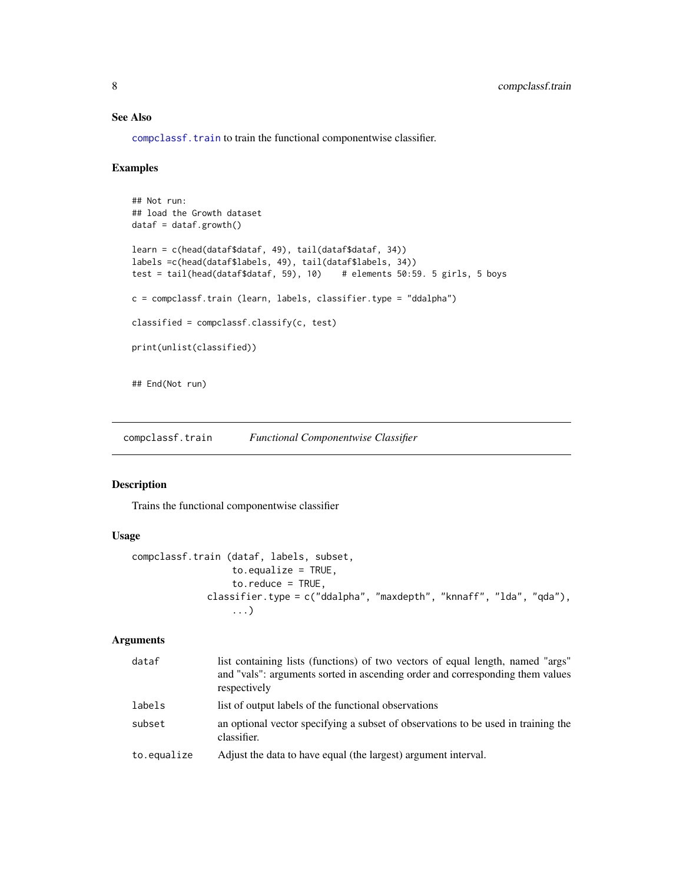## See Also

[compclassf.train](#page-7-1) to train the functional componentwise classifier.

#### Examples

```
## Not run:
## load the Growth dataset
dataf = dataf.growth()learn = c(head(dataf$dataf, 49), tail(dataf$dataf, 34))
labels =c(head(dataf$labels, 49), tail(dataf$labels, 34))
test = tail(head(dataf$dataf, 59), 10) # elements 50:59. 5 girls, 5 boys
c = compclassf.train (learn, labels, classifier.type = "ddalpha")
classified = compclassf.classify(c, test)
print(unlist(classified))
## End(Not run)
```
<span id="page-7-1"></span>compclassf.train *Functional Componentwise Classifier*

## Description

Trains the functional componentwise classifier

#### Usage

```
compclassf.train (dataf, labels, subset,
                  to.equalize = TRUE,
                  to. reduce = TRUE,
              classifier.type = c("ddalpha", "maxdepth", "knnaff", "lda", "qda"),
                  ...)
```
## Arguments

| dataf       | list containing lists (functions) of two vectors of equal length, named "args"<br>and "vals": arguments sorted in ascending order and corresponding them values<br>respectively |
|-------------|---------------------------------------------------------------------------------------------------------------------------------------------------------------------------------|
| labels      | list of output labels of the functional observations                                                                                                                            |
| subset      | an optional vector specifying a subset of observations to be used in training the<br>classifier.                                                                                |
| to.equalize | Adjust the data to have equal (the largest) argument interval.                                                                                                                  |

<span id="page-7-0"></span>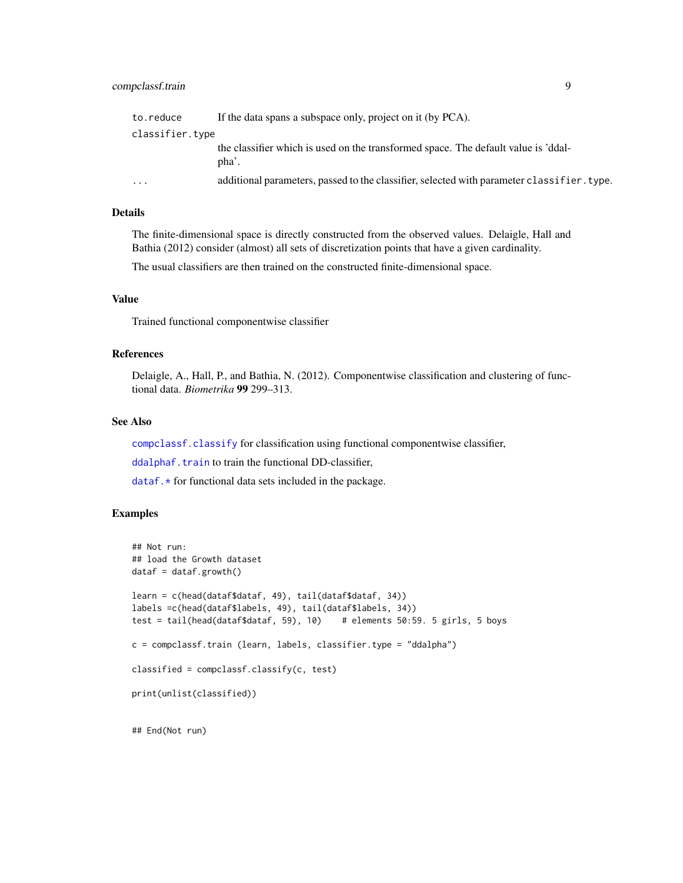| to.reduce               | If the data spans a subspace only, project on it (by PCA).                                  |
|-------------------------|---------------------------------------------------------------------------------------------|
| classifier.type         |                                                                                             |
|                         | the classifier which is used on the transformed space. The default value is 'ddal-<br>pha'. |
| $\cdot$ $\cdot$ $\cdot$ | additional parameters, passed to the classifier, selected with parameter classifier. type.  |

## Details

The finite-dimensional space is directly constructed from the observed values. Delaigle, Hall and Bathia (2012) consider (almost) all sets of discretization points that have a given cardinality.

The usual classifiers are then trained on the constructed finite-dimensional space.

## Value

Trained functional componentwise classifier

#### References

Delaigle, A., Hall, P., and Bathia, N. (2012). Componentwise classification and clustering of functional data. *Biometrika* 99 299–313.

## See Also

[compclassf.classify](#page-6-1) for classification using functional componentwise classifier,

[ddalphaf.train](#page-48-1) to train the functional DD-classifier,

 $dataf.*$  for functional data sets included in the package.

```
## Not run:
## load the Growth dataset
dataf = dataf.growth()learn = c(head(dataf$dataf, 49), tail(dataf$dataf, 34))
labels =c(head(dataf$labels, 49), tail(dataf$labels, 34))
test = tail(head(dataf$dataf, 59), 10) # elements 50:59. 5 girls, 5 boys
c = compclassf.train (learn, labels, classifier.type = "ddalpha")
classified = compclassf.classify(c, test)
print(unlist(classified))
## End(Not run)
```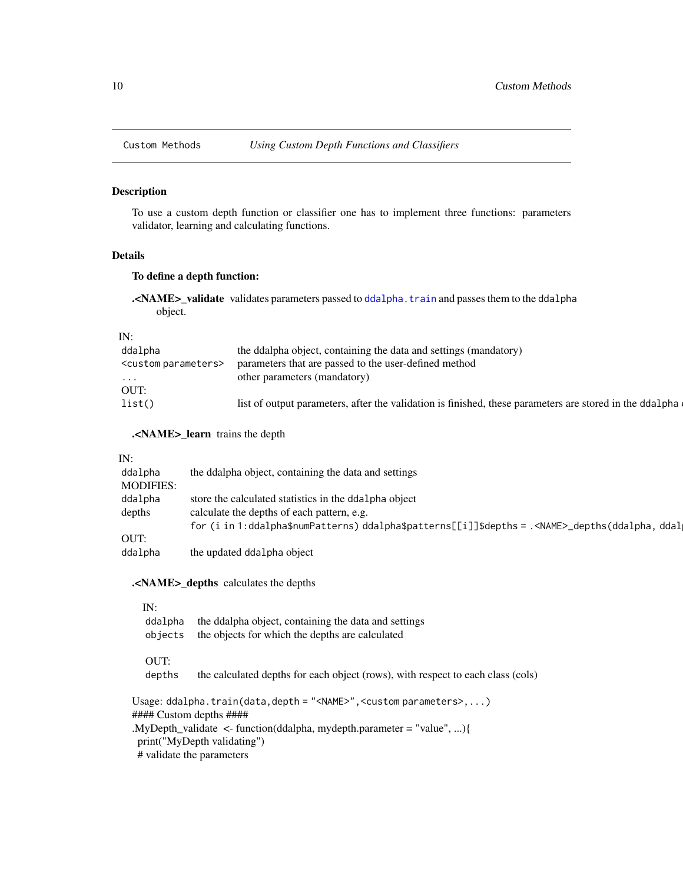<span id="page-9-1"></span><span id="page-9-0"></span>

## Description

To use a custom depth function or classifier one has to implement three functions: parameters validator, learning and calculating functions.

#### Details

## To define a depth function:

.<NAME>\_validate validates parameters passed to [ddalpha.train](#page-36-1) and passes them to the ddalpha object.

## IN:

| ddalpha                         | the ddalpha object, containing the data and settings (mandatory)                                        |
|---------------------------------|---------------------------------------------------------------------------------------------------------|
| <custom parameters=""></custom> | parameters that are passed to the user-defined method                                                   |
| $\cdots$                        | other parameters (mandatory)                                                                            |
| OUT:                            |                                                                                                         |
| list()                          | list of output parameters, after the validation is finished, these parameters are stored in the ddalpha |
|                                 |                                                                                                         |

.<NAME>\_learn trains the depth

#### IN:

| ddalpha          | the ddalpha object, containing the data and settings                                                    |
|------------------|---------------------------------------------------------------------------------------------------------|
| <b>MODIFIES:</b> |                                                                                                         |
| ddalpha          | store the calculated statistics in the ddalpha object                                                   |
| depths           | calculate the depths of each pattern, e.g.                                                              |
|                  | for (i in 1:ddalpha\$numPatterns) ddalpha\$patterns[[i]]\$depths = . <name>_depths(ddalpha, ddal</name> |
| OUT:             |                                                                                                         |
| ddalpha          | the updated ddalpha object                                                                              |

.<NAME>\_depths calculates the depths

## IN:

| ddalpha | the ddalpha object, containing the data and settings |
|---------|------------------------------------------------------|
| objects | the objects for which the depths are calculated      |

## OUT:

depths the calculated depths for each object (rows), with respect to each class (cols)

Usage: ddalpha.train(data,depth = "<NAME>",<custom parameters>,...) #### Custom depths ####

.MyDepth\_validate <- function(ddalpha, mydepth.parameter = "value", ...){

print("MyDepth validating")

# validate the parameters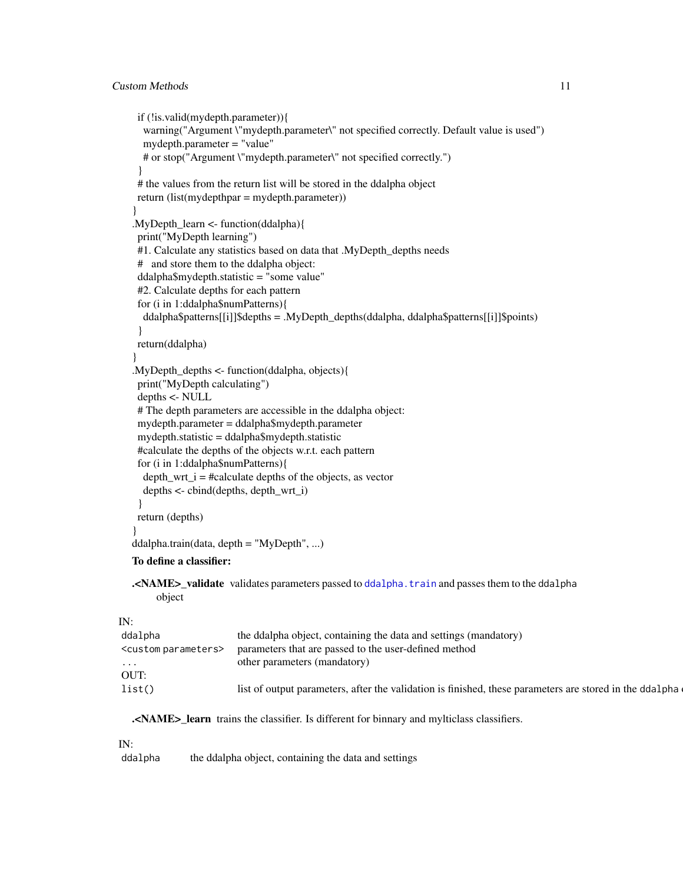```
if (!is.valid(mydepth.parameter)){
  warning("Argument \"mydepth.parameter\" not specified correctly. Default value is used")
  mydepth.parameter = "value"
  # or stop("Argument \"mydepth.parameter\" not specified correctly.")
 }
# the values from the return list will be stored in the ddalpha object
return (list(mydepthpar = mydepth.parameter))
}
.MyDepth_learn \leq- function(ddalpha){
print("MyDepth learning")
#1. Calculate any statistics based on data that .MyDepth_depths needs
# and store them to the ddalpha object:
ddalpha$mydepth.statistic = "some value"
#2. Calculate depths for each pattern
for (i in 1:ddalpha$numPatterns){
  ddalpha$patterns[[i]]$depths = .MyDepth_depths(ddalpha, ddalpha$patterns[[i]]$points)
 }
return(ddalpha)
}
.MyDepth_depths \leq- function(ddalpha, objects){
print("MyDepth calculating")
depths <- NULL
# The depth parameters are accessible in the ddalpha object:
mydepth.parameter = ddalpha$mydepth.parameter
mydepth.statistic = ddalpha$mydepth.statistic
#calculate the depths of the objects w.r.t. each pattern
for (i in 1:ddalpha$numPatterns){
  depth_wrt_i = #calculate depths of the objects, as vector
  depths <- cbind(depths, depth_wrt_i)
 }
return (depths)
}
ddalpha.train(data, depth = "MyDepth", ...)
To define a classifier:
```
.<NAME>\_validate validates parameters passed to [ddalpha.train](#page-36-1) and passes them to the ddalpha object

## IN:

| ddalpha                         | the ddalpha object, containing the data and settings (mandatory)                                        |
|---------------------------------|---------------------------------------------------------------------------------------------------------|
| <custom parameters=""></custom> | parameters that are passed to the user-defined method                                                   |
| $\cdots$                        | other parameters (mandatory)                                                                            |
| OUT:                            |                                                                                                         |
| list()                          | list of output parameters, after the validation is finished, these parameters are stored in the ddalpha |

.<NAME> learn trains the classifier. Is different for binnary and mylticlass classifiers.

#### IN:

ddalpha the ddalpha object, containing the data and settings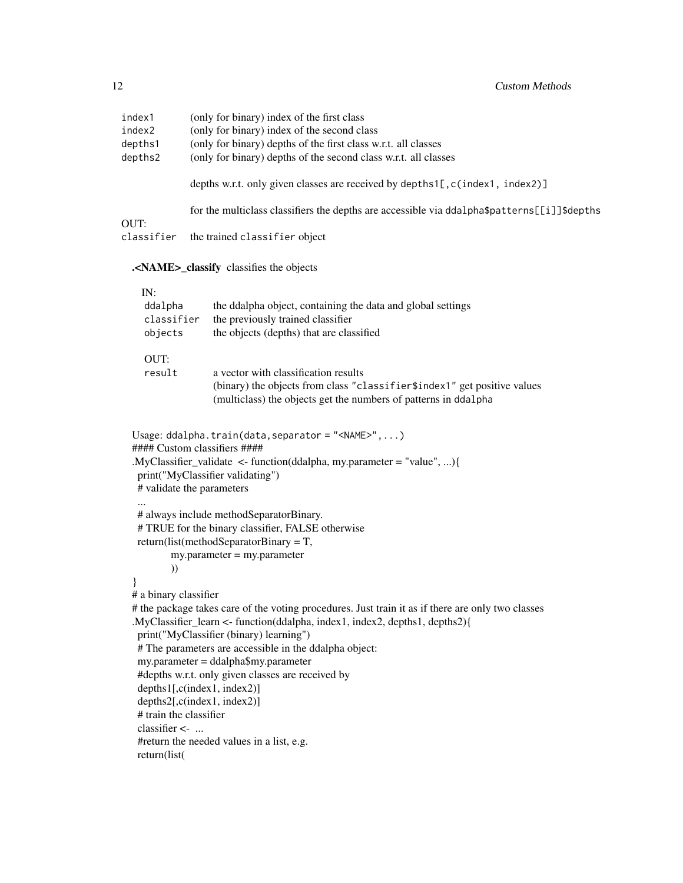| index1<br>index2<br>depths1<br>depths2  | (only for binary) index of the first class<br>(only for binary) index of the second class<br>(only for binary) depths of the first class w.r.t. all classes<br>(only for binary) depths of the second class w.r.t. all classes                                                                                                                                                                                                                                                                |  |  |  |  |  |  |
|-----------------------------------------|-----------------------------------------------------------------------------------------------------------------------------------------------------------------------------------------------------------------------------------------------------------------------------------------------------------------------------------------------------------------------------------------------------------------------------------------------------------------------------------------------|--|--|--|--|--|--|
|                                         | depths w.r.t. only given classes are received by depths1[, c(index1, index2)]                                                                                                                                                                                                                                                                                                                                                                                                                 |  |  |  |  |  |  |
|                                         | for the multiclass classifiers the depths are accessible via ddalpha\$patterns[[i]]\$depths                                                                                                                                                                                                                                                                                                                                                                                                   |  |  |  |  |  |  |
| OUT:<br>classifier                      | the trained classifier object                                                                                                                                                                                                                                                                                                                                                                                                                                                                 |  |  |  |  |  |  |
|                                         | . <name>_classify classifies the objects</name>                                                                                                                                                                                                                                                                                                                                                                                                                                               |  |  |  |  |  |  |
| IN:<br>ddalpha<br>classifier<br>objects | the ddalpha object, containing the data and global settings<br>the previously trained classifier<br>the objects (depths) that are classified                                                                                                                                                                                                                                                                                                                                                  |  |  |  |  |  |  |
| OUT:<br>result                          | a vector with classification results<br>(binary) the objects from class "classifier\$index1" get positive values<br>(multiclass) the objects get the numbers of patterns in ddalpha                                                                                                                                                                                                                                                                                                           |  |  |  |  |  |  |
|                                         | Usage: ddalpha.train(data, separator = " <name>", )<br/>#### Custom classifiers ####<br/>.MyClassifier_validate &lt;- function(ddalpha, my.parameter = "value", ){<br/>print("MyClassifier validating")<br/># validate the parameters</name>                                                                                                                                                                                                                                                  |  |  |  |  |  |  |
|                                         | # always include methodSeparatorBinary.<br># TRUE for the binary classifier, FALSE otherwise<br>return(list(methodSeparatorBinary = $T$ ,<br>$my.parenter = my.parenter$                                                                                                                                                                                                                                                                                                                      |  |  |  |  |  |  |
| )<br># a binary classifier              |                                                                                                                                                                                                                                                                                                                                                                                                                                                                                               |  |  |  |  |  |  |
| # train the classifier<br>classifier <- | # the package takes care of the voting procedures. Just train it as if there are only two classes<br>.MyClassifier_learn <- function(ddalpha, index1, index2, depths1, depths2){<br>print("MyClassifier (binary) learning")<br># The parameters are accessible in the ddalpha object:<br>my.parameter = ddalpha\$my.parameter<br>#depths w.r.t. only given classes are received by<br>depths1[, c/index1, index2]<br>depths2[, c/index1, index2]<br>#return the needed values in a list, e.g. |  |  |  |  |  |  |
| return(list(                            |                                                                                                                                                                                                                                                                                                                                                                                                                                                                                               |  |  |  |  |  |  |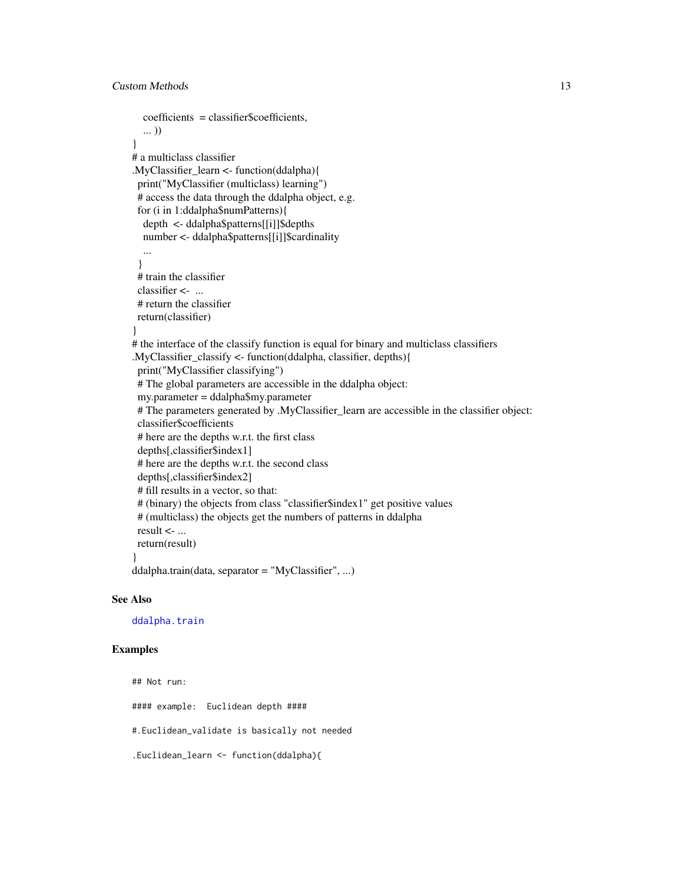```
coefficients = classifier$coefficients,
  ... ))
}
# a multiclass classifier
.MyClassifier_learn <- function(ddalpha)\{print("MyClassifier (multiclass) learning")
 # access the data through the ddalpha object, e.g.
 for (i in 1:ddalpha$numPatterns){
  depth <- ddalpha$patterns[[i]]$depths
  number <- ddalpha$patterns[[i]]$cardinality
  ...
 }
 # train the classifier
 classifier \leq ...
 # return the classifier
 return(classifier)
}
# the interface of the classify function is equal for binary and multiclass classifiers
.MyClassifier_classify <- function(ddalpha, classifier, depths){
 print("MyClassifier classifying")
 # The global parameters are accessible in the ddalpha object:
 my.parameter = ddalpha$my.parameter
 # The parameters generated by .MyClassifier_learn are accessible in the classifier object:
 classifier$coefficients
 # here are the depths w.r.t. the first class
 depths[,classifier$index1]
 # here are the depths w.r.t. the second class
 depths[,classifier$index2]
 # fill results in a vector, so that:
 # (binary) the objects from class "classifier$index1" get positive values
 # (multiclass) the objects get the numbers of patterns in ddalpha
 result <- ...
 return(result)
}
ddalpha.train(data, separator = "MyClassifier", ...)
```
#### See Also

[ddalpha.train](#page-36-1)

```
## Not run:
#### example: Euclidean depth ####
#.Euclidean_validate is basically not needed
.Euclidean_learn <- function(ddalpha){
```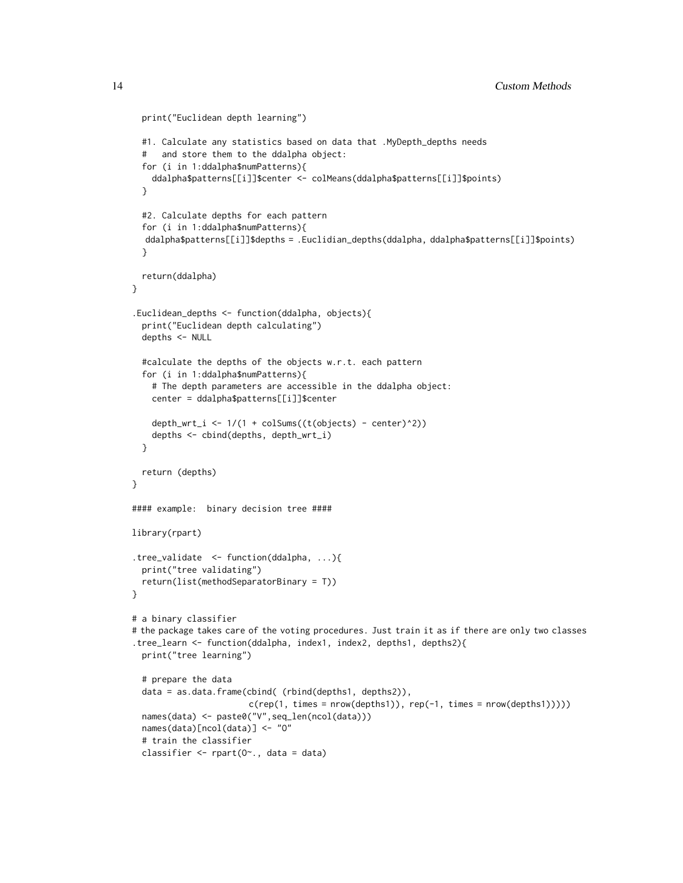```
print("Euclidean depth learning")
 #1. Calculate any statistics based on data that .MyDepth_depths needs
 # and store them to the ddalpha object:
 for (i in 1:ddalpha$numPatterns){
   ddalpha$patterns[[i]]$center <- colMeans(ddalpha$patterns[[i]]$points)
 }
 #2. Calculate depths for each pattern
 for (i in 1:ddalpha$numPatterns){
  ddalpha$patterns[[i]]$depths = .Euclidian_depths(ddalpha, ddalpha$patterns[[i]]$points)
 }
 return(ddalpha)
}
.Euclidean_depths <- function(ddalpha, objects){
 print("Euclidean depth calculating")
 depths <- NULL
 #calculate the depths of the objects w.r.t. each pattern
 for (i in 1:ddalpha$numPatterns){
    # The depth parameters are accessible in the ddalpha object:
   center = ddalpha$patterns[[i]]$center
   depth_wrt_i <- 1/(1 + \text{colSums}((t(\text{objects}) - \text{center})^2))depths <- cbind(depths, depth_wrt_i)
 }
 return (depths)
}
#### example: binary decision tree ####
library(rpart)
.tree_validate <- function(ddalpha, ...){
 print("tree validating")
 return(list(methodSeparatorBinary = T))
}
# a binary classifier
# the package takes care of the voting procedures. Just train it as if there are only two classes
.tree_learn <- function(ddalpha, index1, index2, depths1, depths2){
 print("tree learning")
 # prepare the data
 data = as.data.frame(cbind( (rbind(depths1, depths2)),
                       c(rep(1, times = new(depths1)), rep(-1, times = new(depths1))))names(data) <- paste0("V",seq_len(ncol(data)))
 names(data)[ncol(data)] <- "O"
 # train the classifier
 classifier \leq rpart(0\degree., data = data)
```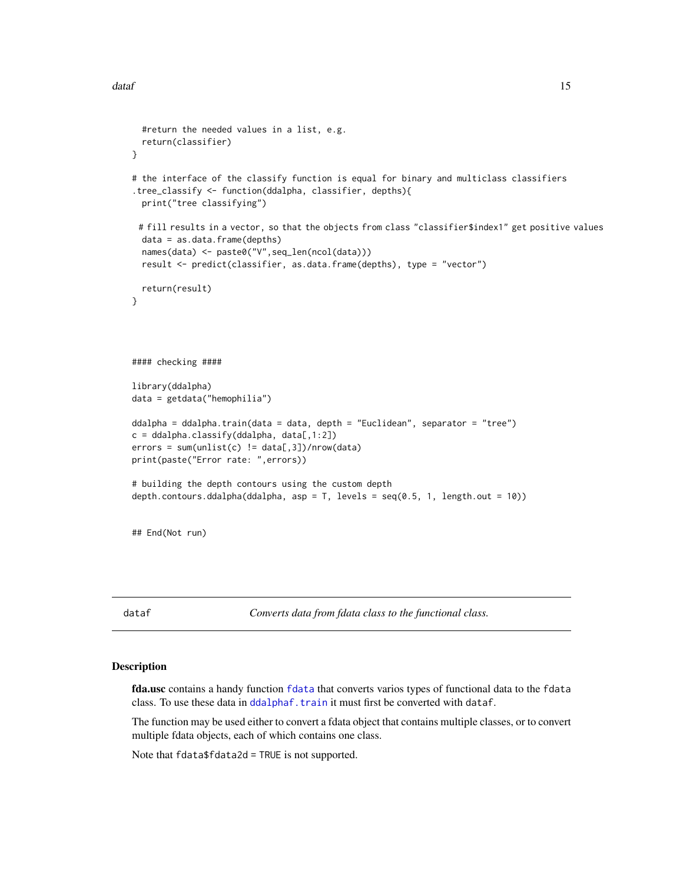```
#return the needed values in a list, e.g.
 return(classifier)
}
# the interface of the classify function is equal for binary and multiclass classifiers
.tree_classify <- function(ddalpha, classifier, depths){
 print("tree classifying")
 # fill results in a vector, so that the objects from class "classifier$index1" get positive values
 data = as.data.frame(depths)
 names(data) <- paste0("V",seq_len(ncol(data)))
 result <- predict(classifier, as.data.frame(depths), type = "vector")
 return(result)
}
#### checking ####
library(ddalpha)
data = getdata("hemophilia")
ddalpha = ddalpha.train(data = data, depth = "Euclidean", separator = "tree")
c = ddalpha.classify(ddalpha, data[, 1:2])errors = sum(unlist(c) != data[, 3])/nrow(data)print(paste("Error rate: ",errors))
# building the depth contours using the custom depth
depth.contours.ddalpha(ddalpha, asp = T, levels = seq(0.5, 1, length.out = 10))
## End(Not run)
```
dataf *Converts data from fdata class to the functional class.*

#### Description

fda.usc contains a handy function [fdata](#page-0-0) that converts varios types of functional data to the fdata class. To use these data in [ddalphaf.train](#page-48-1) it must first be converted with dataf.

The function may be used either to convert a fdata object that contains multiple classes, or to convert multiple fdata objects, each of which contains one class.

Note that fdata\$fdata2d = TRUE is not supported.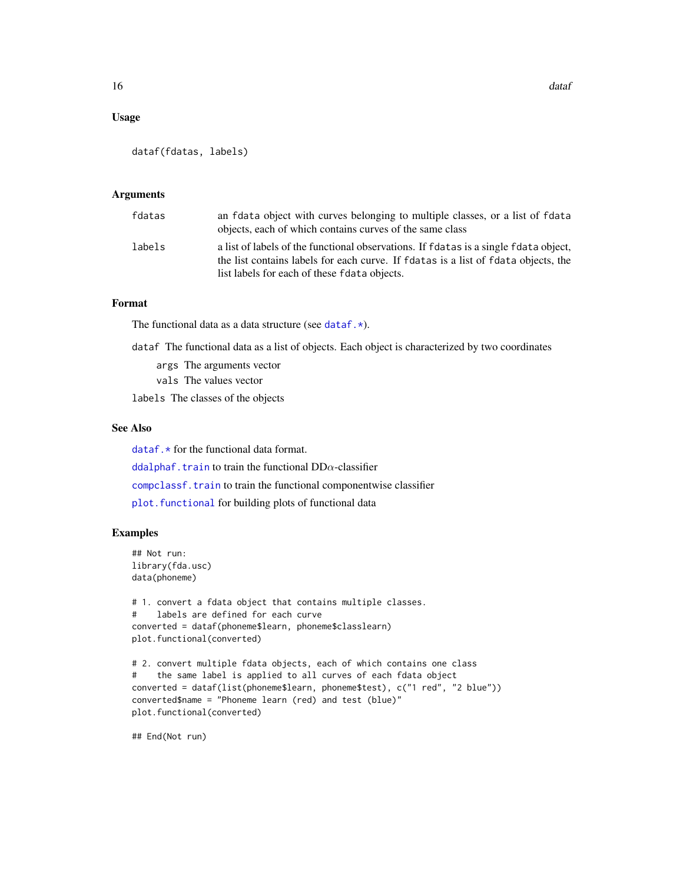## Usage

```
dataf(fdatas, labels)
```
## Arguments

| fdatas | an fdata object with curves belonging to multiple classes, or a list of fdata<br>objects, each of which contains curves of the same class                                                                                  |
|--------|----------------------------------------------------------------------------------------------------------------------------------------------------------------------------------------------------------------------------|
| labels | a list of labels of the functional observations. If fdatas is a single fdata object,<br>the list contains labels for each curve. If fdatas is a list of fdata objects, the<br>list labels for each of these fdata objects. |

## Format

The functional data as a data structure (see dataf. $\star$ ).

dataf The functional data as a list of objects. Each object is characterized by two coordinates

args The arguments vector

vals The values vector

labels The classes of the objects

## See Also

 $dataf.*$  for the functional data format.

[ddalphaf.train](#page-48-1) to train the functional  $DD\alpha$ -classifier

[compclassf.train](#page-7-1) to train the functional componentwise classifier

plot. functional for building plots of functional data

## Examples

```
## Not run:
library(fda.usc)
data(phoneme)
```

```
# 1. convert a fdata object that contains multiple classes.
# labels are defined for each curve
converted = dataf(phoneme$learn, phoneme$classlearn)
plot.functional(converted)
```

```
# 2. convert multiple fdata objects, each of which contains one class
# the same label is applied to all curves of each fdata object
converted = dataf(list(phoneme$learn, phoneme$test), c("1 red", "2 blue"))
converted$name = "Phoneme learn (red) and test (blue)"
plot.functional(converted)
```
## End(Not run)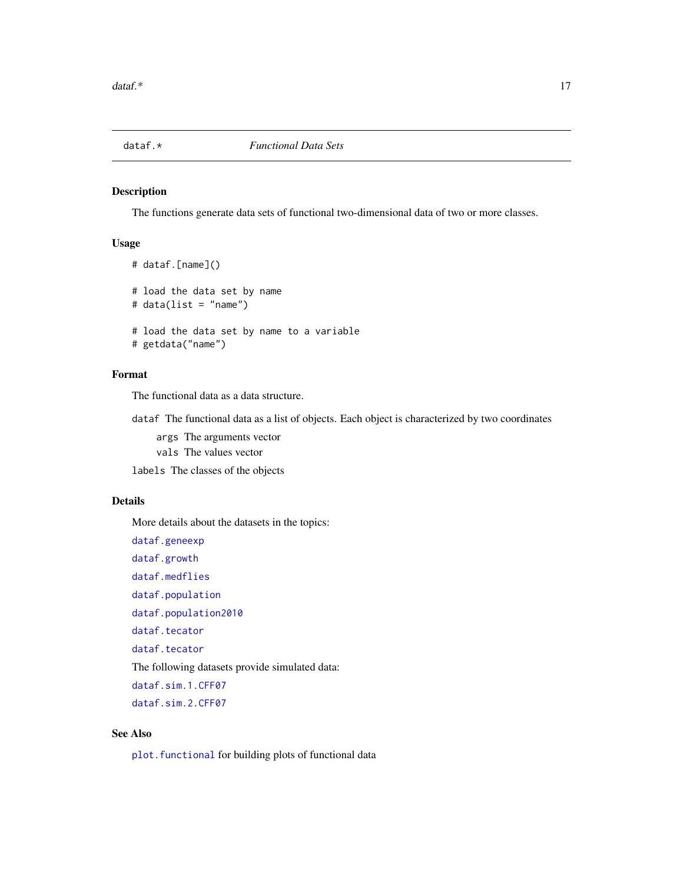<span id="page-16-1"></span><span id="page-16-0"></span>

## Description

The functions generate data sets of functional two-dimensional data of two or more classes.

## Usage

```
# dataf.[name]()
# load the data set by name
# data(list = "name")
# load the data set by name to a variable
# getdata("name")
```
## Format

The functional data as a data structure.

dataf The functional data as a list of objects. Each object is characterized by two coordinates

args The arguments vector vals The values vector

labels The classes of the objects

## Details

More details about the datasets in the topics:

[dataf.geneexp](#page-17-1) [dataf.growth](#page-18-1) [dataf.medflies](#page-19-1) [dataf.population](#page-21-1) [dataf.population2010](#page-22-1) [dataf.tecator](#page-27-1) [dataf.tecator](#page-27-1) The following datasets provide simulated data: [dataf.sim.1.CFF07](#page-24-1) [dataf.sim.2.CFF07](#page-25-1)

## See Also

plot. functional for building plots of functional data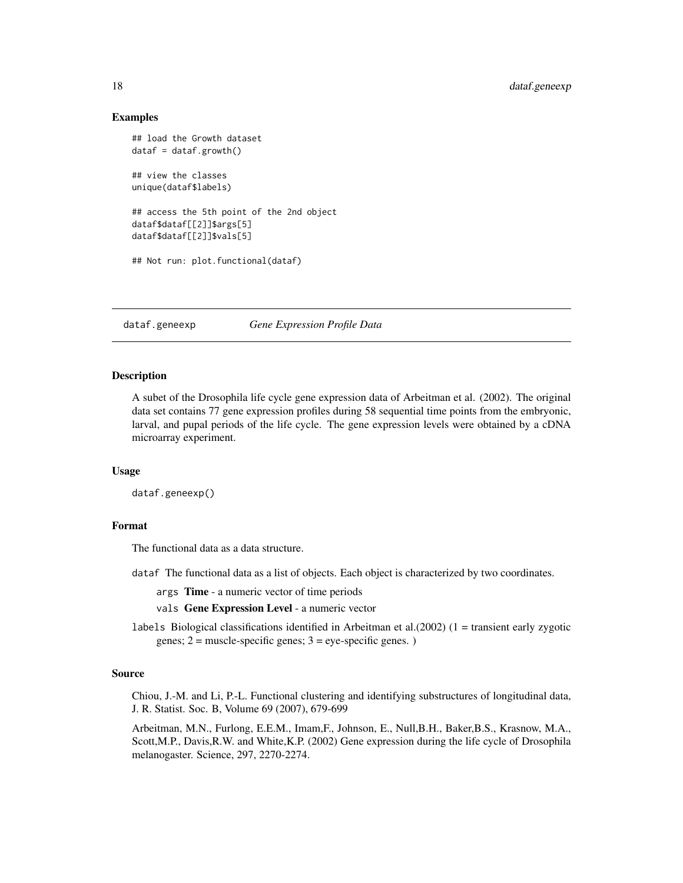## Examples

```
## load the Growth dataset
dataf = dataf.growth()## view the classes
unique(dataf$labels)
## access the 5th point of the 2nd object
dataf$dataf[[2]]$args[5]
dataf$dataf[[2]]$vals[5]
## Not run: plot.functional(dataf)
```
<span id="page-17-1"></span>dataf.geneexp *Gene Expression Profile Data*

#### **Description**

A subet of the Drosophila life cycle gene expression data of Arbeitman et al. (2002). The original data set contains 77 gene expression profiles during 58 sequential time points from the embryonic, larval, and pupal periods of the life cycle. The gene expression levels were obtained by a cDNA microarray experiment.

## Usage

dataf.geneexp()

## Format

The functional data as a data structure.

dataf The functional data as a list of objects. Each object is characterized by two coordinates.

args Time - a numeric vector of time periods

vals Gene Expression Level - a numeric vector

labels Biological classifications identified in Arbeitman et al. $(2002)$   $(1 =$  transient early zygotic genes;  $2 =$  muscle-specific genes;  $3 =$  eye-specific genes.)

#### Source

Chiou, J.-M. and Li, P.-L. Functional clustering and identifying substructures of longitudinal data, J. R. Statist. Soc. B, Volume 69 (2007), 679-699

Arbeitman, M.N., Furlong, E.E.M., Imam,F., Johnson, E., Null,B.H., Baker,B.S., Krasnow, M.A., Scott,M.P., Davis,R.W. and White,K.P. (2002) Gene expression during the life cycle of Drosophila melanogaster. Science, 297, 2270-2274.

<span id="page-17-0"></span>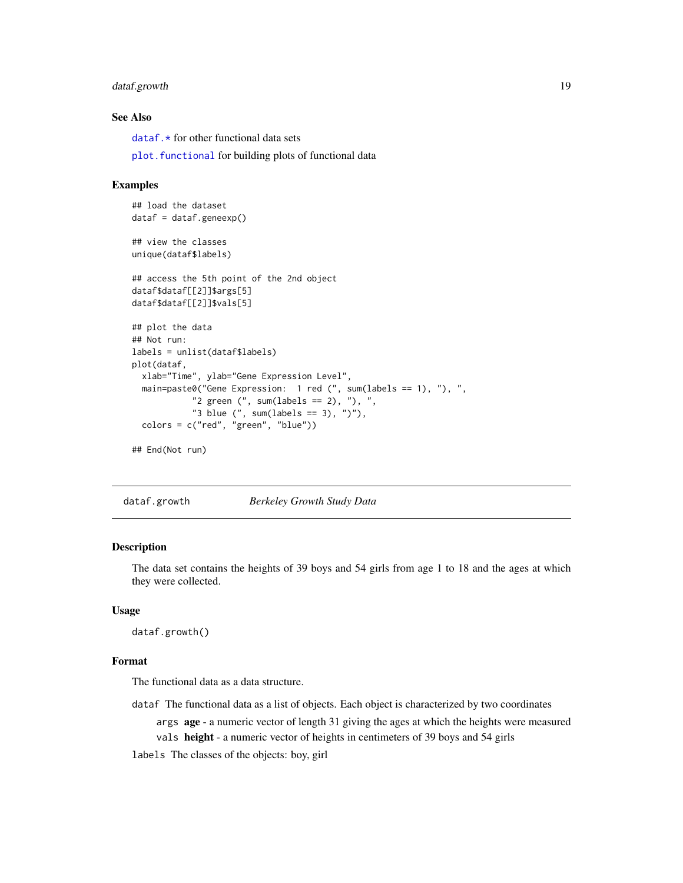## <span id="page-18-0"></span>dataf.growth 19

## See Also

dataf. $*$  for other functional data sets

plot. functional for building plots of functional data

#### Examples

```
## load the dataset
dataf = dataf.geneexp()## view the classes
unique(dataf$labels)
## access the 5th point of the 2nd object
dataf$dataf[[2]]$args[5]
dataf$dataf[[2]]$vals[5]
## plot the data
## Not run:
labels = unlist(dataf$labels)
plot(dataf,
  xlab="Time", ylab="Gene Expression Level",
  main=paste0("Gene Expression: 1 red (", sum(labels == 1), "), ",
            "2 green (", sum(labels == 2), "), ",
            "3 blue (", sum(labels == 3), ")"),
  colors = c("red", "green", "blue"))
## End(Not run)
```
<span id="page-18-1"></span>dataf.growth *Berkeley Growth Study Data*

#### Description

The data set contains the heights of 39 boys and 54 girls from age 1 to 18 and the ages at which they were collected.

#### Usage

dataf.growth()

## Format

The functional data as a data structure.

- dataf The functional data as a list of objects. Each object is characterized by two coordinates
	- args age a numeric vector of length 31 giving the ages at which the heights were measured

vals height - a numeric vector of heights in centimeters of 39 boys and 54 girls

labels The classes of the objects: boy, girl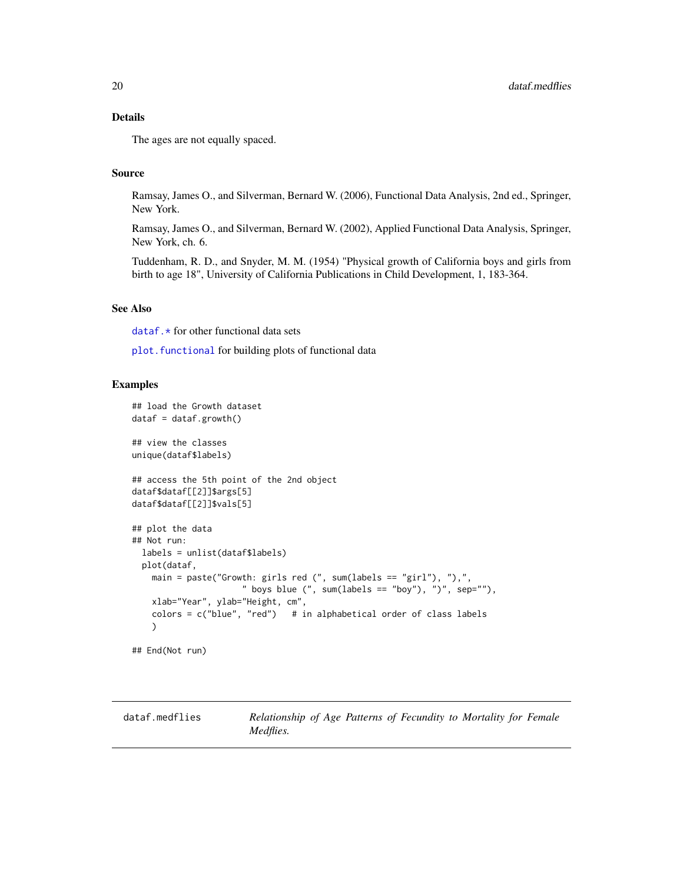## <span id="page-19-0"></span>Details

The ages are not equally spaced.

## Source

Ramsay, James O., and Silverman, Bernard W. (2006), Functional Data Analysis, 2nd ed., Springer, New York.

Ramsay, James O., and Silverman, Bernard W. (2002), Applied Functional Data Analysis, Springer, New York, ch. 6.

Tuddenham, R. D., and Snyder, M. M. (1954) "Physical growth of California boys and girls from birth to age 18", University of California Publications in Child Development, 1, 183-364.

## See Also

dataf. \* for other functional data sets

[plot.functional](#page-124-1) for building plots of functional data

## Examples

```
## load the Growth dataset
dataf = dataf.growth()## view the classes
unique(dataf$labels)
## access the 5th point of the 2nd object
dataf$dataf[[2]]$args[5]
dataf$dataf[[2]]$vals[5]
## plot the data
## Not run:
 labels = unlist(dataf$labels)
 plot(dataf,
   main = paste("Growth: girls red (", sum(labels == "girl"), "),",
                      " boys blue (", sum(labels == "boy"), ")", sep=""),
   xlab="Year", ylab="Height, cm",
   colors = c("blue", "red") # in alphabetical order of class labels
   )
## End(Not run)
```
<span id="page-19-1"></span>dataf.medflies *Relationship of Age Patterns of Fecundity to Mortality for Female Medflies.*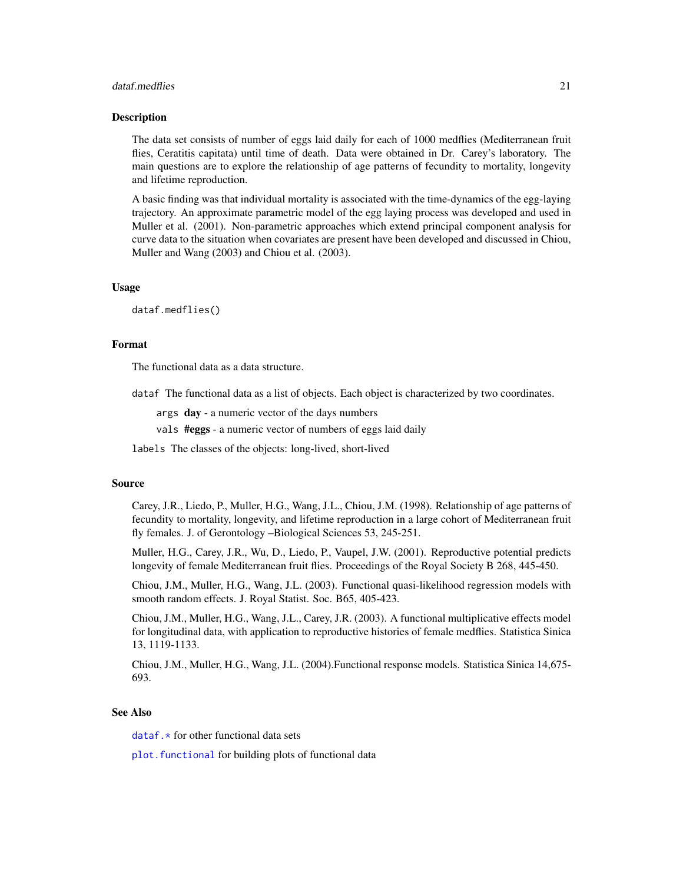#### dataf.medflies 21

#### Description

The data set consists of number of eggs laid daily for each of 1000 medflies (Mediterranean fruit flies, Ceratitis capitata) until time of death. Data were obtained in Dr. Carey's laboratory. The main questions are to explore the relationship of age patterns of fecundity to mortality, longevity and lifetime reproduction.

A basic finding was that individual mortality is associated with the time-dynamics of the egg-laying trajectory. An approximate parametric model of the egg laying process was developed and used in Muller et al. (2001). Non-parametric approaches which extend principal component analysis for curve data to the situation when covariates are present have been developed and discussed in Chiou, Muller and Wang (2003) and Chiou et al. (2003).

#### Usage

dataf.medflies()

## Format

The functional data as a data structure.

dataf The functional data as a list of objects. Each object is characterized by two coordinates.

args day - a numeric vector of the days numbers

vals #eggs - a numeric vector of numbers of eggs laid daily

labels The classes of the objects: long-lived, short-lived

## Source

Carey, J.R., Liedo, P., Muller, H.G., Wang, J.L., Chiou, J.M. (1998). Relationship of age patterns of fecundity to mortality, longevity, and lifetime reproduction in a large cohort of Mediterranean fruit fly females. J. of Gerontology –Biological Sciences 53, 245-251.

Muller, H.G., Carey, J.R., Wu, D., Liedo, P., Vaupel, J.W. (2001). Reproductive potential predicts longevity of female Mediterranean fruit flies. Proceedings of the Royal Society B 268, 445-450.

Chiou, J.M., Muller, H.G., Wang, J.L. (2003). Functional quasi-likelihood regression models with smooth random effects. J. Royal Statist. Soc. B65, 405-423.

Chiou, J.M., Muller, H.G., Wang, J.L., Carey, J.R. (2003). A functional multiplicative effects model for longitudinal data, with application to reproductive histories of female medflies. Statistica Sinica 13, 1119-1133.

Chiou, J.M., Muller, H.G., Wang, J.L. (2004).Functional response models. Statistica Sinica 14,675- 693.

## See Also

dataf. $*$  for other functional data sets

plot. functional for building plots of functional data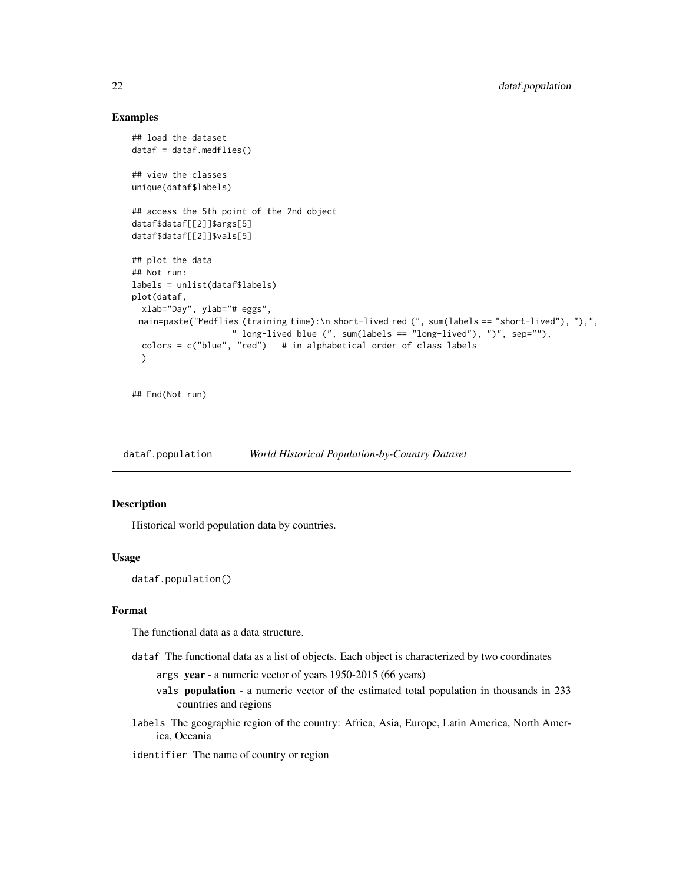## Examples

```
## load the dataset
dataf = dataf.medflies()## view the classes
unique(dataf$labels)
## access the 5th point of the 2nd object
dataf$dataf[[2]]$args[5]
dataf$dataf[[2]]$vals[5]
## plot the data
## Not run:
labels = unlist(dataf$labels)
plot(dataf,
 xlab="Day", ylab="# eggs",
 main=paste("Medflies (training time):\n short-lived red (", sum(labels == "short-lived"), "),",
                    " long-lived blue (", sum(labels == "long-lived"), ")", sep=""),
  colors = c("blue", "red") # in alphabetical order of class labels
  )
```
## End(Not run)

<span id="page-21-1"></span>dataf.population *World Historical Population-by-Country Dataset*

## Description

Historical world population data by countries.

## Usage

dataf.population()

## Format

The functional data as a data structure.

dataf The functional data as a list of objects. Each object is characterized by two coordinates

- args year a numeric vector of years 1950-2015 (66 years)
- vals population a numeric vector of the estimated total population in thousands in 233 countries and regions
- labels The geographic region of the country: Africa, Asia, Europe, Latin America, North America, Oceania
- identifier The name of country or region

<span id="page-21-0"></span>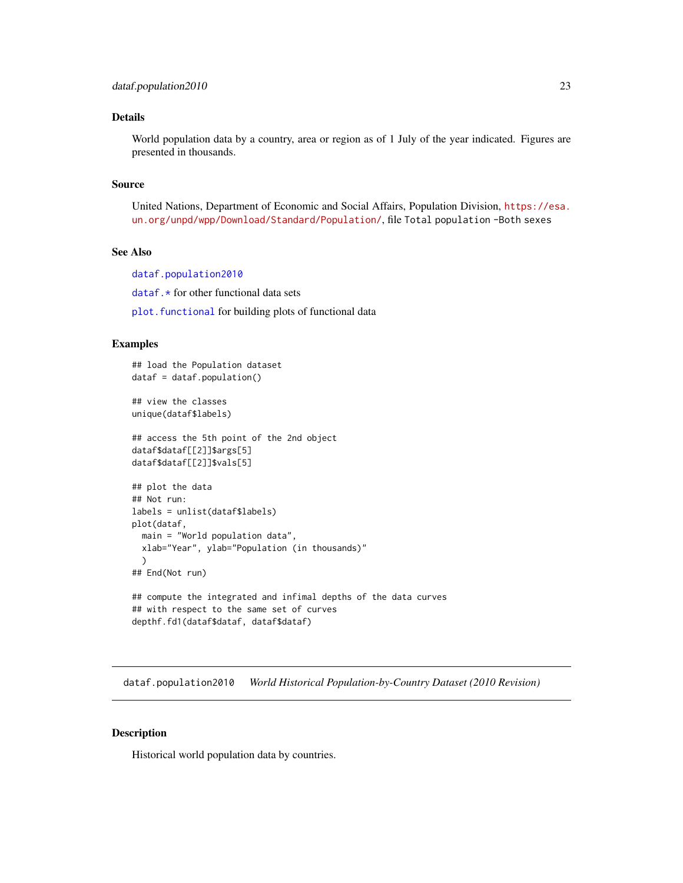## <span id="page-22-0"></span>Details

World population data by a country, area or region as of 1 July of the year indicated. Figures are presented in thousands.

#### Source

United Nations, Department of Economic and Social Affairs, Population Division, [https://esa.](https://esa.un.org/unpd/wpp/Download/Standard/Population/) [un.org/unpd/wpp/Download/Standard/Population/](https://esa.un.org/unpd/wpp/Download/Standard/Population/), file Total population -Both sexes

## See Also

[dataf.population2010](#page-22-1) [dataf.\\*](#page-16-1) for other functional data sets plot. functional for building plots of functional data

## Examples

```
## load the Population dataset
dataf = dataf.population()
## view the classes
unique(dataf$labels)
## access the 5th point of the 2nd object
dataf$dataf[[2]]$args[5]
dataf$dataf[[2]]$vals[5]
## plot the data
## Not run:
labels = unlist(dataf$labels)
plot(dataf,
  main = "World population data",
  xlab="Year", ylab="Population (in thousands)"
  \mathcal{L}## End(Not run)
## compute the integrated and infimal depths of the data curves
## with respect to the same set of curves
```

```
dataf.population2010 World Historical Population-by-Country Dataset (2010 Revision)
```
## Description

Historical world population data by countries.

depthf.fd1(dataf\$dataf, dataf\$dataf)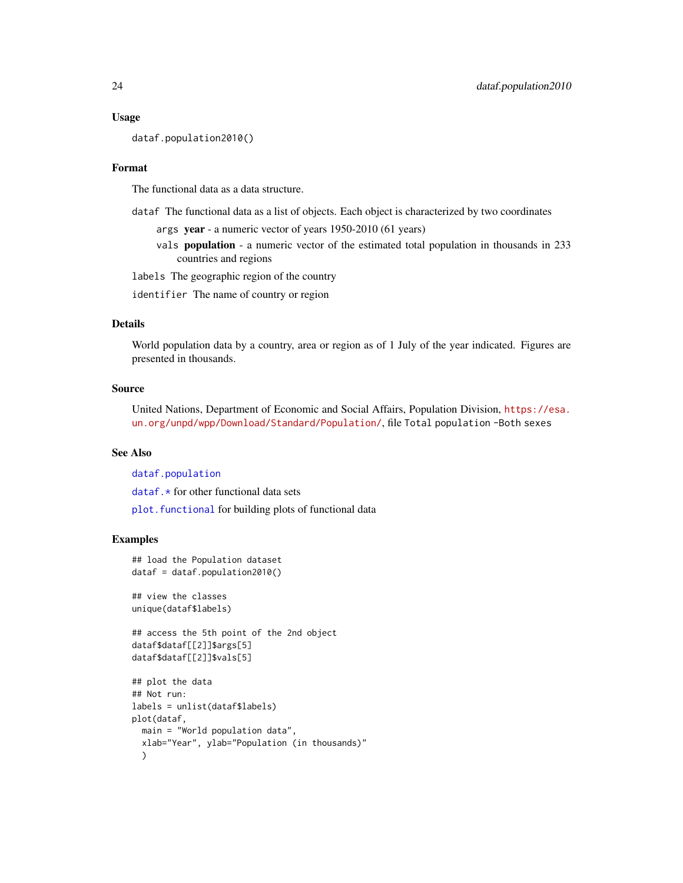## Usage

dataf.population2010()

## Format

The functional data as a data structure.

- dataf The functional data as a list of objects. Each object is characterized by two coordinates
	- args year a numeric vector of years 1950-2010 (61 years)
	- vals population a numeric vector of the estimated total population in thousands in 233 countries and regions

labels The geographic region of the country

identifier The name of country or region

## Details

World population data by a country, area or region as of 1 July of the year indicated. Figures are presented in thousands.

## Source

United Nations, Department of Economic and Social Affairs, Population Division, [https://esa.](https://esa.un.org/unpd/wpp/Download/Standard/Population/) [un.org/unpd/wpp/Download/Standard/Population/](https://esa.un.org/unpd/wpp/Download/Standard/Population/), file Total population -Both sexes

## See Also

[dataf.population](#page-21-1)

dataf. $\star$  for other functional data sets

plot. functional for building plots of functional data

```
## load the Population dataset
dataf = dataf.population2010()
```

```
## view the classes
unique(dataf$labels)
```

```
## access the 5th point of the 2nd object
dataf$dataf[[2]]$args[5]
dataf$dataf[[2]]$vals[5]
```

```
## plot the data
## Not run:
labels = unlist(dataf$labels)
plot(dataf,
  main = "World population data",
  xlab="Year", ylab="Population (in thousands)"
  )
```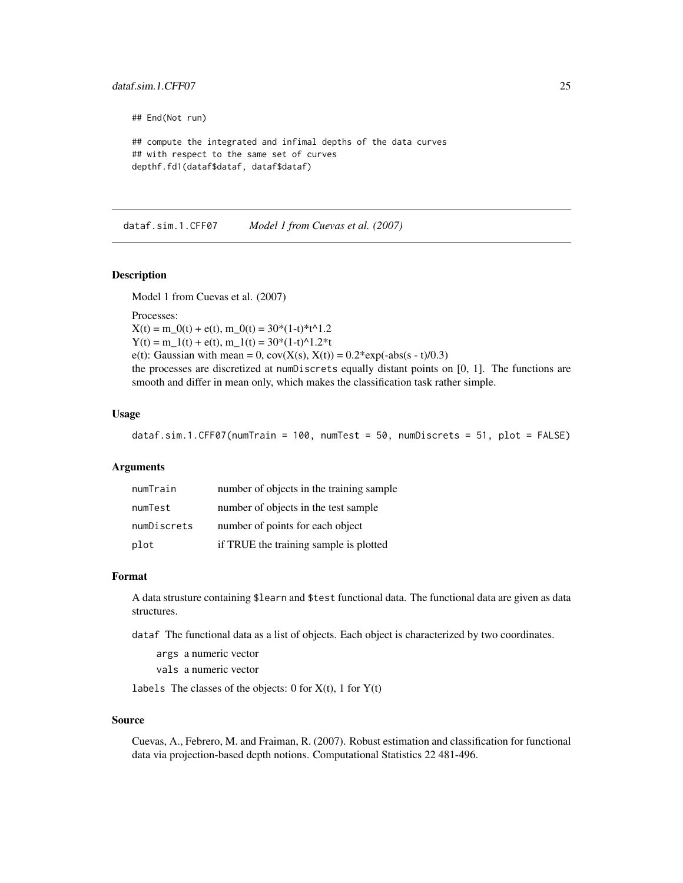## <span id="page-24-0"></span>dataf.sim.1.CFF07 25

## End(Not run)

```
## compute the integrated and infimal depths of the data curves
## with respect to the same set of curves
depthf.fd1(dataf$dataf, dataf$dataf)
```
<span id="page-24-1"></span>dataf.sim.1.CFF07 *Model 1 from Cuevas et al. (2007)*

## **Description**

Model 1 from Cuevas et al. (2007)

Processes:

 $X(t) = m_0(t) + e(t), m_0(t) = 30*(1-t)*t^1.2$  $Y(t) = m_1(t) + e(t), m_1(t) = 30*(1-t)^{1.2*t}$ e(t): Gaussian with mean = 0,  $cov(X(s), X(t)) = 0.2*exp(-abs(s - t)/0.3)$ the processes are discretized at numDiscrets equally distant points on [0, 1]. The functions are smooth and differ in mean only, which makes the classification task rather simple.

#### Usage

dataf.sim.1.CFF07(numTrain = 100, numTest = 50, numDiscrets = 51, plot = FALSE)

### Arguments

| numTrain    | number of objects in the training sample |
|-------------|------------------------------------------|
| numTest     | number of objects in the test sample     |
| numDiscrets | number of points for each object         |
| plot        | if TRUE the training sample is plotted   |

#### Format

A data strusture containing \$learn and \$test functional data. The functional data are given as data structures.

dataf The functional data as a list of objects. Each object is characterized by two coordinates.

args a numeric vector

vals a numeric vector

labels The classes of the objects:  $0$  for  $X(t)$ ,  $1$  for  $Y(t)$ 

## Source

Cuevas, A., Febrero, M. and Fraiman, R. (2007). Robust estimation and classification for functional data via projection-based depth notions. Computational Statistics 22 481-496.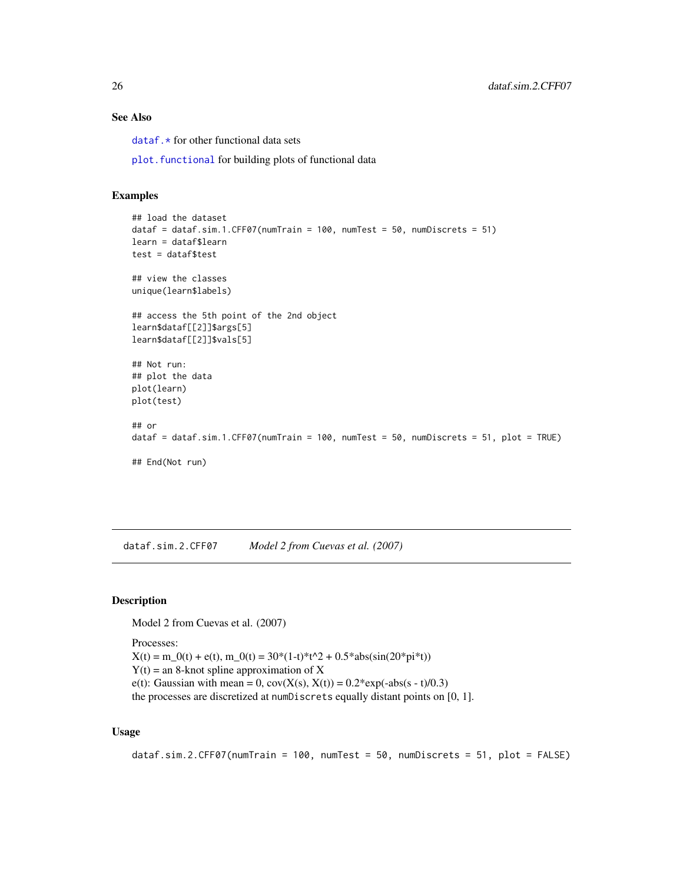## See Also

dataf. \* for other functional data sets

plot. functional for building plots of functional data

## Examples

```
## load the dataset
dataf = dataf.sim.1.CFF07(numTrain = 100, numTest = 50, numDiscrets = 51)
learn = dataf$learn
test = dataf$test
## view the classes
unique(learn$labels)
## access the 5th point of the 2nd object
learn$dataf[[2]]$args[5]
learn$dataf[[2]]$vals[5]
## Not run:
## plot the data
plot(learn)
plot(test)
## or
dataf = dataf.sim.1.CFF07(numTrain = 100, numTest = 50, numDiscrets = 51, plot = TRUE)
## End(Not run)
```
<span id="page-25-1"></span>dataf.sim.2.CFF07 *Model 2 from Cuevas et al. (2007)*

## Description

Model 2 from Cuevas et al. (2007)

Processes:  $X(t) = m_0(t) + e(t), m_0(t) = 30*(1-t)*t^2 + 0.5*abs(sin(20*pi*t))$  $Y(t) =$  an 8-knot spline approximation of X e(t): Gaussian with mean = 0,  $cov(X(s), X(t)) = 0.2*exp(-abs(s - t)/0.3)$ 

## the processes are discretized at numDiscrets equally distant points on [0, 1].

## Usage

```
dataf.sim.2.CFF07(numTrain = 100, numTest = 50, numDiscrets = 51, plot = FALSE)
```
<span id="page-25-0"></span>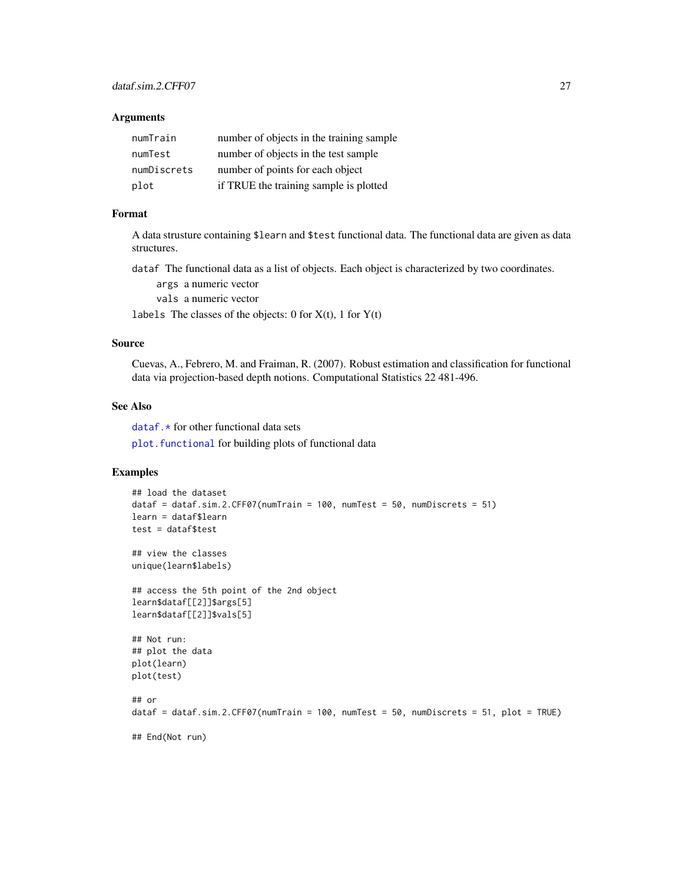#### Arguments

| numTrain    | number of objects in the training sample |
|-------------|------------------------------------------|
| numTest     | number of objects in the test sample     |
| numDiscrets | number of points for each object         |
| plot        | if TRUE the training sample is plotted   |

## Format

A data strusture containing \$learn and \$test functional data. The functional data are given as data structures.

dataf The functional data as a list of objects. Each object is characterized by two coordinates.

args a numeric vector

vals a numeric vector

labels The classes of the objects: 0 for  $X(t)$ , 1 for  $Y(t)$ 

## Source

Cuevas, A., Febrero, M. and Fraiman, R. (2007). Robust estimation and classification for functional data via projection-based depth notions. Computational Statistics 22 481-496.

#### See Also

 $dataf.*$  for other functional data sets plot. functional for building plots of functional data

```
## load the dataset
dataf = dataf.sim.2.CFF07(numTrain = 100, numTest = 50, numDiscrets = 51)
learn = dataf$learn
test = dataf$test
## view the classes
unique(learn$labels)
## access the 5th point of the 2nd object
learn$dataf[[2]]$args[5]
learn$dataf[[2]]$vals[5]
## Not run:
## plot the data
plot(learn)
plot(test)
## or
dataf = dataf.sim.2.CFF07(numTrain = 100, numTest = 50, numDiscrets = 51, plot = TRUE)
## End(Not run)
```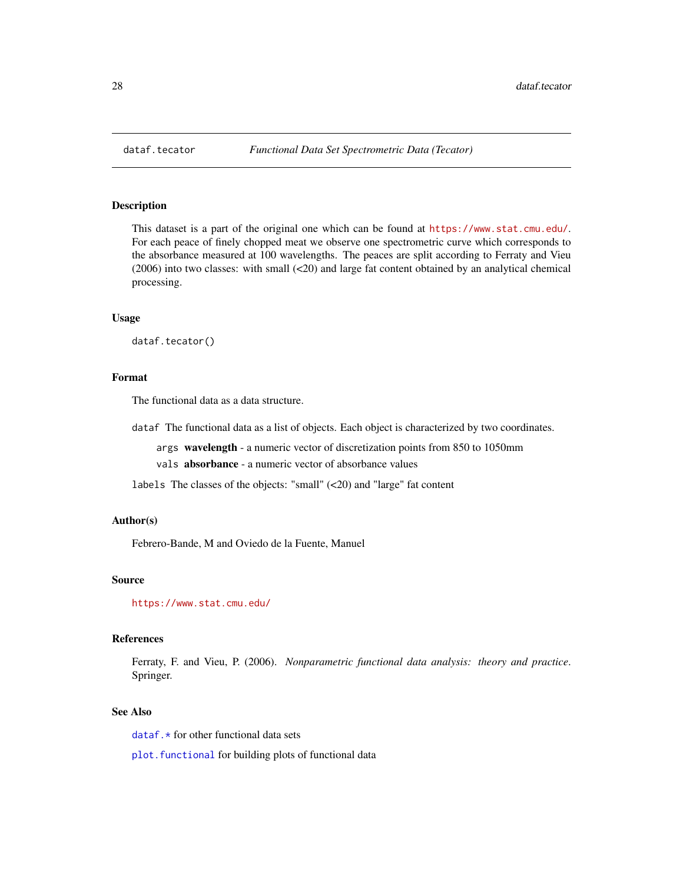<span id="page-27-1"></span><span id="page-27-0"></span>

## Description

This dataset is a part of the original one which can be found at <https://www.stat.cmu.edu/>. For each peace of finely chopped meat we observe one spectrometric curve which corresponds to the absorbance measured at 100 wavelengths. The peaces are split according to Ferraty and Vieu (2006) into two classes: with small (<20) and large fat content obtained by an analytical chemical processing.

## Usage

dataf.tecator()

## Format

The functional data as a data structure.

dataf The functional data as a list of objects. Each object is characterized by two coordinates.

args wavelength - a numeric vector of discretization points from 850 to 1050mm

vals absorbance - a numeric vector of absorbance values

labels The classes of the objects: "small" (<20) and "large" fat content

#### Author(s)

Febrero-Bande, M and Oviedo de la Fuente, Manuel

#### Source

<https://www.stat.cmu.edu/>

## References

Ferraty, F. and Vieu, P. (2006). *Nonparametric functional data analysis: theory and practice*. Springer.

## See Also

[dataf.\\*](#page-16-1) for other functional data sets

plot. functional for building plots of functional data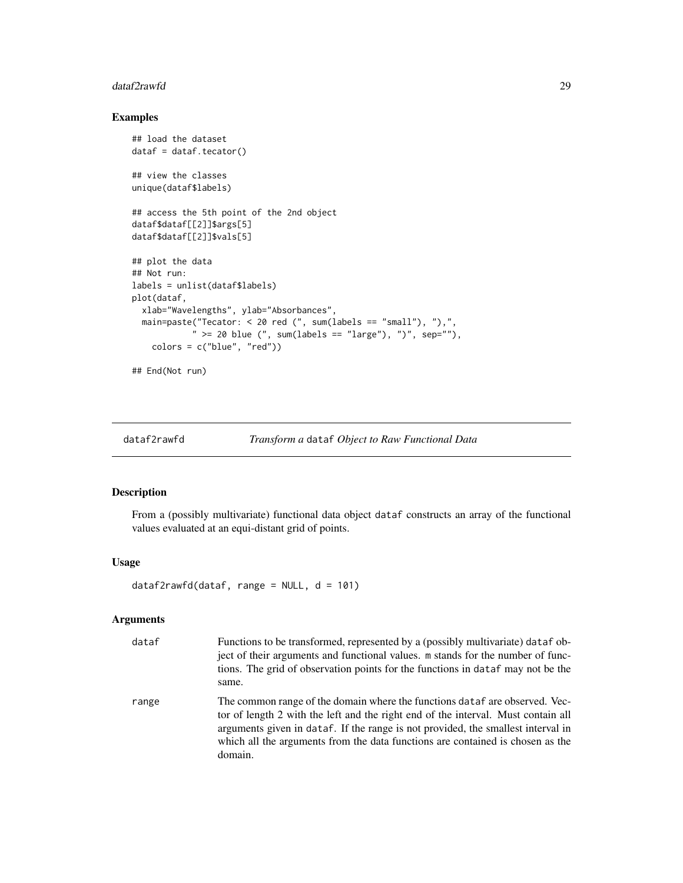#### <span id="page-28-0"></span>dataf2rawfd 29

## Examples

```
## load the dataset
dataf = dataf.tecator()
## view the classes
unique(dataf$labels)
## access the 5th point of the 2nd object
dataf$dataf[[2]]$args[5]
dataf$dataf[[2]]$vals[5]
## plot the data
## Not run:
labels = unlist(dataf$labels)
plot(dataf,
  xlab="Wavelengths", ylab="Absorbances",
  main=paste("Tecator: < 20 red (", sum(labels == "small"), "),",
            " >= 20 blue (", sum(labels == "large"), ")", sep=""),
   colors = c("blue", "red")
```

```
## End(Not run)
```
<span id="page-28-1"></span>

```
dataf2rawfd Transform a dataf Object to Raw Functional Data
```
## Description

From a (possibly multivariate) functional data object dataf constructs an array of the functional values evaluated at an equi-distant grid of points.

#### Usage

```
dataf2rawfd(dataf, range = NULL, d = 101)
```
## Arguments

| dataf | Functions to be transformed, represented by a (possibly multivariate) dataf ob-<br>ject of their arguments and functional values. m stands for the number of func-<br>tions. The grid of observation points for the functions in dataf may not be the<br>same.                                                                                    |
|-------|---------------------------------------------------------------------------------------------------------------------------------------------------------------------------------------------------------------------------------------------------------------------------------------------------------------------------------------------------|
| range | The common range of the domain where the functions dataf are observed. Vec-<br>tor of length 2 with the left and the right end of the interval. Must contain all<br>arguments given in dataf. If the range is not provided, the smallest interval in<br>which all the arguments from the data functions are contained is chosen as the<br>domain. |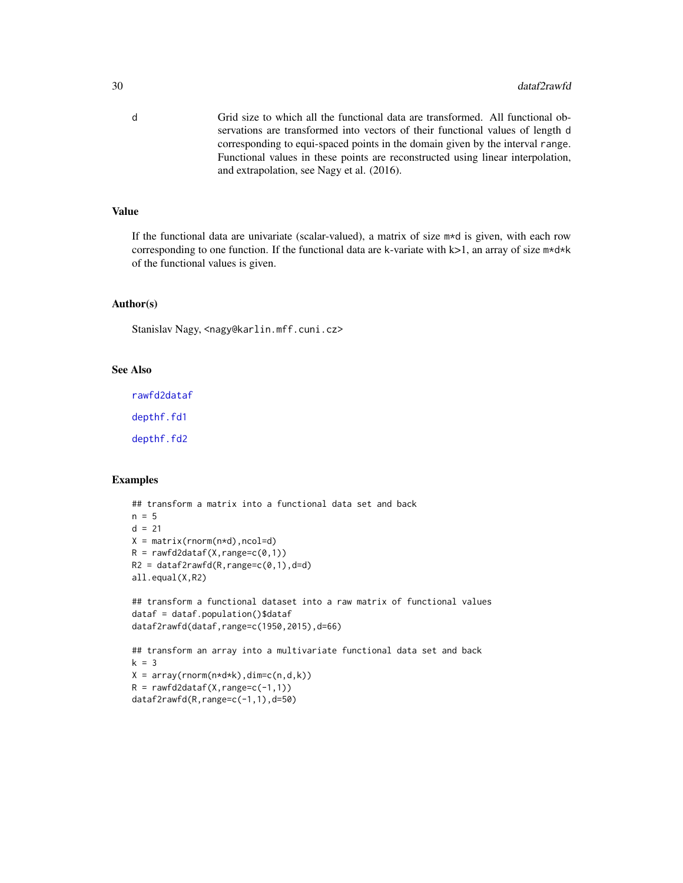d Grid size to which all the functional data are transformed. All functional observations are transformed into vectors of their functional values of length d corresponding to equi-spaced points in the domain given by the interval range. Functional values in these points are reconstructed using linear interpolation, and extrapolation, see Nagy et al. (2016).

## Value

If the functional data are univariate (scalar-valued), a matrix of size m\*d is given, with each row corresponding to one function. If the functional data are k-variate with  $k>1$ , an array of size  $m*d*k$ of the functional values is given.

## Author(s)

Stanislav Nagy, <nagy@karlin.mff.cuni.cz>

## See Also

[rawfd2dataf](#page-126-1) [depthf.fd1](#page-95-1)

[depthf.fd2](#page-97-1)

```
## transform a matrix into a functional data set and back
n = 5d = 21X = matrix(rnorm(n*d), ncol=d)R = rawfd2dataf(X, range=c(0,1))R2 = dataf2rawfd(R, range=c(0,1), d=d)all.equal(X,R2)
## transform a functional dataset into a raw matrix of functional values
dataf = dataf.population()$dataf
dataf2rawfd(dataf,range=c(1950,2015),d=66)
```

```
## transform an array into a multivariate functional data set and back
k = 3X = array(rnorm(n*d*k),dim=c(n,d,k))R = rawfd2dataf(X, range=c(-1,1))dataf2rawfd(R,range=c(-1,1),d=50)
```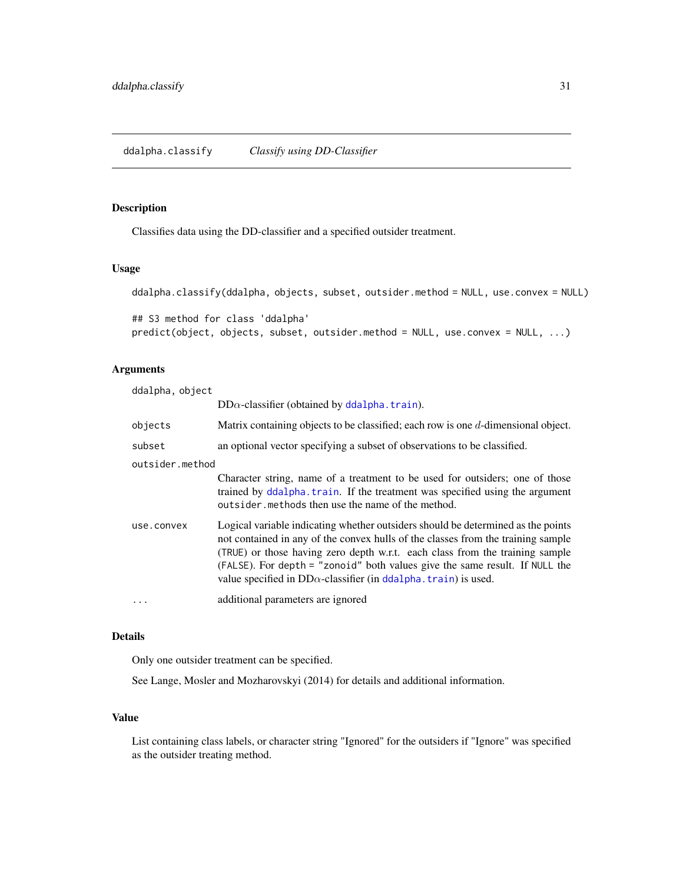## <span id="page-30-1"></span><span id="page-30-0"></span>Description

Classifies data using the DD-classifier and a specified outsider treatment.

## Usage

```
ddalpha.classify(ddalpha, objects, subset, outsider.method = NULL, use.convex = NULL)
## S3 method for class 'ddalpha'
predict(object, objects, subset, outsider.method = NULL, use.convex = NULL, ...)
```
## Arguments

| ddalpha, object |                                                                                                                                                                                                                                                                                                                                                                                                               |  |
|-----------------|---------------------------------------------------------------------------------------------------------------------------------------------------------------------------------------------------------------------------------------------------------------------------------------------------------------------------------------------------------------------------------------------------------------|--|
|                 | $DD\alpha$ -classifier (obtained by ddalpha. train).                                                                                                                                                                                                                                                                                                                                                          |  |
| objects         | Matrix containing objects to be classified; each row is one d-dimensional object.                                                                                                                                                                                                                                                                                                                             |  |
| subset          | an optional vector specifying a subset of observations to be classified.                                                                                                                                                                                                                                                                                                                                      |  |
| outsider.method |                                                                                                                                                                                                                                                                                                                                                                                                               |  |
|                 | Character string, name of a treatment to be used for outsiders; one of those<br>trained by ddalpha. train. If the treatment was specified using the argument<br>outsider, methods then use the name of the method.                                                                                                                                                                                            |  |
| use.convex      | Logical variable indicating whether outsiders should be determined as the points<br>not contained in any of the convex hulls of the classes from the training sample<br>(TRUE) or those having zero depth w.r.t. each class from the training sample<br>(FALSE). For depth = "zonoid" both values give the same result. If NULL the<br>value specified in $DD\alpha$ -classifier (in ddalpha. train) is used. |  |
|                 | additional parameters are ignored                                                                                                                                                                                                                                                                                                                                                                             |  |

## Details

Only one outsider treatment can be specified.

See Lange, Mosler and Mozharovskyi (2014) for details and additional information.

## Value

List containing class labels, or character string "Ignored" for the outsiders if "Ignore" was specified as the outsider treating method.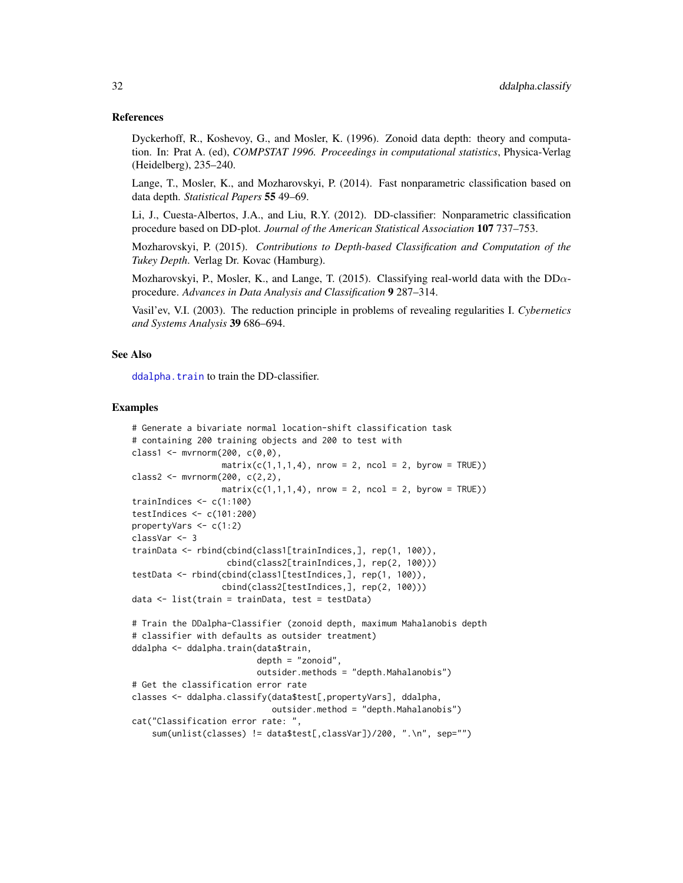## References

Dyckerhoff, R., Koshevoy, G., and Mosler, K. (1996). Zonoid data depth: theory and computation. In: Prat A. (ed), *COMPSTAT 1996. Proceedings in computational statistics*, Physica-Verlag (Heidelberg), 235–240.

Lange, T., Mosler, K., and Mozharovskyi, P. (2014). Fast nonparametric classification based on data depth. *Statistical Papers* 55 49–69.

Li, J., Cuesta-Albertos, J.A., and Liu, R.Y. (2012). DD-classifier: Nonparametric classification procedure based on DD-plot. *Journal of the American Statistical Association* 107 737–753.

Mozharovskyi, P. (2015). *Contributions to Depth-based Classification and Computation of the Tukey Depth*. Verlag Dr. Kovac (Hamburg).

Mozharovskyi, P., Mosler, K., and Lange, T. (2015). Classifying real-world data with the  $DD\alpha$ procedure. *Advances in Data Analysis and Classification* 9 287–314.

Vasil'ev, V.I. (2003). The reduction principle in problems of revealing regularities I. *Cybernetics and Systems Analysis* 39 686–694.

#### See Also

ddalpha. train to train the DD-classifier.

```
# Generate a bivariate normal location-shift classification task
# containing 200 training objects and 200 to test with
class1 <- mvrnorm(200, c(0,0),
                  matrix(c(1,1,1,4), nrow = 2, ncol = 2, byrow = TRUE))
class2 <- mvrnorm(200, c(2,2),
                 matrix(c(1,1,1,4), nrow = 2, ncol = 2, byrow = TRUE))
trainIndices <-c(1:100)testIndices <- c(101:200)
propertyVars <- c(1:2)
classVar <- 3
trainData <- rbind(cbind(class1[trainIndices,], rep(1, 100)),
                   cbind(class2[trainIndices,], rep(2, 100)))
testData <- rbind(cbind(class1[testIndices,], rep(1, 100)),
                  cbind(class2[testIndices,], rep(2, 100)))
data <- list(train = trainData, test = testData)
# Train the DDalpha-Classifier (zonoid depth, maximum Mahalanobis depth
# classifier with defaults as outsider treatment)
ddalpha <- ddalpha.train(data$train,
                         depth = "zonoid",
                         outsider.methods = "depth.Mahalanobis")
# Get the classification error rate
classes <- ddalpha.classify(data$test[,propertyVars], ddalpha,
                            outsider.method = "depth.Mahalanobis")
cat("Classification error rate: ",
    sum(unlist(classes) != data$test[,classVar])/200, ".\n", sep="")
```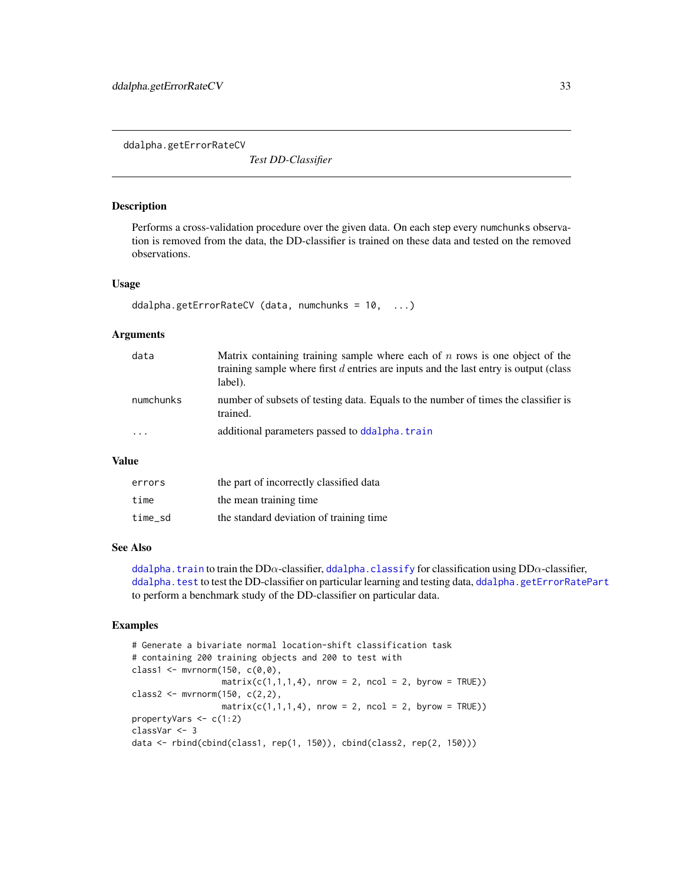<span id="page-32-1"></span><span id="page-32-0"></span>ddalpha.getErrorRateCV

*Test DD-Classifier*

## Description

Performs a cross-validation procedure over the given data. On each step every numchunks observation is removed from the data, the DD-classifier is trained on these data and tested on the removed observations.

#### Usage

```
ddalpha.getErrorRateCV (data, numchunks = 10, ...)
```
## Arguments

| data      | Matrix containing training sample where each of $n$ rows is one object of the<br>training sample where first $d$ entries are inputs and the last entry is output (class<br>label). |
|-----------|------------------------------------------------------------------------------------------------------------------------------------------------------------------------------------|
| numchunks | number of subsets of testing data. Equals to the number of times the classifier is<br>trained.                                                                                     |
| $\ddotsc$ | additional parameters passed to ddalpha. train                                                                                                                                     |

#### Value

| errors  | the part of incorrectly classified data |
|---------|-----------------------------------------|
| time    | the mean training time                  |
| time sd | the standard deviation of training time |

## See Also

[ddalpha.train](#page-36-1) to train the DD $\alpha$ -classifier, [ddalpha.classify](#page-30-1) for classification using DD $\alpha$ -classifier, [ddalpha.test](#page-34-1) to test the DD-classifier on particular learning and testing data, [ddalpha.getErrorRatePart](#page-33-1) to perform a benchmark study of the DD-classifier on particular data.

```
# Generate a bivariate normal location-shift classification task
# containing 200 training objects and 200 to test with
class1 <- mvmorm(150, c(0,0),matrix(c(1,1,1,4), nrow = 2, ncol = 2, byrow = TRUE))
class2 <- mvrnorm(150, c(2,2),
                 matrix(c(1,1,1,4), nrow = 2, ncol = 2, byrow = TRUE))
propertyVars <- c(1:2)
classVar <- 3
data <- rbind(cbind(class1, rep(1, 150)), cbind(class2, rep(2, 150)))
```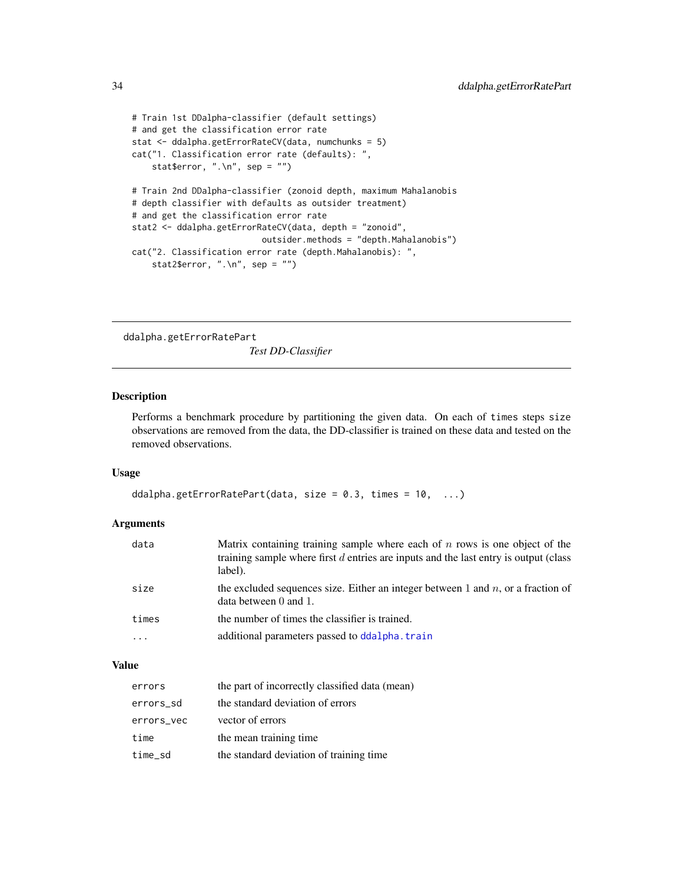```
# Train 1st DDalpha-classifier (default settings)
# and get the classification error rate
stat <- ddalpha.getErrorRateCV(data, numchunks = 5)
cat("1. Classification error rate (defaults): ",
    stat$error, ".\n\cdot \n\cdot", sep = "")
# Train 2nd DDalpha-classifier (zonoid depth, maximum Mahalanobis
# depth classifier with defaults as outsider treatment)
# and get the classification error rate
stat2 <- ddalpha.getErrorRateCV(data, depth = "zonoid",
                          outsider.methods = "depth.Mahalanobis")
cat("2. Classification error rate (depth.Mahalanobis): ",
    stat2$error, ".\n", sep = "")
```
<span id="page-33-1"></span>ddalpha.getErrorRatePart *Test DD-Classifier*

## Description

Performs a benchmark procedure by partitioning the given data. On each of times steps size observations are removed from the data, the DD-classifier is trained on these data and tested on the removed observations.

## Usage

```
ddalpha.getErrorRatePart(data, size = 0.3, times = 10, ...)
```
#### Arguments

| data                    | Matrix containing training sample where each of $n$ rows is one object of the<br>training sample where first $d$ entries are inputs and the last entry is output (class<br>label). |
|-------------------------|------------------------------------------------------------------------------------------------------------------------------------------------------------------------------------|
| size                    | the excluded sequences size. Either an integer between 1 and $n$ , or a fraction of<br>data between $0$ and $1$ .                                                                  |
| times                   | the number of times the classifier is trained.                                                                                                                                     |
| $\cdot$ $\cdot$ $\cdot$ | additional parameters passed to ddalpha. train                                                                                                                                     |
|                         |                                                                                                                                                                                    |

## Value

| errors     | the part of incorrectly classified data (mean) |
|------------|------------------------------------------------|
| errors_sd  | the standard deviation of errors               |
| errors_vec | vector of errors                               |
| time       | the mean training time.                        |
| time_sd    | the standard deviation of training time        |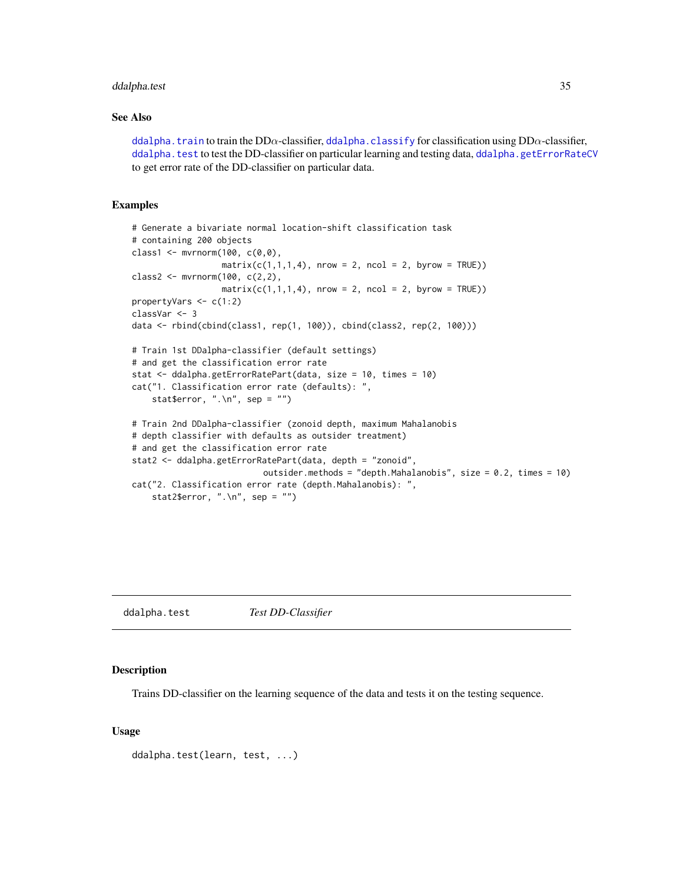## <span id="page-34-0"></span>ddalpha.test 35

## See Also

[ddalpha.train](#page-36-1) to train the DD $\alpha$ -classifier, [ddalpha.classify](#page-30-1) for classification using DD $\alpha$ -classifier, [ddalpha.test](#page-34-1) to test the DD-classifier on particular learning and testing data, [ddalpha.getErrorRateCV](#page-32-1) to get error rate of the DD-classifier on particular data.

## Examples

```
# Generate a bivariate normal location-shift classification task
# containing 200 objects
class1 \leq mvrnorm(100, c(0,0),
                  matrix(c(1,1,1,4), nrow = 2, ncol = 2, byrow = TRUE))
class2 <- mvrnorm(100, c(2,2),
                  matrix(c(1,1,1,4), nrow = 2, ncol = 2, byrow = TRUE))
propertyVars <- c(1:2)
classVar <- 3
data <- rbind(cbind(class1, rep(1, 100)), cbind(class2, rep(2, 100)))
# Train 1st DDalpha-classifier (default settings)
# and get the classification error rate
stat <- ddalpha.getErrorRatePart(data, size = 10, times = 10)
cat("1. Classification error rate (defaults): ",
    stat$error, ".\n\cdot \n\cdot", sep = "")
# Train 2nd DDalpha-classifier (zonoid depth, maximum Mahalanobis
# depth classifier with defaults as outsider treatment)
# and get the classification error rate
stat2 <- ddalpha.getErrorRatePart(data, depth = "zonoid",
                           outsider.methods = "depth.Mahalanobis", size = 0.2, times = 10)
cat("2. Classification error rate (depth.Mahalanobis): ",
    stat2$error, ".\n\cdot \n\cdot", sep = "")
```
<span id="page-34-1"></span>ddalpha.test *Test DD-Classifier*

## Description

Trains DD-classifier on the learning sequence of the data and tests it on the testing sequence.

## Usage

```
ddalpha.test(learn, test, ...)
```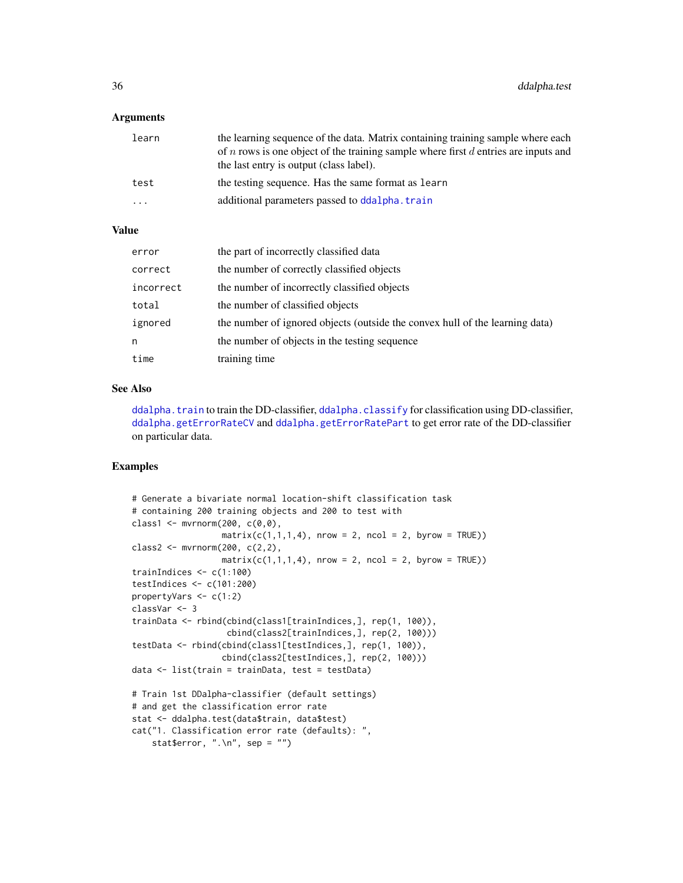## Arguments

| learn | the learning sequence of the data. Matrix containing training sample where each<br>of <i>n</i> rows is one object of the training sample where first $d$ entries are inputs and<br>the last entry is output (class label). |
|-------|----------------------------------------------------------------------------------------------------------------------------------------------------------------------------------------------------------------------------|
| test  | the testing sequence. Has the same format as learn                                                                                                                                                                         |
| .     | additional parameters passed to ddalpha. train                                                                                                                                                                             |

## Value

| error     | the part of incorrectly classified data                                      |
|-----------|------------------------------------------------------------------------------|
| correct   | the number of correctly classified objects                                   |
| incorrect | the number of incorrectly classified objects                                 |
| total     | the number of classified objects                                             |
| ignored   | the number of ignored objects (outside the convex hull of the learning data) |
| n         | the number of objects in the testing sequence                                |
| time      | training time                                                                |

#### See Also

[ddalpha.train](#page-36-1) to train the DD-classifier, [ddalpha.classify](#page-30-1) for classification using DD-classifier, [ddalpha.getErrorRateCV](#page-32-1) and [ddalpha.getErrorRatePart](#page-33-1) to get error rate of the DD-classifier on particular data.

```
# Generate a bivariate normal location-shift classification task
# containing 200 training objects and 200 to test with
class1 <- mvrnorm(200, c(0,0),
                  matrix(c(1,1,1,4), nrow = 2, ncol = 2, byrow = TRUE))
class2 <- mvrnorm(200, c(2,2),
                 matrix(c(1,1,1,4), nrow = 2, ncol = 2, byrow = TRUE))trainIndices <- c(1:100)
testIndices <- c(101:200)
propertyVars <- c(1:2)
classVar <- 3
trainData <- rbind(cbind(class1[trainIndices,], rep(1, 100)),
                   cbind(class2[trainIndices,], rep(2, 100)))
testData <- rbind(cbind(class1[testIndices,], rep(1, 100)),
                  cbind(class2[testIndices,], rep(2, 100)))
data <- list(train = trainData, test = testData)
# Train 1st DDalpha-classifier (default settings)
# and get the classification error rate
stat <- ddalpha.test(data$train, data$test)
cat("1. Classification error rate (defaults): ",
    stat$error, ".\n", sep = "")
```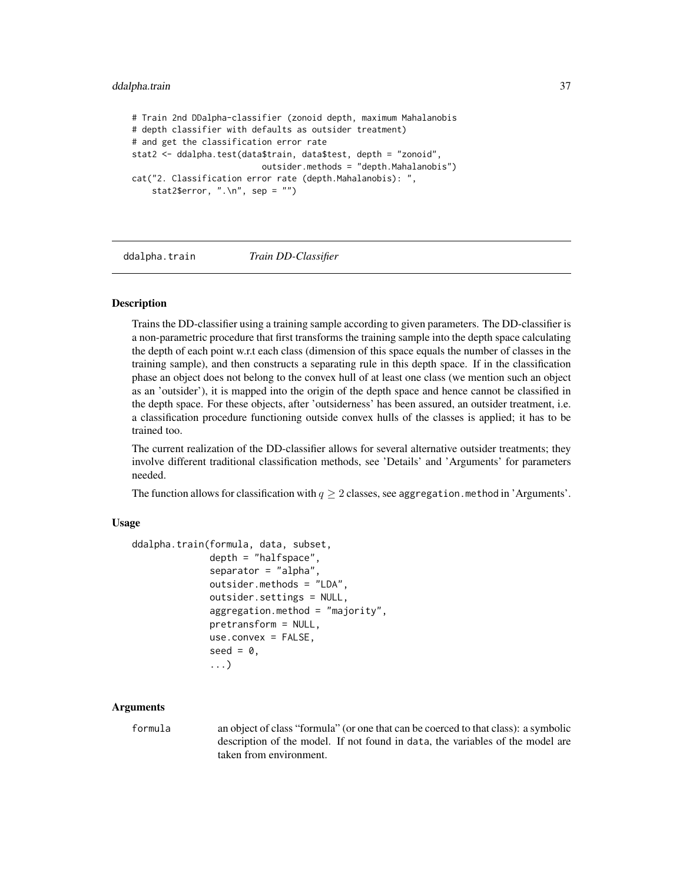```
# Train 2nd DDalpha-classifier (zonoid depth, maximum Mahalanobis
# depth classifier with defaults as outsider treatment)
# and get the classification error rate
stat2 <- ddalpha.test(data$train, data$test, depth = "zonoid",
                          outsider.methods = "depth.Mahalanobis")
cat("2. Classification error rate (depth.Mahalanobis): ",
    stat2$error, ".\ln", sep = "")
```
<span id="page-36-0"></span>ddalpha.train *Train DD-Classifier*

#### **Description**

Trains the DD-classifier using a training sample according to given parameters. The DD-classifier is a non-parametric procedure that first transforms the training sample into the depth space calculating the depth of each point w.r.t each class (dimension of this space equals the number of classes in the training sample), and then constructs a separating rule in this depth space. If in the classification phase an object does not belong to the convex hull of at least one class (we mention such an object as an 'outsider'), it is mapped into the origin of the depth space and hence cannot be classified in the depth space. For these objects, after 'outsiderness' has been assured, an outsider treatment, i.e. a classification procedure functioning outside convex hulls of the classes is applied; it has to be trained too.

The current realization of the DD-classifier allows for several alternative outsider treatments; they involve different traditional classification methods, see 'Details' and 'Arguments' for parameters needed.

The function allows for classification with  $q \geq 2$  classes, see aggregation. method in 'Arguments'.

## Usage

```
ddalpha.train(formula, data, subset,
              depth = "halfspace",
              separator = "alpha",
              outsider.methods = "LDA",
              outsider.settings = NULL,
              aggregation.method = "majority",
              pretransform = NULL,
              use.convex = FALSE,
              seed = 0,
              ...)
```
#### **Arguments**

formula an object of class "formula" (or one that can be coerced to that class): a symbolic description of the model. If not found in data, the variables of the model are taken from environment.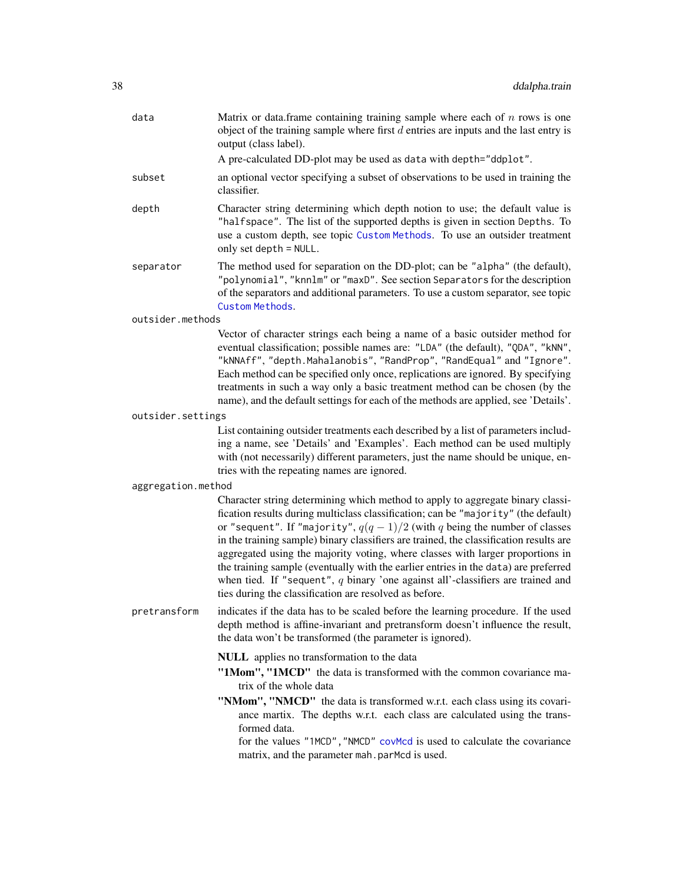| data              | Matrix or data.frame containing training sample where each of $n$ rows is one<br>object of the training sample where first $d$ entries are inputs and the last entry is<br>output (class label).                                                                                                                                                                                                                                                                                                                                                                                                                                                                      |  |  |
|-------------------|-----------------------------------------------------------------------------------------------------------------------------------------------------------------------------------------------------------------------------------------------------------------------------------------------------------------------------------------------------------------------------------------------------------------------------------------------------------------------------------------------------------------------------------------------------------------------------------------------------------------------------------------------------------------------|--|--|
|                   | A pre-calculated DD-plot may be used as data with depth="ddplot".                                                                                                                                                                                                                                                                                                                                                                                                                                                                                                                                                                                                     |  |  |
| subset            | an optional vector specifying a subset of observations to be used in training the<br>classifier.                                                                                                                                                                                                                                                                                                                                                                                                                                                                                                                                                                      |  |  |
| depth             | Character string determining which depth notion to use; the default value is<br>"halfspace". The list of the supported depths is given in section Depths. To<br>use a custom depth, see topic Custom Methods. To use an outsider treatment<br>only set depth = NULL.                                                                                                                                                                                                                                                                                                                                                                                                  |  |  |
| separator         | The method used for separation on the DD-plot; can be "alpha" (the default),<br>"polynomial", "knnlm" or "maxD". See section Separators for the description<br>of the separators and additional parameters. To use a custom separator, see topic<br>Custom Methods.                                                                                                                                                                                                                                                                                                                                                                                                   |  |  |
| outsider.methods  |                                                                                                                                                                                                                                                                                                                                                                                                                                                                                                                                                                                                                                                                       |  |  |
|                   | Vector of character strings each being a name of a basic outsider method for<br>eventual classification; possible names are: "LDA" (the default), "QDA", "kNN",<br>"kNNAff", "depth.Mahalanobis", "RandProp", "RandEqual" and "Ignore".<br>Each method can be specified only once, replications are ignored. By specifying<br>treatments in such a way only a basic treatment method can be chosen (by the<br>name), and the default settings for each of the methods are applied, see 'Details'.                                                                                                                                                                     |  |  |
| outsider.settings |                                                                                                                                                                                                                                                                                                                                                                                                                                                                                                                                                                                                                                                                       |  |  |
|                   | List containing outsider treatments each described by a list of parameters includ-<br>ing a name, see 'Details' and 'Examples'. Each method can be used multiply<br>with (not necessarily) different parameters, just the name should be unique, en-<br>tries with the repeating names are ignored.                                                                                                                                                                                                                                                                                                                                                                   |  |  |
|                   | aggregation.method                                                                                                                                                                                                                                                                                                                                                                                                                                                                                                                                                                                                                                                    |  |  |
|                   | Character string determining which method to apply to aggregate binary classi-<br>fication results during multiclass classification; can be "majority" (the default)<br>or "sequent". If "majority", $q(q-1)/2$ (with q being the number of classes<br>in the training sample) binary classifiers are trained, the classification results are<br>aggregated using the majority voting, where classes with larger proportions in<br>the training sample (eventually with the earlier entries in the data) are preferred<br>when tied. If "sequent", $q$ binary 'one against all'-classifiers are trained and<br>ties during the classification are resolved as before. |  |  |
| pretransform      | indicates if the data has to be scaled before the learning procedure. If the used<br>depth method is affine-invariant and pretransform doesn't influence the result,<br>the data won't be transformed (the parameter is ignored).                                                                                                                                                                                                                                                                                                                                                                                                                                     |  |  |
|                   | NULL applies no transformation to the data<br>"1Mom", "1MCD" the data is transformed with the common covariance ma-<br>trix of the whole data<br>"NMom", "NMCD" the data is transformed w.r.t. each class using its covari-<br>ance martix. The depths w.r.t. each class are calculated using the trans-<br>formed data.<br>for the values "1MCD", "NMCD" covMcd is used to calculate the covariance<br>matrix, and the parameter mah. parMcd is used.                                                                                                                                                                                                                |  |  |
|                   |                                                                                                                                                                                                                                                                                                                                                                                                                                                                                                                                                                                                                                                                       |  |  |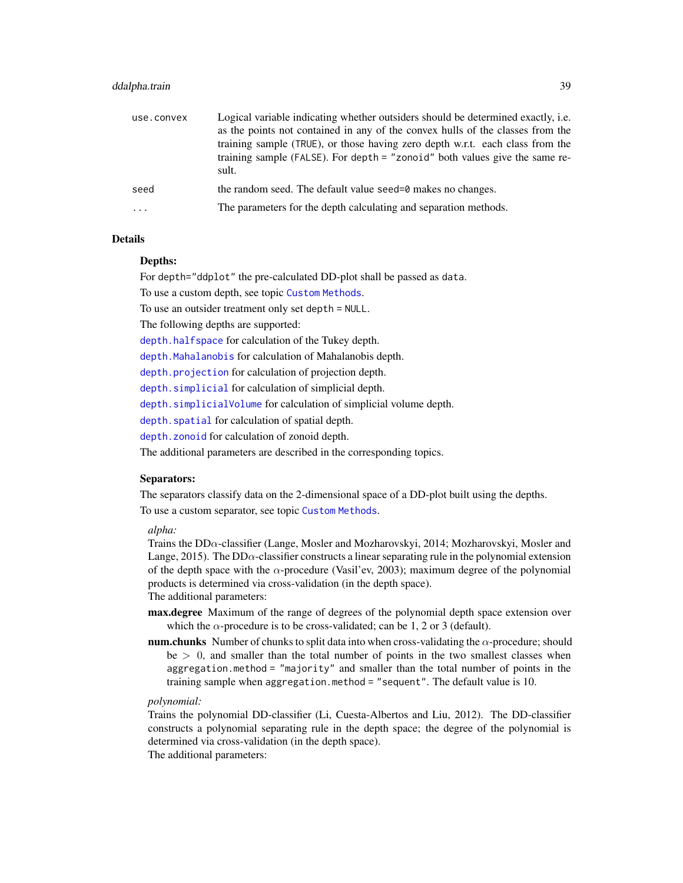## ddalpha.train 39

| use.convex              | Logical variable indicating whether outsiders should be determined exactly, <i>i.e.</i><br>as the points not contained in any of the convex hulls of the classes from the<br>training sample (TRUE), or those having zero depth w.r.t. each class from the<br>training sample (FALSE). For depth = "zonoid" both values give the same re-<br>sult. |
|-------------------------|----------------------------------------------------------------------------------------------------------------------------------------------------------------------------------------------------------------------------------------------------------------------------------------------------------------------------------------------------|
| seed                    | the random seed. The default value seed=0 makes no changes.                                                                                                                                                                                                                                                                                        |
| $\cdot$ $\cdot$ $\cdot$ | The parameters for the depth calculating and separation methods.                                                                                                                                                                                                                                                                                   |

## Details

#### Depths:

For depth="ddplot" the pre-calculated DD-plot shall be passed as data.

To use a custom depth, see topic [Custom Methods](#page-9-0).

To use an outsider treatment only set depth = NULL.

The following depths are supported:

[depth.halfspace](#page-58-0) for calculation of the Tukey depth.

[depth.Mahalanobis](#page-62-0) for calculation of Mahalanobis depth.

[depth.projection](#page-66-0) for calculation of projection depth.

[depth.simplicial](#page-70-0) for calculation of simplicial depth.

[depth.simplicialVolume](#page-72-0) for calculation of simplicial volume depth.

[depth.spatial](#page-88-0) for calculation of spatial depth.

[depth.zonoid](#page-89-0) for calculation of zonoid depth.

The additional parameters are described in the corresponding topics.

#### Separators:

The separators classify data on the 2-dimensional space of a DD-plot built using the depths. To use a custom separator, see topic [Custom Methods](#page-9-0).

#### *alpha:*

Trains the DDα-classifier (Lange, Mosler and Mozharovskyi, 2014; Mozharovskyi, Mosler and Lange, 2015). The DD $\alpha$ -classifier constructs a linear separating rule in the polynomial extension of the depth space with the  $\alpha$ -procedure (Vasil'ev, 2003); maximum degree of the polynomial products is determined via cross-validation (in the depth space).

The additional parameters:

- max.degree Maximum of the range of degrees of the polynomial depth space extension over which the  $\alpha$ -procedure is to be cross-validated; can be 1, 2 or 3 (default).
- num.chunks Number of chunks to split data into when cross-validating the  $\alpha$ -procedure; should  $be > 0$ , and smaller than the total number of points in the two smallest classes when aggregation.method = "majority" and smaller than the total number of points in the training sample when aggregation.method = "sequent". The default value is 10.

## *polynomial:*

Trains the polynomial DD-classifier (Li, Cuesta-Albertos and Liu, 2012). The DD-classifier constructs a polynomial separating rule in the depth space; the degree of the polynomial is determined via cross-validation (in the depth space).

The additional parameters: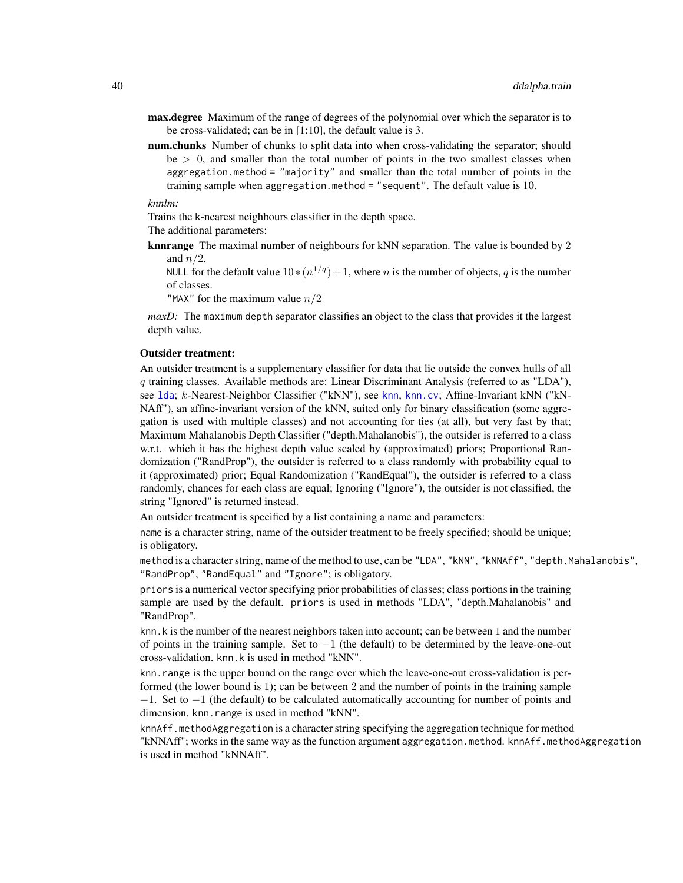- max.degree Maximum of the range of degrees of the polynomial over which the separator is to be cross-validated; can be in [1:10], the default value is 3.
- num.chunks Number of chunks to split data into when cross-validating the separator; should  $be > 0$ , and smaller than the total number of points in the two smallest classes when aggregation.method = "majority" and smaller than the total number of points in the training sample when aggregation.method = "sequent". The default value is 10.

*knnlm:*

Trains the k-nearest neighbours classifier in the depth space.

The additional parameters:

knnrange The maximal number of neighbours for kNN separation. The value is bounded by 2 and  $n/2$ .

NULL for the default value  $10 \times (n^{1/q}) + 1$ , where *n* is the number of objects, *q* is the number of classes.

"MAX" for the maximum value  $n/2$ 

*maxD*: The maximum depth separator classifies an object to the class that provides it the largest depth value.

#### Outsider treatment:

An outsider treatment is a supplementary classifier for data that lie outside the convex hulls of all q training classes. Available methods are: Linear Discriminant Analysis (referred to as "LDA"), see [lda](#page-0-0); k-Nearest-Neighbor Classifier ("kNN"), see [knn](#page-0-0), [knn.cv](#page-0-0); Affine-Invariant kNN ("kN-NAff"), an affine-invariant version of the kNN, suited only for binary classification (some aggregation is used with multiple classes) and not accounting for ties (at all), but very fast by that; Maximum Mahalanobis Depth Classifier ("depth.Mahalanobis"), the outsider is referred to a class w.r.t. which it has the highest depth value scaled by (approximated) priors; Proportional Randomization ("RandProp"), the outsider is referred to a class randomly with probability equal to it (approximated) prior; Equal Randomization ("RandEqual"), the outsider is referred to a class randomly, chances for each class are equal; Ignoring ("Ignore"), the outsider is not classified, the string "Ignored" is returned instead.

An outsider treatment is specified by a list containing a name and parameters:

name is a character string, name of the outsider treatment to be freely specified; should be unique; is obligatory.

method is a character string, name of the method to use, can be "LDA", "kNN", "kNNAff", "depth.Mahalanobis", "RandProp", "RandEqual" and "Ignore"; is obligatory.

priors is a numerical vector specifying prior probabilities of classes; class portions in the training sample are used by the default. priors is used in methods "LDA", "depth.Mahalanobis" and "RandProp".

knn. k is the number of the nearest neighbors taken into account; can be between 1 and the number of points in the training sample. Set to  $-1$  (the default) to be determined by the leave-one-out cross-validation. knn.k is used in method "kNN".

knn.range is the upper bound on the range over which the leave-one-out cross-validation is performed (the lower bound is 1); can be between 2 and the number of points in the training sample −1. Set to −1 (the default) to be calculated automatically accounting for number of points and dimension. knn.range is used in method "kNN".

knnAff.methodAggregation is a character string specifying the aggregation technique for method "kNNAff"; works in the same way as the function argument aggregation.method. knnAff.methodAggregation is used in method "kNNAff".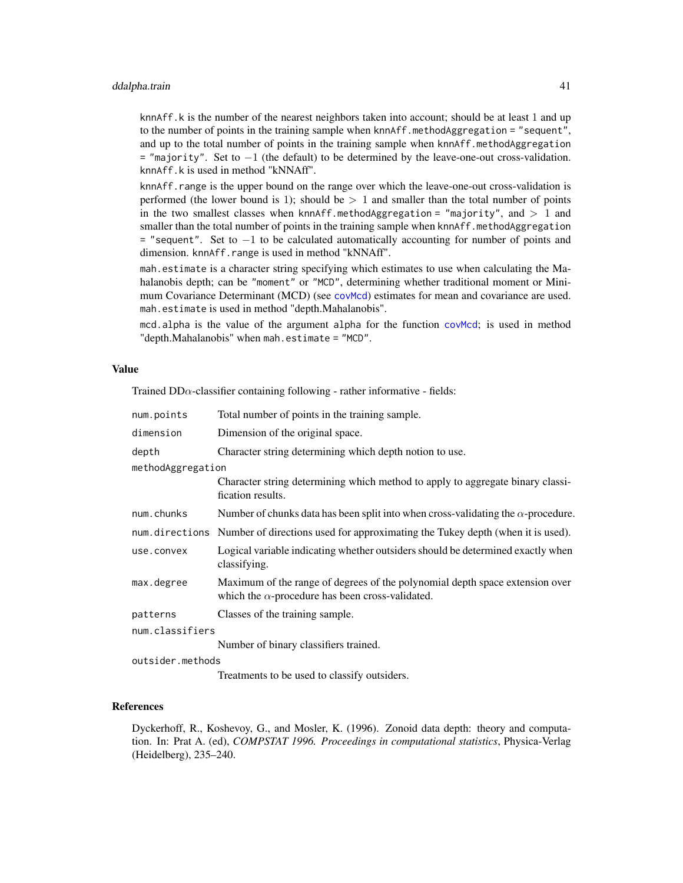## ddalpha.train 41

knnAff.k is the number of the nearest neighbors taken into account; should be at least 1 and up to the number of points in the training sample when knnAff.methodAggregation = "sequent", and up to the total number of points in the training sample when knnAff.methodAggregation = "majority". Set to −1 (the default) to be determined by the leave-one-out cross-validation. knnAff.k is used in method "kNNAff".

knnAff.range is the upper bound on the range over which the leave-one-out cross-validation is performed (the lower bound is 1); should be  $> 1$  and smaller than the total number of points in the two smallest classes when knnAff.methodAggregation = "majority", and  $> 1$  and smaller than the total number of points in the training sample when knnAff.methodAggregation = "sequent". Set to −1 to be calculated automatically accounting for number of points and dimension. knnAff.range is used in method "kNNAff".

mah.estimate is a character string specifying which estimates to use when calculating the Mahalanobis depth; can be "moment" or "MCD", determining whether traditional moment or Minimum Covariance Determinant (MCD) (see [covMcd](#page-0-0)) estimates for mean and covariance are used. mah.estimate is used in method "depth.Mahalanobis".

mcd.alpha is the value of the argument alpha for the function [covMcd](#page-0-0); is used in method "depth.Mahalanobis" when mah.estimate = "MCD".

#### Value

Trained  $DD\alpha$ -classifier containing following - rather informative - fields:

| num.points        | Total number of points in the training sample.                                                                                          |
|-------------------|-----------------------------------------------------------------------------------------------------------------------------------------|
| dimension         | Dimension of the original space.                                                                                                        |
| depth             | Character string determining which depth notion to use.                                                                                 |
| methodAggregation |                                                                                                                                         |
|                   | Character string determining which method to apply to aggregate binary classi-<br>fication results.                                     |
| num.chunks        | Number of chunks data has been split into when cross-validating the $\alpha$ -procedure.                                                |
|                   | num. directions Number of directions used for approximating the Tukey depth (when it is used).                                          |
| use.convex        | Logical variable indicating whether outsiders should be determined exactly when<br>classifying.                                         |
| max.degree        | Maximum of the range of degrees of the polynomial depth space extension over<br>which the $\alpha$ -procedure has been cross-validated. |
| patterns          | Classes of the training sample.                                                                                                         |
| num.classifiers   |                                                                                                                                         |
|                   | Number of binary classifiers trained.                                                                                                   |
| outsider.methods  |                                                                                                                                         |

Treatments to be used to classify outsiders.

## References

Dyckerhoff, R., Koshevoy, G., and Mosler, K. (1996). Zonoid data depth: theory and computation. In: Prat A. (ed), *COMPSTAT 1996. Proceedings in computational statistics*, Physica-Verlag (Heidelberg), 235–240.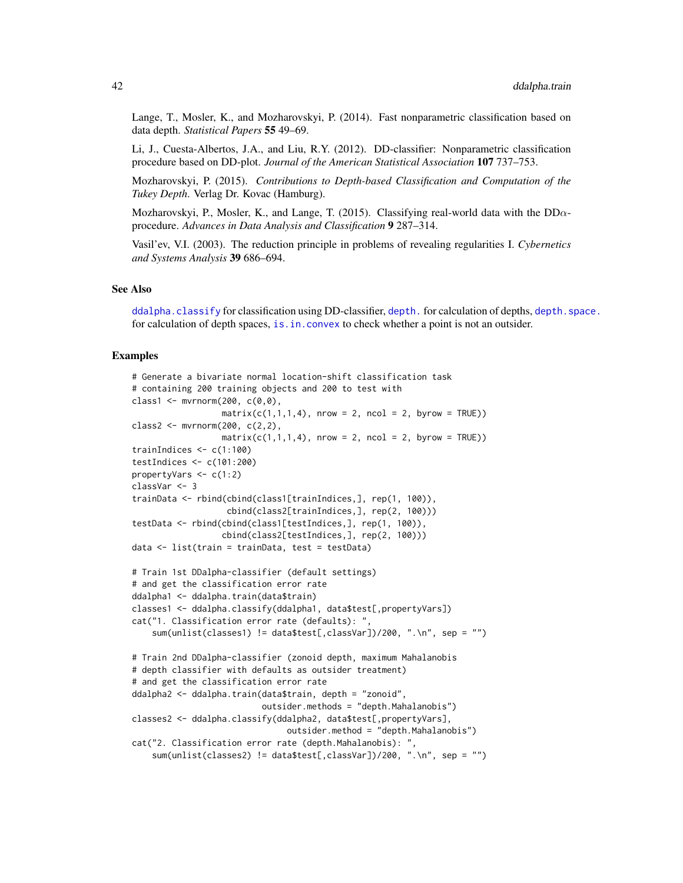Lange, T., Mosler, K., and Mozharovskyi, P. (2014). Fast nonparametric classification based on data depth. *Statistical Papers* 55 49–69.

Li, J., Cuesta-Albertos, J.A., and Liu, R.Y. (2012). DD-classifier: Nonparametric classification procedure based on DD-plot. *Journal of the American Statistical Association* 107 737–753.

Mozharovskyi, P. (2015). *Contributions to Depth-based Classification and Computation of the Tukey Depth*. Verlag Dr. Kovac (Hamburg).

Mozharovskyi, P., Mosler, K., and Lange, T. (2015). Classifying real-world data with the  $DD\alpha$ procedure. *Advances in Data Analysis and Classification* 9 287–314.

Vasil'ev, V.I. (2003). The reduction principle in problems of revealing regularities I. *Cybernetics and Systems Analysis* 39 686–694.

#### See Also

[ddalpha.classify](#page-30-0) for classification using DD-classifier, [depth.](#page-50-0) for calculation of depths, depth. space. for calculation of depth spaces, [is.in.convex](#page-120-0) to check whether a point is not an outsider.

```
# Generate a bivariate normal location-shift classification task
# containing 200 training objects and 200 to test with
class1 <- mvrnorm(200, c(0,0),
                  matrix(c(1,1,1,4), nrow = 2, ncol = 2, byrow = TRUE))
class2 \leq mvrnorm(200, c(2,2),
                  matrix(c(1,1,1,4), nrow = 2, ncol = 2, byrow = TRUE))
trainIndices <- c(1:100)
testIndices <- c(101:200)
propertyVars <- c(1:2)
classVar <- 3
trainData <- rbind(cbind(class1[trainIndices,], rep(1, 100)),
                   cbind(class2[trainIndices,], rep(2, 100)))
testData <- rbind(cbind(class1[testIndices,], rep(1, 100)),
                  cbind(class2[testIndices,], rep(2, 100)))
data <- list(train = trainData, test = testData)
# Train 1st DDalpha-classifier (default settings)
# and get the classification error rate
ddalpha1 <- ddalpha.train(data$train)
classes1 <- ddalpha.classify(ddalpha1, data$test[,propertyVars])
cat("1. Classification error rate (defaults): ",
    sum(unlist(classes1) != data$test[,classVar])/200, ".\n", sep = "")
# Train 2nd DDalpha-classifier (zonoid depth, maximum Mahalanobis
# depth classifier with defaults as outsider treatment)
# and get the classification error rate
ddalpha2 <- ddalpha.train(data$train, depth = "zonoid",
                          outsider.methods = "depth.Mahalanobis")
classes2 <- ddalpha.classify(ddalpha2, data$test[,propertyVars],
                               outsider.method = "depth.Mahalanobis")
cat("2. Classification error rate (depth.Mahalanobis): ",
    sum(unlist(classes2) != data$test[,classVar])/200, ".\n", sep = "")
```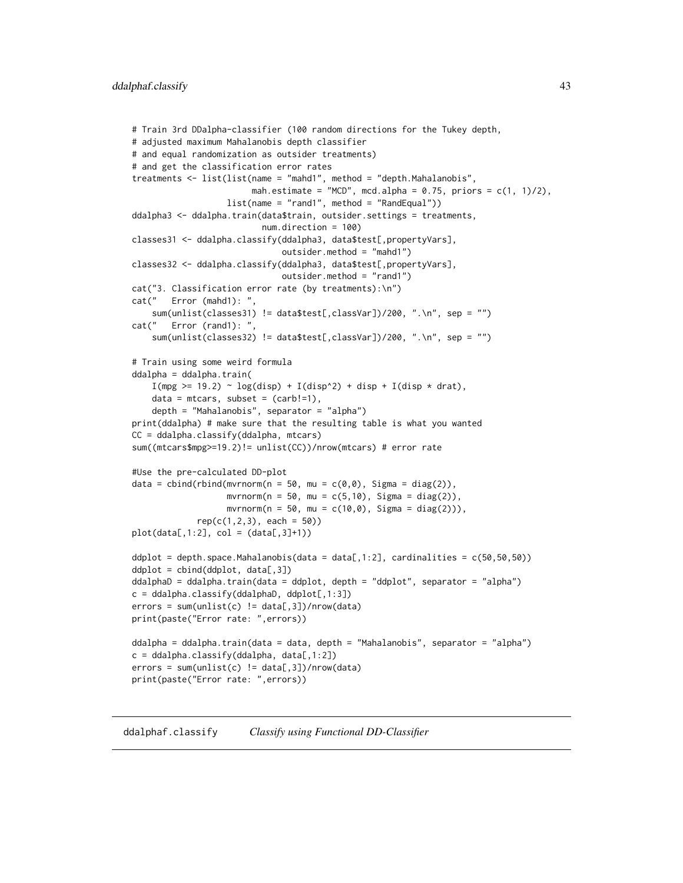```
# Train 3rd DDalpha-classifier (100 random directions for the Tukey depth,
# adjusted maximum Mahalanobis depth classifier
# and equal randomization as outsider treatments)
# and get the classification error rates
treatments <- list(list(name = "mahd1", method = "depth.Mahalanobis",
                        mah.estimate = "MCD", mcd.alpha = 0.75, priors = c(1, 1)/2),
                   list(name = "rand1", method = "RandEqual"))ddalpha3 <- ddalpha.train(data$train, outsider.settings = treatments,
                          num.direction = 100)
classes31 <- ddalpha.classify(ddalpha3, data$test[,propertyVars],
                              outsider.method = "mahd1")
classes32 <- ddalpha.classify(ddalpha3, data$test[,propertyVars],
                              outsider.method = "rand1")
cat("3. Classification error rate (by treatments):\n")
cat(" Error (mahd1): ",
    sum(unlist(classes31) != data$test[,classVar])/200, ".\n", sep = "")
cat(" Error (rand1): ",
    sum(unlist(classes32) != data$test[,classVar])/200, ".\n", sep = "")
# Train using some weird formula
ddalpha = ddalpha.train(
    I(mpg \ge 19.2) \sim log(disp) + I(disp^2) + disp + I(disp * drat),data = mtrans, subset = (carb!=1),depth = "Mahalanobis", separator = "alpha")
print(ddalpha) # make sure that the resulting table is what you wanted
CC = ddalpha.classify(ddalpha, mtcars)
sum((mtcars$mpg>=19.2)!= unlist(CC))/nrow(mtcars) # error rate
#Use the pre-calculated DD-plot
data = cbind(rbind(mvrnorm(n = 50, mu = c(\theta, \theta), Sigma = diag(2)),
                   mvrnorm(n = 50, mu = c(5,10), Sigma = diag(2)),mvrnorm(n = 50, mu = c(10, 0), Signa = diag(2))),rep(c(1, 2, 3), each = 50)plot(data[, 1:2], col = (data[, 3]+1))ddplot = depth.space.Mahalanobis(data = data[,1:2], cardinalities = c(50, 50, 50))
ddplot = cbind(ddplot, data[,3])
ddalphaD = ddalpha.train(data = ddplot, depth = "ddplot", separator = "alpha")
c = ddalpha.classify(ddalphaD, ddplot[, 1:3])errors = sum(unlist(c) != data[, 3])/nrow(data)print(paste("Error rate: ",errors))
ddalpha = ddalpha.train(data = data, depth = "Mahalanobis", separator = "alpha")
c = ddalpha.classify(ddalpha, data[, 1:2])errors = sum(unlist(c) != data[, 3])/nrow(data)print(paste("Error rate: ",errors))
```
<span id="page-42-0"></span>ddalphaf.classify *Classify using Functional DD-Classifier*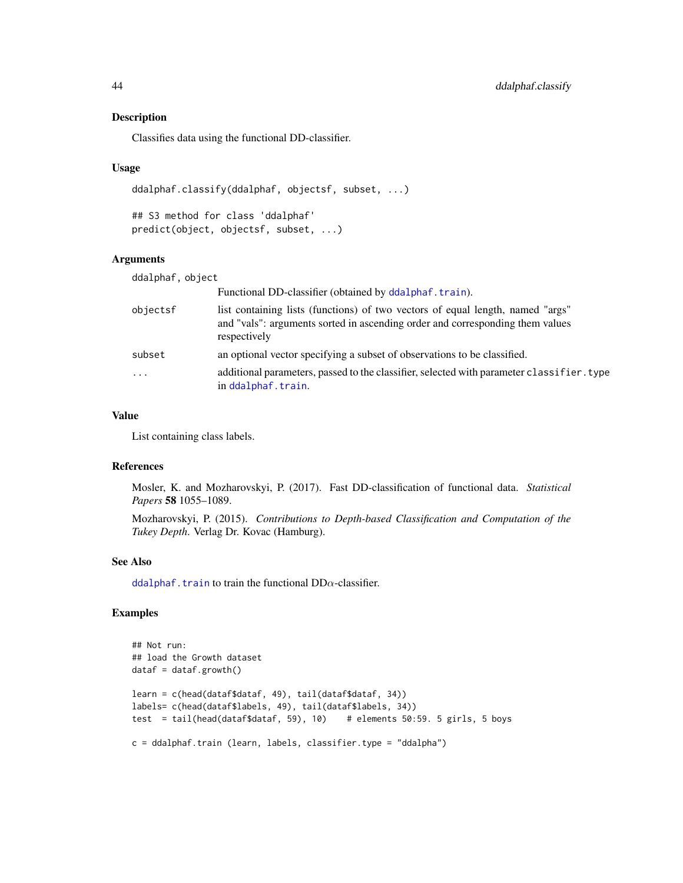#### Description

Classifies data using the functional DD-classifier.

#### Usage

```
ddalphaf.classify(ddalphaf, objectsf, subset, ...)
```
## S3 method for class 'ddalphaf' predict(object, objectsf, subset, ...)

## Arguments

| ddalphaf, object |                                                                                                                                                                                 |
|------------------|---------------------------------------------------------------------------------------------------------------------------------------------------------------------------------|
|                  | Functional DD-classifier (obtained by ddalphaf.train).                                                                                                                          |
| objectsf         | list containing lists (functions) of two vectors of equal length, named "args"<br>and "vals": arguments sorted in ascending order and corresponding them values<br>respectively |
| subset           | an optional vector specifying a subset of observations to be classified.                                                                                                        |
| $\ddotsc$        | additional parameters, passed to the classifier, selected with parameter classifier. type<br>in ddalphaf.train.                                                                 |

#### Value

List containing class labels.

## References

Mosler, K. and Mozharovskyi, P. (2017). Fast DD-classification of functional data. *Statistical Papers* 58 1055–1089.

Mozharovskyi, P. (2015). *Contributions to Depth-based Classification and Computation of the Tukey Depth*. Verlag Dr. Kovac (Hamburg).

#### See Also

[ddalphaf.train](#page-48-0) to train the functional  $DD\alpha$ -classifier.

```
## Not run:
## load the Growth dataset
dataf = dataf.growth()
learn = c(head(dataf$dataf, 49), tail(dataf$dataf, 34))
labels= c(head(dataf$labels, 49), tail(dataf$labels, 34))
test = tail(head(dataf$dataf, 59), 10) # elements 50:59. 5 girls, 5 boys
c = ddalphaf.train (learn, labels, classifier.type = "ddalpha")
```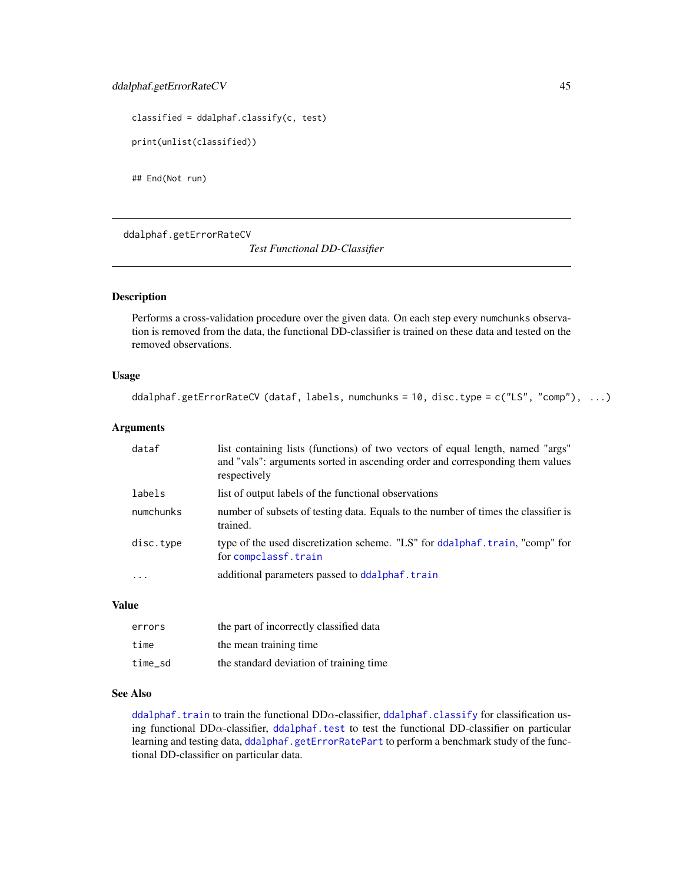```
classified = ddalphaf.classify(c, test)
print(unlist(classified))
```
## End(Not run)

<span id="page-44-0"></span>ddalphaf.getErrorRateCV

*Test Functional DD-Classifier*

#### Description

Performs a cross-validation procedure over the given data. On each step every numchunks observation is removed from the data, the functional DD-classifier is trained on these data and tested on the removed observations.

## Usage

ddalphaf.getErrorRateCV (dataf, labels, numchunks = 10, disc.type = c("LS", "comp"), ...)

## Arguments

| dataf     | list containing lists (functions) of two vectors of equal length, named "args"<br>and "vals": arguments sorted in ascending order and corresponding them values<br>respectively |
|-----------|---------------------------------------------------------------------------------------------------------------------------------------------------------------------------------|
| labels    | list of output labels of the functional observations                                                                                                                            |
| numchunks | number of subsets of testing data. Equals to the number of times the classifier is<br>trained.                                                                                  |
| disc.type | type of the used discretization scheme. "LS" for ddalphaf.train, "comp" for<br>for compclassf.train                                                                             |
| .         | additional parameters passed to ddalphaf.train                                                                                                                                  |

#### Value

| errors  | the part of incorrectly classified data |
|---------|-----------------------------------------|
| time    | the mean training time                  |
| time sd | the standard deviation of training time |

## See Also

[ddalphaf.train](#page-48-0) to train the functional DD $\alpha$ -classifier, [ddalphaf.classify](#page-42-0) for classification using functional  $DD\alpha$ -classifier, [ddalphaf.test](#page-46-0) to test the functional DD-classifier on particular learning and testing data, [ddalphaf.getErrorRatePart](#page-45-0) to perform a benchmark study of the functional DD-classifier on particular data.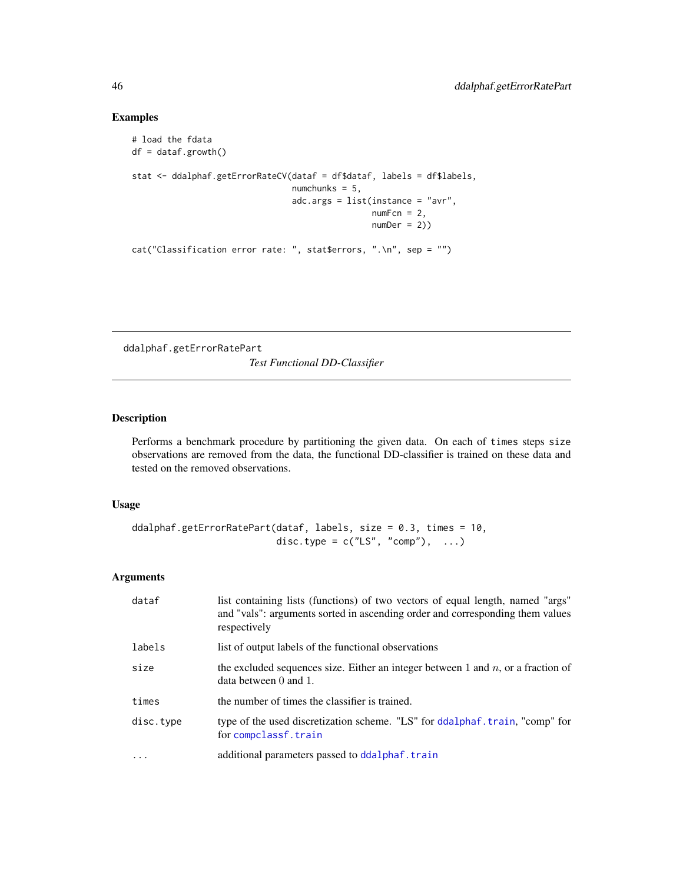## Examples

```
# load the fdata
df = dataf.growth()
stat <- ddalphaf.getErrorRateCV(dataf = df$dataf, labels = df$labels,
                                numchunks = 5,
                                adc.args = list(instance = "avr",
                                                numFcn = 2,
                                                numDer = 2)cat("Classification error rate: ", stat$errors, ".\n", sep = "")
```
<span id="page-45-0"></span>ddalphaf.getErrorRatePart

*Test Functional DD-Classifier*

## Description

Performs a benchmark procedure by partitioning the given data. On each of times steps size observations are removed from the data, the functional DD-classifier is trained on these data and tested on the removed observations.

## Usage

```
ddalphaf.getErrorRatePart(dataf, labels, size = 0.3, times = 10,
                         disc.type = c("LS", "comp"), ...)
```
## Arguments

| dataf     | list containing lists (functions) of two vectors of equal length, named "args"<br>and "vals": arguments sorted in ascending order and corresponding them values<br>respectively |
|-----------|---------------------------------------------------------------------------------------------------------------------------------------------------------------------------------|
| labels    | list of output labels of the functional observations                                                                                                                            |
| size      | the excluded sequences size. Either an integer between 1 and $n$ , or a fraction of<br>data between $0$ and $1$ .                                                               |
| times     | the number of times the classifier is trained.                                                                                                                                  |
| disc.type | type of the used discretization scheme. "LS" for ddalphaf.train, "comp" for<br>for compclassf.train                                                                             |
|           | additional parameters passed to ddalphaf.train                                                                                                                                  |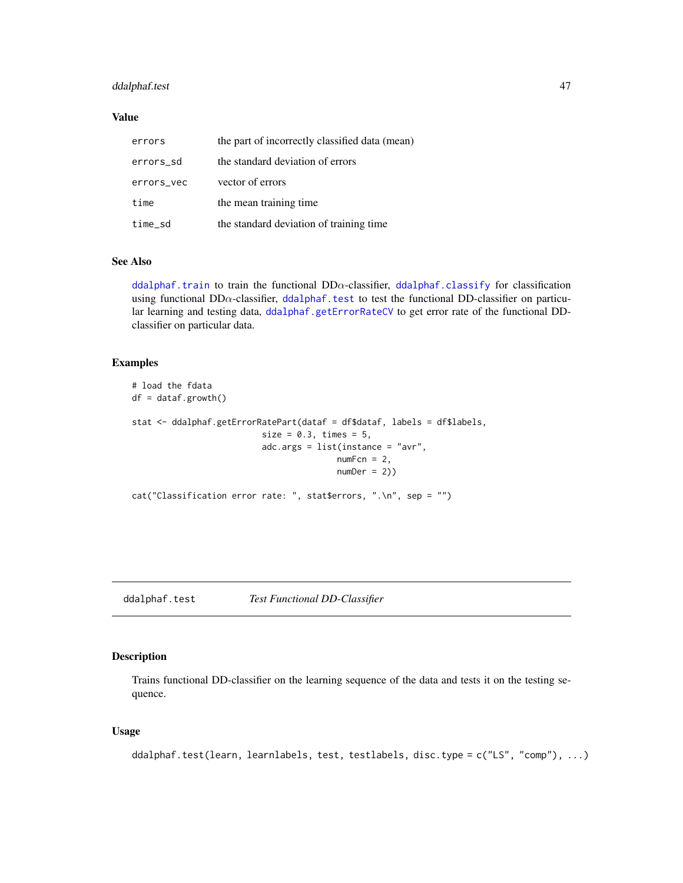## ddalphaf.test 47

## Value

| errors     | the part of incorrectly classified data (mean) |
|------------|------------------------------------------------|
| errors_sd  | the standard deviation of errors               |
| errors_vec | vector of errors                               |
| time       | the mean training time                         |
| time_sd    | the standard deviation of training time        |

## See Also

[ddalphaf.train](#page-48-0) to train the functional  $DD\alpha$ -classifier, [ddalphaf.classify](#page-42-0) for classification using functional  $DD\alpha$ -classifier, [ddalphaf.test](#page-46-0) to test the functional DD-classifier on particular learning and testing data, [ddalphaf.getErrorRateCV](#page-44-0) to get error rate of the functional DDclassifier on particular data.

## Examples

```
# load the fdata
df = dataf.growth()
stat <- ddalphaf.getErrorRatePart(dataf = df$dataf, labels = df$labels,
                          size = 0.3, times = 5,
                          adc.args = list(instance = "avr",
                                         numFcn = 2,
                                         numDer = 2)cat("Classification error rate: ", stat$errors, ".\n", sep = "")
```
<span id="page-46-0"></span>ddalphaf.test *Test Functional DD-Classifier*

## Description

Trains functional DD-classifier on the learning sequence of the data and tests it on the testing sequence.

#### Usage

```
ddalphaf.test(learn, learnlabels, test, testlabels, disc.type = c("LS", "comp"), ...)
```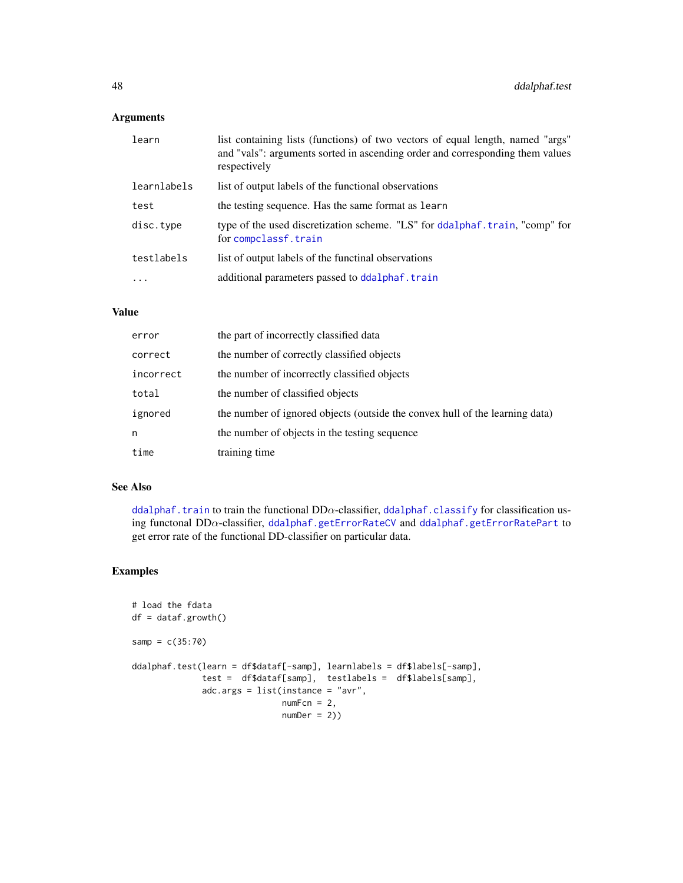## Arguments

| learn       | list containing lists (functions) of two vectors of equal length, named "args"<br>and "vals": arguments sorted in ascending order and corresponding them values<br>respectively |
|-------------|---------------------------------------------------------------------------------------------------------------------------------------------------------------------------------|
| learnlabels | list of output labels of the functional observations                                                                                                                            |
| test        | the testing sequence. Has the same format as learn                                                                                                                              |
| disc.type   | type of the used discretization scheme. "LS" for ddalphaf.train, "comp" for<br>for compclassf.train                                                                             |
| testlabels  | list of output labels of the functinal observations                                                                                                                             |
| $\ddots$    | additional parameters passed to ddalphaf.train                                                                                                                                  |

# Value

| error     | the part of incorrectly classified data                                      |
|-----------|------------------------------------------------------------------------------|
| correct   | the number of correctly classified objects                                   |
| incorrect | the number of incorrectly classified objects                                 |
| total     | the number of classified objects                                             |
| ignored   | the number of ignored objects (outside the convex hull of the learning data) |
| n         | the number of objects in the testing sequence                                |
| time      | training time                                                                |

## See Also

[ddalphaf.train](#page-48-0) to train the functional DD $\alpha$ -classifier, [ddalphaf.classify](#page-42-0) for classification using functonal DDα-classifier, [ddalphaf.getErrorRateCV](#page-44-0) and [ddalphaf.getErrorRatePart](#page-45-0) to get error rate of the functional DD-classifier on particular data.

```
# load the fdata
df = dataf.growth()samp = c(35:70)ddalphaf.test(learn = df$dataf[-samp], learnlabels = df$labels[-samp],
              test = df$dataf[samp], testlabels = df$labels[samp],
             adc.args = list(instance = "avr",
                             numFcn = 2,
                             numDer = 2)
```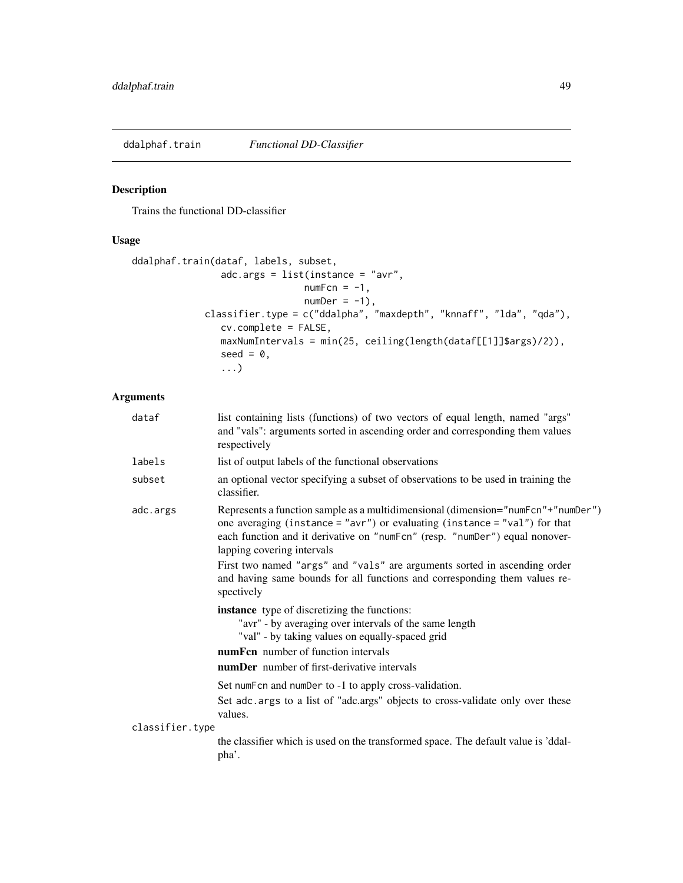<span id="page-48-0"></span>ddalphaf.train *Functional DD-Classifier*

## Description

Trains the functional DD-classifier

# Usage

```
ddalphaf.train(dataf, labels, subset,
                adc.args = list(instance = "avr",
                               numFcn = -1,
                               numDer = -1,
             classifier.type = c("ddalpha", "maxdepth", "knnaff", "lda", "qda"),
                cv.complete = FALSE,
                maxNumIntervals = min(25, ceiling(length(dataf[[1]]$args)/2)),
                seed = 0,
                ...)
```
## Arguments

| dataf           | list containing lists (functions) of two vectors of equal length, named "args"<br>and "vals": arguments sorted in ascending order and corresponding them values<br>respectively                                                                                                                                                                                                |
|-----------------|--------------------------------------------------------------------------------------------------------------------------------------------------------------------------------------------------------------------------------------------------------------------------------------------------------------------------------------------------------------------------------|
| labels          | list of output labels of the functional observations                                                                                                                                                                                                                                                                                                                           |
| subset          | an optional vector specifying a subset of observations to be used in training the<br>classifier.                                                                                                                                                                                                                                                                               |
| adc.args        | Represents a function sample as a multidimensional (dimension="numFcn"+"numDer")<br>one averaging (instance = " $\text{avr}$ ") or evaluating (instance = " $\text{val}$ ") for that<br>each function and it derivative on "numFcn" (resp. "numDer") equal nonover-<br>lapping covering intervals<br>First two named "args" and "vals" are arguments sorted in ascending order |
|                 | and having same bounds for all functions and corresponding them values re-<br>spectively                                                                                                                                                                                                                                                                                       |
|                 | <b>instance</b> type of discretizing the functions:<br>"avr" - by averaging over intervals of the same length<br>"val" - by taking values on equally-spaced grid<br>numFcn number of function intervals<br><b>numDer</b> number of first-derivative intervals                                                                                                                  |
|                 | Set numFcn and numDer to -1 to apply cross-validation.<br>Set adc. args to a list of "adc.args" objects to cross-validate only over these<br>values.                                                                                                                                                                                                                           |
| classifier.type | the classifier which is used on the transformed space. The default value is 'ddal-<br>pha'.                                                                                                                                                                                                                                                                                    |
|                 |                                                                                                                                                                                                                                                                                                                                                                                |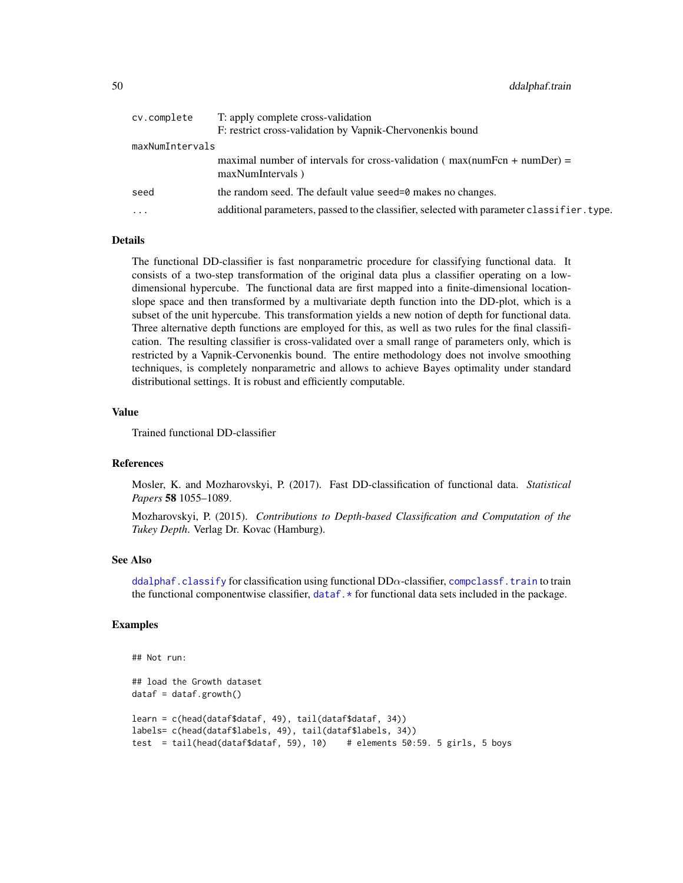| cv.complete     | T: apply complete cross-validation                                                              |
|-----------------|-------------------------------------------------------------------------------------------------|
|                 | F: restrict cross-validation by Vapnik-Chervonenkis bound                                       |
| maxNumIntervals |                                                                                                 |
|                 | maximal number of intervals for cross-validation ( $max(numFcn + number) =$<br>maxNumIntervals) |
| seed            | the random seed. The default value seed=0 makes no changes.                                     |
| $\ddots$        | additional parameters, passed to the classifier, selected with parameter classifier. type.      |

#### Details

The functional DD-classifier is fast nonparametric procedure for classifying functional data. It consists of a two-step transformation of the original data plus a classifier operating on a lowdimensional hypercube. The functional data are first mapped into a finite-dimensional locationslope space and then transformed by a multivariate depth function into the DD-plot, which is a subset of the unit hypercube. This transformation yields a new notion of depth for functional data. Three alternative depth functions are employed for this, as well as two rules for the final classification. The resulting classifier is cross-validated over a small range of parameters only, which is restricted by a Vapnik-Cervonenkis bound. The entire methodology does not involve smoothing techniques, is completely nonparametric and allows to achieve Bayes optimality under standard distributional settings. It is robust and efficiently computable.

#### Value

Trained functional DD-classifier

#### References

Mosler, K. and Mozharovskyi, P. (2017). Fast DD-classification of functional data. *Statistical Papers* 58 1055–1089.

Mozharovskyi, P. (2015). *Contributions to Depth-based Classification and Computation of the Tukey Depth*. Verlag Dr. Kovac (Hamburg).

#### See Also

[ddalphaf.classify](#page-42-0) for classification using functional  $DD\alpha$ -classifier, [compclassf.train](#page-7-0) to train the functional componentwise classifier, [dataf.\\*](#page-16-0) for functional data sets included in the package.

```
## Not run:
## load the Growth dataset
dataf = dataf.growth()learn = c(head(dataf$dataf, 49), tail(dataf$dataf, 34))
labels= c(head(dataf$labels, 49), tail(dataf$labels, 34))
test = tail(head(dataf$dataf, 59), 10) # elements 50:59. 5 girls, 5 boys
```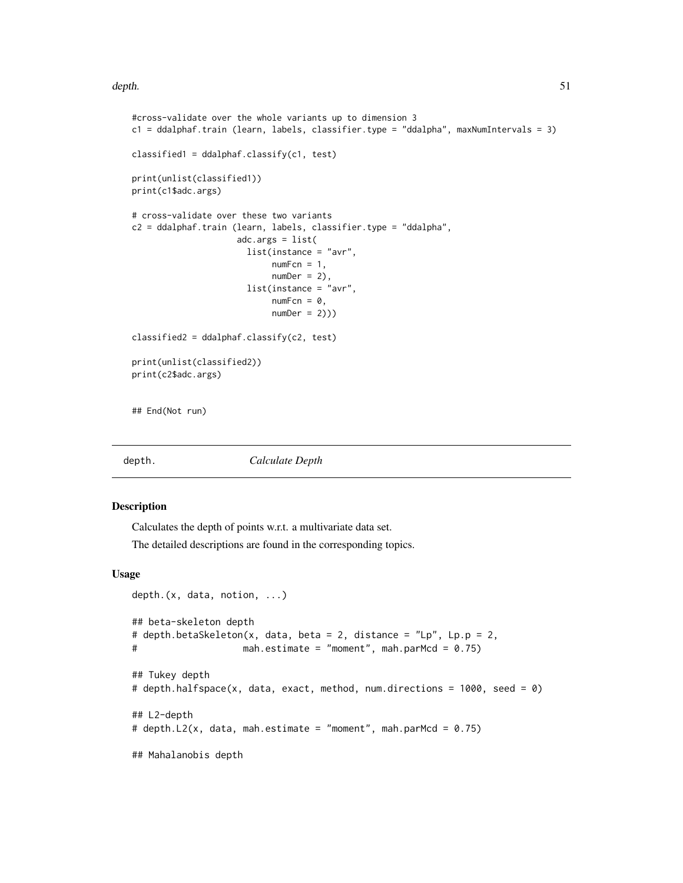depth. 51

```
#cross-validate over the whole variants up to dimension 3
c1 = ddalphaf.train (learn, labels, classifier.type = "ddalpha", maxNumIntervals = 3)
classified1 = ddalphaf.classify(c1, test)print(unlist(classified1))
print(c1$adc.args)
# cross-validate over these two variants
c2 = ddalphaf.train (learn, labels, classifier.type = "ddalpha",
                     adc.args = list(list(instance = "avr",
                            numFcn = 1,
                            numDer = 2,
                       list(instance = "avr",
                            numFcn = 0,
                            numDer = 2))classified2 = ddalphaf.classify(c2, test)
print(unlist(classified2))
print(c2$adc.args)
## End(Not run)
```
<span id="page-50-0"></span>

depth. *Calculate Depth*

#### Description

Calculates the depth of points w.r.t. a multivariate data set.

The detailed descriptions are found in the corresponding topics.

#### Usage

```
depth.(x, data, notion, ...)
## beta-skeleton depth
# depth.betaSkeleton(x, data, beta = 2, distance = "Lp", Lp.p = 2,
# mah.estimate = "moment", mah.parMcd = 0.75)
## Tukey depth
# depth.halfspace(x, data, exact, method, num.directions = 1000, seed = 0)
## L2-depth
# depth.L2(x, data, mah.estimate = "moment", mah.parMcd = 0.75)
## Mahalanobis depth
```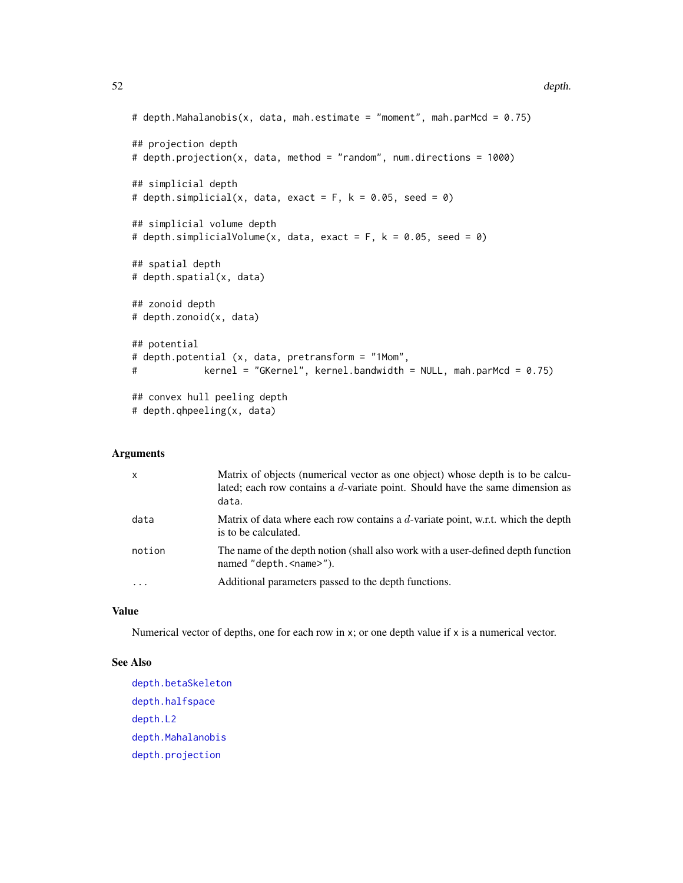```
# depth.Mahalanobis(x, data, mah.estimate = "moment", mah.parMcd = 0.75)
## projection depth
# depth.projection(x, data, method = "random", num.directions = 1000)
## simplicial depth
# depth.simplicial(x, data, exact = F, k = 0.05, seed = 0)
## simplicial volume depth
# depth.simplicialVolume(x, data, exact = F, k = 0.05, seed = 0)
## spatial depth
# depth.spatial(x, data)
## zonoid depth
# depth.zonoid(x, data)
## potential
# depth.potential (x, data, pretransform = "1Mom",
# kernel = "GKernel", kernel.bandwidth = NULL, mah.parMcd = 0.75)
## convex hull peeling depth
# depth.qhpeeling(x, data)
```
## Arguments

| $\mathsf{x}$ | Matrix of objects (numerical vector as one object) whose depth is to be calcu-<br>lated; each row contains a d-variate point. Should have the same dimension as<br>data. |
|--------------|--------------------------------------------------------------------------------------------------------------------------------------------------------------------------|
| data         | Matrix of data where each row contains a d-variate point, w.r.t. which the depth<br>is to be calculated.                                                                 |
| notion       | The name of the depth notion (shall also work with a user-defined depth function<br>named "depth. <name>").</name>                                                       |
| $\cdots$     | Additional parameters passed to the depth functions.                                                                                                                     |

## Value

Numerical vector of depths, one for each row in x; or one depth value if x is a numerical vector.

## See Also

[depth.betaSkeleton](#page-52-0) [depth.halfspace](#page-58-0) [depth.L2](#page-60-0) [depth.Mahalanobis](#page-62-0) [depth.projection](#page-66-0)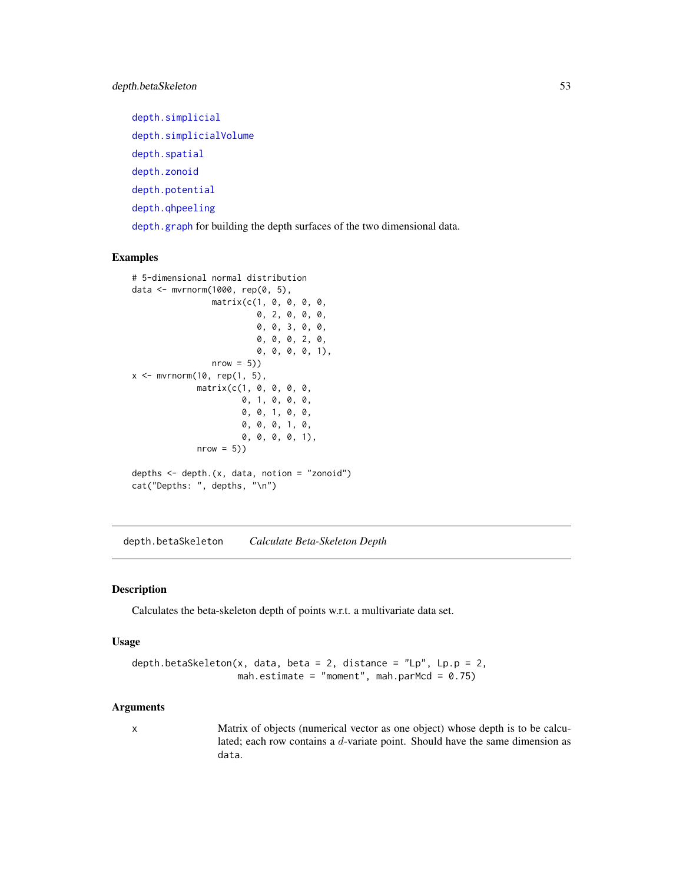[depth.simplicial](#page-70-0) [depth.simplicialVolume](#page-72-0) [depth.spatial](#page-88-0) [depth.zonoid](#page-89-0) [depth.potential](#page-64-0) [depth.qhpeeling](#page-68-0)

[depth.graph](#page-57-0) for building the depth surfaces of the two dimensional data.

# Examples

```
# 5-dimensional normal distribution
data <- mvrnorm(1000, rep(0, 5),
                matrix(c(1, 0, 0, 0, 0,
                         0, 2, 0, 0, 0,
                         0, 0, 3, 0, 0,
                         0, 0, 0, 2, 0,
                         0, 0, 0, 0, 1),
                nrow = 5)x \leq -m \v{or} (10, rep(1, 5),matrix(c(1, 0, 0, 0, 0,
                      0, 1, 0, 0, 0,
                      0, 0, 1, 0, 0,
                      0, 0, 0, 1, 0,
                      0, 0, 0, 0, 1),
             nrow = 5)depths \leq depth.(x, data, notion = "zonoid")
cat("Depths: ", depths, "\n")
```
<span id="page-52-0"></span>depth.betaSkeleton *Calculate Beta-Skeleton Depth*

## Description

Calculates the beta-skeleton depth of points w.r.t. a multivariate data set.

#### Usage

```
depth.betaSkeleton(x, data, beta = 2, distance = "Lp", Lp.p = 2,
                   mah.estimate = "moment", mah.parMcd = 0.75)
```
## Arguments

x Matrix of objects (numerical vector as one object) whose depth is to be calculated; each row contains a d-variate point. Should have the same dimension as data.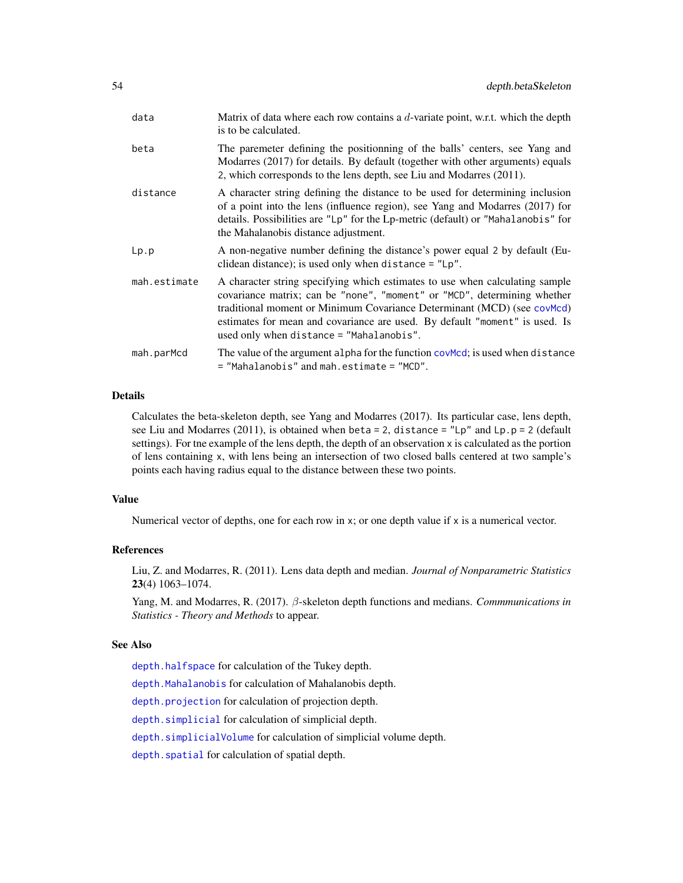| data         | Matrix of data where each row contains a d-variate point, w.r.t. which the depth<br>is to be calculated.                                                                                                                                                                                                                                                       |
|--------------|----------------------------------------------------------------------------------------------------------------------------------------------------------------------------------------------------------------------------------------------------------------------------------------------------------------------------------------------------------------|
| beta         | The paremeter defining the positionning of the balls' centers, see Yang and<br>Modarres (2017) for details. By default (together with other arguments) equals<br>2, which corresponds to the lens depth, see Liu and Modarres (2011).                                                                                                                          |
| distance     | A character string defining the distance to be used for determining inclusion<br>of a point into the lens (influence region), see Yang and Modarres (2017) for<br>details. Possibilities are "Lp" for the Lp-metric (default) or "Mahalanobis" for<br>the Mahalanobis distance adjustment.                                                                     |
| Lp.p         | A non-negative number defining the distance's power equal 2 by default (Eu-<br>clidean distance); is used only when distance $=$ "Lp".                                                                                                                                                                                                                         |
| mah.estimate | A character string specifying which estimates to use when calculating sample<br>covariance matrix; can be "none", "moment" or "MCD", determining whether<br>traditional moment or Minimum Covariance Determinant (MCD) (see covMcd)<br>estimates for mean and covariance are used. By default "moment" is used. Is<br>used only when distance = "Mahalanobis". |
| mah.parMcd   | The value of the argument alpha for the function covMcd; is used when distance<br>= "Mahalanobis" and mah.estimate = "MCD".                                                                                                                                                                                                                                    |

#### Details

Calculates the beta-skeleton depth, see Yang and Modarres (2017). Its particular case, lens depth, see Liu and Modarres (2011), is obtained when beta = 2, distance =  $"Lp"$  and  $Lp.p = 2$  (default settings). For the example of the lens depth, the depth of an observation x is calculated as the portion of lens containing x, with lens being an intersection of two closed balls centered at two sample's points each having radius equal to the distance between these two points.

#### Value

Numerical vector of depths, one for each row in x; or one depth value if x is a numerical vector.

#### References

Liu, Z. and Modarres, R. (2011). Lens data depth and median. *Journal of Nonparametric Statistics* 23(4) 1063–1074.

Yang, M. and Modarres, R. (2017). β-skeleton depth functions and medians. *Commmunications in Statistics - Theory and Methods* to appear.

## See Also

[depth.halfspace](#page-58-0) for calculation of the Tukey depth.

[depth.Mahalanobis](#page-62-0) for calculation of Mahalanobis depth.

[depth.projection](#page-66-0) for calculation of projection depth.

[depth.simplicial](#page-70-0) for calculation of simplicial depth.

[depth.simplicialVolume](#page-72-0) for calculation of simplicial volume depth.

[depth.spatial](#page-88-0) for calculation of spatial depth.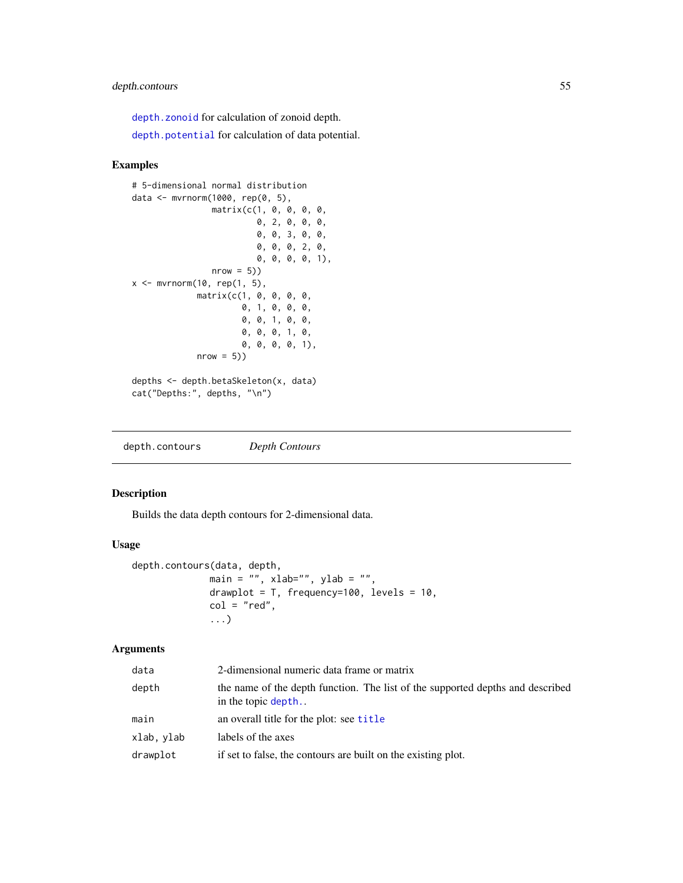## depth.contours 55

[depth.zonoid](#page-89-0) for calculation of zonoid depth.

[depth.potential](#page-64-0) for calculation of data potential.

## Examples

```
# 5-dimensional normal distribution
data <- mvrnorm(1000, rep(0, 5),
                matrix(c(1, 0, 0, 0, 0,
                          0, 2, 0, 0, 0,
                          0, 0, 3, 0, 0,
                          0, 0, 0, 2, 0,
                          0, 0, 0, 0, 1),
                nrow = 5)x \leq -m \text{wrnorm}(10, \text{rep}(1, 5),matrix(c(1, 0, 0, 0, 0,
                       0, 1, 0, 0, 0,
                       0, 0, 1, 0, 0,
                       0, 0, 0, 1, 0,
                       0, 0, 0, 0, 1),
             nrow = 5))
depths <- depth.betaSkeleton(x, data)
cat("Depths:", depths, "\n")
```
<span id="page-54-0"></span>depth.contours *Depth Contours*

## Description

Builds the data depth contours for 2-dimensional data.

## Usage

```
depth.contours(data, depth,
             main = ", xlab="", ylab = "",
             drawplot = T, frequency=100, levels = 10,
             col = "red",...)
```
## Arguments

| data       | 2-dimensional numeric data frame or matrix                                                           |
|------------|------------------------------------------------------------------------------------------------------|
| depth      | the name of the depth function. The list of the supported depths and described<br>in the topic depth |
| main       | an overall title for the plot: see title                                                             |
| xlab, ylab | labels of the axes                                                                                   |
| drawplot   | if set to false, the contours are built on the existing plot.                                        |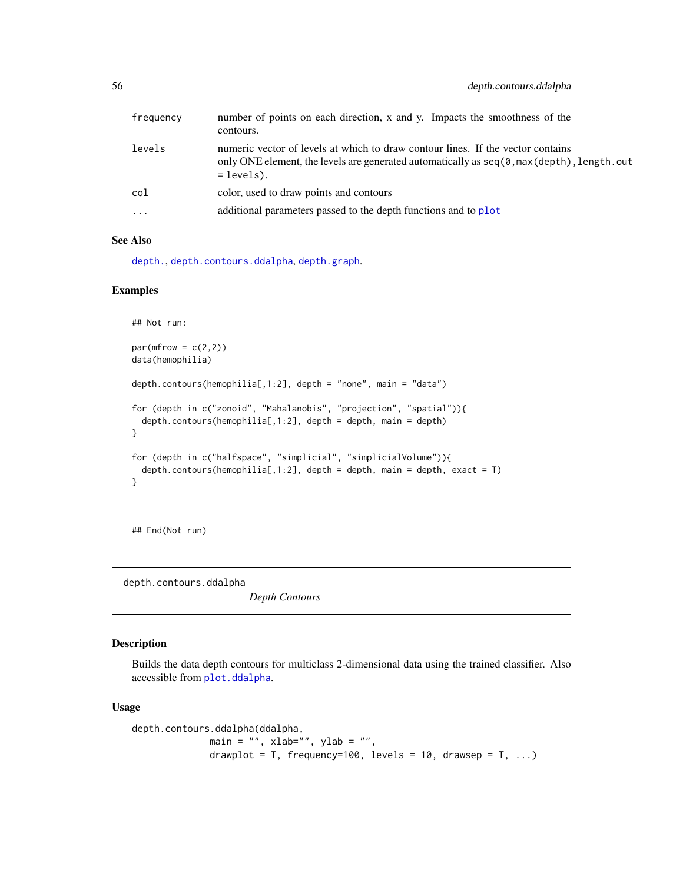| frequency | number of points on each direction, x and y. Impacts the smoothness of the<br>contours.                                                                                                        |
|-----------|------------------------------------------------------------------------------------------------------------------------------------------------------------------------------------------------|
| levels    | numeric vector of levels at which to draw contour lines. If the vector contains<br>only ONE element, the levels are generated automatically as $seq(0, max(depth), length.out$<br>$=$ levels). |
| col       | color, used to draw points and contours                                                                                                                                                        |
| $\cdots$  | additional parameters passed to the depth functions and to plot                                                                                                                                |

## See Also

[depth.](#page-50-0), [depth.contours.ddalpha](#page-55-0), [depth.graph](#page-57-0).

#### Examples

```
## Not run:
par(mfrow = c(2,2))data(hemophilia)
depth.contours(hemophilia[,1:2], depth = "none", main = "data")
for (depth in c("zonoid", "Mahalanobis", "projection", "spatial")){
 depth.contours(hemphilia[,1:2], depth = depth, main = depth)}
for (depth in c("halfspace", "simplicial", "simplicialVolume")){
 depth.contours(hemophilia[,1:2], depth = depth, main = depth, exact = T)
}
```
## End(Not run)

<span id="page-55-0"></span>depth.contours.ddalpha

*Depth Contours*

# Description

Builds the data depth contours for multiclass 2-dimensional data using the trained classifier. Also accessible from [plot.ddalpha](#page-122-0).

#### Usage

```
depth.contours.ddalpha(ddalpha,
             main = "", xlab="", ylab = "",
              drawplot = T, frequency=100, levels = 10, drawsep = T, ...)
```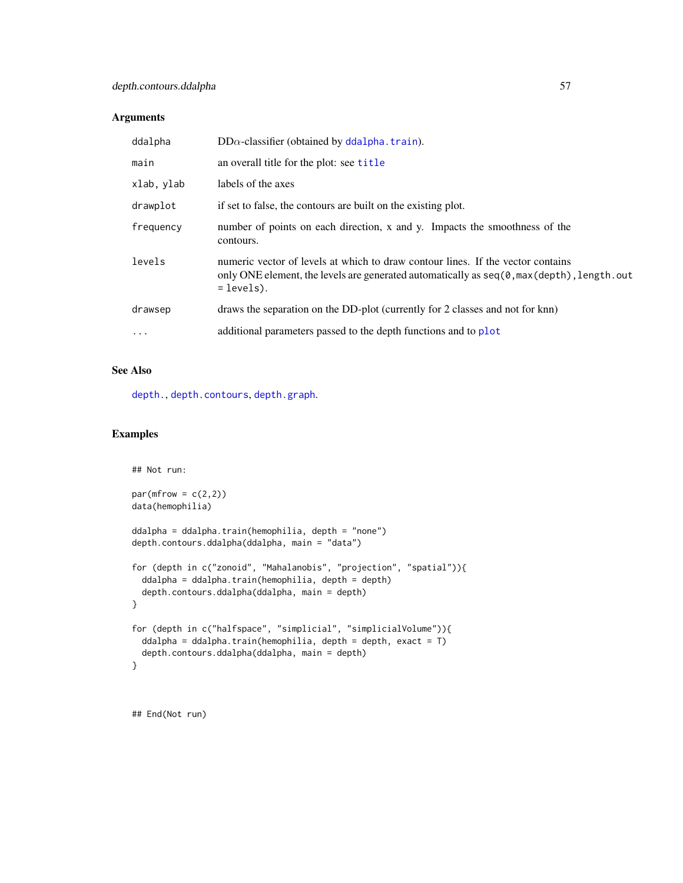## Arguments

| ddalpha    | $DD\alpha$ -classifier (obtained by ddalpha. train).                                                                                                                                           |
|------------|------------------------------------------------------------------------------------------------------------------------------------------------------------------------------------------------|
| main       | an overall title for the plot: see title                                                                                                                                                       |
| xlab, ylab | labels of the axes                                                                                                                                                                             |
| drawplot   | if set to false, the contours are built on the existing plot.                                                                                                                                  |
| frequency  | number of points on each direction, x and y. Impacts the smoothness of the<br>contours.                                                                                                        |
| levels     | numeric vector of levels at which to draw contour lines. If the vector contains<br>only ONE element, the levels are generated automatically as $seq(0, max(detth), length.out$<br>$=$ levels). |
| drawsep    | draws the separation on the DD-plot (currently for 2 classes and not for knn)                                                                                                                  |
| $\cdots$   | additional parameters passed to the depth functions and to plot                                                                                                                                |

## See Also

[depth.](#page-50-0), [depth.contours](#page-54-0), [depth.graph](#page-57-0).

## Examples

```
## Not run:
par(mfrow = c(2,2))data(hemophilia)
ddalpha = ddalpha.train(hemophilia, depth = "none")
depth.contours.ddalpha(ddalpha, main = "data")
for (depth in c("zonoid", "Mahalanobis", "projection", "spatial")){
 ddalpha = ddalpha.train(hemophilia, depth = depth)
 depth.contours.ddalpha(ddalpha, main = depth)
}
for (depth in c("halfspace", "simplicial", "simplicialVolume")){
 ddalpha = ddalpha.train(hemophilia, depth = depth, exact = T)
 depth.contours.ddalpha(ddalpha, main = depth)
}
```
## End(Not run)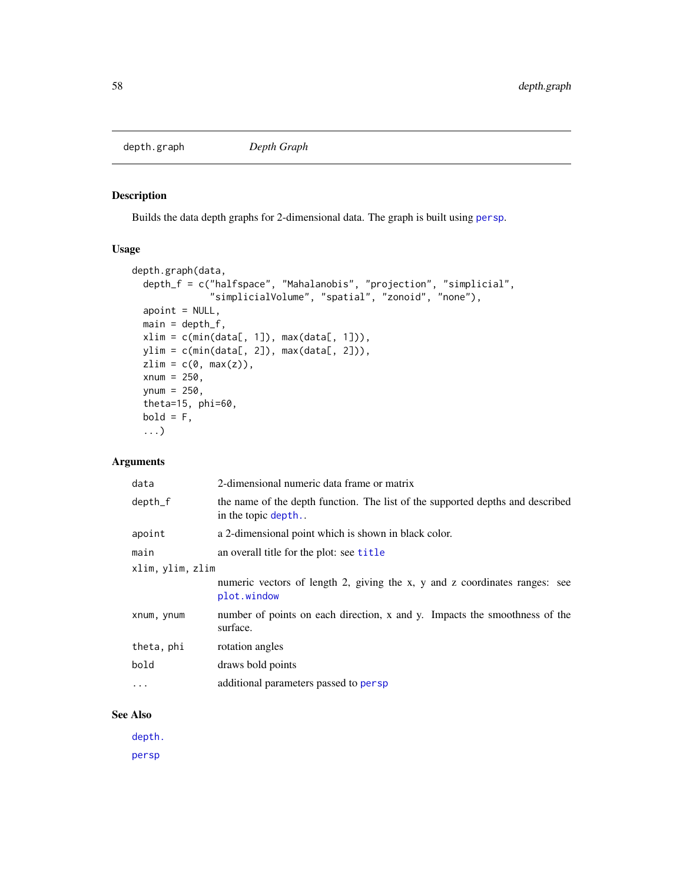<span id="page-57-0"></span>

# Description

Builds the data depth graphs for 2-dimensional data. The graph is built using [persp](#page-0-0).

#### Usage

```
depth.graph(data,
  depth_f = c("halfspace", "Mahalanobis", "projection", "simplicial",
              "simplicialVolume", "spatial", "zonoid", "none"),
  apoint = NULL,main = depth_f,
 xlim = c(min(data[, 1]), max(data[, 1])),
 ylim = c(min(data[, 2]), max(data[, 2])),
 zlim = c(0, max(z)),xnum = 250,
 ynum = 250,
  theta=15, phi=60,
 bold = F,...)
```
# Arguments

| data             | 2-dimensional numeric data frame or matrix                                                           |
|------------------|------------------------------------------------------------------------------------------------------|
| depth_f          | the name of the depth function. The list of the supported depths and described<br>in the topic depth |
| apoint           | a 2-dimensional point which is shown in black color.                                                 |
| main             | an overall title for the plot: see title                                                             |
| xlim, ylim, zlim |                                                                                                      |
|                  | numeric vectors of length 2, giving the x, y and z coordinates ranges: see<br>plot.window            |
| xnum, ynum       | number of points on each direction, x and y. Impacts the smoothness of the<br>surface.               |
| theta, phi       | rotation angles                                                                                      |
| bold             | draws bold points                                                                                    |
| $\cdots$         | additional parameters passed to persp                                                                |
|                  |                                                                                                      |

## See Also

[depth.](#page-50-0)

[persp](#page-0-0)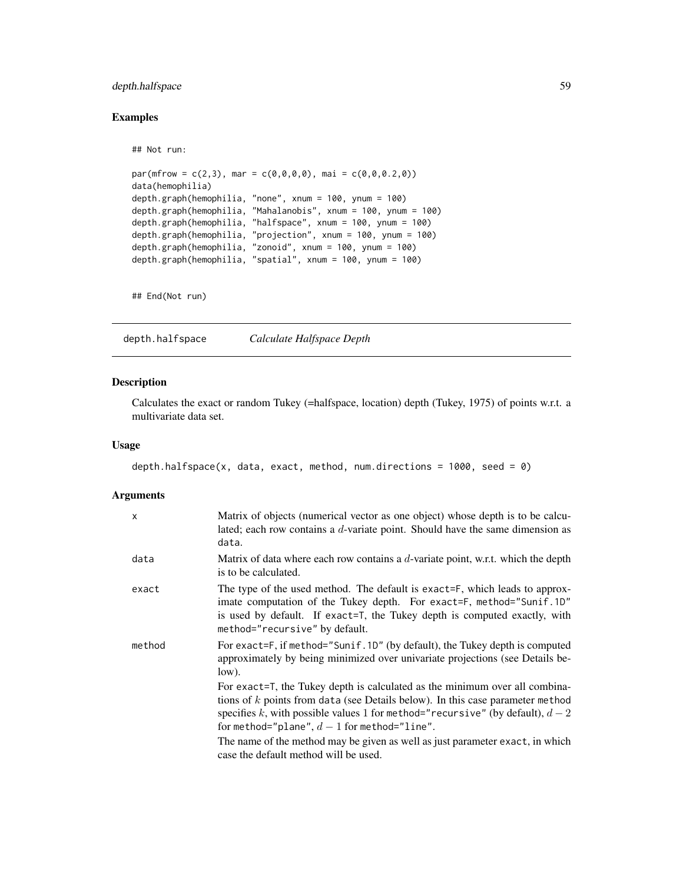## depth.halfspace 59

## Examples

```
## Not run:
```

```
par(mfrow = c(2,3), mar = c(0,0,0,0), mai = c(0,0,0,2,0))data(hemophilia)
depth.graph(hemophilia, "none", xnum = 100, ynum = 100)
depth.graph(hemophilia, "Mahalanobis", xnum = 100, ynum = 100)
depth.graph(hemophilia, "halfspace", xnum = 100, ynum = 100)
depth.graph(hemophilia, "projection", xnum = 100, ynum = 100)
depth.graph(hemophilia, "zonoid", xnum = 100, ynum = 100)
depth.graph(hemophilia, "spatial", xnum = 100, ynum = 100)
```
## End(Not run)

<span id="page-58-0"></span>depth.halfspace *Calculate Halfspace Depth*

#### Description

Calculates the exact or random Tukey (=halfspace, location) depth (Tukey, 1975) of points w.r.t. a multivariate data set.

## Usage

```
depth.halfspace(x, data, exact, method, num.directions = 1000, seed = 0)
```
#### Arguments

| $\mathsf{x}$ | Matrix of objects (numerical vector as one object) whose depth is to be calcu-<br>lated; each row contains a $d$ -variate point. Should have the same dimension as<br>data.                                                                                                                       |
|--------------|---------------------------------------------------------------------------------------------------------------------------------------------------------------------------------------------------------------------------------------------------------------------------------------------------|
| data         | Matrix of data where each row contains a $d$ -variate point, w.r.t. which the depth<br>is to be calculated.                                                                                                                                                                                       |
| exact        | The type of the used method. The default is exact=F, which leads to approx-<br>imate computation of the Tukey depth. For exact=F, method="Sunif.1D"<br>is used by default. If exact=T, the Tukey depth is computed exactly, with<br>method="recursive" by default.                                |
| method       | For exact=F, if method="Sunif.1D" (by default), the Tukey depth is computed<br>approximately by being minimized over univariate projections (see Details be-<br>low).                                                                                                                             |
|              | For exact=T, the Tukey depth is calculated as the minimum over all combina-<br>tions of $k$ points from data (see Details below). In this case parameter method<br>specifies k, with possible values 1 for method="recursive" (by default), $d-2$<br>for method="plane", $d-1$ for method="line". |
|              | The name of the method may be given as well as just parameter exact, in which<br>case the default method will be used.                                                                                                                                                                            |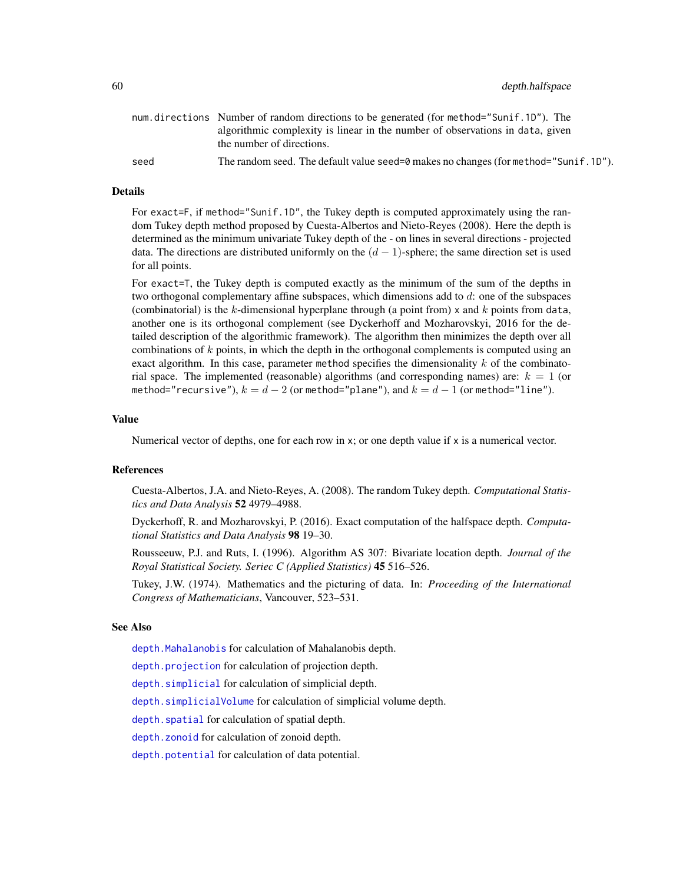60 depth.halfspace

|      | num.directions Number of random directions to be generated (for method="Sunif.1D"). The |
|------|-----------------------------------------------------------------------------------------|
|      | algorithmic complexity is linear in the number of observations in data, given           |
|      | the number of directions.                                                               |
| seed | The random seed. The default value seed=0 makes no changes (for method="Sunif. 1D").    |

#### Details

For exact=F, if method="Sunif.1D", the Tukey depth is computed approximately using the random Tukey depth method proposed by Cuesta-Albertos and Nieto-Reyes (2008). Here the depth is determined as the minimum univariate Tukey depth of the - on lines in several directions - projected data. The directions are distributed uniformly on the  $(d-1)$ -sphere; the same direction set is used for all points.

For exact=T, the Tukey depth is computed exactly as the minimum of the sum of the depths in two orthogonal complementary affine subspaces, which dimensions add to  $d$ : one of the subspaces (combinatorial) is the  $k$ -dimensional hyperplane through (a point from) x and  $k$  points from data, another one is its orthogonal complement (see Dyckerhoff and Mozharovskyi, 2016 for the detailed description of the algorithmic framework). The algorithm then minimizes the depth over all combinations of  $k$  points, in which the depth in the orthogonal complements is computed using an exact algorithm. In this case, parameter method specifies the dimensionality  $k$  of the combinatorial space. The implemented (reasonable) algorithms (and corresponding names) are:  $k = 1$  (or method="recursive"),  $k = d - 2$  (or method="plane"), and  $k = d - 1$  (or method="line").

#### Value

Numerical vector of depths, one for each row in x; or one depth value if x is a numerical vector.

## References

Cuesta-Albertos, J.A. and Nieto-Reyes, A. (2008). The random Tukey depth. *Computational Statistics and Data Analysis* 52 4979–4988.

Dyckerhoff, R. and Mozharovskyi, P. (2016). Exact computation of the halfspace depth. *Computational Statistics and Data Analysis* 98 19–30.

Rousseeuw, P.J. and Ruts, I. (1996). Algorithm AS 307: Bivariate location depth. *Journal of the Royal Statistical Society. Seriec C (Applied Statistics)* 45 516–526.

Tukey, J.W. (1974). Mathematics and the picturing of data. In: *Proceeding of the International Congress of Mathematicians*, Vancouver, 523–531.

#### See Also

[depth.Mahalanobis](#page-62-0) for calculation of Mahalanobis depth.

[depth.projection](#page-66-0) for calculation of projection depth.

[depth.simplicial](#page-70-0) for calculation of simplicial depth.

[depth.simplicialVolume](#page-72-0) for calculation of simplicial volume depth.

[depth.spatial](#page-88-0) for calculation of spatial depth.

[depth.zonoid](#page-89-0) for calculation of zonoid depth.

[depth.potential](#page-64-0) for calculation of data potential.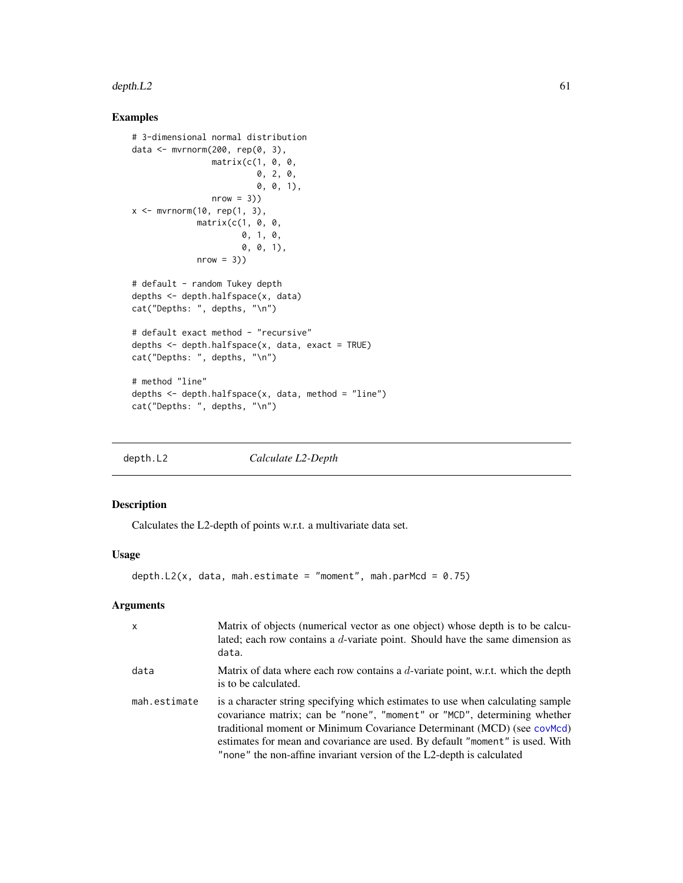#### depth.  $L2$  61

## Examples

```
# 3-dimensional normal distribution
data <- mvrnorm(200, rep(0, 3),
                matrix(c(1, 0, 0,
                          0, 2, 0,
                          0, 0, 1),
                nrow = 3)x \leq -m \text{wrnorm}(10, \text{rep}(1, 3),matrix(c(1, 0, 0,
                       0, 1, 0,
                      0, 0, 1),
             nrow = 3)# default - random Tukey depth
depths <- depth.halfspace(x, data)
cat("Depths: ", depths, "\n")
# default exact method - "recursive"
depths \leq depth.halfspace(x, data, exact = TRUE)
cat("Depths: ", depths, "\n")
# method "line"
depths \leq depth.halfspace(x, data, method = "line")
cat("Depths: ", depths, "\n")
```
<span id="page-60-0"></span>

depth.L2 *Calculate L2-Depth*

## Description

Calculates the L2-depth of points w.r.t. a multivariate data set.

## Usage

```
depth.L2(x, data, mah.estimate = "moment", mah.parMcd = 0.75)
```
## Arguments

| $\mathsf{x}$ | Matrix of objects (numerical vector as one object) whose depth is to be calcu-<br>lated; each row contains a d-variate point. Should have the same dimension as<br>data.                                                                                                                                                                                                                         |
|--------------|--------------------------------------------------------------------------------------------------------------------------------------------------------------------------------------------------------------------------------------------------------------------------------------------------------------------------------------------------------------------------------------------------|
| data         | Matrix of data where each row contains a $d$ -variate point, w.r.t. which the depth<br>is to be calculated.                                                                                                                                                                                                                                                                                      |
| mah.estimate | is a character string specifying which estimates to use when calculating sample<br>covariance matrix; can be "none", "moment" or "MCD", determining whether<br>traditional moment or Minimum Covariance Determinant (MCD) (see covMcd)<br>estimates for mean and covariance are used. By default "moment" is used. With<br>"none" the non-affine invariant version of the L2-depth is calculated |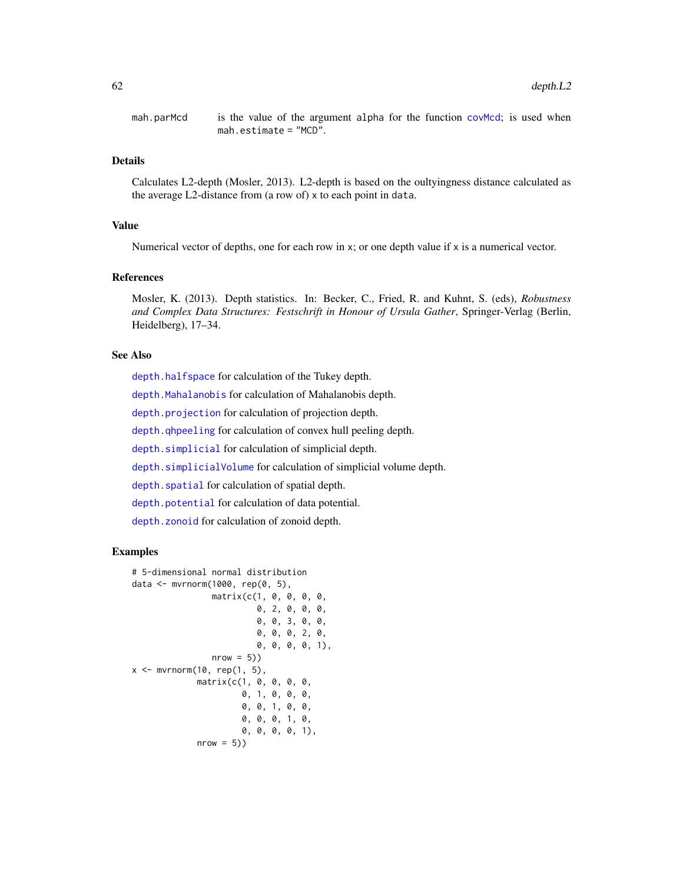mah.parMcd is the value of the argument alpha for the function [covMcd](#page-0-0); is used when mah.estimate = "MCD".

## Details

Calculates L2-depth (Mosler, 2013). L2-depth is based on the oultyingness distance calculated as the average L2-distance from (a row of) x to each point in data.

#### Value

Numerical vector of depths, one for each row in  $x$ ; or one depth value if  $x$  is a numerical vector.

## References

Mosler, K. (2013). Depth statistics. In: Becker, C., Fried, R. and Kuhnt, S. (eds), *Robustness and Complex Data Structures: Festschrift in Honour of Ursula Gather*, Springer-Verlag (Berlin, Heidelberg), 17–34.

#### See Also

[depth.halfspace](#page-58-0) for calculation of the Tukey depth. [depth.Mahalanobis](#page-62-0) for calculation of Mahalanobis depth.

[depth.projection](#page-66-0) for calculation of projection depth.

[depth.qhpeeling](#page-68-0) for calculation of convex hull peeling depth.

[depth.simplicial](#page-70-0) for calculation of simplicial depth.

[depth.simplicialVolume](#page-72-0) for calculation of simplicial volume depth.

depth. spatial for calculation of spatial depth.

[depth.potential](#page-64-0) for calculation of data potential.

[depth.zonoid](#page-89-0) for calculation of zonoid depth.

```
# 5-dimensional normal distribution
data <- mvrnorm(1000, rep(0, 5),
                matrix(c(1, 0, 0, 0, 0,
                          0, 2, 0, 0, 0,
                          0, 0, 3, 0, 0,
                          0, 0, 0, 2, 0,
                          0, 0, 0, 0, 1),
                nrow = 5)x \leq -\text{mvrnorm}(10, \text{rep}(1, 5),matrix(c(1, 0, 0, 0, 0,
                       0, 1, 0, 0, 0,
                       0, 0, 1, 0, 0,
                       0, 0, 0, 1, 0,
                       0, 0, 0, 0, 1),
             nrow = 5)
```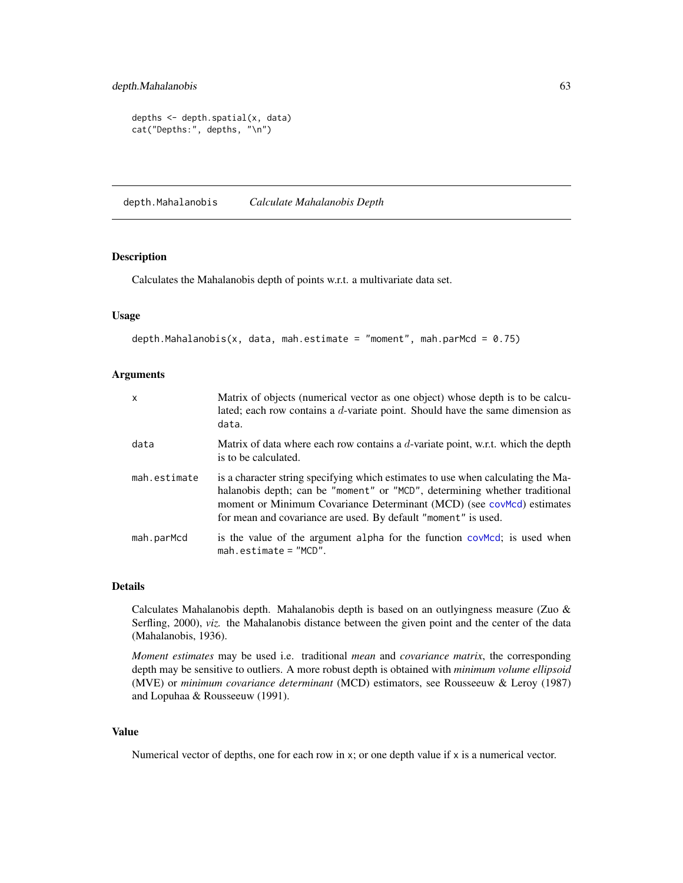```
depths <- depth.spatial(x, data)
cat("Depths:", depths, "\n")
```
<span id="page-62-0"></span>depth.Mahalanobis *Calculate Mahalanobis Depth*

## Description

Calculates the Mahalanobis depth of points w.r.t. a multivariate data set.

## Usage

```
depth.Mahalanobis(x, data, mah.estimate = "moment", mah.parMcd = 0.75)
```
## Arguments

| x            | Matrix of objects (numerical vector as one object) whose depth is to be calcu-<br>lated; each row contains a d-variate point. Should have the same dimension as<br>data.                                                                                                                                  |
|--------------|-----------------------------------------------------------------------------------------------------------------------------------------------------------------------------------------------------------------------------------------------------------------------------------------------------------|
| data         | Matrix of data where each row contains a $d$ -variate point, w.r.t. which the depth<br>is to be calculated.                                                                                                                                                                                               |
| mah.estimate | is a character string specifying which estimates to use when calculating the Ma-<br>halanobis depth; can be "moment" or "MCD", determining whether traditional<br>moment or Minimum Covariance Determinant (MCD) (see covMcd) estimates<br>for mean and covariance are used. By default "moment" is used. |
| mah.parMcd   | is the value of the argument alpha for the function covered; is used when<br>$mah. estimate = "MCD".$                                                                                                                                                                                                     |

#### Details

Calculates Mahalanobis depth. Mahalanobis depth is based on an outlyingness measure (Zuo & Serfling, 2000), *viz.* the Mahalanobis distance between the given point and the center of the data (Mahalanobis, 1936).

*Moment estimates* may be used i.e. traditional *mean* and *covariance matrix*, the corresponding depth may be sensitive to outliers. A more robust depth is obtained with *minimum volume ellipsoid* (MVE) or *minimum covariance determinant* (MCD) estimators, see Rousseeuw & Leroy (1987) and Lopuhaa & Rousseeuw (1991).

#### Value

Numerical vector of depths, one for each row in x; or one depth value if x is a numerical vector.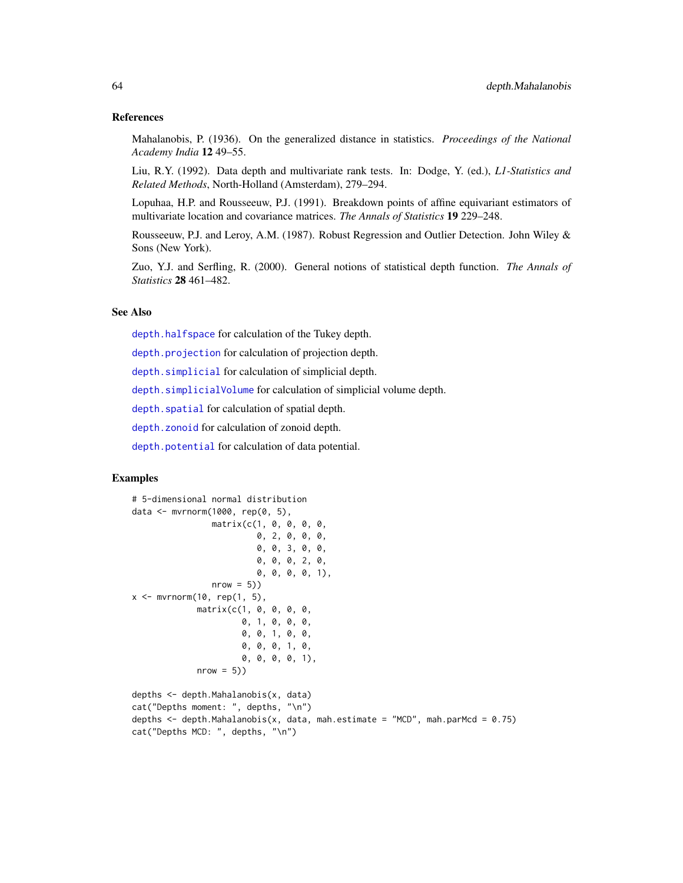#### References

Mahalanobis, P. (1936). On the generalized distance in statistics. *Proceedings of the National Academy India* 12 49–55.

Liu, R.Y. (1992). Data depth and multivariate rank tests. In: Dodge, Y. (ed.), *L1-Statistics and Related Methods*, North-Holland (Amsterdam), 279–294.

Lopuhaa, H.P. and Rousseeuw, P.J. (1991). Breakdown points of affine equivariant estimators of multivariate location and covariance matrices. *The Annals of Statistics* 19 229–248.

Rousseeuw, P.J. and Leroy, A.M. (1987). Robust Regression and Outlier Detection. John Wiley & Sons (New York).

Zuo, Y.J. and Serfling, R. (2000). General notions of statistical depth function. *The Annals of Statistics* 28 461–482.

## See Also

[depth.halfspace](#page-58-0) for calculation of the Tukey depth.

[depth.projection](#page-66-0) for calculation of projection depth.

[depth.simplicial](#page-70-0) for calculation of simplicial depth.

[depth.simplicialVolume](#page-72-0) for calculation of simplicial volume depth.

depth. spatial for calculation of spatial depth.

[depth.zonoid](#page-89-0) for calculation of zonoid depth.

[depth.potential](#page-64-0) for calculation of data potential.

## Examples

```
# 5-dimensional normal distribution
data <- mvrnorm(1000, rep(0, 5),
                matrix(c(1, 0, 0, 0, 0,
                         0, 2, 0, 0, 0,
                         0, 0, 3, 0, 0,
                         0, 0, 0, 2, 0,
                         0, 0, 0, 0, 1),
                nrow = 5)x \leq -mvrnorm(10, rep(1, 5),matrix(c(1, 0, 0, 0, 0,
                      0, 1, 0, 0, 0,
                      0, 0, 1, 0, 0,
                      0, 0, 0, 1, 0,
                      0, 0, 0, 0, 1),
             nrow = 5)
```
depths <- depth.Mahalanobis(x, data) cat("Depths moment: ", depths, "\n") depths  $\leq$  depth. Mahalanobis(x, data, mah. estimate = "MCD", mah. parMcd = 0.75) cat("Depths MCD: ", depths, "\n")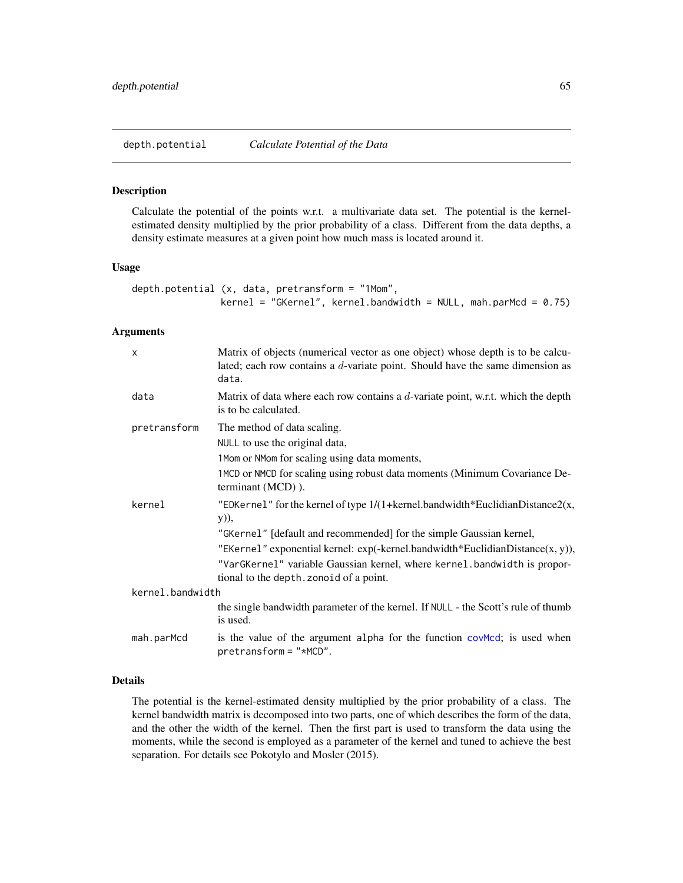<span id="page-64-0"></span>depth.potential *Calculate Potential of the Data*

#### Description

Calculate the potential of the points w.r.t. a multivariate data set. The potential is the kernelestimated density multiplied by the prior probability of a class. Different from the data depths, a density estimate measures at a given point how much mass is located around it.

#### Usage

```
depth.potential (x, data, pretransform = "1Mom",
               kernel = "GKernel", kernel.bandwidth = NULL, mahparMed = 0.75)
```
#### Arguments

| X                | Matrix of objects (numerical vector as one object) whose depth is to be calcu-<br>lated; each row contains a $d$ -variate point. Should have the same dimension as<br>data. |
|------------------|-----------------------------------------------------------------------------------------------------------------------------------------------------------------------------|
| data             | Matrix of data where each row contains a $d$ -variate point, w.r.t. which the depth<br>is to be calculated.                                                                 |
| pretransform     | The method of data scaling.                                                                                                                                                 |
|                  | NULL to use the original data,                                                                                                                                              |
|                  | 1Mom or NMom for scaling using data moments,                                                                                                                                |
|                  | 1MCD or NMCD for scaling using robust data moments (Minimum Covariance De-<br>terminant (MCD)).                                                                             |
| kernel           | "EDKernel" for the kernel of type $1/(1 + \text{kernel} \cdot \text{bandwidth}^* \cdot \text{EuclideanDistance2}(x,$<br>y)),                                                |
|                  | "GKernel" [default and recommended] for the simple Gaussian kernel,                                                                                                         |
|                  | "EKernel" exponential kernel: exp(-kernel.bandwidth*EuclidianDistance $(x, y)$ ),                                                                                           |
|                  | "VarGKernel" variable Gaussian kernel, where kernel. bandwidth is propor-                                                                                                   |
|                  | tional to the depth. zonoid of a point.                                                                                                                                     |
| kernel.bandwidth |                                                                                                                                                                             |
|                  | the single bandwidth parameter of the kernel. If NULL - the Scott's rule of thumb<br>is used.                                                                               |
| mah.parMcd       | is the value of the argument alpha for the function covered; is used when<br>$pretransform = "*MCD".$                                                                       |

## Details

The potential is the kernel-estimated density multiplied by the prior probability of a class. The kernel bandwidth matrix is decomposed into two parts, one of which describes the form of the data, and the other the width of the kernel. Then the first part is used to transform the data using the moments, while the second is employed as a parameter of the kernel and tuned to achieve the best separation. For details see Pokotylo and Mosler (2015).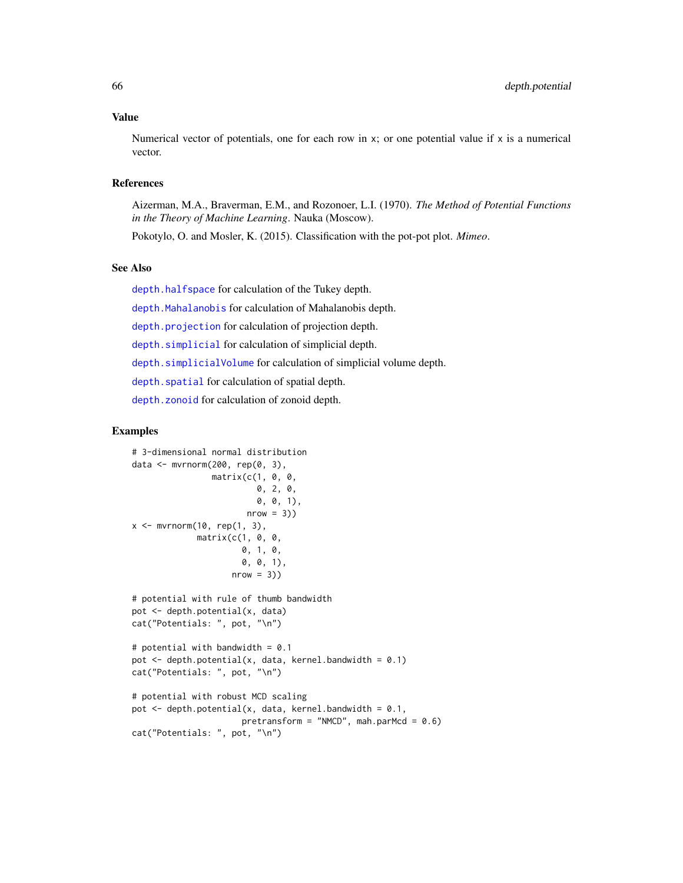#### Value

Numerical vector of potentials, one for each row in  $x$ ; or one potential value if  $x$  is a numerical vector.

## References

Aizerman, M.A., Braverman, E.M., and Rozonoer, L.I. (1970). *The Method of Potential Functions in the Theory of Machine Learning*. Nauka (Moscow).

Pokotylo, O. and Mosler, K. (2015). Classification with the pot-pot plot. *Mimeo*.

#### See Also

[depth.halfspace](#page-58-0) for calculation of the Tukey depth.

[depth.Mahalanobis](#page-62-0) for calculation of Mahalanobis depth.

[depth.projection](#page-66-0) for calculation of projection depth.

[depth.simplicial](#page-70-0) for calculation of simplicial depth.

[depth.simplicialVolume](#page-72-0) for calculation of simplicial volume depth.

depth. spatial for calculation of spatial depth.

[depth.zonoid](#page-89-0) for calculation of zonoid depth.

```
# 3-dimensional normal distribution
data <- mvrnorm(200, rep(0, 3),
                matrix(c(1, 0, 0,
                         0, 2, 0,
                         0, 0, 1),
                       nrow = 3)x \leq -\text{mvrnorm}(10, \text{rep}(1, 3),matrix(c(1, 0, 0,
                      0, 1, 0,
                      0, 0, 1),
                    nrow = 3)# potential with rule of thumb bandwidth
pot <- depth.potential(x, data)
cat("Potentials: ", pot, "\n")
# potential with bandwidth = 0.1
pot \leq depth.potential(x, data, kernel.bandwidth = 0.1)
cat("Potentials: ", pot, "\n")
# potential with robust MCD scaling
pot \leq depth.potential(x, data, kernel.bandwidth = 0.1,
                      pretransform = "NMCD", mah.parMcd = 0.6)
cat("Potentials: ", pot, "\n")
```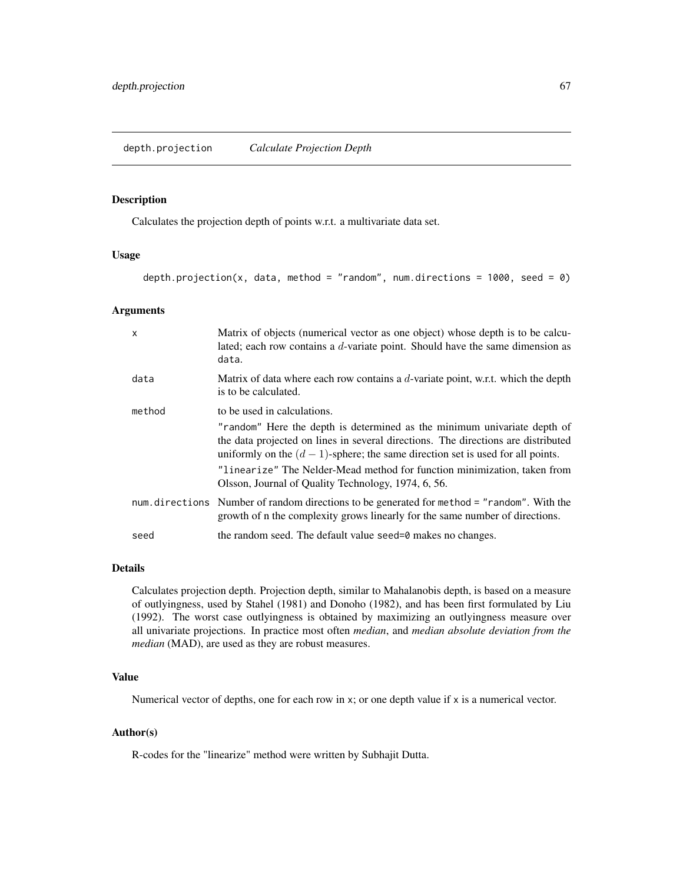#### <span id="page-66-0"></span>Description

Calculates the projection depth of points w.r.t. a multivariate data set.

## Usage

depth.projection(x, data, method = "random", num.directions =  $1000$ , seed = 0)

#### Arguments

| $\mathsf{x}$ | Matrix of objects (numerical vector as one object) whose depth is to be calcu-<br>lated; each row contains a $d$ -variate point. Should have the same dimension as<br>data.                                                                       |
|--------------|---------------------------------------------------------------------------------------------------------------------------------------------------------------------------------------------------------------------------------------------------|
| data         | Matrix of data where each row contains a $d$ -variate point, w.r.t. which the depth<br>is to be calculated.                                                                                                                                       |
| method       | to be used in calculations.                                                                                                                                                                                                                       |
|              | "random" Here the depth is determined as the minimum univariate depth of<br>the data projected on lines in several directions. The directions are distributed<br>uniformly on the $(d-1)$ -sphere; the same direction set is used for all points. |
|              | "linearize" The Nelder-Mead method for function minimization, taken from<br>Olsson, Journal of Quality Technology, 1974, 6, 56.                                                                                                                   |
|              | num. directions Number of random directions to be generated for method = "random". With the<br>growth of n the complexity grows linearly for the same number of directions.                                                                       |
| seed         | the random seed. The default value seed=0 makes no changes.                                                                                                                                                                                       |

#### Details

Calculates projection depth. Projection depth, similar to Mahalanobis depth, is based on a measure of outlyingness, used by Stahel (1981) and Donoho (1982), and has been first formulated by Liu (1992). The worst case outlyingness is obtained by maximizing an outlyingness measure over all univariate projections. In practice most often *median*, and *median absolute deviation from the median* (MAD), are used as they are robust measures.

#### Value

Numerical vector of depths, one for each row in x; or one depth value if x is a numerical vector.

## Author(s)

R-codes for the "linearize" method were written by Subhajit Dutta.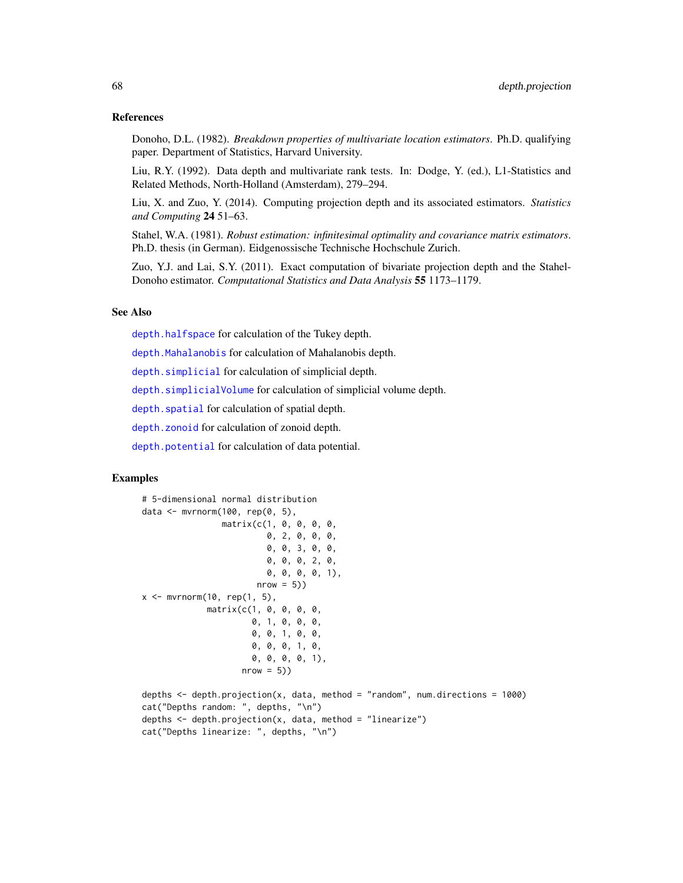#### References

Donoho, D.L. (1982). *Breakdown properties of multivariate location estimators*. Ph.D. qualifying paper. Department of Statistics, Harvard University.

Liu, R.Y. (1992). Data depth and multivariate rank tests. In: Dodge, Y. (ed.), L1-Statistics and Related Methods, North-Holland (Amsterdam), 279–294.

Liu, X. and Zuo, Y. (2014). Computing projection depth and its associated estimators. *Statistics and Computing* 24 51–63.

Stahel, W.A. (1981). *Robust estimation: infinitesimal optimality and covariance matrix estimators*. Ph.D. thesis (in German). Eidgenossische Technische Hochschule Zurich.

Zuo, Y.J. and Lai, S.Y. (2011). Exact computation of bivariate projection depth and the Stahel-Donoho estimator. *Computational Statistics and Data Analysis* 55 1173–1179.

## See Also

[depth.halfspace](#page-58-0) for calculation of the Tukey depth.

[depth.Mahalanobis](#page-62-0) for calculation of Mahalanobis depth.

[depth.simplicial](#page-70-0) for calculation of simplicial depth.

[depth.simplicialVolume](#page-72-0) for calculation of simplicial volume depth.

depth. spatial for calculation of spatial depth.

[depth.zonoid](#page-89-0) for calculation of zonoid depth.

[depth.potential](#page-64-0) for calculation of data potential.

```
# 5-dimensional normal distribution
data <- mvrnorm(100, rep(0, 5),
                 matrix(c(1, 0, 0, 0, 0,
                          0, 2, 0, 0, 0,
                          0, 0, 3, 0, 0,
                          0, 0, 0, 2, 0,
                          0, 0, 0, 0, 1),
                        nrow = 5)x \leq -\text{mvrnorm}(10, \text{rep}(1, 5),matrix(c(1, 0, 0, 0, 0,
                       0, 1, 0, 0, 0,
                       0, 0, 1, 0, 0,
                       0, 0, 0, 1, 0,
                       0, 0, 0, 0, 1),
                     nrow = 5)depths \leq depth.projection(x, data, method = "random", num.directions = 1000)
```

```
cat("Depths random: ", depths, "\n")
depths <- depth.projection(x, data, method = "linearize")
cat("Depths linearize: ", depths, "\n")
```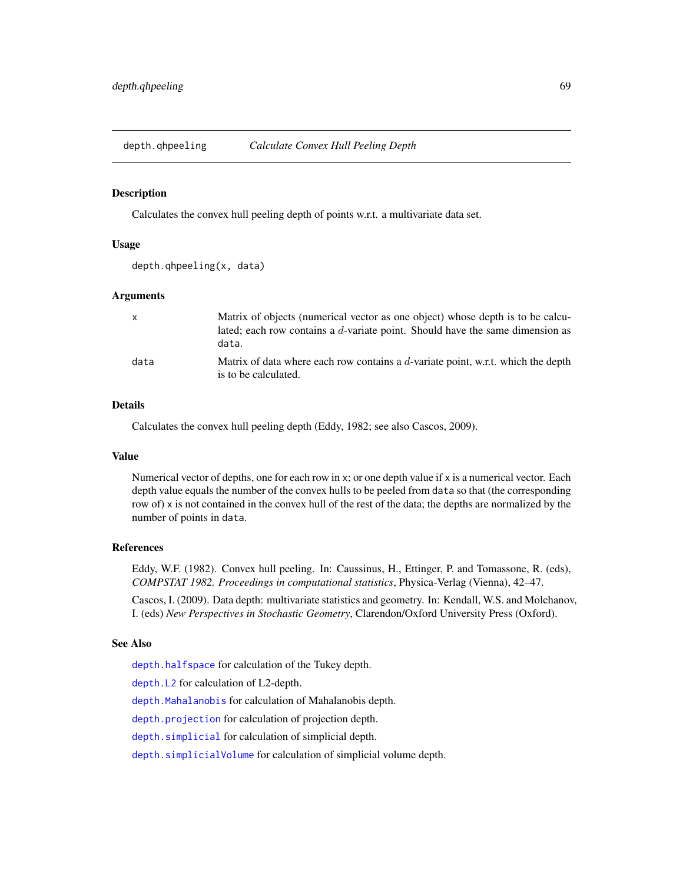<span id="page-68-0"></span>depth.qhpeeling *Calculate Convex Hull Peeling Depth*

#### Description

Calculates the convex hull peeling depth of points w.r.t. a multivariate data set.

## Usage

```
depth.qhpeeling(x, data)
```
#### Arguments

| $\mathsf{x}$ | Matrix of objects (numerical vector as one object) whose depth is to be calcu-<br>lated; each row contains a d-variate point. Should have the same dimension as<br>data. |
|--------------|--------------------------------------------------------------------------------------------------------------------------------------------------------------------------|
| data         | Matrix of data where each row contains a $d$ -variate point, w.r.t. which the depth<br>is to be calculated.                                                              |

## Details

Calculates the convex hull peeling depth (Eddy, 1982; see also Cascos, 2009).

#### Value

Numerical vector of depths, one for each row in x; or one depth value if x is a numerical vector. Each depth value equals the number of the convex hulls to be peeled from data so that (the corresponding row of) x is not contained in the convex hull of the rest of the data; the depths are normalized by the number of points in data.

#### References

Eddy, W.F. (1982). Convex hull peeling. In: Caussinus, H., Ettinger, P. and Tomassone, R. (eds), *COMPSTAT 1982. Proceedings in computational statistics*, Physica-Verlag (Vienna), 42–47.

Cascos, I. (2009). Data depth: multivariate statistics and geometry. In: Kendall, W.S. and Molchanov, I. (eds) *New Perspectives in Stochastic Geometry*, Clarendon/Oxford University Press (Oxford).

## See Also

[depth.halfspace](#page-58-0) for calculation of the Tukey depth.

[depth.L2](#page-60-0) for calculation of L2-depth.

[depth.Mahalanobis](#page-62-0) for calculation of Mahalanobis depth.

[depth.projection](#page-66-0) for calculation of projection depth.

[depth.simplicial](#page-70-0) for calculation of simplicial depth.

[depth.simplicialVolume](#page-72-0) for calculation of simplicial volume depth.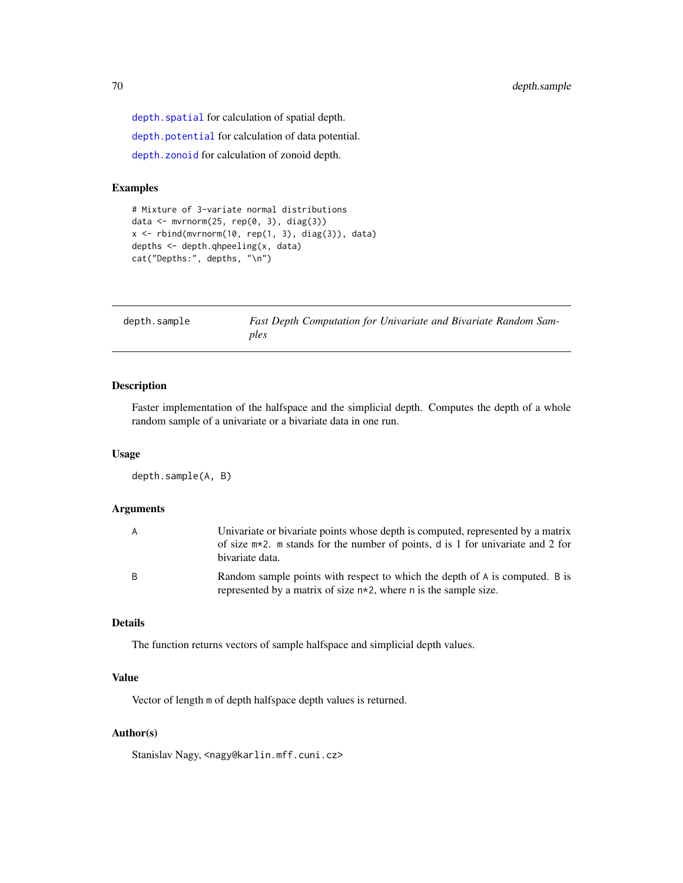depth. spatial for calculation of spatial depth.

[depth.potential](#page-64-0) for calculation of data potential.

[depth.zonoid](#page-89-0) for calculation of zonoid depth.

## Examples

```
# Mixture of 3-variate normal distributions
data <- mvrnorm(25, rep(0, 3), diag(3))
x \le rbind(mvrnorm(10, rep(1, 3), diag(3)), data)
depths <- depth.qhpeeling(x, data)
cat("Depths:", depths, "\n")
```

| depth.sample | Fast Depth Computation for Univariate and Bivariate Random Sam- |
|--------------|-----------------------------------------------------------------|
|              | ples                                                            |

## Description

Faster implementation of the halfspace and the simplicial depth. Computes the depth of a whole random sample of a univariate or a bivariate data in one run.

## Usage

```
depth.sample(A, B)
```
## Arguments

| A            | Univariate or bivariate points whose depth is computed, represented by a matrix<br>of size $m*2$ . m stands for the number of points, d is 1 for univariate and 2 for<br>bivariate data. |
|--------------|------------------------------------------------------------------------------------------------------------------------------------------------------------------------------------------|
| <sub>B</sub> | Random sample points with respect to which the depth of A is computed. B is<br>represented by a matrix of size $n \times 2$ , where n is the sample size.                                |

## Details

The function returns vectors of sample halfspace and simplicial depth values.

## Value

Vector of length m of depth halfspace depth values is returned.

#### Author(s)

Stanislav Nagy, <nagy@karlin.mff.cuni.cz>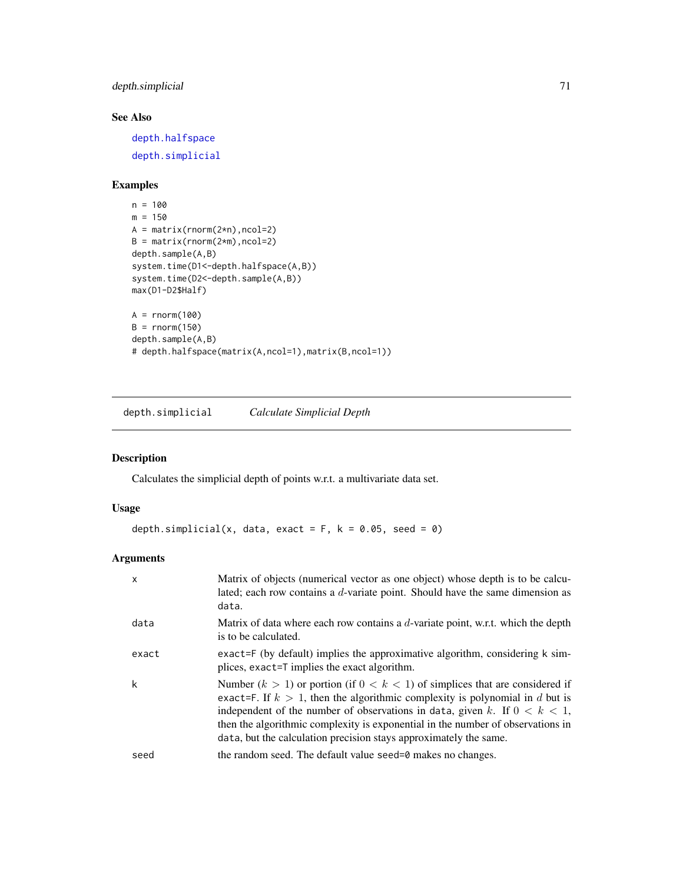## depth.simplicial 71

# See Also

[depth.halfspace](#page-58-0) [depth.simplicial](#page-70-0)

## Examples

```
n = 100
m = 150A = matrix(rnorm(2*n), ncol=2)B = matrix(rnorm(2*m), ncol=2)depth.sample(A,B)
system.time(D1 <- depth.halfspace(A,B))
system.time(D2 <- depth.sample(A,B))
max(D1-D2$Half)
A = rnorm(100)B = rnorm(150)depth.sample(A,B)
# depth.halfspace(matrix(A,ncol=1),matrix(B,ncol=1))
```
<span id="page-70-0"></span>depth.simplicial *Calculate Simplicial Depth*

## Description

Calculates the simplicial depth of points w.r.t. a multivariate data set.

## Usage

```
depth.simplicial(x, data, exact = F, k = 0.05, seed = 0)
```
## Arguments

| X     | Matrix of objects (numerical vector as one object) whose depth is to be calcu-<br>lated; each row contains a $d$ -variate point. Should have the same dimension as<br>data.                                                                                                                                                                                                                                  |
|-------|--------------------------------------------------------------------------------------------------------------------------------------------------------------------------------------------------------------------------------------------------------------------------------------------------------------------------------------------------------------------------------------------------------------|
| data  | Matrix of data where each row contains a $d$ -variate point, w.r.t. which the depth<br>is to be calculated.                                                                                                                                                                                                                                                                                                  |
| exact | exact=F (by default) implies the approximative algorithm, considering k sim-<br>plices, exact=T implies the exact algorithm.                                                                                                                                                                                                                                                                                 |
| k     | Number $(k > 1)$ or portion (if $0 < k < 1$ ) of simplices that are considered if<br>exact=F. If $k > 1$ , then the algorithmic complexity is polynomial in d but is<br>independent of the number of observations in data, given k. If $0 < k < 1$ ,<br>then the algorithmic complexity is exponential in the number of observations in<br>data, but the calculation precision stays approximately the same. |
| seed  | the random seed. The default value seed=0 makes no changes.                                                                                                                                                                                                                                                                                                                                                  |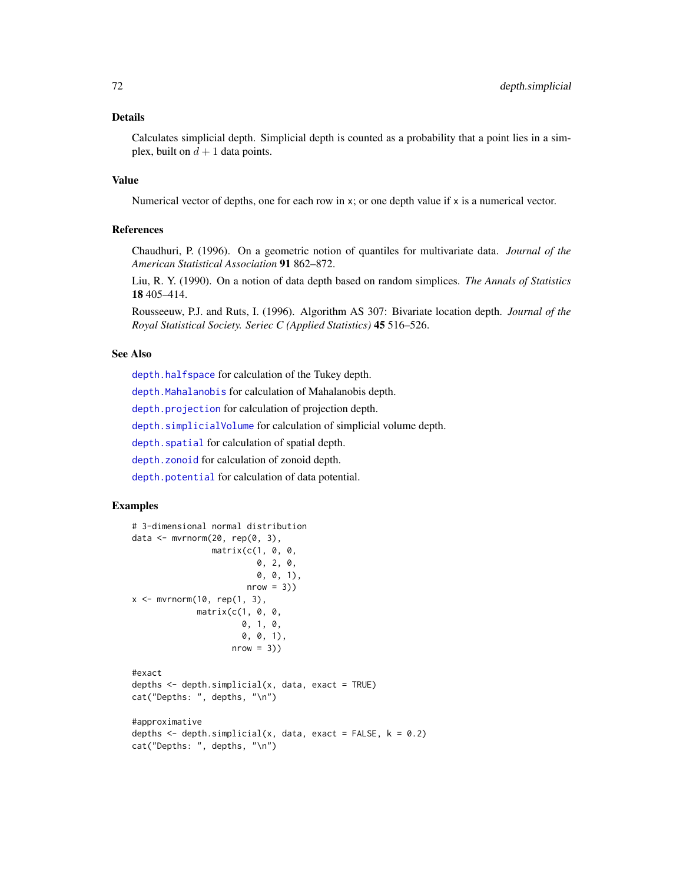## Details

Calculates simplicial depth. Simplicial depth is counted as a probability that a point lies in a simplex, built on  $d + 1$  data points.

## Value

Numerical vector of depths, one for each row in x; or one depth value if x is a numerical vector.

## References

Chaudhuri, P. (1996). On a geometric notion of quantiles for multivariate data. *Journal of the American Statistical Association* 91 862–872.

Liu, R. Y. (1990). On a notion of data depth based on random simplices. *The Annals of Statistics* 18 405–414.

Rousseeuw, P.J. and Ruts, I. (1996). Algorithm AS 307: Bivariate location depth. *Journal of the Royal Statistical Society. Seriec C (Applied Statistics)* 45 516–526.

#### See Also

[depth.halfspace](#page-58-0) for calculation of the Tukey depth.

[depth.Mahalanobis](#page-62-0) for calculation of Mahalanobis depth.

[depth.projection](#page-66-0) for calculation of projection depth.

[depth.simplicialVolume](#page-72-0) for calculation of simplicial volume depth.

[depth.spatial](#page-88-0) for calculation of spatial depth.

[depth.zonoid](#page-89-0) for calculation of zonoid depth.

[depth.potential](#page-64-0) for calculation of data potential.

```
# 3-dimensional normal distribution
data <- mvrnorm(20, rep(0, 3),
                matrix(c(1, 0, 0,
                         0, 2, 0,
                         0, 0, 1),
                       nrow = 3)x \leq -mvrnorm(10, rep(1, 3),matrix(c(1, 0, 0,
                      0, 1, 0,
                      0, 0, 1),
                    nrow = 3)#exact
depths \leq depth.simplicial(x, data, exact = TRUE)
cat("Depths: ", depths, "\n")
#approximative
```

```
depths \leq depth.simplicial(x, data, exact = FALSE, k = 0.2)
cat("Depths: ", depths, "\n")
```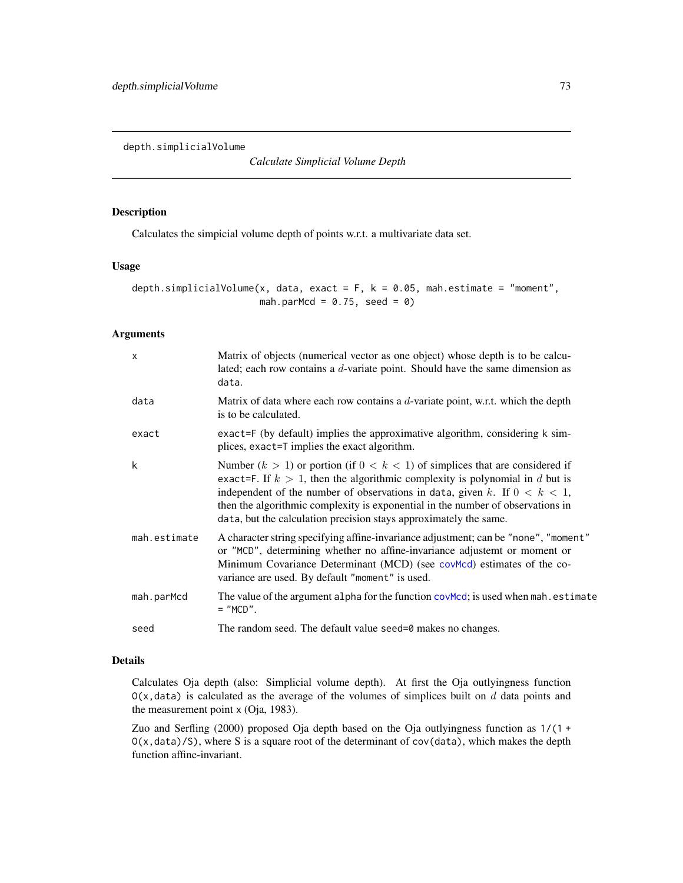<span id="page-72-0"></span>depth.simplicialVolume

*Calculate Simplicial Volume Depth*

### Description

Calculates the simpicial volume depth of points w.r.t. a multivariate data set.

# Usage

depth.simplicialVolume(x, data, exact =  $F$ , k = 0.05, mah.estimate = "moment", mah.parMcd =  $0.75$ , seed =  $0$ )

#### Arguments

| $\times$     | Matrix of objects (numerical vector as one object) whose depth is to be calcu-<br>lated; each row contains a d-variate point. Should have the same dimension as<br>data.                                                                                                                                                                                                                                     |
|--------------|--------------------------------------------------------------------------------------------------------------------------------------------------------------------------------------------------------------------------------------------------------------------------------------------------------------------------------------------------------------------------------------------------------------|
| data         | Matrix of data where each row contains a $d$ -variate point, w.r.t. which the depth<br>is to be calculated.                                                                                                                                                                                                                                                                                                  |
| exact        | exact=F (by default) implies the approximative algorithm, considering k sim-<br>plices, exact=T implies the exact algorithm.                                                                                                                                                                                                                                                                                 |
| k            | Number $(k > 1)$ or portion (if $0 < k < 1$ ) of simplices that are considered if<br>exact=F. If $k > 1$ , then the algorithmic complexity is polynomial in d but is<br>independent of the number of observations in data, given k. If $0 < k < 1$ ,<br>then the algorithmic complexity is exponential in the number of observations in<br>data, but the calculation precision stays approximately the same. |
| mah.estimate | A character string specifying affine-invariance adjustment; can be "none", "moment"<br>or "MCD", determining whether no affine-invariance adjustemt or moment or<br>Minimum Covariance Determinant (MCD) (see covmod) estimates of the co-<br>variance are used. By default "moment" is used.                                                                                                                |
| mah.parMcd   | The value of the argument alpha for the function covMcd; is used when mah. estimate<br>$=$ "MCD".                                                                                                                                                                                                                                                                                                            |
| seed         | The random seed. The default value seed=0 makes no changes.                                                                                                                                                                                                                                                                                                                                                  |

# Details

Calculates Oja depth (also: Simplicial volume depth). At first the Oja outlyingness function  $O(x, data)$  is calculated as the average of the volumes of simplices built on d data points and the measurement point x (Oja, 1983).

Zuo and Serfling (2000) proposed Oja depth based on the Oja outlyingness function as 1/(1 + O(x,data)/S), where S is a square root of the determinant of cov(data), which makes the depth function affine-invariant.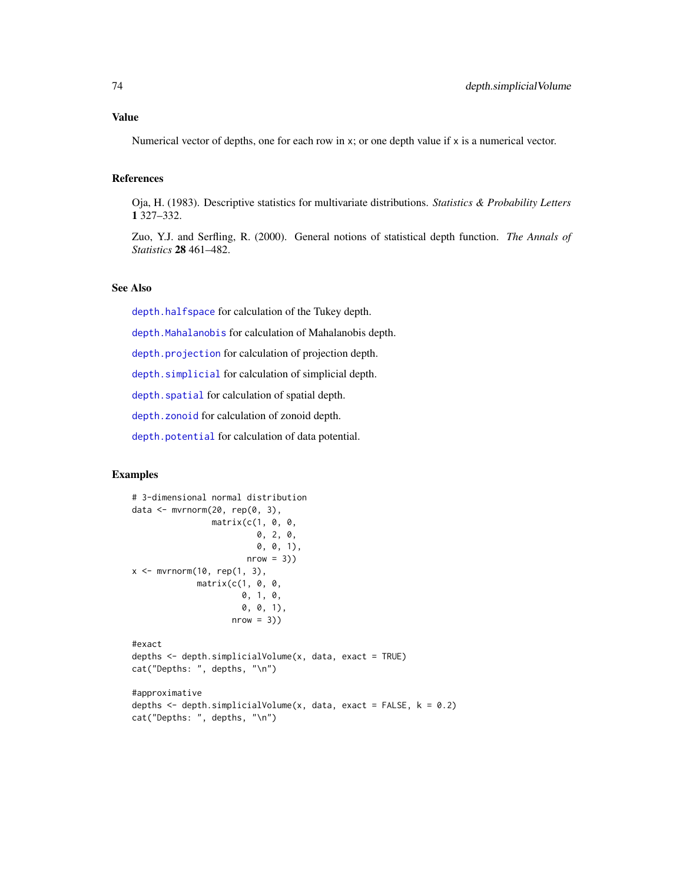# Value

Numerical vector of depths, one for each row in x; or one depth value if x is a numerical vector.

# References

Oja, H. (1983). Descriptive statistics for multivariate distributions. *Statistics & Probability Letters* 1 327–332.

Zuo, Y.J. and Serfling, R. (2000). General notions of statistical depth function. *The Annals of Statistics* 28 461–482.

# See Also

[depth.halfspace](#page-58-0) for calculation of the Tukey depth.

[depth.Mahalanobis](#page-62-0) for calculation of Mahalanobis depth.

[depth.projection](#page-66-0) for calculation of projection depth.

[depth.simplicial](#page-70-0) for calculation of simplicial depth.

depth. spatial for calculation of spatial depth.

[depth.zonoid](#page-89-0) for calculation of zonoid depth.

[depth.potential](#page-64-0) for calculation of data potential.

## Examples

```
# 3-dimensional normal distribution
data <- mvrnorm(20, rep(0, 3),
                matrix(c(1, 0, 0,
                         0, 2, 0,
                         0, 0, 1),
                        nrow = 3)x \leq -\text{mvrnorm}(10, \text{ rep}(1, 3),matrix(c(1, 0, 0,
                      0, 1, 0,
                      0, 0, 1),
                    nrow = 3)#exact
depths <- depth.simplicialVolume(x, data, exact = TRUE)
cat("Depths: ", depths, "\n")
#approximative
depths \leq depth.simplicialVolume(x, data, exact = FALSE, k = 0.2)
cat("Depths: ", depths, "\n")
```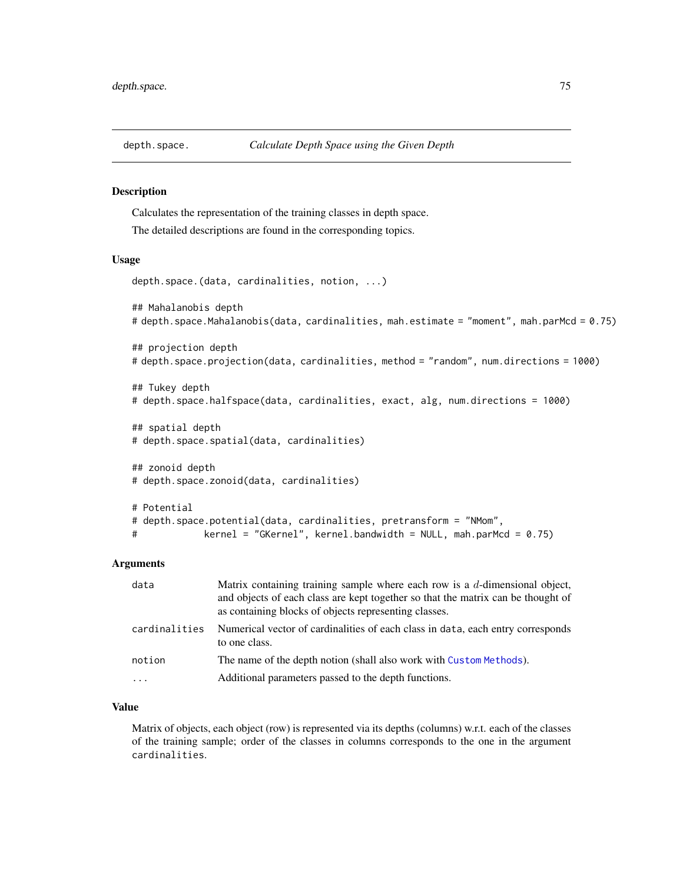#### Description

Calculates the representation of the training classes in depth space.

The detailed descriptions are found in the corresponding topics.

#### Usage

depth.space.(data, cardinalities, notion, ...)

```
## Mahalanobis depth
# depth.space.Mahalanobis(data, cardinalities, mah.estimate = "moment", mah.parMcd = 0.75)
```

```
## projection depth
# depth.space.projection(data, cardinalities, method = "random", num.directions = 1000)
```

```
## Tukey depth
# depth.space.halfspace(data, cardinalities, exact, alg, num.directions = 1000)
```

```
## spatial depth
# depth.space.spatial(data, cardinalities)
```

```
## zonoid depth
# depth.space.zonoid(data, cardinalities)
# Potential
# depth.space.potential(data, cardinalities, pretransform = "NMom",
```
# kernel = "GKernel", kernel.bandwidth = NULL, mah.parMcd = 0.75)

### Arguments

| data          | Matrix containing training sample where each row is a $d$ -dimensional object,<br>and objects of each class are kept together so that the matrix can be thought of<br>as containing blocks of objects representing classes. |
|---------------|-----------------------------------------------------------------------------------------------------------------------------------------------------------------------------------------------------------------------------|
| cardinalities | Numerical vector of cardinalities of each class in data, each entry corresponds<br>to one class.                                                                                                                            |
| notion        | The name of the depth notion (shall also work with Custom Methods).                                                                                                                                                         |
| $\cdots$      | Additional parameters passed to the depth functions.                                                                                                                                                                        |

# Value

Matrix of objects, each object (row) is represented via its depths (columns) w.r.t. each of the classes of the training sample; order of the classes in columns corresponds to the one in the argument cardinalities.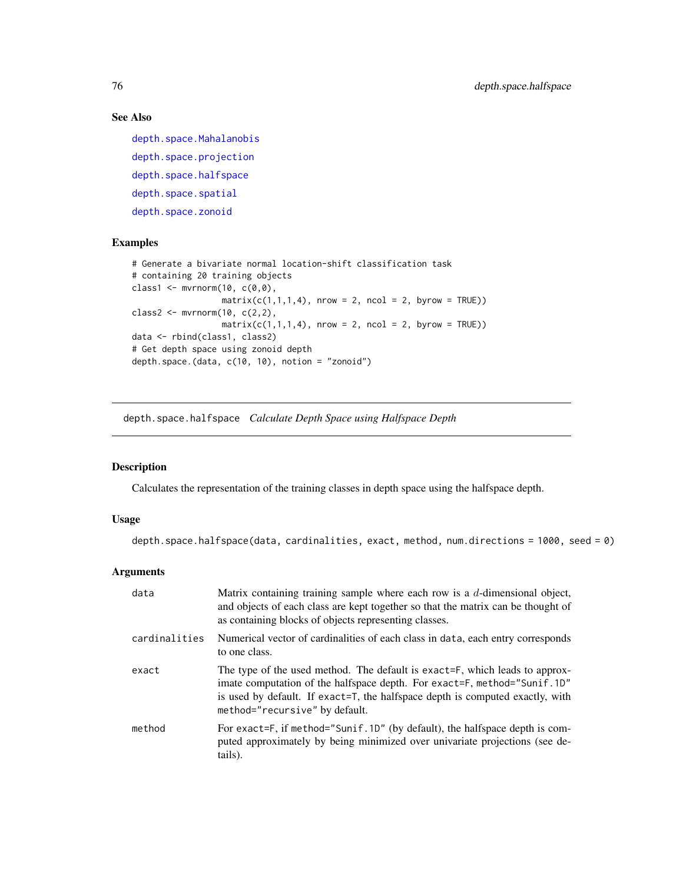# See Also

```
depth.space.Mahalanobis
depth.space.projection
depth.space.halfspace
depth.space.spatial
depth.space.zonoid
```
# Examples

```
# Generate a bivariate normal location-shift classification task
# containing 20 training objects
class1 <- mvrnorm(10, c(0,0),
                  matrix(c(1,1,1,4), nrow = 2, ncol = 2, byrow = TRUE))
class2 <- mvrnorm(10, c(2,2),
                  matrix(c(1,1,1,4), nrow = 2, ncol = 2, byrow = TRUE))
data <- rbind(class1, class2)
# Get depth space using zonoid depth
depth.space.(data, c(10, 10), notion = "zonoid")
```
<span id="page-75-0"></span>depth.space.halfspace *Calculate Depth Space using Halfspace Depth*

# Description

Calculates the representation of the training classes in depth space using the halfspace depth.

# Usage

depth.space.halfspace(data, cardinalities, exact, method, num.directions = 1000, seed = 0)

# Arguments

| data          | Matrix containing training sample where each row is a $d$ -dimensional object,<br>and objects of each class are kept together so that the matrix can be thought of<br>as containing blocks of objects representing classes.                                                |
|---------------|----------------------------------------------------------------------------------------------------------------------------------------------------------------------------------------------------------------------------------------------------------------------------|
| cardinalities | Numerical vector of cardinalities of each class in data, each entry corresponds<br>to one class.                                                                                                                                                                           |
| exact         | The type of the used method. The default is exact=F, which leads to approx-<br>imate computation of the halfspace depth. For exact=F, method="Sunif.1D"<br>is used by default. If exact=T, the halfspace depth is computed exactly, with<br>method="recursive" by default. |
| method        | For exact=F, if method="Sunif.1D" (by default), the halfspace depth is com-<br>puted approximately by being minimized over univariate projections (see de-<br>tails).                                                                                                      |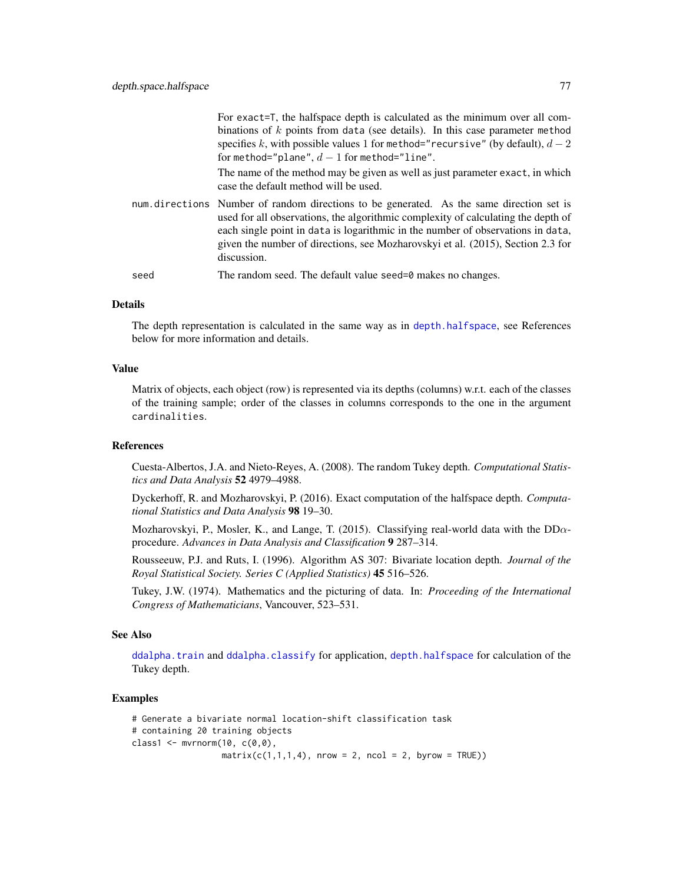|      | For exact=T, the halfspace depth is calculated as the minimum over all com-                                                                                                                                                                                                                                                                                        |
|------|--------------------------------------------------------------------------------------------------------------------------------------------------------------------------------------------------------------------------------------------------------------------------------------------------------------------------------------------------------------------|
|      | binations of $k$ points from data (see details). In this case parameter method                                                                                                                                                                                                                                                                                     |
|      | specifies k, with possible values 1 for method="recursive" (by default), $d-2$                                                                                                                                                                                                                                                                                     |
|      | for method="plane", $d-1$ for method="line".                                                                                                                                                                                                                                                                                                                       |
|      | The name of the method may be given as well as just parameter exact, in which<br>case the default method will be used.                                                                                                                                                                                                                                             |
|      | num directions Number of random directions to be generated. As the same direction set is<br>used for all observations, the algorithmic complexity of calculating the depth of<br>each single point in data is logarithmic in the number of observations in data,<br>given the number of directions, see Mozharovskyi et al. (2015), Section 2.3 for<br>discussion. |
| seed | The random seed. The default value seed=0 makes no changes.                                                                                                                                                                                                                                                                                                        |

### Details

The depth representation is calculated in the same way as in [depth.halfspace](#page-58-0), see References below for more information and details.

### Value

Matrix of objects, each object (row) is represented via its depths (columns) w.r.t. each of the classes of the training sample; order of the classes in columns corresponds to the one in the argument cardinalities.

## References

Cuesta-Albertos, J.A. and Nieto-Reyes, A. (2008). The random Tukey depth. *Computational Statistics and Data Analysis* 52 4979–4988.

Dyckerhoff, R. and Mozharovskyi, P. (2016). Exact computation of the halfspace depth. *Computational Statistics and Data Analysis* 98 19–30.

Mozharovskyi, P., Mosler, K., and Lange, T. (2015). Classifying real-world data with the  $DD\alpha$ procedure. *Advances in Data Analysis and Classification* 9 287–314.

Rousseeuw, P.J. and Ruts, I. (1996). Algorithm AS 307: Bivariate location depth. *Journal of the Royal Statistical Society. Series C (Applied Statistics)* 45 516–526.

Tukey, J.W. (1974). Mathematics and the picturing of data. In: *Proceeding of the International Congress of Mathematicians*, Vancouver, 523–531.

# See Also

[ddalpha.train](#page-36-0) and [ddalpha.classify](#page-30-0) for application, [depth.halfspace](#page-58-0) for calculation of the Tukey depth.

# Examples

```
# Generate a bivariate normal location-shift classification task
# containing 20 training objects
class1 \leq mvrnorm(10, c(0,0),
                  matrix(c(1,1,1,4), nrow = 2, ncol = 2, byrow = TRUE))
```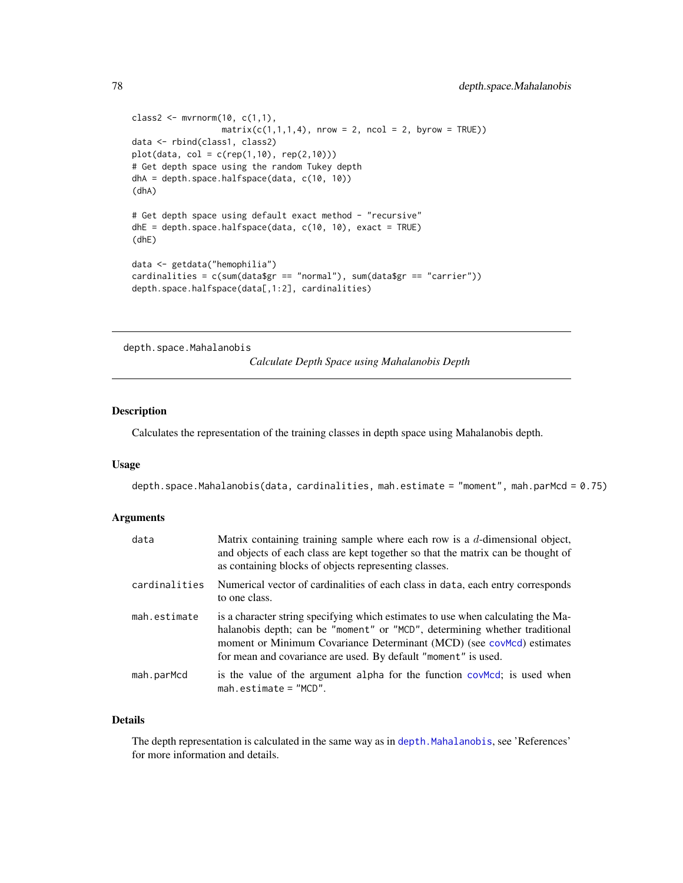```
class2 <- mvmorm(10, c(1,1),matrix(c(1,1,1,4), nrow = 2, ncol = 2, byrow = TRUE))
data <- rbind(class1, class2)
plot(data, col = c(rep(1,10), rep(2,10)))# Get depth space using the random Tukey depth
dhA = depth.space.halfspace(data, c(10, 10))
(dhA)
# Get depth space using default exact method - "recursive"
dhE = depth.space.halfspace(data, c(10, 10), exact = TRUE)
(dhE)
data <- getdata("hemophilia")
cardinalities = c(sum(data$gr == "normal"), sum(data$gr == "carrier"))
depth.space.halfspace(data[,1:2], cardinalities)
```
<span id="page-77-0"></span>depth.space.Mahalanobis

*Calculate Depth Space using Mahalanobis Depth*

# Description

Calculates the representation of the training classes in depth space using Mahalanobis depth.

#### Usage

depth.space.Mahalanobis(data, cardinalities, mah.estimate = "moment", mah.parMcd = 0.75)

#### Arguments

| data          | Matrix containing training sample where each row is a $d$ -dimensional object,<br>and objects of each class are kept together so that the matrix can be thought of<br>as containing blocks of objects representing classes.                                                                               |
|---------------|-----------------------------------------------------------------------------------------------------------------------------------------------------------------------------------------------------------------------------------------------------------------------------------------------------------|
| cardinalities | Numerical vector of cardinalities of each class in data, each entry corresponds<br>to one class.                                                                                                                                                                                                          |
| mah.estimate  | is a character string specifying which estimates to use when calculating the Ma-<br>halanobis depth; can be "moment" or "MCD", determining whether traditional<br>moment or Minimum Covariance Determinant (MCD) (see covMcd) estimates<br>for mean and covariance are used. By default "moment" is used. |
| mah.parMcd    | is the value of the argument alpha for the function covered; is used when<br>$mah. estimate = "MCD".$                                                                                                                                                                                                     |

### Details

The depth representation is calculated in the same way as in [depth.Mahalanobis](#page-62-0), see 'References' for more information and details.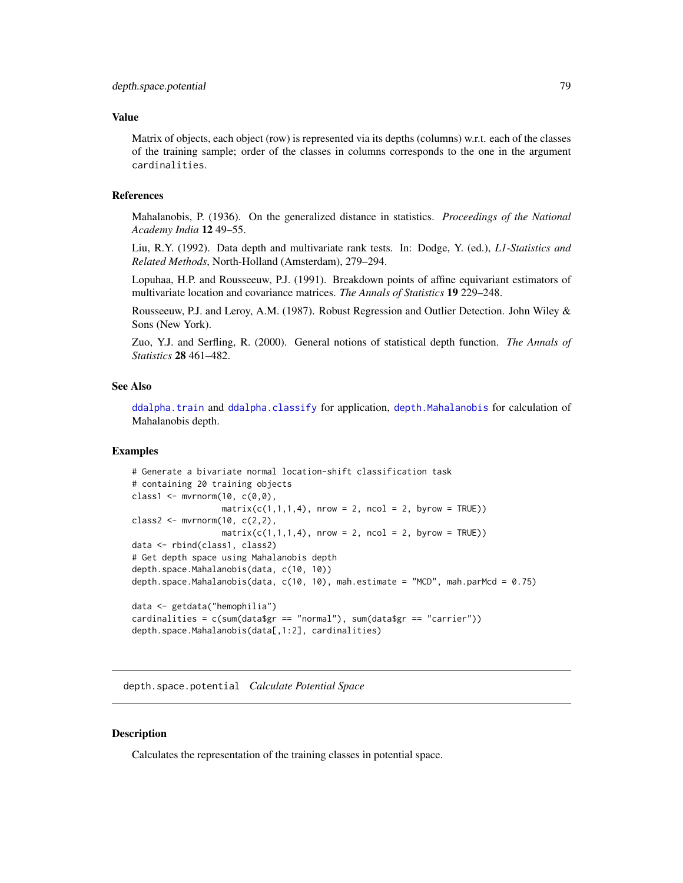### Value

Matrix of objects, each object (row) is represented via its depths (columns) w.r.t. each of the classes of the training sample; order of the classes in columns corresponds to the one in the argument cardinalities.

# References

Mahalanobis, P. (1936). On the generalized distance in statistics. *Proceedings of the National Academy India* 12 49–55.

Liu, R.Y. (1992). Data depth and multivariate rank tests. In: Dodge, Y. (ed.), *L1-Statistics and Related Methods*, North-Holland (Amsterdam), 279–294.

Lopuhaa, H.P. and Rousseeuw, P.J. (1991). Breakdown points of affine equivariant estimators of multivariate location and covariance matrices. *The Annals of Statistics* 19 229–248.

Rousseeuw, P.J. and Leroy, A.M. (1987). Robust Regression and Outlier Detection. John Wiley & Sons (New York).

Zuo, Y.J. and Serfling, R. (2000). General notions of statistical depth function. *The Annals of Statistics* 28 461–482.

# See Also

[ddalpha.train](#page-36-0) and [ddalpha.classify](#page-30-0) for application, [depth.Mahalanobis](#page-62-0) for calculation of Mahalanobis depth.

### Examples

```
# Generate a bivariate normal location-shift classification task
# containing 20 training objects
class1 <- mvmorm(10, c(0,0),matrix(c(1,1,1,4), nrow = 2, ncol = 2, byrow = TRUE))
class2 <- mvmorm(10, c(2,2),matrix(c(1,1,1,4), nrow = 2, ncol = 2, byrow = TRUE))
data <- rbind(class1, class2)
# Get depth space using Mahalanobis depth
depth.space.Mahalanobis(data, c(10, 10))
depth.space.Mahalanobis(data, c(10, 10), mah.estimate = "MCD", mah.parMcd = 0.75)
data <- getdata("hemophilia")
cardinalities = c(sum(data$gr == "normal"), sum(data$gr == "carrier"))
depth.space.Mahalanobis(data[,1:2], cardinalities)
```
depth.space.potential *Calculate Potential Space*

### **Description**

Calculates the representation of the training classes in potential space.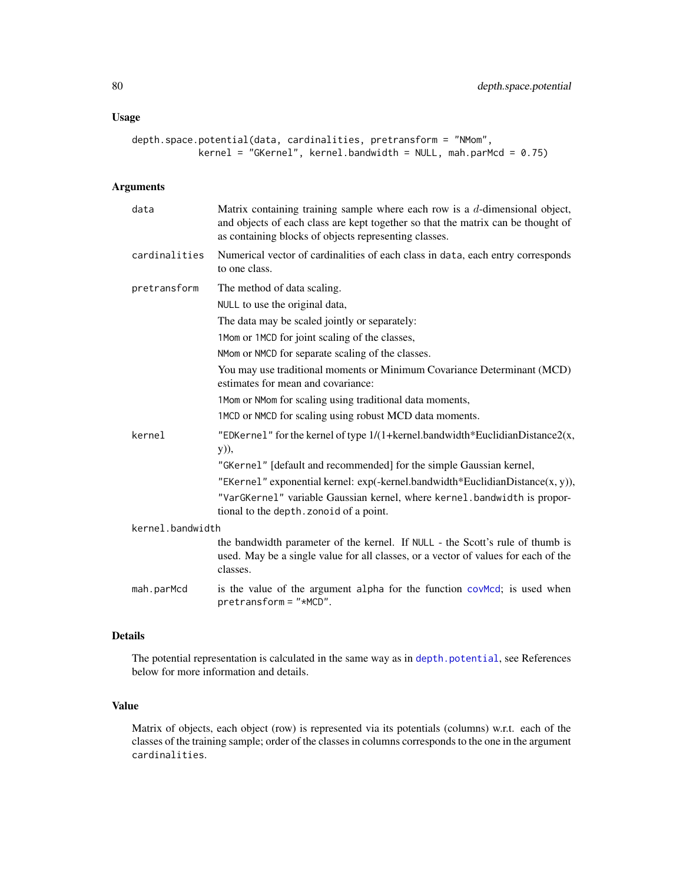```
depth.space.potential(data, cardinalities, pretransform = "NMom",
           kernel = "GKernel", kernel.bandwidth = NULL, mah.parMcd = 0.75)
```
# Arguments

| data             | Matrix containing training sample where each row is a $d$ -dimensional object,<br>and objects of each class are kept together so that the matrix can be thought of<br>as containing blocks of objects representing classes. |
|------------------|-----------------------------------------------------------------------------------------------------------------------------------------------------------------------------------------------------------------------------|
| cardinalities    | Numerical vector of cardinalities of each class in data, each entry corresponds<br>to one class.                                                                                                                            |
| pretransform     | The method of data scaling.                                                                                                                                                                                                 |
|                  | NULL to use the original data,                                                                                                                                                                                              |
|                  | The data may be scaled jointly or separately:                                                                                                                                                                               |
|                  | 1Mom or 1MCD for joint scaling of the classes,                                                                                                                                                                              |
|                  | NMom or NMCD for separate scaling of the classes.                                                                                                                                                                           |
|                  | You may use traditional moments or Minimum Covariance Determinant (MCD)<br>estimates for mean and covariance:                                                                                                               |
|                  | 1 Mom or NMom for scaling using traditional data moments,                                                                                                                                                                   |
|                  | 1MCD or NMCD for scaling using robust MCD data moments.                                                                                                                                                                     |
| kernel           | "EDKernel" for the kernel of type $1/(1 + \text{kernel} \cdot \text{bandwidth}^* \cdot \text{EuclideanDistance2}(x,$<br>y)),                                                                                                |
|                  | "GKernel" [default and recommended] for the simple Gaussian kernel,                                                                                                                                                         |
|                  | "EKernel" exponential kernel: exp(-kernel.bandwidth*EuclidianDistance(x, y)),                                                                                                                                               |
|                  | "VarGKernel" variable Gaussian kernel, where kernel. bandwidth is propor-<br>tional to the depth. zonoid of a point.                                                                                                        |
| kernel.bandwidth |                                                                                                                                                                                                                             |
|                  | the bandwidth parameter of the kernel. If NULL - the Scott's rule of thumb is<br>used. May be a single value for all classes, or a vector of values for each of the<br>classes.                                             |
| mah.parMcd       | is the value of the argument alpha for the function covMcd; is used when<br>$pretransform = "*MCD".$                                                                                                                        |

# Details

The potential representation is calculated in the same way as in [depth.potential](#page-64-0), see References below for more information and details.

# Value

Matrix of objects, each object (row) is represented via its potentials (columns) w.r.t. each of the classes of the training sample; order of the classes in columns corresponds to the one in the argument cardinalities.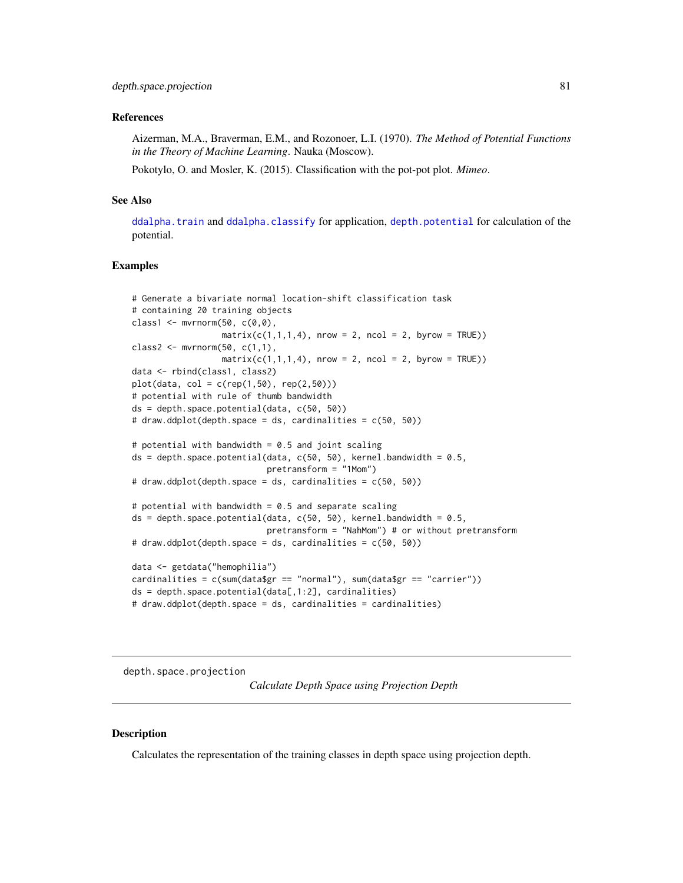### References

Aizerman, M.A., Braverman, E.M., and Rozonoer, L.I. (1970). *The Method of Potential Functions in the Theory of Machine Learning*. Nauka (Moscow).

Pokotylo, O. and Mosler, K. (2015). Classification with the pot-pot plot. *Mimeo*.

### See Also

[ddalpha.train](#page-36-0) and [ddalpha.classify](#page-30-0) for application, [depth.potential](#page-64-0) for calculation of the potential.

#### Examples

```
# Generate a bivariate normal location-shift classification task
# containing 20 training objects
class1 <- mvmorm(50, c(0,0),matrix(c(1,1,1,4), nrow = 2, ncol = 2, byrow = TRUE))
class2 \leq mvrnorm(50, c(1,1),
                  matrix(c(1,1,1,4), nrow = 2, ncol = 2, byrow = TRUE))
data <- rbind(class1, class2)
plot(data, col = c(rep(1,50), rep(2,50)))# potential with rule of thumb bandwidth
ds = depth.space.potential(data, c(50, 50))
# draw.ddplot(depth.space = ds, cardinalities = c(50, 50))
# potential with bandwidth = 0.5 and joint scaling
ds = depth.space.potential(data, c(50, 50), kernel.bandwidth = 0.5,
                           pretransform = "1Mom")
# draw.ddplot(depth.space = ds, cardinalities = c(50, 50))
# potential with bandwidth = 0.5 and separate scaling
ds = depth.space.potential(data, c(50, 50), kernel.bandwidth = 0.5,
                           pretransform = "NahMom") # or without pretransform
# draw.ddplot(depth.space = ds, cardinalities = c(50, 50))
data <- getdata("hemophilia")
cardinalities = c(sum(data$gr == "normal"), sum(data$gr == "carrier"))
ds = depth.\nspace space.potential(data[, 1:2],\nspace cardinalities)# draw.ddplot(depth.space = ds, cardinalities = cardinalities)
```
<span id="page-80-0"></span>depth.space.projection

*Calculate Depth Space using Projection Depth*

### **Description**

Calculates the representation of the training classes in depth space using projection depth.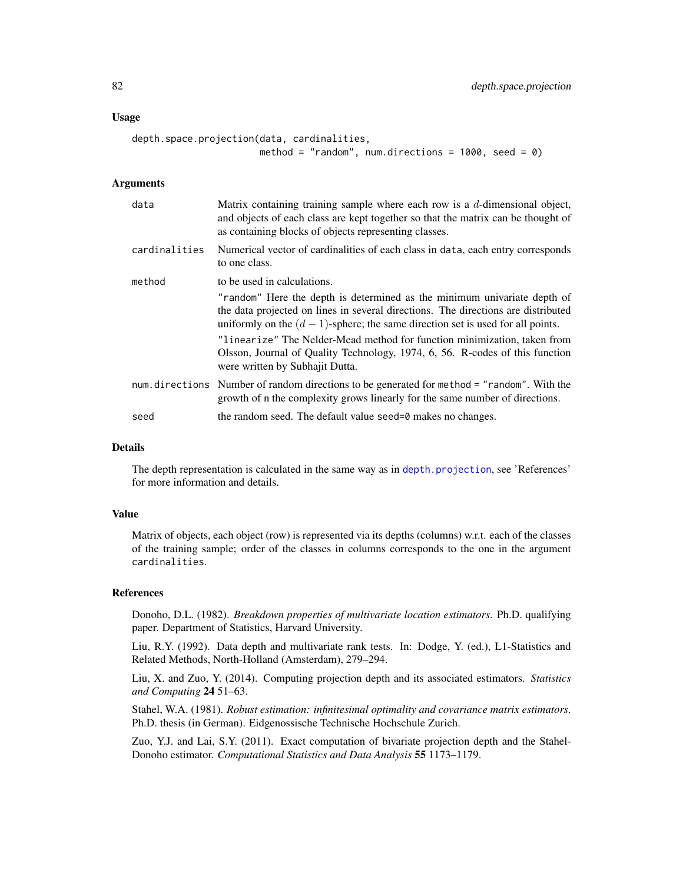#### Usage

```
depth.space.projection(data, cardinalities,
                       method = "random", num.directions = 1000, seed = 0)
```
# Arguments

| data          | Matrix containing training sample where each row is a d-dimensional object,<br>and objects of each class are kept together so that the matrix can be thought of<br>as containing blocks of objects representing classes.                                                                                                                                                                                                                         |
|---------------|--------------------------------------------------------------------------------------------------------------------------------------------------------------------------------------------------------------------------------------------------------------------------------------------------------------------------------------------------------------------------------------------------------------------------------------------------|
| cardinalities | Numerical vector of cardinalities of each class in data, each entry corresponds<br>to one class.                                                                                                                                                                                                                                                                                                                                                 |
| method        | to be used in calculations.                                                                                                                                                                                                                                                                                                                                                                                                                      |
|               | "random" Here the depth is determined as the minimum univariate depth of<br>the data projected on lines in several directions. The directions are distributed<br>uniformly on the $(d-1)$ -sphere; the same direction set is used for all points.<br>"linearize" The Nelder-Mead method for function minimization, taken from<br>Olsson, Journal of Quality Technology, 1974, 6, 56. R-codes of this function<br>were written by Subhajit Dutta. |
|               | num.directions Number of random directions to be generated for method = "random". With the<br>growth of n the complexity grows linearly for the same number of directions.                                                                                                                                                                                                                                                                       |
| seed          | the random seed. The default value seed=0 makes no changes.                                                                                                                                                                                                                                                                                                                                                                                      |

# Details

The depth representation is calculated in the same way as in [depth.projection](#page-66-0), see 'References' for more information and details.

### Value

Matrix of objects, each object (row) is represented via its depths (columns) w.r.t. each of the classes of the training sample; order of the classes in columns corresponds to the one in the argument cardinalities.

#### References

Donoho, D.L. (1982). *Breakdown properties of multivariate location estimators*. Ph.D. qualifying paper. Department of Statistics, Harvard University.

Liu, R.Y. (1992). Data depth and multivariate rank tests. In: Dodge, Y. (ed.), L1-Statistics and Related Methods, North-Holland (Amsterdam), 279–294.

Liu, X. and Zuo, Y. (2014). Computing projection depth and its associated estimators. *Statistics and Computing* 24 51–63.

Stahel, W.A. (1981). *Robust estimation: infinitesimal optimality and covariance matrix estimators*. Ph.D. thesis (in German). Eidgenossische Technische Hochschule Zurich.

Zuo, Y.J. and Lai, S.Y. (2011). Exact computation of bivariate projection depth and the Stahel-Donoho estimator. *Computational Statistics and Data Analysis* 55 1173–1179.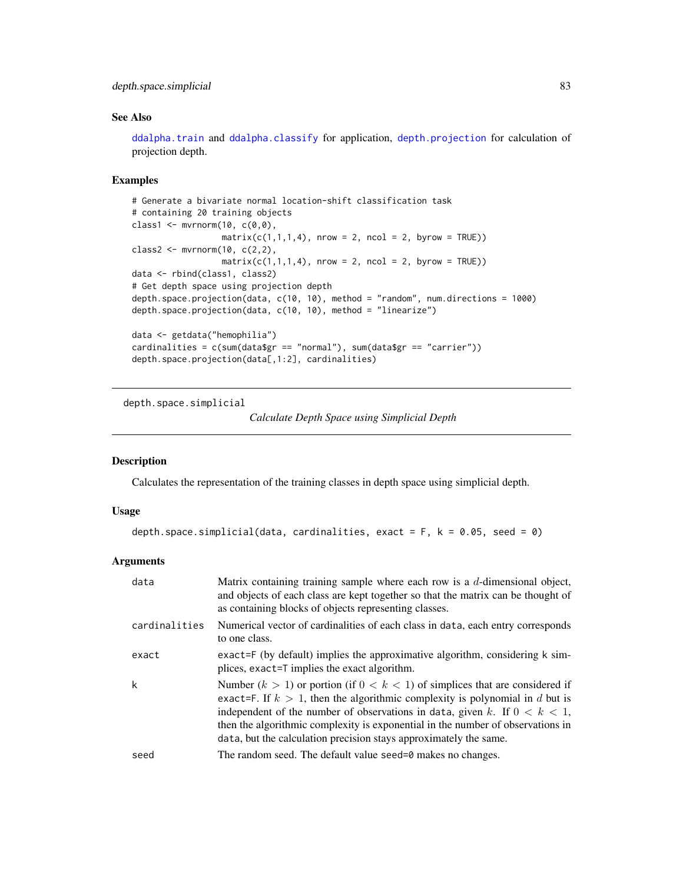# depth.space.simplicial 83

# See Also

[ddalpha.train](#page-36-0) and [ddalpha.classify](#page-30-0) for application, [depth.projection](#page-66-0) for calculation of projection depth.

# Examples

```
# Generate a bivariate normal location-shift classification task
# containing 20 training objects
class1 <- mvmorm(10, c(0,0),matrix(c(1,1,1,4), nrow = 2, ncol = 2, byrow = TRUE))
class2 <- mvrnorm(10, c(2,2),matrix(c(1,1,1,4), nrow = 2, ncol = 2, byrow = TRUE))
data <- rbind(class1, class2)
# Get depth space using projection depth
depth.space.projection(data, c(10, 10), method = "random", num.directions = 1000)
depth.space.projection(data, c(10, 10), method = "linearize")
data <- getdata("hemophilia")
cardinalities = c(sum(data$gr == "normal"), sum(data$gr == "carrier"))
depth.space.projection(data[,1:2], cardinalities)
```
depth.space.simplicial

#### *Calculate Depth Space using Simplicial Depth*

### Description

Calculates the representation of the training classes in depth space using simplicial depth.

#### Usage

```
depth.space.simplicial(data, cardinalities, exact = F, k = 0.05, seed = 0)
```
#### **Arguments**

| data          | Matrix containing training sample where each row is a $d$ -dimensional object,<br>and objects of each class are kept together so that the matrix can be thought of<br>as containing blocks of objects representing classes.                                                                                                                                                                                  |
|---------------|--------------------------------------------------------------------------------------------------------------------------------------------------------------------------------------------------------------------------------------------------------------------------------------------------------------------------------------------------------------------------------------------------------------|
| cardinalities | Numerical vector of cardinalities of each class in data, each entry corresponds<br>to one class.                                                                                                                                                                                                                                                                                                             |
| exact         | exact=F (by default) implies the approximative algorithm, considering k sim-<br>plices, exact=T implies the exact algorithm.                                                                                                                                                                                                                                                                                 |
| k             | Number $(k > 1)$ or portion (if $0 < k < 1$ ) of simplices that are considered if<br>exact=F. If $k > 1$ , then the algorithmic complexity is polynomial in d but is<br>independent of the number of observations in data, given k. If $0 < k < 1$ ,<br>then the algorithmic complexity is exponential in the number of observations in<br>data, but the calculation precision stays approximately the same. |
| seed          | The random seed. The default value seed=0 makes no changes.                                                                                                                                                                                                                                                                                                                                                  |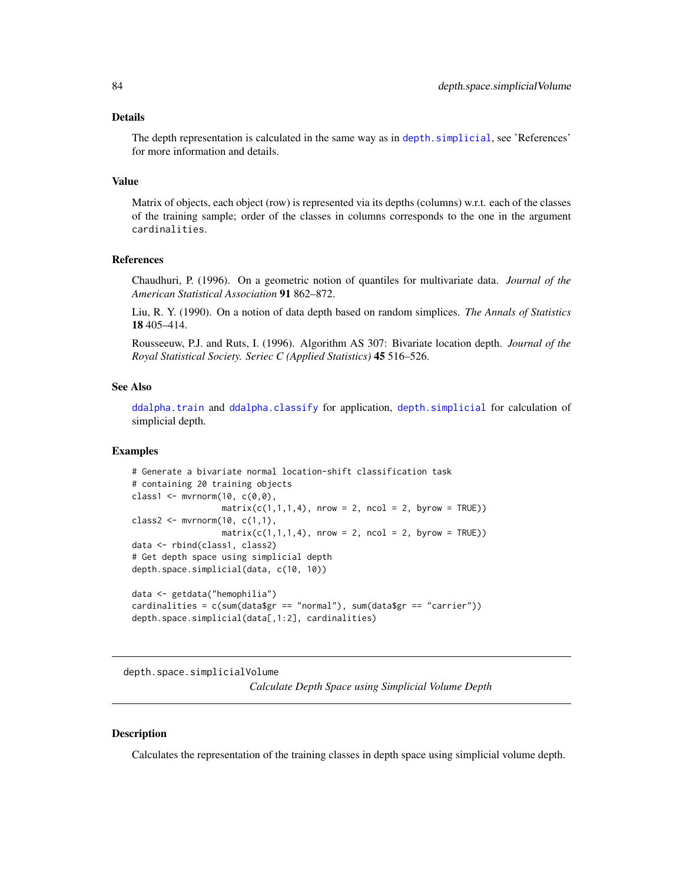### Details

The depth representation is calculated in the same way as in depth. simplicial, see 'References' for more information and details.

### Value

Matrix of objects, each object (row) is represented via its depths (columns) w.r.t. each of the classes of the training sample; order of the classes in columns corresponds to the one in the argument cardinalities.

### References

Chaudhuri, P. (1996). On a geometric notion of quantiles for multivariate data. *Journal of the American Statistical Association* 91 862–872.

Liu, R. Y. (1990). On a notion of data depth based on random simplices. *The Annals of Statistics* 18 405–414.

Rousseeuw, P.J. and Ruts, I. (1996). Algorithm AS 307: Bivariate location depth. *Journal of the Royal Statistical Society. Seriec C (Applied Statistics)* 45 516–526.

# See Also

[ddalpha.train](#page-36-0) and [ddalpha.classify](#page-30-0) for application, [depth.simplicial](#page-70-0) for calculation of simplicial depth.

#### Examples

```
# Generate a bivariate normal location-shift classification task
# containing 20 training objects
class1 <- mvmorm(10, c(0,0),matrix(c(1,1,1,4), nrow = 2, ncol = 2, byrow = TRUE))
class2 <- mvmorm(10, c(1,1),matrix(c(1,1,1,4), nrow = 2, ncol = 2, byrow = TRUE))
data <- rbind(class1, class2)
# Get depth space using simplicial depth
depth.space.simplicial(data, c(10, 10))
data <- getdata("hemophilia")
cardinalities = c(sum(data$gr == "normal"), sum(data$gr == "carrier"))
depth.space.simplicial(data[,1:2], cardinalities)
```
depth.space.simplicialVolume *Calculate Depth Space using Simplicial Volume Depth*

### **Description**

Calculates the representation of the training classes in depth space using simplicial volume depth.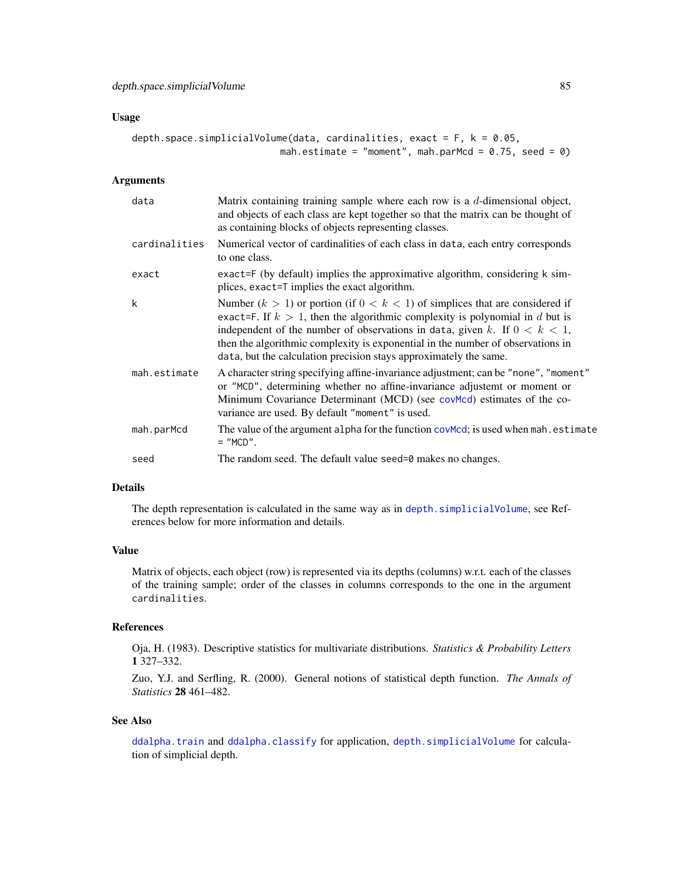#### Usage

```
depth.space.simplicialVolume(data, cardinalities, exact = F, k = 0.05,
                           mah.estimate = "moment", mah.parMcd = 0.75, seed = 0)
```
# Arguments

| data          | Matrix containing training sample where each row is a $d$ -dimensional object,<br>and objects of each class are kept together so that the matrix can be thought of<br>as containing blocks of objects representing classes.                                                                                                                                                                                  |
|---------------|--------------------------------------------------------------------------------------------------------------------------------------------------------------------------------------------------------------------------------------------------------------------------------------------------------------------------------------------------------------------------------------------------------------|
| cardinalities | Numerical vector of cardinalities of each class in data, each entry corresponds<br>to one class.                                                                                                                                                                                                                                                                                                             |
| exact         | exact=F (by default) implies the approximative algorithm, considering k sim-<br>plices, exact=T implies the exact algorithm.                                                                                                                                                                                                                                                                                 |
| k             | Number $(k > 1)$ or portion (if $0 < k < 1$ ) of simplices that are considered if<br>exact=F. If $k > 1$ , then the algorithmic complexity is polynomial in d but is<br>independent of the number of observations in data, given k. If $0 < k < 1$ ,<br>then the algorithmic complexity is exponential in the number of observations in<br>data, but the calculation precision stays approximately the same. |
| mah.estimate  | A character string specifying affine-invariance adjustment; can be "none", "moment"<br>or "MCD", determining whether no affine-invariance adjustemt or moment or<br>Minimum Covariance Determinant (MCD) (see covmod) estimates of the co-<br>variance are used. By default "moment" is used.                                                                                                                |
| mah.parMcd    | The value of the argument alpha for the function covMcd; is used when mah. estimate<br>$=$ "MCD".                                                                                                                                                                                                                                                                                                            |
| seed          | The random seed. The default value seed=0 makes no changes.                                                                                                                                                                                                                                                                                                                                                  |

### Details

The depth representation is calculated in the same way as in [depth.simplicialVolume](#page-72-0), see References below for more information and details.

# Value

Matrix of objects, each object (row) is represented via its depths (columns) w.r.t. each of the classes of the training sample; order of the classes in columns corresponds to the one in the argument cardinalities.

#### References

Oja, H. (1983). Descriptive statistics for multivariate distributions. *Statistics & Probability Letters* 1 327–332.

Zuo, Y.J. and Serfling, R. (2000). General notions of statistical depth function. *The Annals of Statistics* 28 461–482.

#### See Also

[ddalpha.train](#page-36-0) and [ddalpha.classify](#page-30-0) for application, [depth.simplicialVolume](#page-72-0) for calculation of simplicial depth.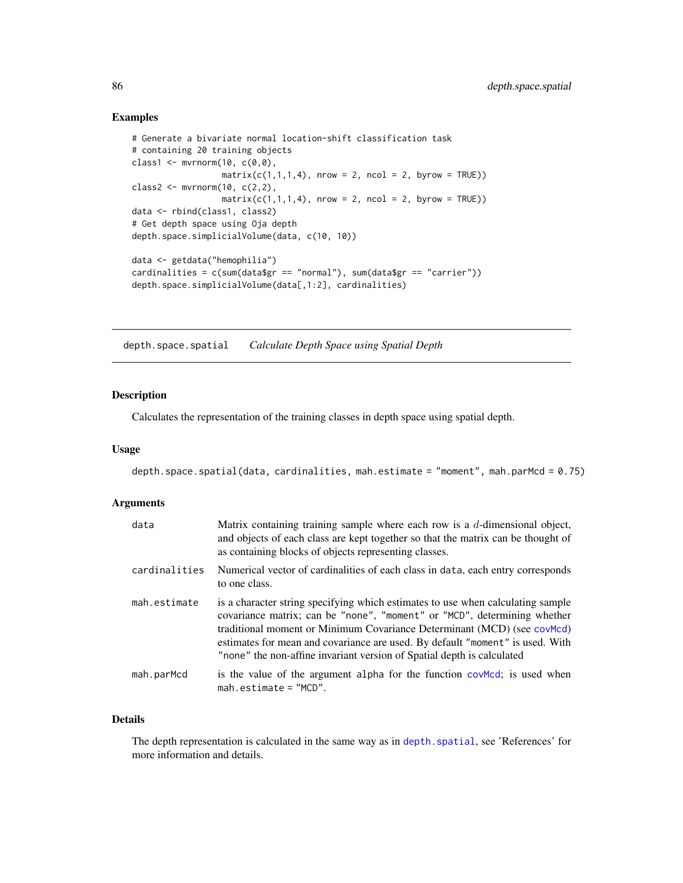### Examples

```
# Generate a bivariate normal location-shift classification task
# containing 20 training objects
class1 <- mvmorm(10, c(0,0),matrix(c(1,1,1,4), nrow = 2, ncol = 2, byrow = TRUE))
class2 <- mvmorm(10, c(2,2),matrix(c(1,1,1,4), nrow = 2, ncol = 2, byrow = TRUE))
data <- rbind(class1, class2)
# Get depth space using Oja depth
depth.space.simplicialVolume(data, c(10, 10))
data <- getdata("hemophilia")
cardinalities = c(sum(data$gr == "normal"), sum(data$gr == "carrier"))
depth.space.simplicialVolume(data[,1:2], cardinalities)
```
<span id="page-85-0"></span>depth.space.spatial *Calculate Depth Space using Spatial Depth*

## Description

Calculates the representation of the training classes in depth space using spatial depth.

#### Usage

```
depth.space.spatial(data, cardinalities, mah.estimate = "moment", mah.parMcd = 0.75)
```
## Arguments

| data          | Matrix containing training sample where each row is a $d$ -dimensional object,<br>and objects of each class are kept together so that the matrix can be thought of<br>as containing blocks of objects representing classes.                                                                                                                                                                       |
|---------------|---------------------------------------------------------------------------------------------------------------------------------------------------------------------------------------------------------------------------------------------------------------------------------------------------------------------------------------------------------------------------------------------------|
| cardinalities | Numerical vector of cardinalities of each class in data, each entry corresponds<br>to one class.                                                                                                                                                                                                                                                                                                  |
| mah.estimate  | is a character string specifying which estimates to use when calculating sample<br>covariance matrix; can be "none", "moment" or "MCD", determining whether<br>traditional moment or Minimum Covariance Determinant (MCD) (see covMcd)<br>estimates for mean and covariance are used. By default "moment" is used. With<br>"none" the non-affine invariant version of Spatial depth is calculated |
| mah.parMcd    | is the value of the argument alpha for the function covered; is used when<br>$mah. estimate = "MCD".$                                                                                                                                                                                                                                                                                             |

# Details

The depth representation is calculated in the same way as in depth. spatial, see 'References' for more information and details.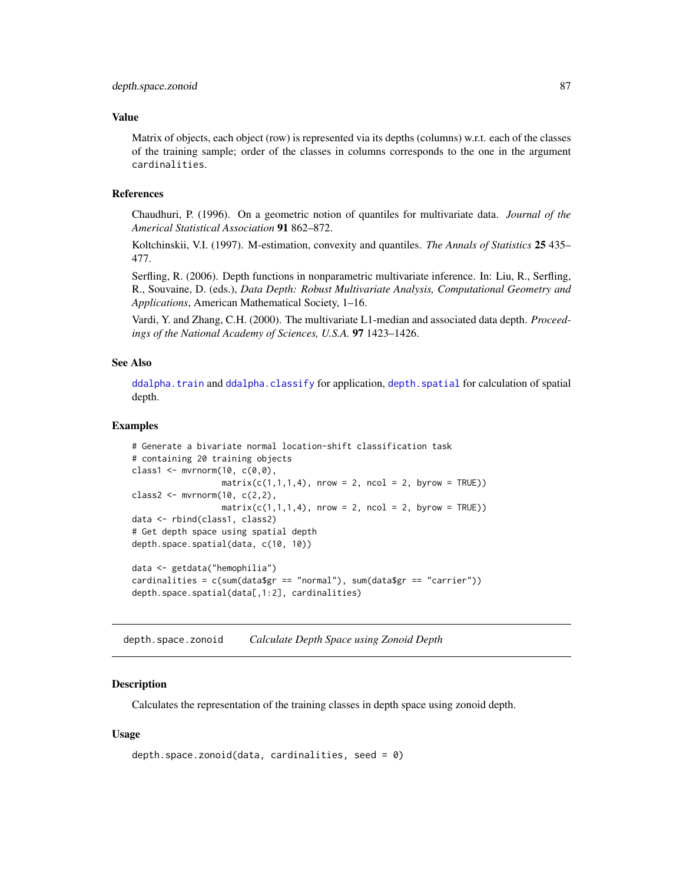### Value

Matrix of objects, each object (row) is represented via its depths (columns) w.r.t. each of the classes of the training sample; order of the classes in columns corresponds to the one in the argument cardinalities.

#### References

Chaudhuri, P. (1996). On a geometric notion of quantiles for multivariate data. *Journal of the Americal Statistical Association* 91 862–872.

Koltchinskii, V.I. (1997). M-estimation, convexity and quantiles. *The Annals of Statistics* 25 435– 477.

Serfling, R. (2006). Depth functions in nonparametric multivariate inference. In: Liu, R., Serfling, R., Souvaine, D. (eds.), *Data Depth: Robust Multivariate Analysis, Computational Geometry and Applications*, American Mathematical Society, 1–16.

Vardi, Y. and Zhang, C.H. (2000). The multivariate L1-median and associated data depth. *Proceedings of the National Academy of Sciences, U.S.A.* 97 1423–1426.

# See Also

[ddalpha.train](#page-36-0) and [ddalpha.classify](#page-30-0) for application, [depth.spatial](#page-88-0) for calculation of spatial depth.

#### Examples

```
# Generate a bivariate normal location-shift classification task
# containing 20 training objects
class1 <- mvmorm(10, c(0,0),matrix(c(1,1,1,4), nrow = 2, ncol = 2, byrow = TRUE))
class2 <- mvrnorm(10, c(2,2),matrix(c(1,1,1,4), nrow = 2, ncol = 2, byrow = TRUE)data <- rbind(class1, class2)
# Get depth space using spatial depth
depth.space.spatial(data, c(10, 10))
data <- getdata("hemophilia")
cardinalities = c(sum(data$gr == "normal"), sum(data$gr == "carrier"))
depth.space.spatial(data[,1:2], cardinalities)
```
<span id="page-86-0"></span>depth.space.zonoid *Calculate Depth Space using Zonoid Depth*

### Description

Calculates the representation of the training classes in depth space using zonoid depth.

### Usage

```
depth.space.zonoid(data, cardinalities, seed = \theta)
```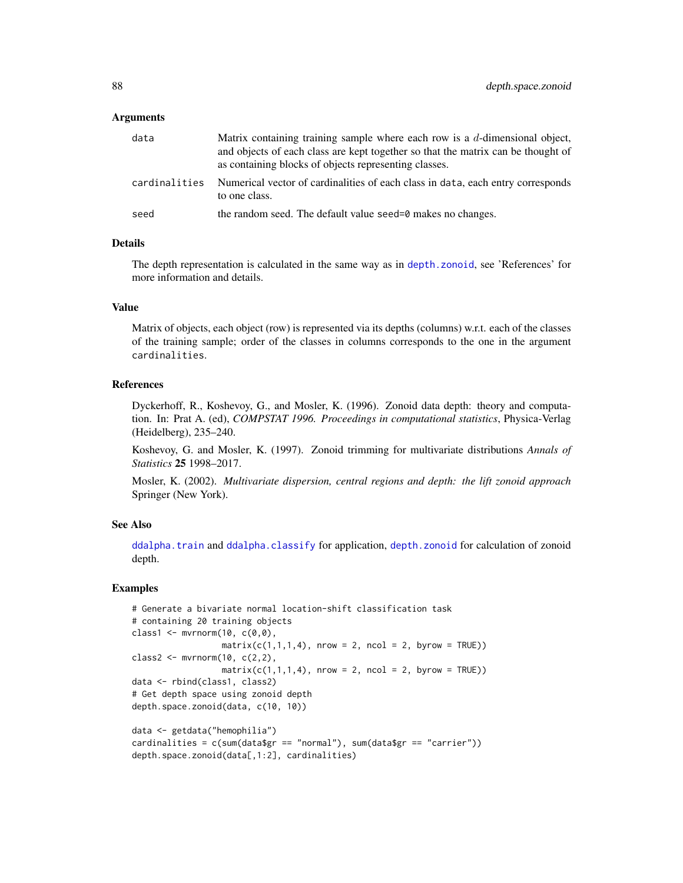#### Arguments

| data          | Matrix containing training sample where each row is a $d$ -dimensional object,<br>and objects of each class are kept together so that the matrix can be thought of<br>as containing blocks of objects representing classes. |
|---------------|-----------------------------------------------------------------------------------------------------------------------------------------------------------------------------------------------------------------------------|
| cardinalities | Numerical vector of cardinalities of each class in data, each entry corresponds<br>to one class.                                                                                                                            |
| seed          | the random seed. The default value seed=0 makes no changes.                                                                                                                                                                 |

### Details

The depth representation is calculated in the same way as in [depth.zonoid](#page-89-0), see 'References' for more information and details.

# Value

Matrix of objects, each object (row) is represented via its depths (columns) w.r.t. each of the classes of the training sample; order of the classes in columns corresponds to the one in the argument cardinalities.

#### References

Dyckerhoff, R., Koshevoy, G., and Mosler, K. (1996). Zonoid data depth: theory and computation. In: Prat A. (ed), *COMPSTAT 1996. Proceedings in computational statistics*, Physica-Verlag (Heidelberg), 235–240.

Koshevoy, G. and Mosler, K. (1997). Zonoid trimming for multivariate distributions *Annals of Statistics* 25 1998–2017.

Mosler, K. (2002). *Multivariate dispersion, central regions and depth: the lift zonoid approach* Springer (New York).

#### See Also

[ddalpha.train](#page-36-0) and [ddalpha.classify](#page-30-0) for application, [depth.zonoid](#page-89-0) for calculation of zonoid depth.

#### Examples

```
# Generate a bivariate normal location-shift classification task
# containing 20 training objects
class1 \leq mvrnorm(10, c(0,0),
                  matrix(c(1,1,1,4), nrow = 2, ncol = 2, byrow = TRUE))
class2 <- mvrnorm(10, c(2,2),
                  matrix(c(1,1,1,4), nrow = 2, ncol = 2, byrow = TRUE))data <- rbind(class1, class2)
# Get depth space using zonoid depth
depth.space.zonoid(data, c(10, 10))
data <- getdata("hemophilia")
cardinalities = c(sum(data$gr == "normal"), sum(data$gr == "carrier"))
depth.space.zonoid(data[,1:2], cardinalities)
```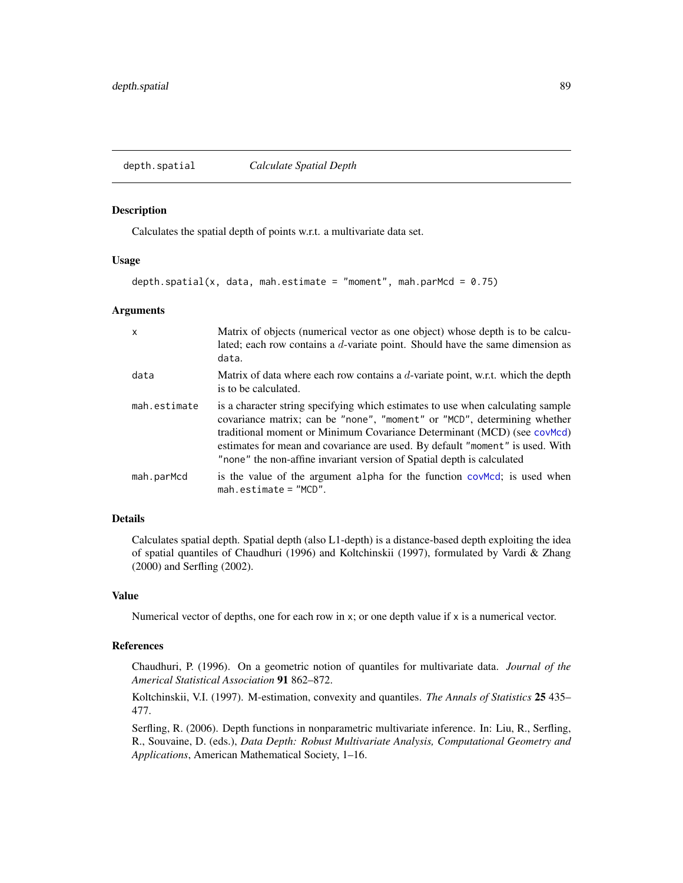<span id="page-88-0"></span>depth.spatial *Calculate Spatial Depth*

#### Description

Calculates the spatial depth of points w.r.t. a multivariate data set.

#### Usage

```
depth.spatial(x, data, mah.estimate = "moment", mah.parMcd = 0.75)
```
### Arguments

| $\mathsf{x}$ | Matrix of objects (numerical vector as one object) whose depth is to be calcu-<br>lated; each row contains a $d$ -variate point. Should have the same dimension as<br>data.                                                                                                                                                                                                                       |
|--------------|---------------------------------------------------------------------------------------------------------------------------------------------------------------------------------------------------------------------------------------------------------------------------------------------------------------------------------------------------------------------------------------------------|
| data         | Matrix of data where each row contains a $d$ -variate point, w.r.t. which the depth<br>is to be calculated.                                                                                                                                                                                                                                                                                       |
| mah.estimate | is a character string specifying which estimates to use when calculating sample<br>covariance matrix; can be "none", "moment" or "MCD", determining whether<br>traditional moment or Minimum Covariance Determinant (MCD) (see covMcd)<br>estimates for mean and covariance are used. By default "moment" is used. With<br>"none" the non-affine invariant version of Spatial depth is calculated |
| mah.parMcd   | is the value of the argument alpha for the function covered; is used when<br>$mah. estimate = "MCD".$                                                                                                                                                                                                                                                                                             |

# Details

Calculates spatial depth. Spatial depth (also L1-depth) is a distance-based depth exploiting the idea of spatial quantiles of Chaudhuri (1996) and Koltchinskii (1997), formulated by Vardi & Zhang (2000) and Serfling (2002).

# Value

Numerical vector of depths, one for each row in x; or one depth value if x is a numerical vector.

# References

Chaudhuri, P. (1996). On a geometric notion of quantiles for multivariate data. *Journal of the Americal Statistical Association* 91 862–872.

Koltchinskii, V.I. (1997). M-estimation, convexity and quantiles. *The Annals of Statistics* 25 435– 477.

Serfling, R. (2006). Depth functions in nonparametric multivariate inference. In: Liu, R., Serfling, R., Souvaine, D. (eds.), *Data Depth: Robust Multivariate Analysis, Computational Geometry and Applications*, American Mathematical Society, 1–16.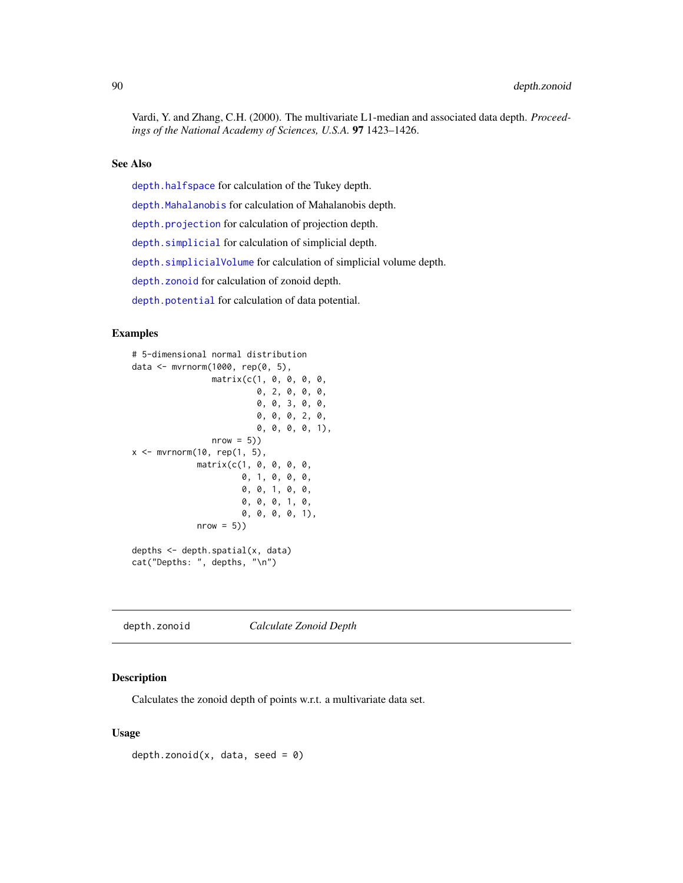Vardi, Y. and Zhang, C.H. (2000). The multivariate L1-median and associated data depth. *Proceedings of the National Academy of Sciences, U.S.A.* 97 1423–1426.

#### See Also

[depth.halfspace](#page-58-0) for calculation of the Tukey depth.

[depth.Mahalanobis](#page-62-0) for calculation of Mahalanobis depth.

[depth.projection](#page-66-0) for calculation of projection depth.

[depth.simplicial](#page-70-0) for calculation of simplicial depth.

[depth.simplicialVolume](#page-72-0) for calculation of simplicial volume depth.

[depth.zonoid](#page-89-0) for calculation of zonoid depth.

[depth.potential](#page-64-0) for calculation of data potential.

#### Examples

```
# 5-dimensional normal distribution
data <- mvrnorm(1000, rep(0, 5),
                matrix(c(1, 0, 0, 0, 0,
                          0, 2, 0, 0, 0,
                          0, 0, 3, 0, 0,
                          0, 0, 0, 2, 0,
                          0, 0, 0, 0, 1),
                nrow = 5)x \leq -\text{mvrnorm}(10, \text{rep}(1, 5),matrix(c(1, 0, 0, 0, 0,
                       0, 1, 0, 0, 0,
                       0, 0, 1, 0, 0,
                       0, 0, 0, 1, 0,
                       0, 0, 0, 0, 1),
             nrow = 5))
depths <- depth.spatial(x, data)
cat("Depths: ", depths, "\n")
```
<span id="page-89-0"></span>depth.zonoid *Calculate Zonoid Depth*

### Description

Calculates the zonoid depth of points w.r.t. a multivariate data set.

#### Usage

depth.zonoid(x, data, seed =  $\theta$ )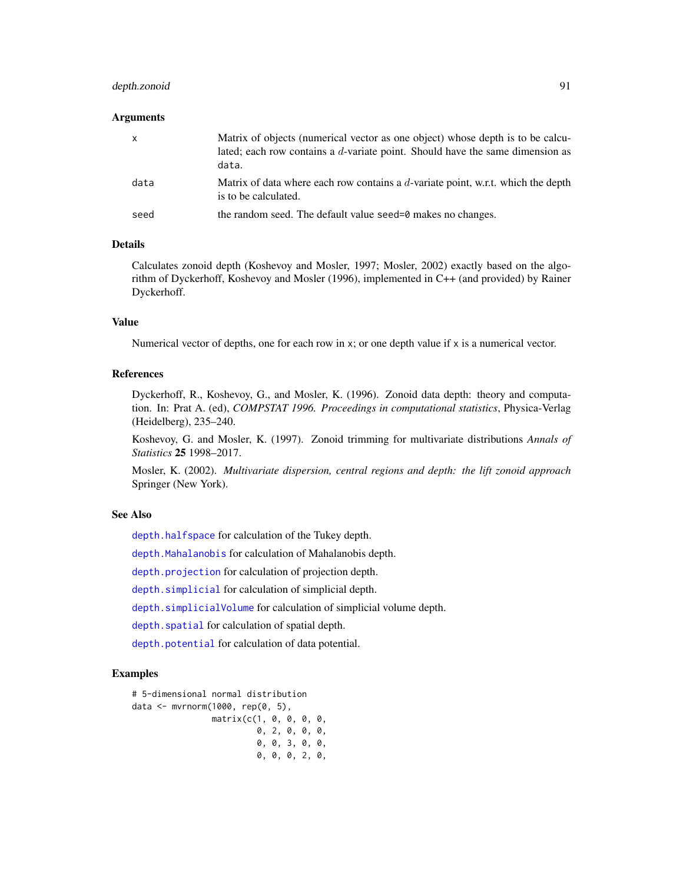# depth.zonoid 91

#### **Arguments**

| $\mathsf{x}$ | Matrix of objects (numerical vector as one object) whose depth is to be calcu-<br>lated; each row contains a $d$ -variate point. Should have the same dimension as<br>data. |
|--------------|-----------------------------------------------------------------------------------------------------------------------------------------------------------------------------|
| data         | Matrix of data where each row contains a $d$ -variate point, w.r.t. which the depth<br>is to be calculated.                                                                 |
| seed         | the random seed. The default value seed=0 makes no changes.                                                                                                                 |

# Details

Calculates zonoid depth (Koshevoy and Mosler, 1997; Mosler, 2002) exactly based on the algorithm of Dyckerhoff, Koshevoy and Mosler (1996), implemented in C++ (and provided) by Rainer Dyckerhoff.

## Value

Numerical vector of depths, one for each row in x; or one depth value if x is a numerical vector.

### References

Dyckerhoff, R., Koshevoy, G., and Mosler, K. (1996). Zonoid data depth: theory and computation. In: Prat A. (ed), *COMPSTAT 1996. Proceedings in computational statistics*, Physica-Verlag (Heidelberg), 235–240.

Koshevoy, G. and Mosler, K. (1997). Zonoid trimming for multivariate distributions *Annals of Statistics* 25 1998–2017.

Mosler, K. (2002). *Multivariate dispersion, central regions and depth: the lift zonoid approach* Springer (New York).

### See Also

[depth.halfspace](#page-58-0) for calculation of the Tukey depth.

[depth.Mahalanobis](#page-62-0) for calculation of Mahalanobis depth.

[depth.projection](#page-66-0) for calculation of projection depth.

[depth.simplicial](#page-70-0) for calculation of simplicial depth.

[depth.simplicialVolume](#page-72-0) for calculation of simplicial volume depth.

[depth.spatial](#page-88-0) for calculation of spatial depth.

[depth.potential](#page-64-0) for calculation of data potential.

#### Examples

# 5-dimensional normal distribution data <- mvrnorm(1000, rep(0, 5), matrix(c(1, 0, 0, 0, 0, 0, 2, 0, 0, 0, 0, 0, 3, 0, 0, 0, 0, 0, 2, 0,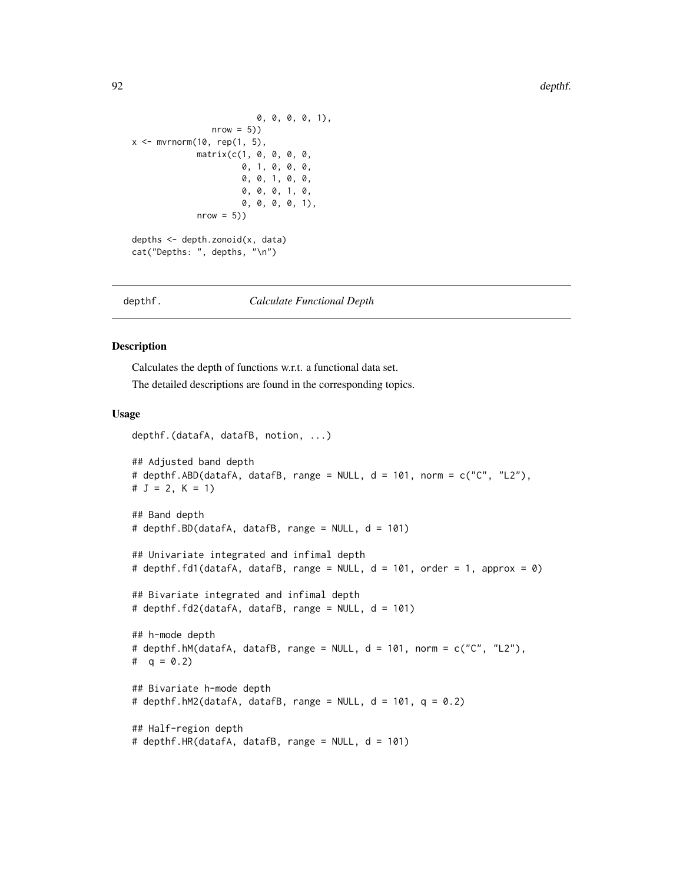```
0, 0, 0, 0, 1),
                 nrow = 5)x \leq -\text{mvrnorm}(10, \text{rep}(1, 5),matrix(c(1, 0, 0, 0, 0,
                       0, 1, 0, 0, 0,
                       0, 0, 1, 0, 0,
                       0, 0, 0, 1, 0,
                       0, 0, 0, 0, 1),
              nrow = 5)depths <- depth.zonoid(x, data)
```
cat("Depths: ", depths, "\n")

#### depthf. *Calculate Functional Depth*

#### Description

Calculates the depth of functions w.r.t. a functional data set.

The detailed descriptions are found in the corresponding topics.

#### Usage

```
depthf.(datafA, datafB, notion, ...)
## Adjusted band depth
# depthf.ABD(datafA, datafB, range = NULL, d = 101, norm = c("C", "L2"),
# J = 2, K = 1## Band depth
# depthf.BD(datafA, datafB, range = NULL, d = 101)
## Univariate integrated and infimal depth
# depthf.fd1(datafA, datafB, range = NULL, d = 101, order = 1, approx = 0)
## Bivariate integrated and infimal depth
# depthf.fd2(datafA, datafB, range = NULL, d = 101)
## h-mode depth
# depthf.hM(datafA, datafB, range = NULL, d = 101, norm = c("C", "L2"),
# q = 0.2## Bivariate h-mode depth
# depthf.hM2(datafA, datafB, range = NULL, d = 101, q = 0.2)
## Half-region depth
# depthf.HR(datafA, datafB, range = NULL, d = 101)
```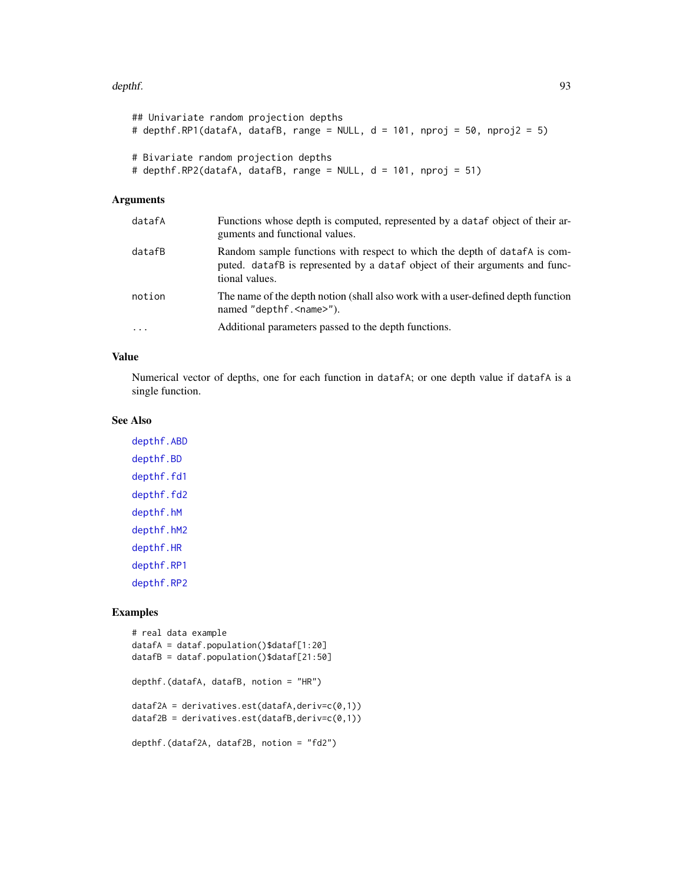#### depthf. 93

```
## Univariate random projection depths
# depthf.RP1(datafA, datafB, range = NULL, d = 101, nproj = 50, nproj2 = 5)
# Bivariate random projection depths
# depthf.RP2(datafA, datafB, range = NULL, d = 101, nproj = 51)
```
### Arguments

| datafA | Functions whose depth is computed, represented by a dataf object of their ar-<br>guments and functional values.                                                             |
|--------|-----------------------------------------------------------------------------------------------------------------------------------------------------------------------------|
| datafB | Random sample functions with respect to which the depth of data fA is com-<br>puted. datafB is represented by a dataf object of their arguments and func-<br>tional values. |
| notion | The name of the depth notion (shall also work with a user-defined depth function<br>named "depthf. <name>").</name>                                                         |
| .      | Additional parameters passed to the depth functions.                                                                                                                        |

# Value

Numerical vector of depths, one for each function in datafA; or one depth value if datafA is a single function.

# See Also

[depthf.ABD](#page-93-0) [depthf.BD](#page-94-0) [depthf.fd1](#page-95-0) [depthf.fd2](#page-97-0) [depthf.hM](#page-99-0) [depthf.hM2](#page-100-0) [depthf.HR](#page-102-0) [depthf.RP1](#page-103-0) [depthf.RP2](#page-105-0)

# Examples

```
# real data example
datafA = dataf.population()$dataf[1:20]
datafB = dataf.population()$dataf[21:50]
depthf.(datafA, datafB, notion = "HR")
dataf2A = derivatives.set(datafA, derive(c0,1))dataf2B = derivatives.set(datafB, derive(c(0,1))depthf.(dataf2A, dataf2B, notion = "fd2")
```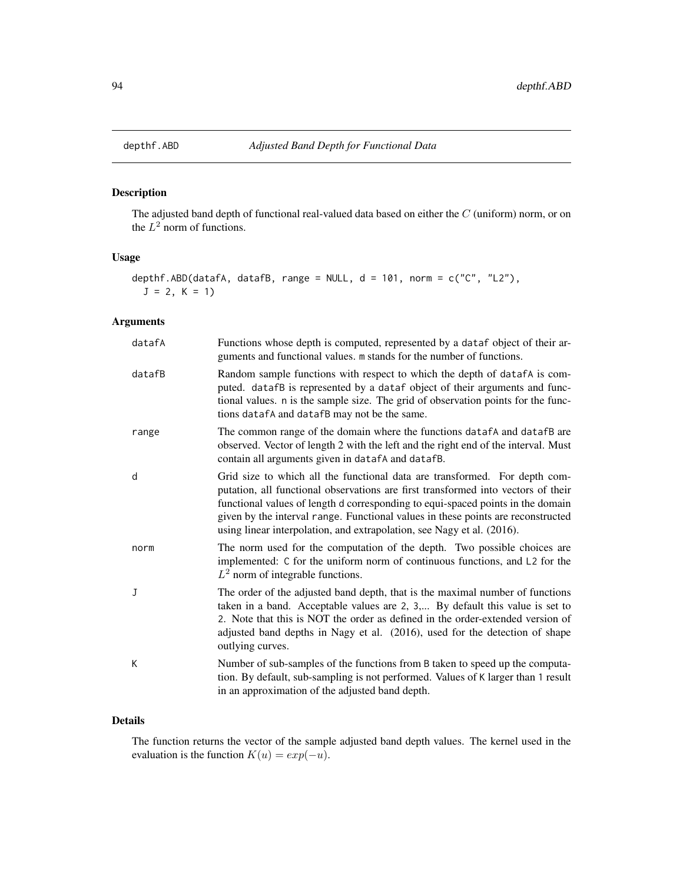# Description

The adjusted band depth of functional real-valued data based on either the C (uniform) norm, or on the  $L^2$  norm of functions.

# Usage

```
depthf.ABD(datafA, datafB, range = NULL, d = 101, norm = c("C", "L2"),
 J = 2, K = 1)
```
# Arguments

| datafA | Functions whose depth is computed, represented by a dataf object of their ar-<br>guments and functional values. m stands for the number of functions.                                                                                                                                                                                                                                                            |
|--------|------------------------------------------------------------------------------------------------------------------------------------------------------------------------------------------------------------------------------------------------------------------------------------------------------------------------------------------------------------------------------------------------------------------|
| datafB | Random sample functions with respect to which the depth of datafA is com-<br>puted. datafB is represented by a dataf object of their arguments and func-<br>tional values. n is the sample size. The grid of observation points for the func-<br>tions datafA and datafB may not be the same.                                                                                                                    |
| range  | The common range of the domain where the functions datafA and datafB are<br>observed. Vector of length 2 with the left and the right end of the interval. Must<br>contain all arguments given in datafA and datafB.                                                                                                                                                                                              |
| d      | Grid size to which all the functional data are transformed. For depth com-<br>putation, all functional observations are first transformed into vectors of their<br>functional values of length d corresponding to equi-spaced points in the domain<br>given by the interval range. Functional values in these points are reconstructed<br>using linear interpolation, and extrapolation, see Nagy et al. (2016). |
| norm   | The norm used for the computation of the depth. Two possible choices are<br>implemented: C for the uniform norm of continuous functions, and L2 for the<br>$L^2$ norm of integrable functions.                                                                                                                                                                                                                   |
| J      | The order of the adjusted band depth, that is the maximal number of functions<br>taken in a band. Acceptable values are 2, 3, By default this value is set to<br>2. Note that this is NOT the order as defined in the order-extended version of<br>adjusted band depths in Nagy et al. (2016), used for the detection of shape<br>outlying curves.                                                               |
| K      | Number of sub-samples of the functions from B taken to speed up the computa-<br>tion. By default, sub-sampling is not performed. Values of K larger than 1 result<br>in an approximation of the adjusted band depth.                                                                                                                                                                                             |

### Details

The function returns the vector of the sample adjusted band depth values. The kernel used in the evaluation is the function  $K(u) = exp(-u)$ .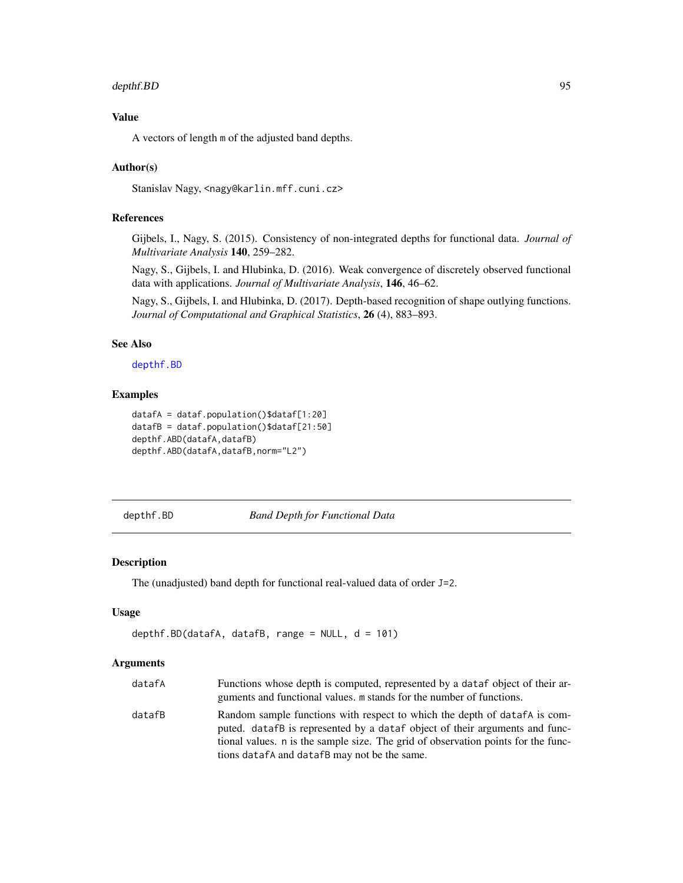# depthf.BD 95

# Value

A vectors of length m of the adjusted band depths.

### Author(s)

Stanislav Nagy, <nagy@karlin.mff.cuni.cz>

## References

Gijbels, I., Nagy, S. (2015). Consistency of non-integrated depths for functional data. *Journal of Multivariate Analysis* 140, 259–282.

Nagy, S., Gijbels, I. and Hlubinka, D. (2016). Weak convergence of discretely observed functional data with applications. *Journal of Multivariate Analysis*, 146, 46–62.

Nagy, S., Gijbels, I. and Hlubinka, D. (2017). Depth-based recognition of shape outlying functions. *Journal of Computational and Graphical Statistics*, 26 (4), 883–893.

### See Also

[depthf.BD](#page-94-0)

### Examples

```
datafA = dataf.population()$dataf[1:20]
datafB = dataf.population()$dataf[21:50]
depthf.ABD(datafA,datafB)
depthf.ABD(datafA,datafB,norm="L2")
```
<span id="page-94-0"></span>depthf.BD *Band Depth for Functional Data*

### Description

The (unadjusted) band depth for functional real-valued data of order J=2.

# Usage

```
depthf.BD(datafA, datafB, range = NULL, d = 101)
```
### Arguments

| datafA | Functions whose depth is computed, represented by a data f object of their ar-<br>guments and functional values. m stands for the number of functions.                                                                                        |
|--------|-----------------------------------------------------------------------------------------------------------------------------------------------------------------------------------------------------------------------------------------------|
| datafB | Random sample functions with respect to which the depth of datafA is com-<br>puted. datafB is represented by a dataf object of their arguments and func-<br>tional values. n is the sample size. The grid of observation points for the func- |
|        | tions datafA and datafB may not be the same.                                                                                                                                                                                                  |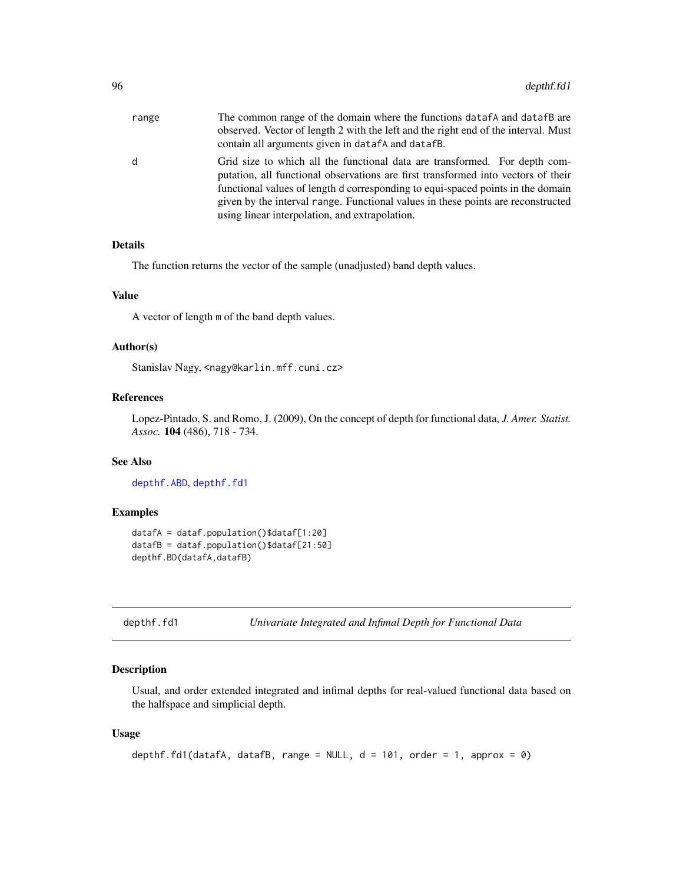| range | The common range of the domain where the functions data fA and data fB are<br>observed. Vector of length 2 with the left and the right end of the interval. Must<br>contain all arguments given in datafA and datafB.                                                                                                                                                                    |
|-------|------------------------------------------------------------------------------------------------------------------------------------------------------------------------------------------------------------------------------------------------------------------------------------------------------------------------------------------------------------------------------------------|
| d     | Grid size to which all the functional data are transformed. For depth com-<br>putation, all functional observations are first transformed into vectors of their<br>functional values of length d corresponding to equi-spaced points in the domain<br>given by the interval range. Functional values in these points are reconstructed<br>using linear interpolation, and extrapolation. |

# Details

The function returns the vector of the sample (unadjusted) band depth values.

### Value

A vector of length m of the band depth values.

### Author(s)

Stanislav Nagy, <nagy@karlin.mff.cuni.cz>

# References

Lopez-Pintado, S. and Romo, J. (2009), On the concept of depth for functional data, *J. Amer. Statist. Assoc.* 104 (486), 718 - 734.

#### See Also

[depthf.ABD](#page-93-0), [depthf.fd1](#page-95-0)

### Examples

```
datafA = dataf.population()$dataf[1:20]
datafB = dataf.population()$dataf[21:50]
depthf.BD(datafA,datafB)
```
<span id="page-95-0"></span>

| depthf.fd1 |  |  |  |
|------------|--|--|--|
|------------|--|--|--|

```
Univariate Integrated and Infimal Depth for Functional Data
```
## Description

Usual, and order extended integrated and infimal depths for real-valued functional data based on the halfspace and simplicial depth.

### Usage

```
depthf.fd1(datafA, datafB, range = NULL, d = 101, order = 1, approx = 0)
```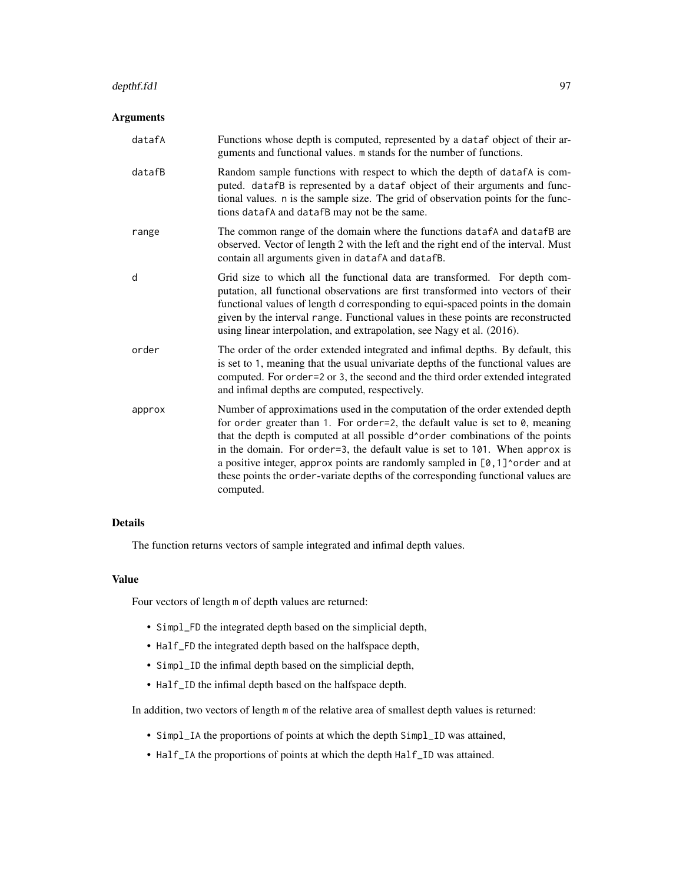#### depthf.fd1 97

#### Arguments

datafA Functions whose depth is computed, represented by a dataf object of their arguments and functional values. m stands for the number of functions. datafB Random sample functions with respect to which the depth of datafA is computed. datafB is represented by a dataf object of their arguments and functional values. n is the sample size. The grid of observation points for the functions datafA and datafB may not be the same. range The common range of the domain where the functions datafA and datafB are observed. Vector of length 2 with the left and the right end of the interval. Must contain all arguments given in datafA and datafB. d Grid size to which all the functional data are transformed. For depth computation, all functional observations are first transformed into vectors of their functional values of length d corresponding to equi-spaced points in the domain given by the interval range. Functional values in these points are reconstructed using linear interpolation, and extrapolation, see Nagy et al. (2016). order The order of the order extended integrated and infimal depths. By default, this is set to 1, meaning that the usual univariate depths of the functional values are computed. For order=2 or 3, the second and the third order extended integrated and infimal depths are computed, respectively. approx Number of approximations used in the computation of the order extended depth for order greater than 1. For order=2, the default value is set to 0, meaning that the depth is computed at all possible d^order combinations of the points in the domain. For order=3, the default value is set to 101. When approx is a positive integer, approx points are randomly sampled in [0,1]^order and at these points the order-variate depths of the corresponding functional values are computed.

#### Details

The function returns vectors of sample integrated and infimal depth values.

#### Value

Four vectors of length m of depth values are returned:

- Simpl\_FD the integrated depth based on the simplicial depth,
- Half\_FD the integrated depth based on the halfspace depth,
- Simpl\_ID the infimal depth based on the simplicial depth,
- Half\_ID the infimal depth based on the halfspace depth.

In addition, two vectors of length m of the relative area of smallest depth values is returned:

- Simpl\_IA the proportions of points at which the depth Simpl\_ID was attained,
- Half\_IA the proportions of points at which the depth Half\_ID was attained.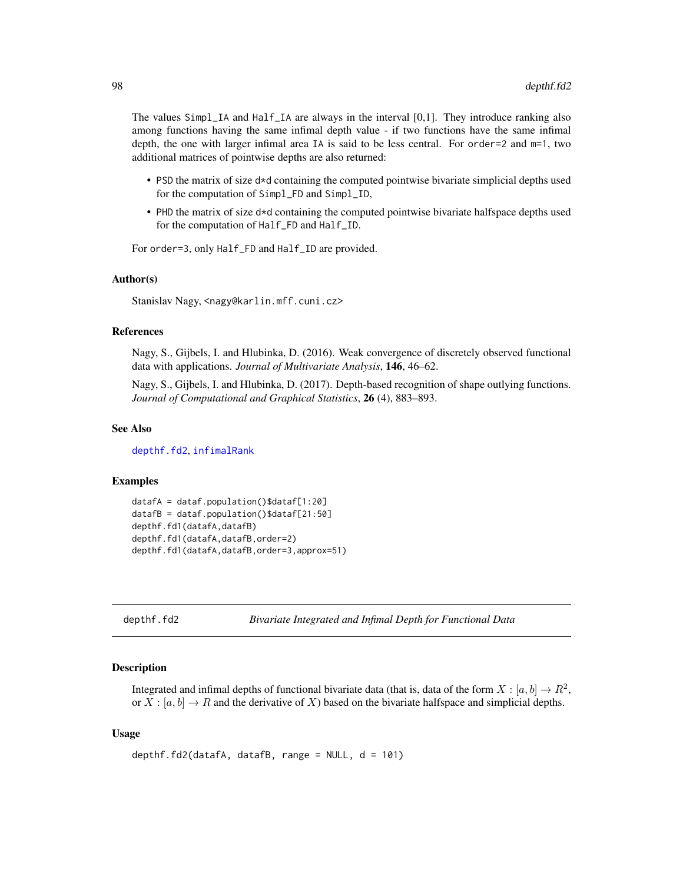The values Simpl\_IA and Half\_IA are always in the interval [0,1]. They introduce ranking also among functions having the same infimal depth value - if two functions have the same infimal depth, the one with larger infimal area IA is said to be less central. For order=2 and m=1, two additional matrices of pointwise depths are also returned:

- PSD the matrix of size d\*d containing the computed pointwise bivariate simplicial depths used for the computation of Simpl\_FD and Simpl\_ID,
- PHD the matrix of size d\*d containing the computed pointwise bivariate halfspace depths used for the computation of Half\_FD and Half\_ID.

For order=3, only Half\_FD and Half\_ID are provided.

#### Author(s)

Stanislav Nagy, <nagy@karlin.mff.cuni.cz>

#### References

Nagy, S., Gijbels, I. and Hlubinka, D. (2016). Weak convergence of discretely observed functional data with applications. *Journal of Multivariate Analysis*, 146, 46–62.

Nagy, S., Gijbels, I. and Hlubinka, D. (2017). Depth-based recognition of shape outlying functions. *Journal of Computational and Graphical Statistics*, 26 (4), 883–893.

#### See Also

[depthf.fd2](#page-97-0), [infimalRank](#page-119-0)

#### Examples

```
datafA = dataf.population()$dataf[1:20]
datafB = dataf.population()$dataf[21:50]
depthf.fd1(datafA,datafB)
depthf.fd1(datafA,datafB,order=2)
depthf.fd1(datafA,datafB,order=3,approx=51)
```

```
depthf.fd2 Bivariate Integrated and Infimal Depth for Functional Data
```
### **Description**

Integrated and infimal depths of functional bivariate data (that is, data of the form  $X : [a, b] \to R^2$ , or  $X : [a, b] \to R$  and the derivative of X) based on the bivariate halfspace and simplicial depths.

### Usage

```
depthf.fd2(datafA, datafB, range = NULL, d = 101)
```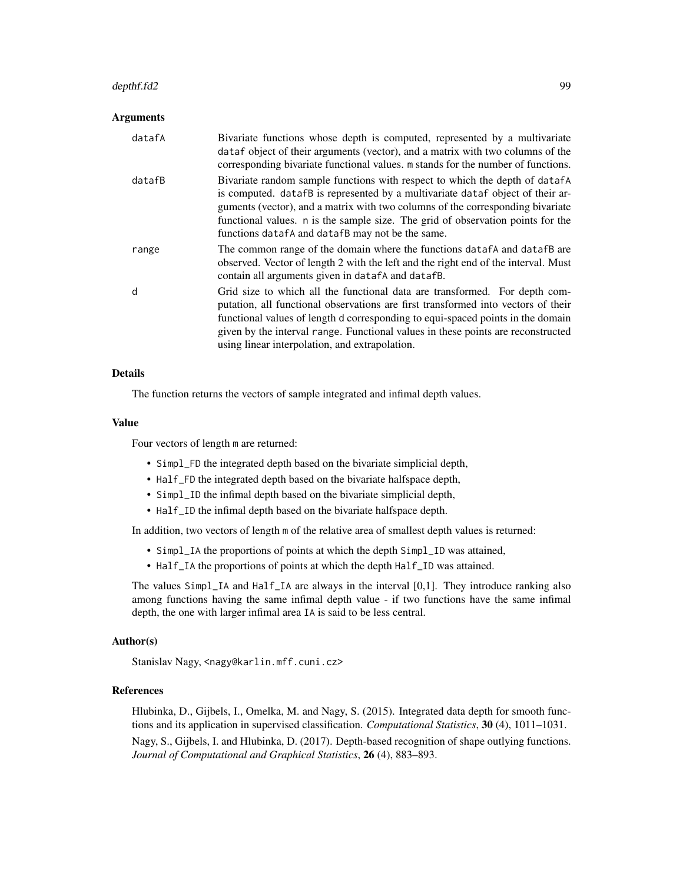#### depthf.fd2 99

#### Arguments

| datafA | Bivariate functions whose depth is computed, represented by a multivariate<br>dataf object of their arguments (vector), and a matrix with two columns of the                                                                                                                                                                                                                             |
|--------|------------------------------------------------------------------------------------------------------------------------------------------------------------------------------------------------------------------------------------------------------------------------------------------------------------------------------------------------------------------------------------------|
|        | corresponding bivariate functional values. m stands for the number of functions.                                                                                                                                                                                                                                                                                                         |
| datafB | Bivariate random sample functions with respect to which the depth of datafa<br>is computed. datafB is represented by a multivariate dataf object of their ar-<br>guments (vector), and a matrix with two columns of the corresponding bivariate<br>functional values. n is the sample size. The grid of observation points for the<br>functions datafA and datafB may not be the same.   |
| range  | The common range of the domain where the functions data f A and data f B are<br>observed. Vector of length 2 with the left and the right end of the interval. Must<br>contain all arguments given in dataf A and dataf B.                                                                                                                                                                |
| d      | Grid size to which all the functional data are transformed. For depth com-<br>putation, all functional observations are first transformed into vectors of their<br>functional values of length d corresponding to equi-spaced points in the domain<br>given by the interval range. Functional values in these points are reconstructed<br>using linear interpolation, and extrapolation. |

# Details

The function returns the vectors of sample integrated and infimal depth values.

#### Value

Four vectors of length m are returned:

- Simpl\_FD the integrated depth based on the bivariate simplicial depth,
- Half\_FD the integrated depth based on the bivariate halfspace depth,
- Simpl\_ID the infimal depth based on the bivariate simplicial depth,
- Half\_ID the infimal depth based on the bivariate halfspace depth.

In addition, two vectors of length m of the relative area of smallest depth values is returned:

- Simpl\_IA the proportions of points at which the depth Simpl\_ID was attained,
- Half\_IA the proportions of points at which the depth Half\_ID was attained.

The values Simpl\_IA and Half\_IA are always in the interval [0,1]. They introduce ranking also among functions having the same infimal depth value - if two functions have the same infimal depth, the one with larger infimal area IA is said to be less central.

#### Author(s)

Stanislav Nagy, <nagy@karlin.mff.cuni.cz>

### References

Hlubinka, D., Gijbels, I., Omelka, M. and Nagy, S. (2015). Integrated data depth for smooth functions and its application in supervised classification. *Computational Statistics*, 30 (4), 1011–1031. Nagy, S., Gijbels, I. and Hlubinka, D. (2017). Depth-based recognition of shape outlying functions. *Journal of Computational and Graphical Statistics*, 26 (4), 883–893.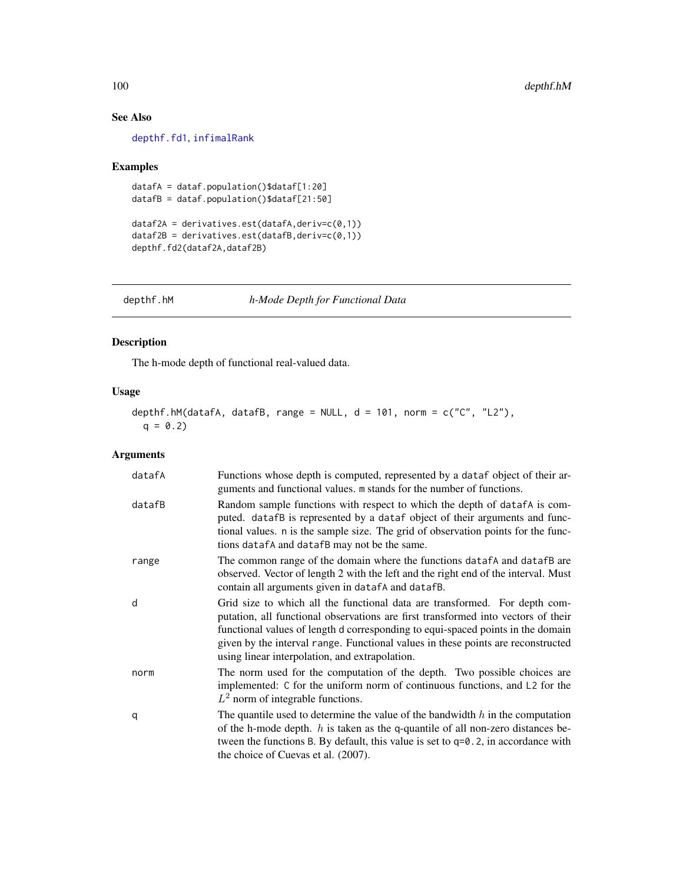# See Also

[depthf.fd1](#page-95-0), [infimalRank](#page-119-0)

## Examples

```
datafA = dataf.population()$dataf[1:20]
datafB = dataf.population()$dataf[21:50]
```

```
dataf2A = derivatives.set(datafA, derive(c0,1))dataf2B = derivatives.est(datafB,deriv=c(0,1))
depthf.fd2(dataf2A,dataf2B)
```
<span id="page-99-0"></span>depthf.hM *h-Mode Depth for Functional Data*

# Description

The h-mode depth of functional real-valued data.

# Usage

```
depthf.hM(datafA, datafB, range = NULL, d = 101, norm = c("C", "L2"),
 q = 0.2
```
# Arguments

| datafA | Functions whose depth is computed, represented by a dataf object of their ar-<br>guments and functional values. m stands for the number of functions.                                                                                                                                                                                                                                    |
|--------|------------------------------------------------------------------------------------------------------------------------------------------------------------------------------------------------------------------------------------------------------------------------------------------------------------------------------------------------------------------------------------------|
| datafB | Random sample functions with respect to which the depth of datafA is com-<br>puted. datafB is represented by a dataf object of their arguments and func-<br>tional values. n is the sample size. The grid of observation points for the func-<br>tions datafA and datafB may not be the same.                                                                                            |
| range  | The common range of the domain where the functions data f and data f B are<br>observed. Vector of length 2 with the left and the right end of the interval. Must<br>contain all arguments given in datafA and datafB.                                                                                                                                                                    |
| d      | Grid size to which all the functional data are transformed. For depth com-<br>putation, all functional observations are first transformed into vectors of their<br>functional values of length d corresponding to equi-spaced points in the domain<br>given by the interval range. Functional values in these points are reconstructed<br>using linear interpolation, and extrapolation. |
| norm   | The norm used for the computation of the depth. Two possible choices are<br>implemented: C for the uniform norm of continuous functions, and L2 for the<br>$L^2$ norm of integrable functions.                                                                                                                                                                                           |
| q      | The quantile used to determine the value of the bandwidth $h$ in the computation<br>of the h-mode depth. $h$ is taken as the q-quantile of all non-zero distances be-<br>tween the functions B. By default, this value is set to $q=0.2$ , in accordance with<br>the choice of Cuevas et al. (2007).                                                                                     |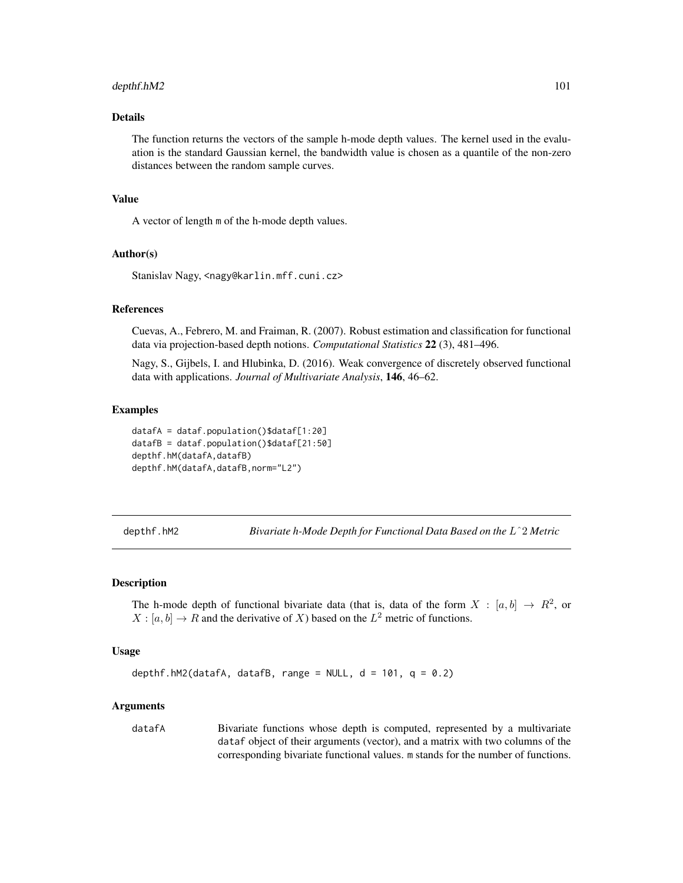# depthf.hM2 101

## Details

The function returns the vectors of the sample h-mode depth values. The kernel used in the evaluation is the standard Gaussian kernel, the bandwidth value is chosen as a quantile of the non-zero distances between the random sample curves.

### Value

A vector of length m of the h-mode depth values.

### Author(s)

Stanislav Nagy, <nagy@karlin.mff.cuni.cz>

#### References

Cuevas, A., Febrero, M. and Fraiman, R. (2007). Robust estimation and classification for functional data via projection-based depth notions. *Computational Statistics* 22 (3), 481–496.

Nagy, S., Gijbels, I. and Hlubinka, D. (2016). Weak convergence of discretely observed functional data with applications. *Journal of Multivariate Analysis*, 146, 46–62.

### Examples

```
datafA = dataf.population()$dataf[1:20]
datafB = dataf.population()$dataf[21:50]
depthf.hM(datafA,datafB)
depthf.hM(datafA,datafB,norm="L2")
```
<span id="page-100-0"></span>depthf.hM2 *Bivariate h-Mode Depth for Functional Data Based on the* Lˆ2 *Metric*

### Description

The h-mode depth of functional bivariate data (that is, data of the form  $X : [a, b] \rightarrow R^2$ , or  $X : [a, b] \to R$  and the derivative of X) based on the  $L^2$  metric of functions.

#### Usage

```
depthf.hM2(datafA, datafB, range = NULL, d = 101, q = 0.2)
```
#### **Arguments**

datafA Bivariate functions whose depth is computed, represented by a multivariate dataf object of their arguments (vector), and a matrix with two columns of the corresponding bivariate functional values. m stands for the number of functions.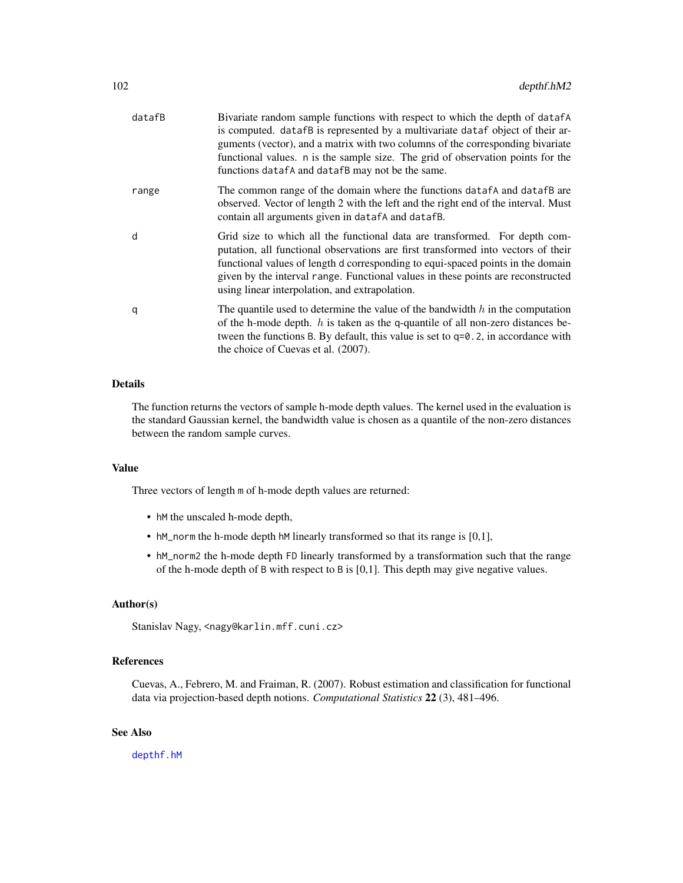| datafB | Bivariate random sample functions with respect to which the depth of datafA<br>is computed. datafB is represented by a multivariate dataf object of their ar-<br>guments (vector), and a matrix with two columns of the corresponding bivariate<br>functional values. n is the sample size. The grid of observation points for the<br>functions datafA and datafB may not be the same.   |
|--------|------------------------------------------------------------------------------------------------------------------------------------------------------------------------------------------------------------------------------------------------------------------------------------------------------------------------------------------------------------------------------------------|
| range  | The common range of the domain where the functions data f and data f B are<br>observed. Vector of length 2 with the left and the right end of the interval. Must<br>contain all arguments given in datafA and datafB.                                                                                                                                                                    |
| d      | Grid size to which all the functional data are transformed. For depth com-<br>putation, all functional observations are first transformed into vectors of their<br>functional values of length d corresponding to equi-spaced points in the domain<br>given by the interval range. Functional values in these points are reconstructed<br>using linear interpolation, and extrapolation. |
| q      | The quantile used to determine the value of the bandwidth $h$ in the computation<br>of the h-mode depth. $h$ is taken as the q-quantile of all non-zero distances be-<br>tween the functions B. By default, this value is set to $q=0.2$ , in accordance with<br>the choice of Cuevas et al. (2007).                                                                                     |

## Details

The function returns the vectors of sample h-mode depth values. The kernel used in the evaluation is the standard Gaussian kernel, the bandwidth value is chosen as a quantile of the non-zero distances between the random sample curves.

### Value

Three vectors of length m of h-mode depth values are returned:

- hM the unscaled h-mode depth,
- hM\_norm the h-mode depth hM linearly transformed so that its range is [0,1],
- hM\_norm2 the h-mode depth FD linearly transformed by a transformation such that the range of the h-mode depth of B with respect to B is [0,1]. This depth may give negative values.

### Author(s)

Stanislav Nagy, <nagy@karlin.mff.cuni.cz>

# References

Cuevas, A., Febrero, M. and Fraiman, R. (2007). Robust estimation and classification for functional data via projection-based depth notions. *Computational Statistics* 22 (3), 481–496.

# See Also

[depthf.hM](#page-99-0)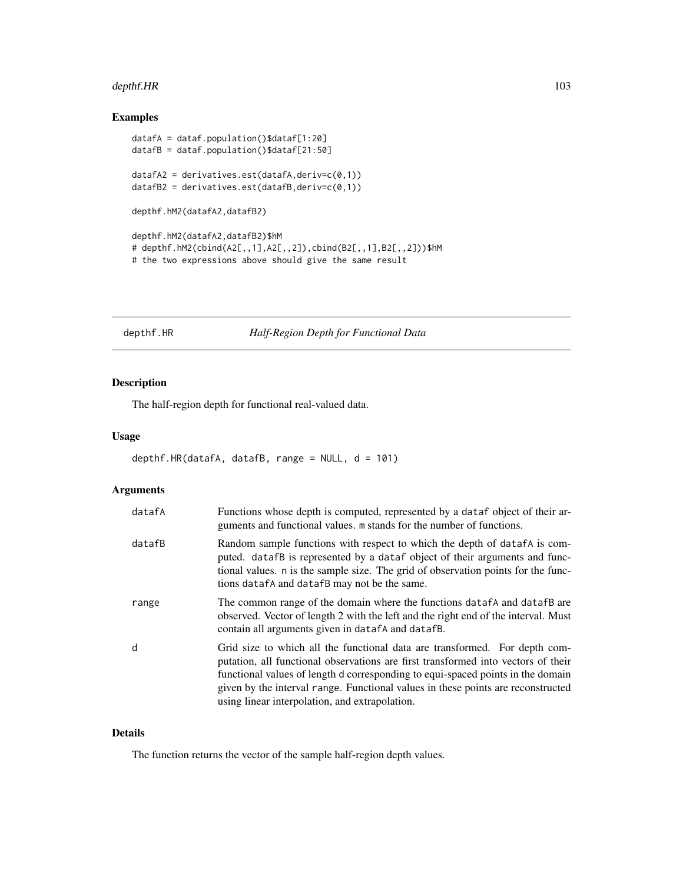# depthf.HR 103

# Examples

```
datafA = dataf.population()$dataf[1:20]
datafB = dataf.population()$dataf[21:50]
datafA2 = derivatives.est(datafA,deriv=c(0,1))
datafB2 = derivatives.est(datafB,deriv=c(0,1))
depthf.hM2(datafA2,datafB2)
depthf.hM2(datafA2,datafB2)$hM
# depthf.hM2(cbind(A2[,,1],A2[,,2]),cbind(B2[,,1],B2[,,2]))$hM
# the two expressions above should give the same result
```
<span id="page-102-0"></span>depthf.HR *Half-Region Depth for Functional Data*

# Description

The half-region depth for functional real-valued data.

## Usage

```
depthf.HR(datafA, datafB, range = NULL, d = 101)
```
# Arguments

| datafA | Functions whose depth is computed, represented by a data f object of their ar-<br>guments and functional values. m stands for the number of functions.                                                                                                                                                                                                                                   |
|--------|------------------------------------------------------------------------------------------------------------------------------------------------------------------------------------------------------------------------------------------------------------------------------------------------------------------------------------------------------------------------------------------|
| datafB | Random sample functions with respect to which the depth of data fA is com-<br>puted. datafB is represented by a dataf object of their arguments and func-<br>tional values. n is the sample size. The grid of observation points for the func-<br>tions datafA and datafB may not be the same.                                                                                           |
| range  | The common range of the domain where the functions data f A and data f B are<br>observed. Vector of length 2 with the left and the right end of the interval. Must<br>contain all arguments given in datafA and datafB.                                                                                                                                                                  |
| d      | Grid size to which all the functional data are transformed. For depth com-<br>putation, all functional observations are first transformed into vectors of their<br>functional values of length d corresponding to equi-spaced points in the domain<br>given by the interval range. Functional values in these points are reconstructed<br>using linear interpolation, and extrapolation. |

### Details

The function returns the vector of the sample half-region depth values.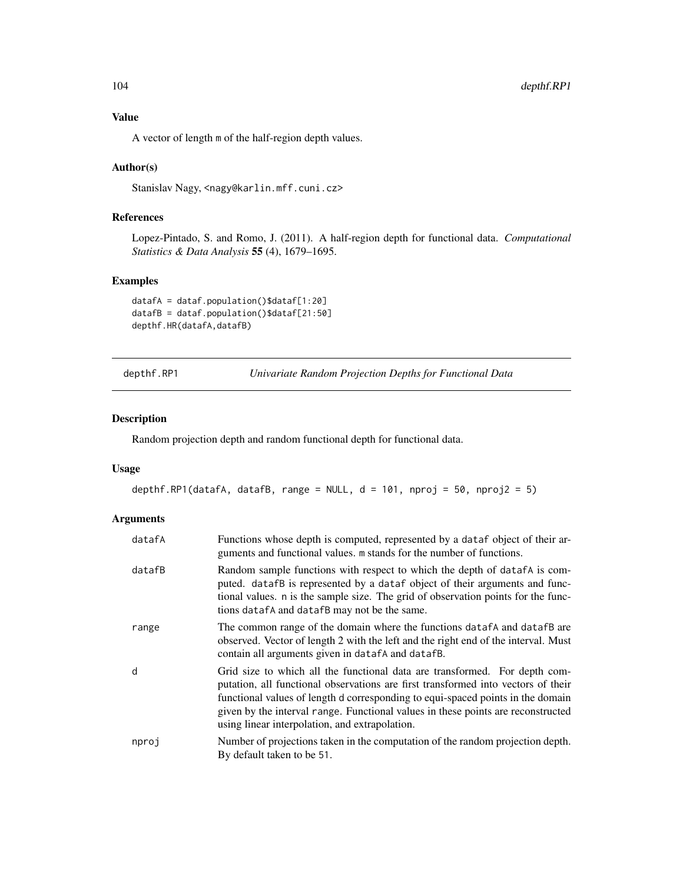Value

A vector of length m of the half-region depth values.

## Author(s)

Stanislav Nagy, <nagy@karlin.mff.cuni.cz>

# References

Lopez-Pintado, S. and Romo, J. (2011). A half-region depth for functional data. *Computational Statistics & Data Analysis* 55 (4), 1679–1695.

### Examples

datafA = dataf.population()\$dataf[1:20] datafB = dataf.population()\$dataf[21:50] depthf.HR(datafA,datafB)

<span id="page-103-0"></span>depthf.RP1 *Univariate Random Projection Depths for Functional Data*

### Description

Random projection depth and random functional depth for functional data.

# Usage

```
depthf.RP1(datafA, datafB, range = NULL, d = 101, nproj = 50, nproj2 = 5)
```
# Arguments

| datafA | Functions whose depth is computed, represented by a data f object of their ar-<br>guments and functional values. m stands for the number of functions.                                                                                                                                                                                                                                   |
|--------|------------------------------------------------------------------------------------------------------------------------------------------------------------------------------------------------------------------------------------------------------------------------------------------------------------------------------------------------------------------------------------------|
| datafB | Random sample functions with respect to which the depth of data fA is com-<br>puted. datafB is represented by a dataf object of their arguments and func-<br>tional values. n is the sample size. The grid of observation points for the func-<br>tions datafA and datafB may not be the same.                                                                                           |
| range  | The common range of the domain where the functions data f A and data f B are<br>observed. Vector of length 2 with the left and the right end of the interval. Must<br>contain all arguments given in datafA and datafB.                                                                                                                                                                  |
| d      | Grid size to which all the functional data are transformed. For depth com-<br>putation, all functional observations are first transformed into vectors of their<br>functional values of length d corresponding to equi-spaced points in the domain<br>given by the interval range. Functional values in these points are reconstructed<br>using linear interpolation, and extrapolation. |
| nproj  | Number of projections taken in the computation of the random projection depth.<br>By default taken to be 51.                                                                                                                                                                                                                                                                             |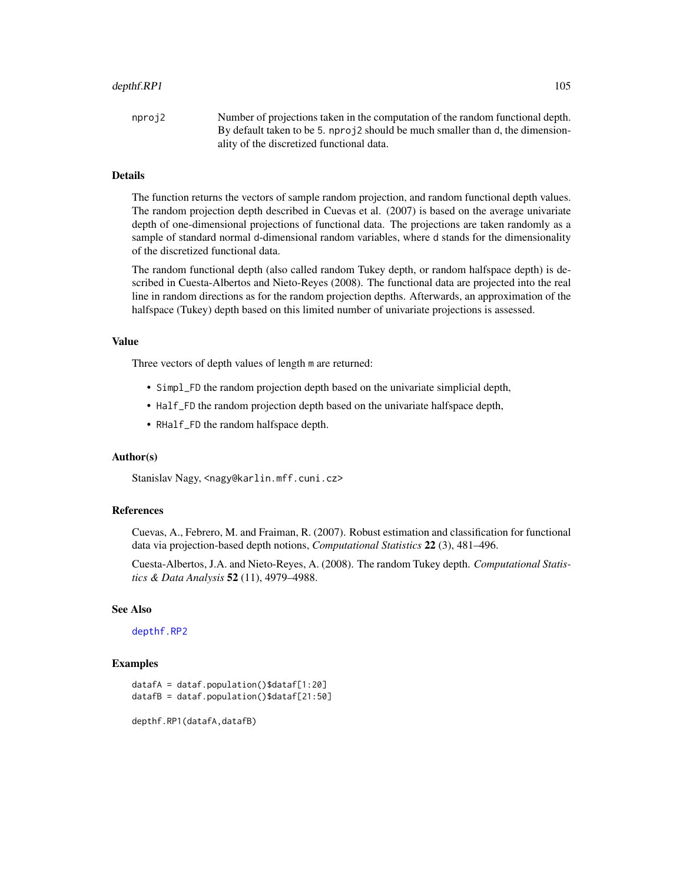#### depthf.RP1 105

nproj2 Number of projections taken in the computation of the random functional depth. By default taken to be 5. nproj2 should be much smaller than d, the dimensionality of the discretized functional data.

## Details

The function returns the vectors of sample random projection, and random functional depth values. The random projection depth described in Cuevas et al. (2007) is based on the average univariate depth of one-dimensional projections of functional data. The projections are taken randomly as a sample of standard normal d-dimensional random variables, where d stands for the dimensionality of the discretized functional data.

The random functional depth (also called random Tukey depth, or random halfspace depth) is described in Cuesta-Albertos and Nieto-Reyes (2008). The functional data are projected into the real line in random directions as for the random projection depths. Afterwards, an approximation of the halfspace (Tukey) depth based on this limited number of univariate projections is assessed.

#### Value

Three vectors of depth values of length m are returned:

- Simpl\_FD the random projection depth based on the univariate simplicial depth,
- Half\_FD the random projection depth based on the univariate halfspace depth,
- RHalf\_FD the random halfspace depth.

# Author(s)

Stanislav Nagy, <nagy@karlin.mff.cuni.cz>

#### References

Cuevas, A., Febrero, M. and Fraiman, R. (2007). Robust estimation and classification for functional data via projection-based depth notions, *Computational Statistics* 22 (3), 481–496.

Cuesta-Albertos, J.A. and Nieto-Reyes, A. (2008). The random Tukey depth. *Computational Statistics & Data Analysis* 52 (11), 4979–4988.

#### See Also

[depthf.RP2](#page-105-0)

#### Examples

```
datafA = dataf.population()$dataf[1:20]
datafB = dataf.population()$dataf[21:50]
```
depthf.RP1(datafA,datafB)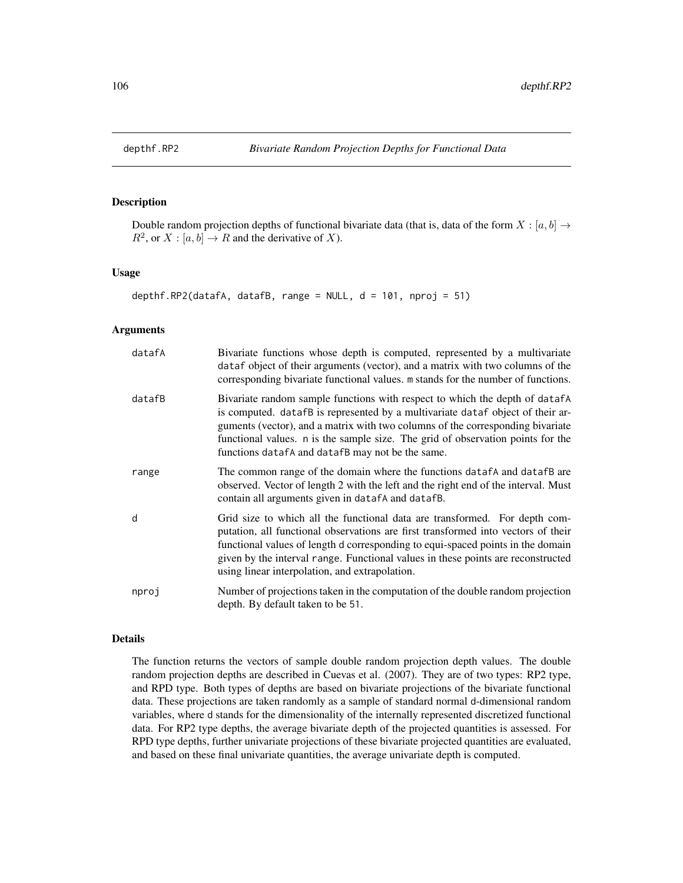# Description

Double random projection depths of functional bivariate data (that is, data of the form  $X : [a, b] \rightarrow$  $R^2$ , or  $X : [a, b] \to R$  and the derivative of X).

#### Usage

```
depthf.RP2(datafA, datafB, range = NULL, d = 101, nproj = 51)
```
## Arguments

| datafA | Bivariate functions whose depth is computed, represented by a multivariate<br>dataf object of their arguments (vector), and a matrix with two columns of the<br>corresponding bivariate functional values. m stands for the number of functions.                                                                                                                                           |
|--------|--------------------------------------------------------------------------------------------------------------------------------------------------------------------------------------------------------------------------------------------------------------------------------------------------------------------------------------------------------------------------------------------|
| datafB | Bivariate random sample functions with respect to which the depth of datafA<br>is computed. datafB is represented by a multivariate dataf object of their ar-<br>guments (vector), and a matrix with two columns of the corresponding bivariate<br>functional values. n is the sample size. The grid of observation points for the<br>functions data f A and data f B may not be the same. |
| range  | The common range of the domain where the functions data f A and data f B are<br>observed. Vector of length 2 with the left and the right end of the interval. Must<br>contain all arguments given in datafA and datafB.                                                                                                                                                                    |
| d      | Grid size to which all the functional data are transformed. For depth com-<br>putation, all functional observations are first transformed into vectors of their<br>functional values of length d corresponding to equi-spaced points in the domain<br>given by the interval range. Functional values in these points are reconstructed<br>using linear interpolation, and extrapolation.   |
| nproj  | Number of projections taken in the computation of the double random projection<br>depth. By default taken to be 51.                                                                                                                                                                                                                                                                        |

# Details

The function returns the vectors of sample double random projection depth values. The double random projection depths are described in Cuevas et al. (2007). They are of two types: RP2 type, and RPD type. Both types of depths are based on bivariate projections of the bivariate functional data. These projections are taken randomly as a sample of standard normal d-dimensional random variables, where d stands for the dimensionality of the internally represented discretized functional data. For RP2 type depths, the average bivariate depth of the projected quantities is assessed. For RPD type depths, further univariate projections of these bivariate projected quantities are evaluated, and based on these final univariate quantities, the average univariate depth is computed.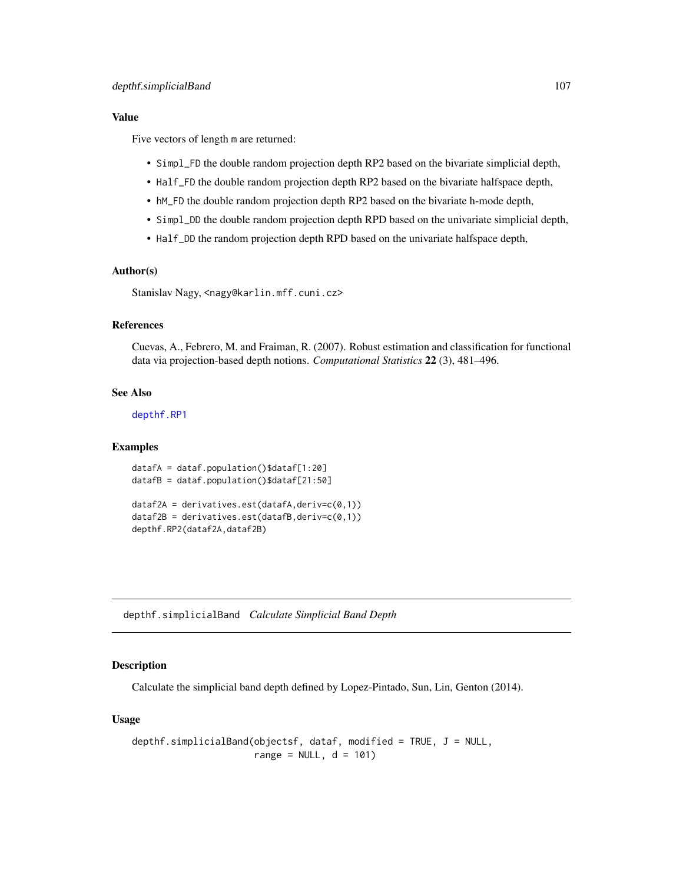### Value

Five vectors of length m are returned:

- Simpl\_FD the double random projection depth RP2 based on the bivariate simplicial depth,
- Half\_FD the double random projection depth RP2 based on the bivariate halfspace depth,
- hM\_FD the double random projection depth RP2 based on the bivariate h-mode depth,
- Simpl\_DD the double random projection depth RPD based on the univariate simplicial depth,
- Half\_DD the random projection depth RPD based on the univariate halfspace depth,

### Author(s)

Stanislav Nagy, <nagy@karlin.mff.cuni.cz>

# References

Cuevas, A., Febrero, M. and Fraiman, R. (2007). Robust estimation and classification for functional data via projection-based depth notions. *Computational Statistics* 22 (3), 481–496.

# See Also

[depthf.RP1](#page-103-0)

### Examples

```
datafA = dataf.population()$dataf[1:20]
datafB = dataf.population()$dataf[21:50]
```

```
dataf2A = derivatives.set(datafA, derive(c0,1))dataf2B = derivatives.set(datafB, derive(c(0,1))depthf.RP2(dataf2A,dataf2B)
```
depthf.simplicialBand *Calculate Simplicial Band Depth*

### Description

Calculate the simplicial band depth defined by Lopez-Pintado, Sun, Lin, Genton (2014).

### Usage

```
depthf.simplicialBand(objectsf, dataf, modified = TRUE, J = NULL,
                      range = NULL, d = 101)
```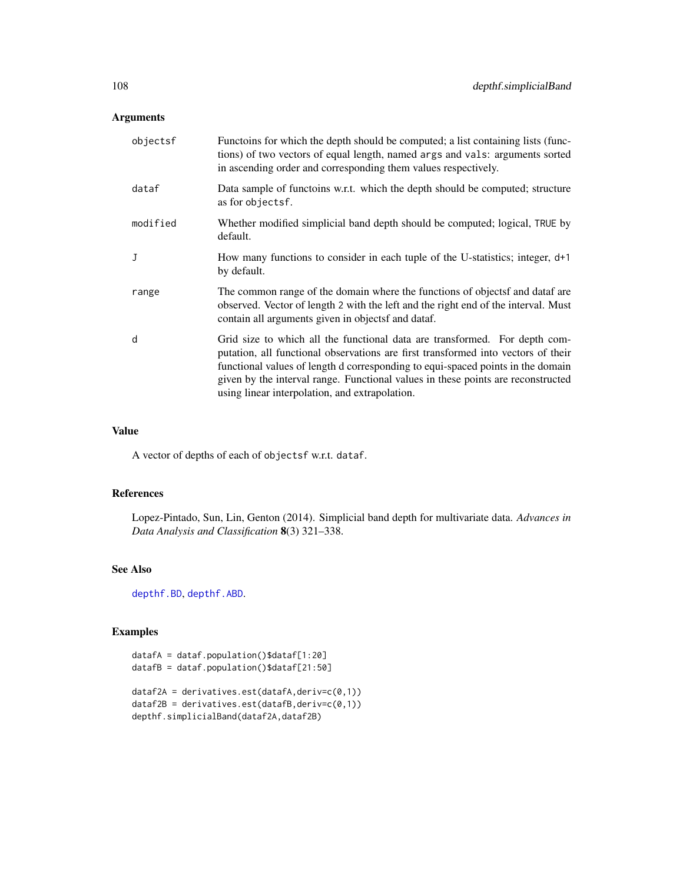# Arguments

| objectsf     | Functoins for which the depth should be computed; a list containing lists (func-<br>tions) of two vectors of equal length, named args and vals: arguments sorted<br>in ascending order and corresponding them values respectively.                                                                                                                                                       |
|--------------|------------------------------------------------------------------------------------------------------------------------------------------------------------------------------------------------------------------------------------------------------------------------------------------------------------------------------------------------------------------------------------------|
| dataf        | Data sample of functoins w.r.t. which the depth should be computed; structure<br>as for objectsf.                                                                                                                                                                                                                                                                                        |
| modified     | Whether modified simplicial band depth should be computed; logical, TRUE by<br>default.                                                                                                                                                                                                                                                                                                  |
| $\mathbf{J}$ | How many functions to consider in each tuple of the U-statistics; integer, d+1<br>by default.                                                                                                                                                                                                                                                                                            |
| range        | The common range of the domain where the functions of objects and data fare<br>observed. Vector of length 2 with the left and the right end of the interval. Must<br>contain all arguments given in objects and dataf.                                                                                                                                                                   |
| d            | Grid size to which all the functional data are transformed. For depth com-<br>putation, all functional observations are first transformed into vectors of their<br>functional values of length d corresponding to equi-spaced points in the domain<br>given by the interval range. Functional values in these points are reconstructed<br>using linear interpolation, and extrapolation. |

# Value

A vector of depths of each of objectsf w.r.t. dataf.

# References

Lopez-Pintado, Sun, Lin, Genton (2014). Simplicial band depth for multivariate data. *Advances in Data Analysis and Classification* 8(3) 321–338.

# See Also

[depthf.BD](#page-94-0), [depthf.ABD](#page-93-0).

# Examples

```
datafA = dataf.population()$dataf[1:20]
datafB = dataf.population()$dataf[21:50]
```

```
dataf2A = derivatives.est(datafA,deriv=c(0,1))
dataf2B = derivatives.est(datafB,deriv=c(0,1))
depthf.simplicialBand(dataf2A,dataf2B)
```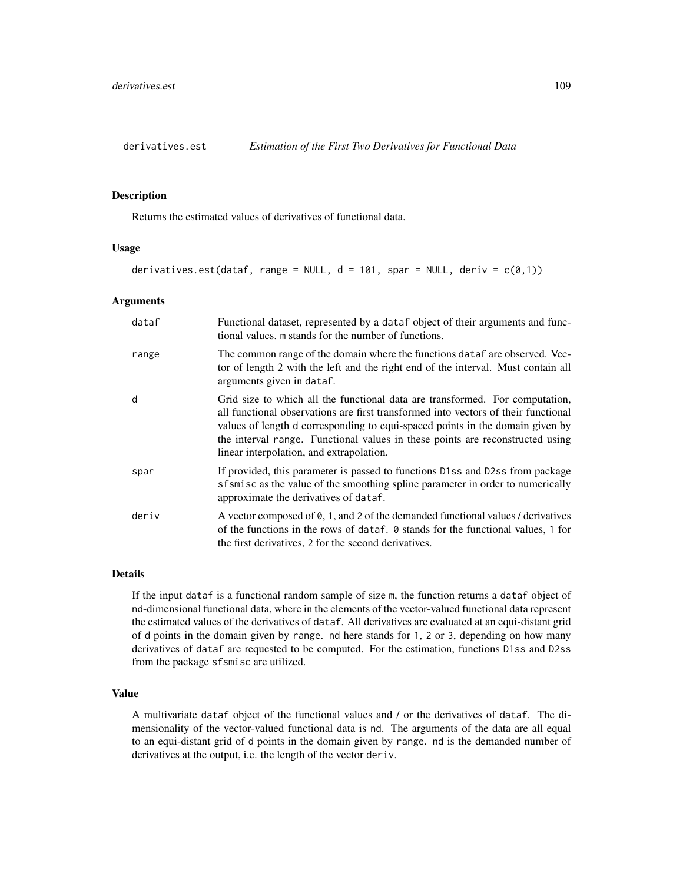<span id="page-108-0"></span>

# Description

Returns the estimated values of derivatives of functional data.

#### Usage

```
derivatives.est(dataf, range = NULL, d = 101, spar = NULL, deriv = c(0,1))
```
# Arguments

| dataf | Functional dataset, represented by a dataf object of their arguments and func-<br>tional values, m stands for the number of functions.                                                                                                                                                                                                                                           |
|-------|----------------------------------------------------------------------------------------------------------------------------------------------------------------------------------------------------------------------------------------------------------------------------------------------------------------------------------------------------------------------------------|
| range | The common range of the domain where the functions data fare observed. Vec-<br>tor of length 2 with the left and the right end of the interval. Must contain all<br>arguments given in dataf.                                                                                                                                                                                    |
| d     | Grid size to which all the functional data are transformed. For computation,<br>all functional observations are first transformed into vectors of their functional<br>values of length d corresponding to equi-spaced points in the domain given by<br>the interval range. Functional values in these points are reconstructed using<br>linear interpolation, and extrapolation. |
| spar  | If provided, this parameter is passed to functions D1ss and D2ss from package<br>sfsmisc as the value of the smoothing spline parameter in order to numerically<br>approximate the derivatives of dataf.                                                                                                                                                                         |
| deriv | A vector composed of $\emptyset$ , 1, and 2 of the demanded functional values / derivatives<br>of the functions in the rows of dataf. $\theta$ stands for the functional values, 1 for<br>the first derivatives, 2 for the second derivatives.                                                                                                                                   |

#### Details

If the input dataf is a functional random sample of size m, the function returns a dataf object of nd-dimensional functional data, where in the elements of the vector-valued functional data represent the estimated values of the derivatives of dataf. All derivatives are evaluated at an equi-distant grid of d points in the domain given by range. nd here stands for 1, 2 or 3, depending on how many derivatives of dataf are requested to be computed. For the estimation, functions D1ss and D2ss from the package sfsmisc are utilized.

## Value

A multivariate dataf object of the functional values and / or the derivatives of dataf. The dimensionality of the vector-valued functional data is nd. The arguments of the data are all equal to an equi-distant grid of d points in the domain given by range. nd is the demanded number of derivatives at the output, i.e. the length of the vector deriv.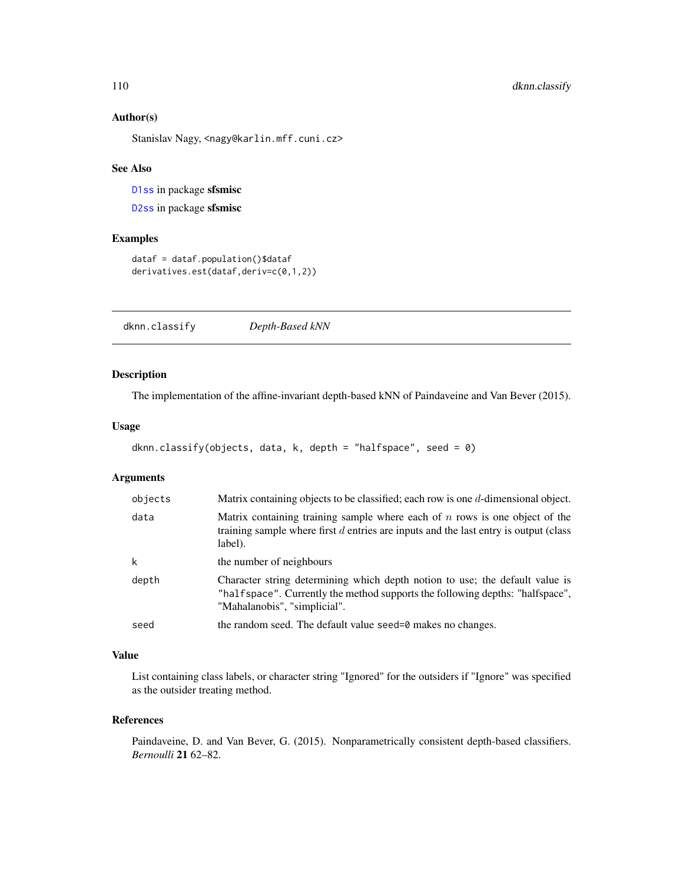# <span id="page-109-1"></span>Author(s)

Stanislav Nagy, <nagy@karlin.mff.cuni.cz>

# See Also

[D1ss](#page-0-0) in package sfsmisc

[D2ss](#page-0-0) in package sfsmisc

# Examples

```
dataf = dataf.population()$dataf
derivatives.est(dataf,deriv=c(0,1,2))
```
<span id="page-109-0"></span>dknn.classify *Depth-Based kNN*

# Description

The implementation of the affine-invariant depth-based kNN of Paindaveine and Van Bever (2015).

#### Usage

```
dknn.classify(objects, data, k, depth = "halfspace", seed = 0)
```
# Arguments

| objects     | Matrix containing objects to be classified; each row is one $d$ -dimensional object.                                                                                                          |
|-------------|-----------------------------------------------------------------------------------------------------------------------------------------------------------------------------------------------|
| data        | Matrix containing training sample where each of $n$ rows is one object of the<br>training sample where first $d$ entries are inputs and the last entry is output (class<br>label).            |
| $\mathsf k$ | the number of neighbours                                                                                                                                                                      |
| depth       | Character string determining which depth notion to use; the default value is<br>"halfspace". Currently the method supports the following depths: "halfspace",<br>"Mahalanobis", "simplicial". |
| seed        | the random seed. The default value seed=0 makes no changes.                                                                                                                                   |

# Value

List containing class labels, or character string "Ignored" for the outsiders if "Ignore" was specified as the outsider treating method.

#### References

Paindaveine, D. and Van Bever, G. (2015). Nonparametrically consistent depth-based classifiers. *Bernoulli* 21 62–82.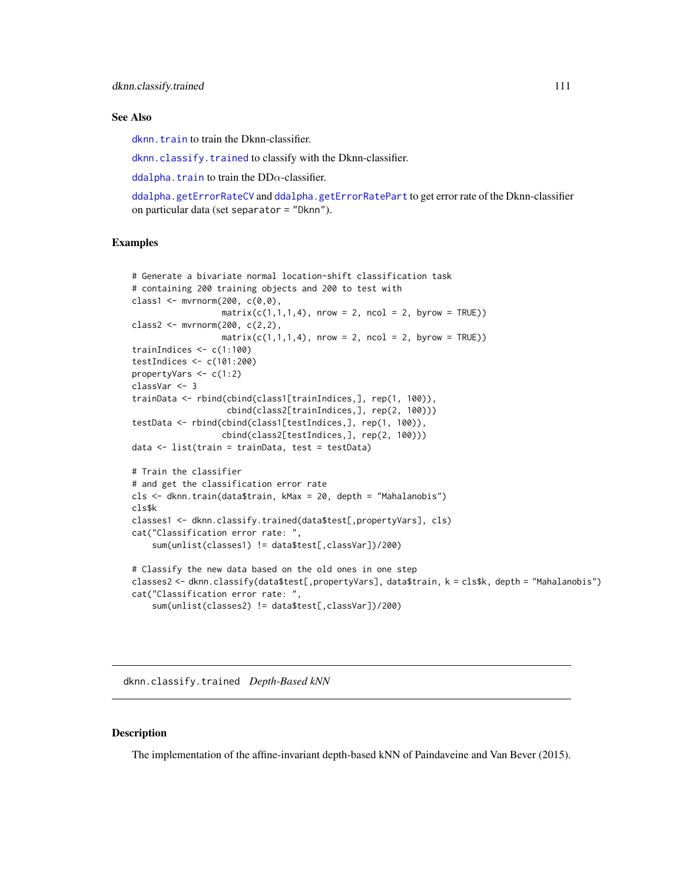#### <span id="page-110-1"></span>See Also

[dknn.train](#page-112-0) to train the Dknn-classifier.

[dknn.classify.trained](#page-110-0) to classify with the Dknn-classifier.

[ddalpha.train](#page-36-0) to train the  $DD\alpha$ -classifier.

```
ddalpha.getErrorRateCV and ddalpha.getErrorRatePart to get error rate of the Dknn-classifier
on particular data (set separator = "Dknn").
```
# Examples

```
# Generate a bivariate normal location-shift classification task
# containing 200 training objects and 200 to test with
class1 <- mvrnorm(200, c(0,0),
                  matrix(c(1,1,1,4), nrow = 2, ncol = 2, byrow = TRUE))
class2 <- mvrnorm(200, c(2,2),
                  matrix(c(1,1,1,4), nrow = 2, ncol = 2, byrow = TRUE))
trainIndices <- c(1:100)
testIndices <- c(101:200)
propertyVars <- c(1:2)
classVar <- 3
trainData <- rbind(cbind(class1[trainIndices,], rep(1, 100)),
                   cbind(class2[trainIndices,], rep(2, 100)))
testData <- rbind(cbind(class1[testIndices,], rep(1, 100)),
                  cbind(class2[testIndices,], rep(2, 100)))
data <- list(train = trainData, test = testData)
# Train the classifier
# and get the classification error rate
cls <- dknn.train(data$train, kMax = 20, depth = "Mahalanobis")
cls$k
classes1 <- dknn.classify.trained(data$test[,propertyVars], cls)
cat("Classification error rate: ",
    sum(unlist(classes1) != data$test[,classVar])/200)
# Classify the new data based on the old ones in one step
classes2 <- dknn.classify(data$test[,propertyVars], data$train, k = cls$k, depth = "Mahalanobis")
cat("Classification error rate: ",
    sum(unlist(classes2) != data$test[,classVar])/200)
```
<span id="page-110-0"></span>dknn.classify.trained *Depth-Based kNN*

#### **Description**

The implementation of the affine-invariant depth-based kNN of Paindaveine and Van Bever (2015).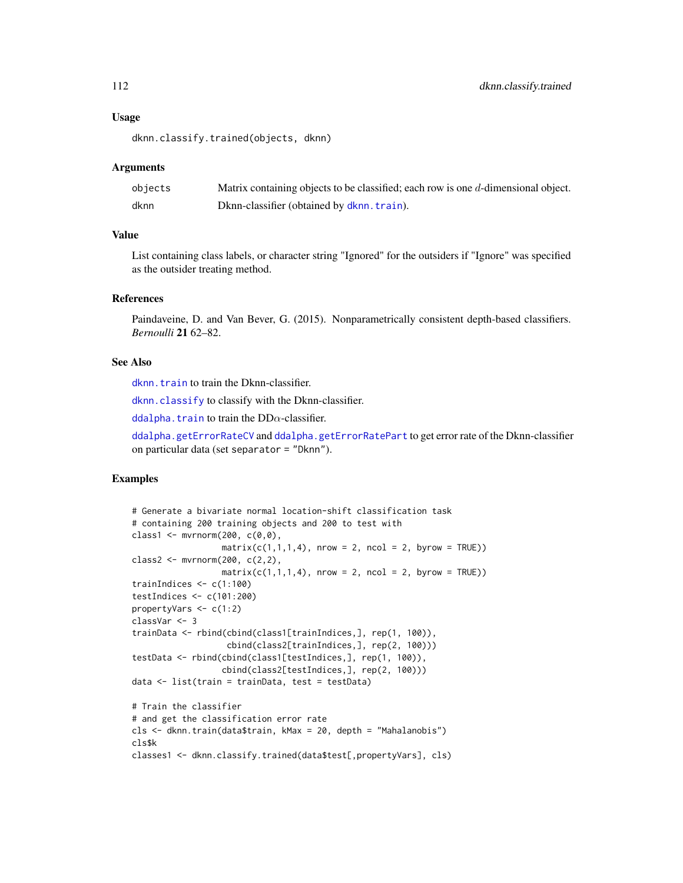#### Usage

dknn.classify.trained(objects, dknn)

#### Arguments

| objects | Matrix containing objects to be classified; each row is one $d$ -dimensional object. |
|---------|--------------------------------------------------------------------------------------|
| dknn    | Dknn-classifier (obtained by dknn. train).                                           |

#### Value

List containing class labels, or character string "Ignored" for the outsiders if "Ignore" was specified as the outsider treating method.

#### References

Paindaveine, D. and Van Bever, G. (2015). Nonparametrically consistent depth-based classifiers. *Bernoulli* 21 62–82.

# See Also

[dknn.train](#page-112-0) to train the Dknn-classifier.

[dknn.classify](#page-109-0) to classify with the Dknn-classifier.

ddalpha. train to train the  $DD\alpha$ -classifier.

[ddalpha.getErrorRateCV](#page-32-0) and [ddalpha.getErrorRatePart](#page-33-0) to get error rate of the Dknn-classifier on particular data (set separator = "Dknn").

```
# Generate a bivariate normal location-shift classification task
# containing 200 training objects and 200 to test with
class1 \leq mvrnorm(200, c(0,0),
                 matrix(c(1,1,1,4), nrow = 2, ncol = 2, byrow = TRUE))class2 <- mvrnorm(200, c(2,2),
                 matrix(c(1,1,1,4), nrow = 2, ncol = 2, byrow = TRUE))
trainIndices <- c(1:100)
testIndices <- c(101:200)
propertyVars <- c(1:2)
classVar <- 3
trainData <- rbind(cbind(class1[trainIndices,], rep(1, 100)),
                   cbind(class2[trainIndices,], rep(2, 100)))
testData <- rbind(cbind(class1[testIndices,], rep(1, 100)),
                  cbind(class2[testIndices,], rep(2, 100)))
data <- list(train = trainData, test = testData)
# Train the classifier
# and get the classification error rate
cls <- dknn.train(data$train, kMax = 20, depth = "Mahalanobis")
cls$k
classes1 <- dknn.classify.trained(data$test[,propertyVars], cls)
```
<span id="page-111-0"></span>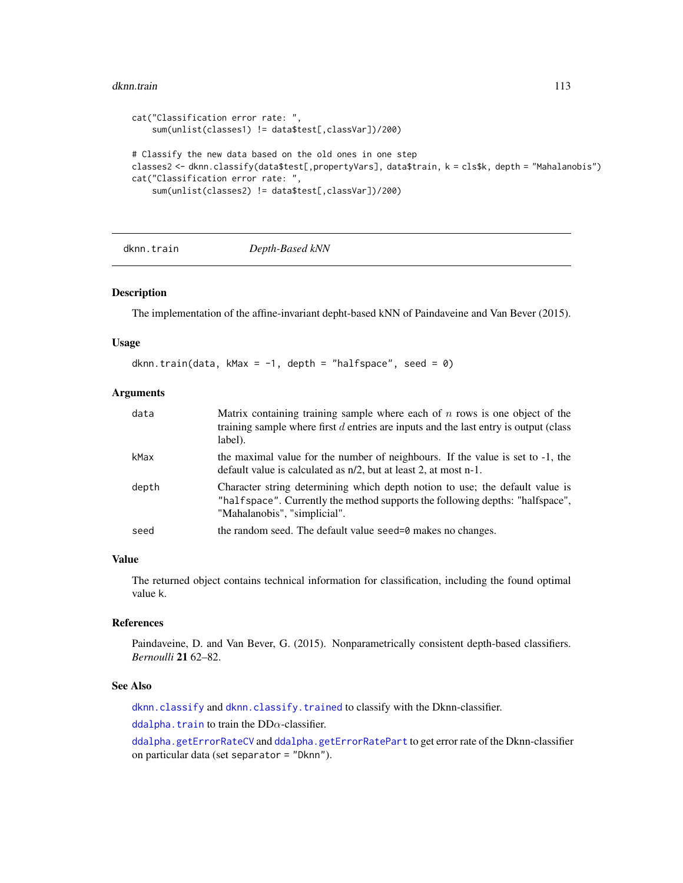#### <span id="page-112-1"></span>dknn.train 113

```
cat("Classification error rate: ",
    sum(unlist(classes1) != data$test[,classVar])/200)
# Classify the new data based on the old ones in one step
classes2 <- dknn.classify(data$test[,propertyVars], data$train, k = cls$k, depth = "Mahalanobis")
cat("Classification error rate: ",
    sum(unlist(classes2) != data$test[,classVar])/200)
```
<span id="page-112-0"></span>dknn.train *Depth-Based kNN*

#### Description

The implementation of the affine-invariant depht-based kNN of Paindaveine and Van Bever (2015).

# Usage

```
dknn.train(data, kMax = -1, depth = "halfspace", seed = 0)
```
# Arguments

| data  | Matrix containing training sample where each of $n$ rows is one object of the<br>training sample where first $d$ entries are inputs and the last entry is output (class<br>label).            |
|-------|-----------------------------------------------------------------------------------------------------------------------------------------------------------------------------------------------|
| kMax  | the maximal value for the number of neighbours. If the value is set to -1, the<br>default value is calculated as $n/2$ , but at least 2, at most n-1.                                         |
| depth | Character string determining which depth notion to use; the default value is<br>"halfspace". Currently the method supports the following depths: "halfspace",<br>"Mahalanobis", "simplicial". |
| seed  | the random seed. The default value seed=0 makes no changes.                                                                                                                                   |

# Value

The returned object contains technical information for classification, including the found optimal value k.

#### References

Paindaveine, D. and Van Bever, G. (2015). Nonparametrically consistent depth-based classifiers. *Bernoulli* 21 62–82.

# See Also

[dknn.classify](#page-109-0) and [dknn.classify.trained](#page-110-0) to classify with the Dknn-classifier.

[ddalpha.train](#page-36-0) to train the  $DD\alpha$ -classifier.

[ddalpha.getErrorRateCV](#page-32-0) and [ddalpha.getErrorRatePart](#page-33-0) to get error rate of the Dknn-classifier on particular data (set separator = "Dknn").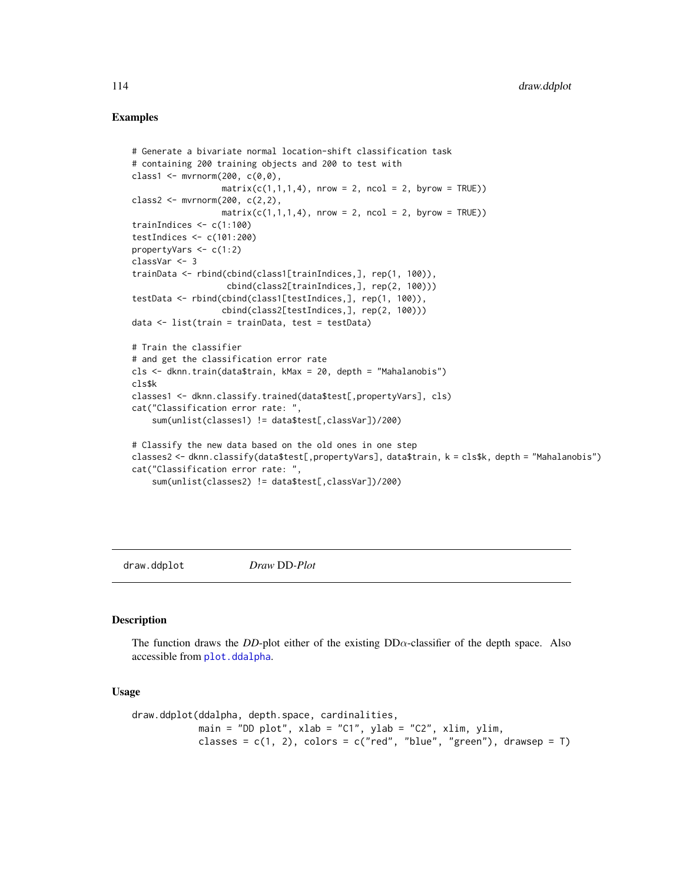# <span id="page-113-1"></span>Examples

```
# Generate a bivariate normal location-shift classification task
# containing 200 training objects and 200 to test with
class1 <- mvrnorm(200, c(0,0),
                  matrix(c(1,1,1,4), nrow = 2, ncol = 2, byrow = TRUE))
class2 <- mvrnorm(200, c(2,2),
                  matrix(c(1,1,1,4), nrow = 2, ncol = 2, byrow = TRUE))
trainIndices <- c(1:100)
testIndices <- c(101:200)
propertyVars <- c(1:2)
classVar <- 3
trainData <- rbind(cbind(class1[trainIndices,], rep(1, 100)),
                   cbind(class2[trainIndices,], rep(2, 100)))
testData <- rbind(cbind(class1[testIndices,], rep(1, 100)),
                  cbind(class2[testIndices,], rep(2, 100)))
data <- list(train = trainData, test = testData)
# Train the classifier
# and get the classification error rate
cls <- dknn.train(data$train, kMax = 20, depth = "Mahalanobis")
cls$k
classes1 <- dknn.classify.trained(data$test[,propertyVars], cls)
cat("Classification error rate: ",
    sum(unlist(classes1) != data$test[,classVar])/200)
# Classify the new data based on the old ones in one step
classes2 <- dknn.classify(data$test[,propertyVars], data$train, k = cls$k, depth = "Mahalanobis")
cat("Classification error rate: ",
    sum(unlist(classes2) != data$test[,classVar])/200)
```
<span id="page-113-0"></span>draw.ddplot *Draw* DD*-Plot*

#### Description

The function draws the *DD*-plot either of the existing  $DD\alpha$ -classifier of the depth space. Also accessible from [plot.ddalpha](#page-122-0).

```
draw.ddplot(ddalpha, depth.space, cardinalities,
            main = "DD plot", xlab = "C1", ylab = "C2", xlim, ylim,
            classes = c(1, 2), colors = c("red", "blue", "green"), drawsep = T)
```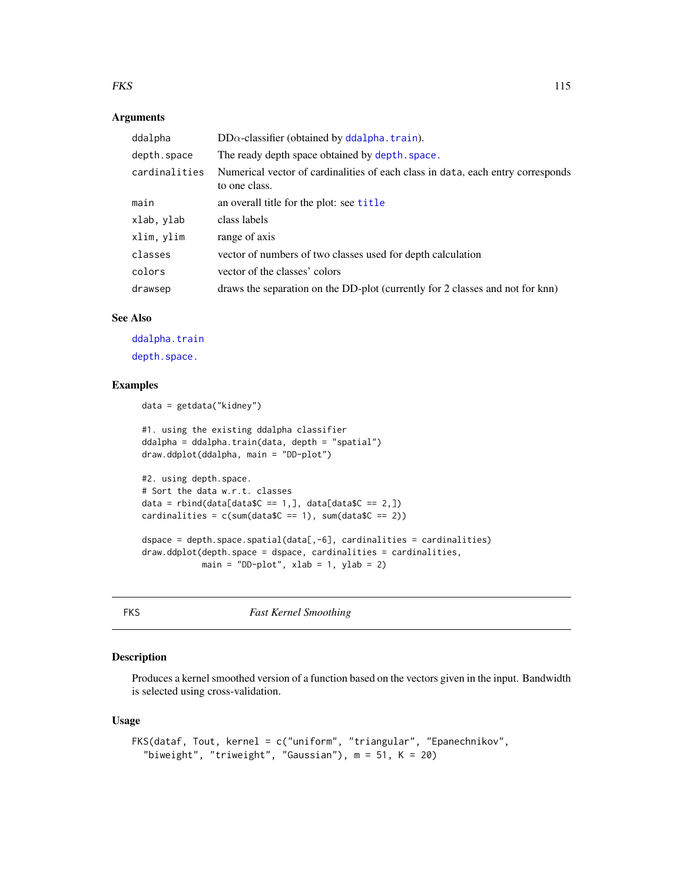#### <span id="page-114-0"></span> $FKS$  115

#### Arguments

| ddalpha       | $DD\alpha$ -classifier (obtained by ddalpha.train).                                              |
|---------------|--------------------------------------------------------------------------------------------------|
| depth.space   | The ready depth space obtained by depth, space.                                                  |
| cardinalities | Numerical vector of cardinalities of each class in data, each entry corresponds<br>to one class. |
| main          | an overall title for the plot: see title                                                         |
| xlab, ylab    | class labels                                                                                     |
| xlim, ylim    | range of axis                                                                                    |
| classes       | vector of numbers of two classes used for depth calculation                                      |
| colors        | vector of the classes' colors                                                                    |
| drawsep       | draws the separation on the DD-plot (currently for 2 classes and not for knn)                    |

#### See Also

[ddalpha.train](#page-36-0) [depth.space.](#page-74-0)

# Examples

```
data = getdata("kidney")
#1. using the existing ddalpha classifier
ddalpha = ddalpha.train(data, depth = "spatial")
draw.ddplot(ddalpha, main = "DD-plot")
#2. using depth.space.
# Sort the data w.r.t. classes
data = rbind(data[dataC == 1,], data[dataC == 2,])cardinalities = c(sum(dataSC == 1), sum(dataSC == 2))dspace = depth.\space space.\space spatial(data[, -6],\space cardinalities = cardinalities)draw.ddplot(depth.space = dspace, cardinalities = cardinalities,
            main = "DD-plot", xlab = 1, ylab = 2)
```
FKS *Fast Kernel Smoothing*

# Description

Produces a kernel smoothed version of a function based on the vectors given in the input. Bandwidth is selected using cross-validation.

```
FKS(dataf, Tout, kernel = c("uniform", "triangular", "Epanechnikov",
  "biweight", "triweight", "Gaussian"), m = 51, K = 20)
```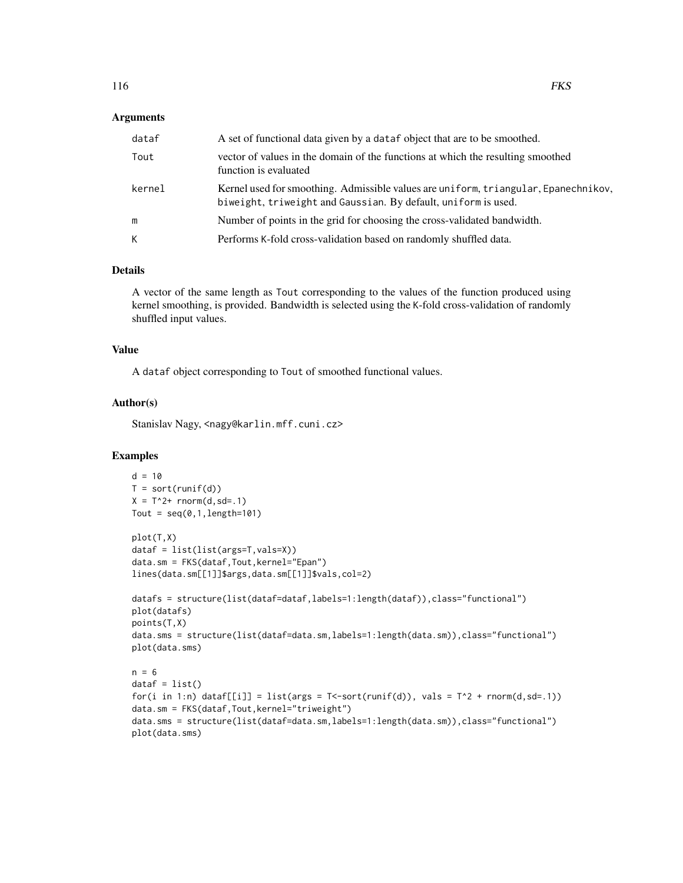#### Arguments

| dataf  | A set of functional data given by a dataf object that are to be smoothed.                                                                             |
|--------|-------------------------------------------------------------------------------------------------------------------------------------------------------|
| Tout   | vector of values in the domain of the functions at which the resulting smoothed<br>function is evaluated                                              |
| kernel | Kernel used for smoothing. Admissible values are uniform, triangular, Epanechnikov,<br>biweight, triweight and Gaussian. By default, uniform is used. |
| m      | Number of points in the grid for choosing the cross-validated bandwidth.                                                                              |
| K      | Performs K-fold cross-validation based on randomly shuffled data.                                                                                     |

# Details

A vector of the same length as Tout corresponding to the values of the function produced using kernel smoothing, is provided. Bandwidth is selected using the K-fold cross-validation of randomly shuffled input values.

#### Value

A dataf object corresponding to Tout of smoothed functional values.

#### Author(s)

Stanislav Nagy, <nagy@karlin.mff.cuni.cz>

```
d = 10T = sort(runif(d))X = T^2 + rnorm(d, sd=.1)Tout = seq(0, 1, length=101)plot(T,X)
dataf = list(list(args=T,vals=X))
data.sm = FKS(dataf,Tout,kernel="Epan")
lines(data.sm[[1]]$args,data.sm[[1]]$vals,col=2)
datafs = structure(list(dataf=dataf,labels=1:length(dataf)),class="functional")
plot(datafs)
points(T,X)
data.sms = structure(list(dataf=data.sm,labels=1:length(data.sm)),class="functional")
plot(data.sms)
n = 6dataf = list()for(i in 1:n) dataf[[i]] = list(args = T <-sort(runif(d)), vals = T^2 + rnorm(d,sd=.1))
data.sm = FKS(dataf,Tout,kernel="triweight")
data.sms = structure(list(dataf=data.sm,labels=1:length(data.sm)),class="functional")
plot(data.sms)
```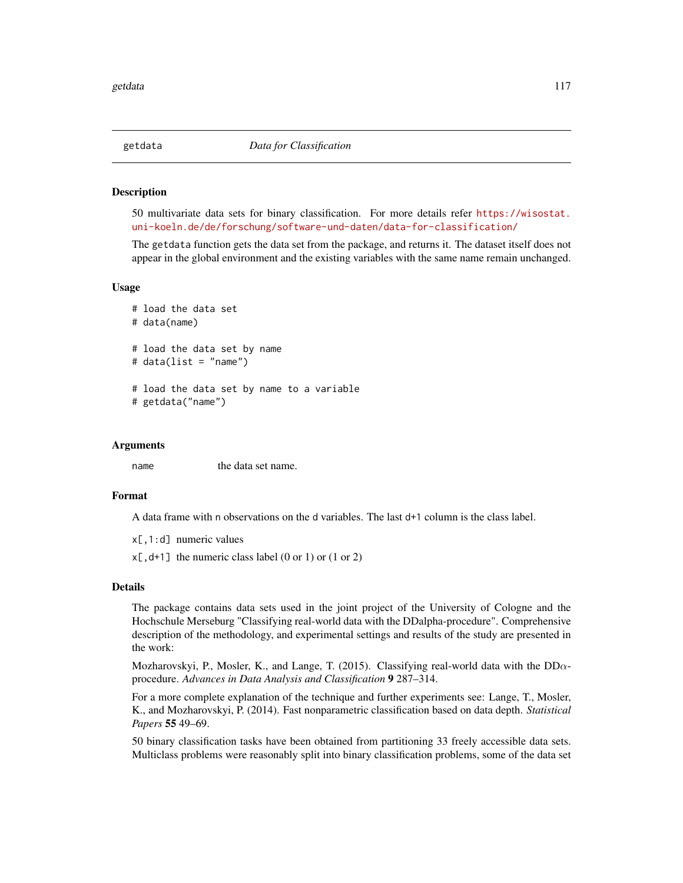<span id="page-116-0"></span>

#### Description

50 multivariate data sets for binary classification. For more details refer [https://wisostat.](https://wisostat.uni-koeln.de/de/forschung/software-und-daten/data-for-classification/) [uni-koeln.de/de/forschung/software-und-daten/data-for-classification/](https://wisostat.uni-koeln.de/de/forschung/software-und-daten/data-for-classification/)

The getdata function gets the data set from the package, and returns it. The dataset itself does not appear in the global environment and the existing variables with the same name remain unchanged.

#### Usage

```
# load the data set
# data(name)
# load the data set by name
# data(list = "name")
# load the data set by name to a variable
# getdata("name")
```
# Arguments

name the data set name.

#### Format

A data frame with n observations on the d variables. The last d+1 column is the class label.

x[,1:d] numeric values

 $x[$ , d+1] the numeric class label (0 or 1) or (1 or 2)

#### Details

The package contains data sets used in the joint project of the University of Cologne and the Hochschule Merseburg "Classifying real-world data with the DDalpha-procedure". Comprehensive description of the methodology, and experimental settings and results of the study are presented in the work:

Mozharovskyi, P., Mosler, K., and Lange, T. (2015). Classifying real-world data with the  $DD\alpha$ procedure. *Advances in Data Analysis and Classification* 9 287–314.

For a more complete explanation of the technique and further experiments see: Lange, T., Mosler, K., and Mozharovskyi, P. (2014). Fast nonparametric classification based on data depth. *Statistical Papers* 55 49–69.

50 binary classification tasks have been obtained from partitioning 33 freely accessible data sets. Multiclass problems were reasonably split into binary classification problems, some of the data set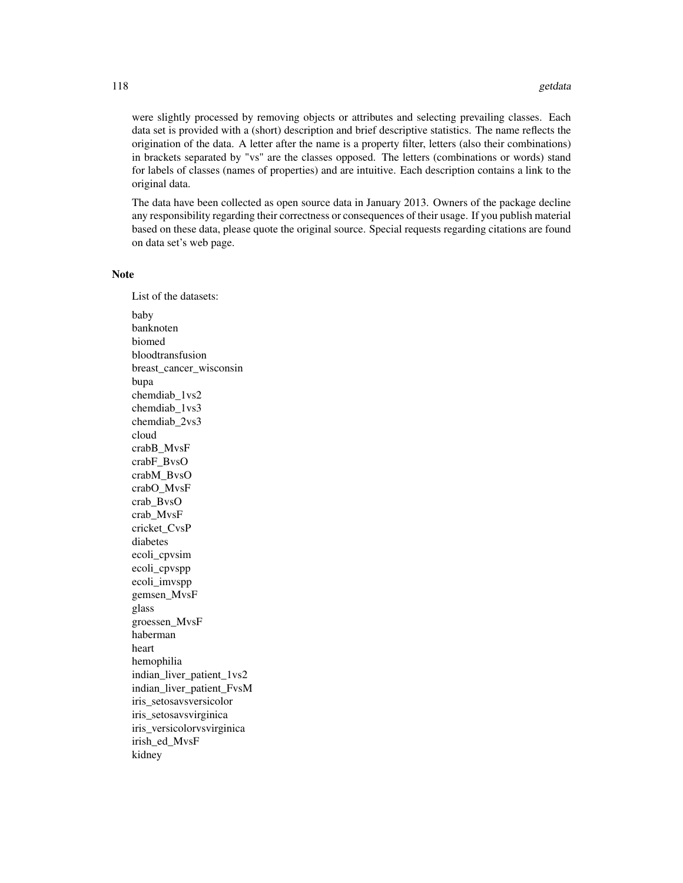were slightly processed by removing objects or attributes and selecting prevailing classes. Each data set is provided with a (short) description and brief descriptive statistics. The name reflects the origination of the data. A letter after the name is a property filter, letters (also their combinations) in brackets separated by "vs" are the classes opposed. The letters (combinations or words) stand for labels of classes (names of properties) and are intuitive. Each description contains a link to the original data.

The data have been collected as open source data in January 2013. Owners of the package decline any responsibility regarding their correctness or consequences of their usage. If you publish material based on these data, please quote the original source. Special requests regarding citations are found on data set's web page.

#### Note

List of the datasets: baby banknoten biomed bloodtransfusion breast\_cancer\_wisconsin bupa chemdiab\_1vs2 chemdiab\_1vs3 chemdiab\_2vs3 cloud crabB\_MvsF crabF\_BvsO crabM\_BvsO crabO\_MvsF crab\_BvsO crab\_MvsF cricket\_CvsP diabetes ecoli\_cpvsim ecoli\_cpvspp ecoli\_imvspp gemsen\_MvsF glass groessen\_MvsF haberman heart hemophilia indian\_liver\_patient\_1vs2 indian\_liver\_patient\_FvsM iris\_setosavsversicolor iris\_setosavsvirginica iris\_versicolorvsvirginica irish\_ed\_MvsF kidney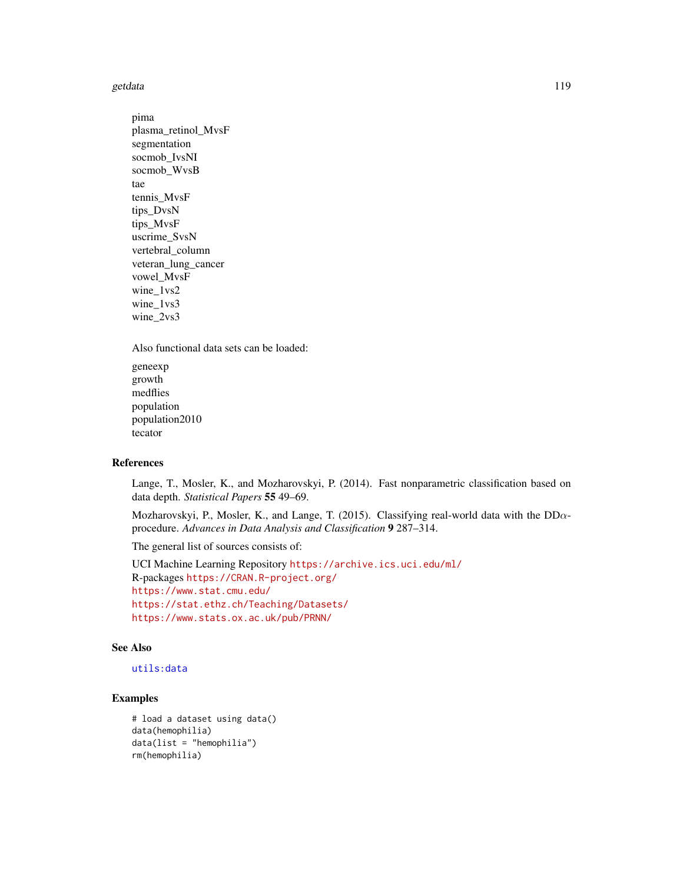<span id="page-118-0"></span>getdata and the set of the set of the set of the set of the set of the set of the set of the set of the set of the set of the set of the set of the set of the set of the set of the set of the set of the set of the set of t

pima plasma\_retinol\_MvsF segmentation socmob\_IvsNI socmob\_WvsB tae tennis\_MvsF tips\_DvsN tips\_MvsF uscrime\_SvsN vertebral\_column veteran\_lung\_cancer vowel\_MvsF wine\_1vs2 wine\_1vs3 wine\_2vs3

Also functional data sets can be loaded:

geneexp growth medflies population population2010 tecator

#### References

Lange, T., Mosler, K., and Mozharovskyi, P. (2014). Fast nonparametric classification based on data depth. *Statistical Papers* 55 49–69.

Mozharovskyi, P., Mosler, K., and Lange, T. (2015). Classifying real-world data with the  $DD\alpha$ procedure. *Advances in Data Analysis and Classification* 9 287–314.

The general list of sources consists of:

UCI Machine Learning Repository <https://archive.ics.uci.edu/ml/> R-packages <https://CRAN.R-project.org/> <https://www.stat.cmu.edu/> <https://stat.ethz.ch/Teaching/Datasets/> <https://www.stats.ox.ac.uk/pub/PRNN/>

#### See Also

# [utils:data](#page-0-0)

```
# load a dataset using data()
data(hemophilia)
data(list = "hemophilia")rm(hemophilia)
```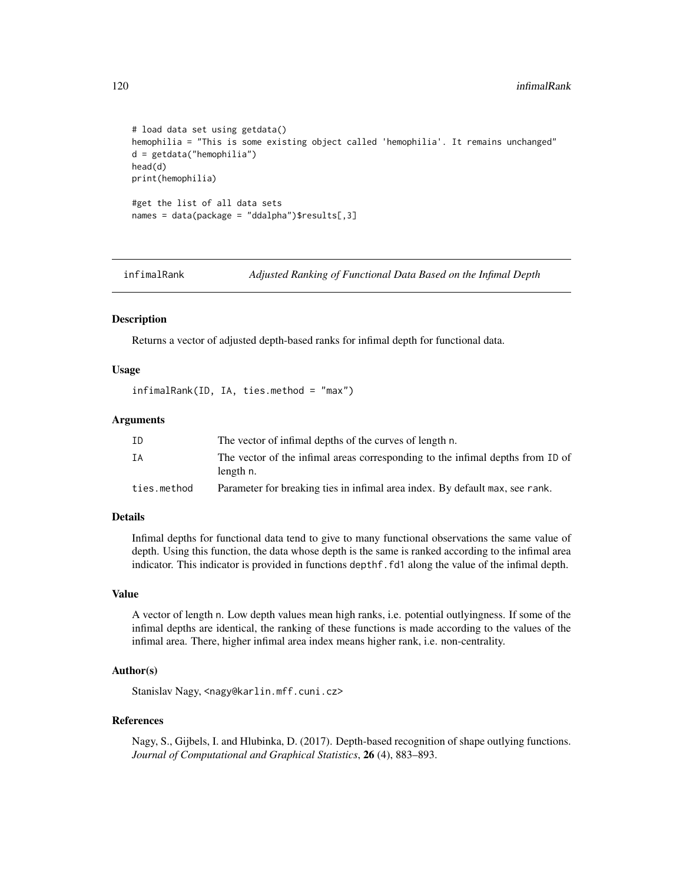```
# load data set using getdata()
hemophilia = "This is some existing object called 'hemophilia'. It remains unchanged"
d = getdata("hemophilia")
head(d)
print(hemophilia)
#get the list of all data sets
names = data(package = "ddalpha")$results[,3]
```
infimalRank *Adjusted Ranking of Functional Data Based on the Infimal Depth*

# Description

Returns a vector of adjusted depth-based ranks for infimal depth for functional data.

#### Usage

infimalRank(ID, IA, ties.method = "max")

#### Arguments

| ΙD          | The vector of infimal depths of the curves of length n.                                     |
|-------------|---------------------------------------------------------------------------------------------|
| ΙA          | The vector of the infimal areas corresponding to the infimal depths from ID of<br>length n. |
| ties.method | Parameter for breaking ties in infimal area index. By default max, see rank.                |

#### Details

Infimal depths for functional data tend to give to many functional observations the same value of depth. Using this function, the data whose depth is the same is ranked according to the infimal area indicator. This indicator is provided in functions depthf.fd1 along the value of the infimal depth.

#### Value

A vector of length n. Low depth values mean high ranks, i.e. potential outlyingness. If some of the infimal depths are identical, the ranking of these functions is made according to the values of the infimal area. There, higher infimal area index means higher rank, i.e. non-centrality.

# Author(s)

Stanislav Nagy, <nagy@karlin.mff.cuni.cz>

#### References

Nagy, S., Gijbels, I. and Hlubinka, D. (2017). Depth-based recognition of shape outlying functions. *Journal of Computational and Graphical Statistics*, 26 (4), 883–893.

<span id="page-119-0"></span>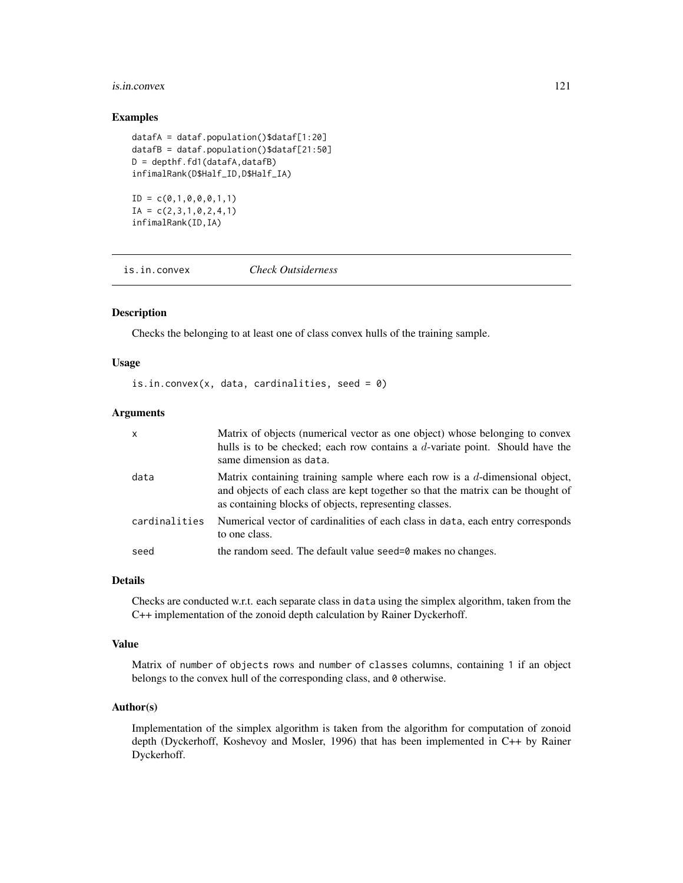#### <span id="page-120-0"></span>is.in.convex 121

#### Examples

```
datafA = dataf.population()$dataf[1:20]
datafB = dataf.population()$dataf[21:50]
D = depth f.fd1(datafa, datafb)infimalRank(D$Half_ID,D$Half_IA)
ID = c(0,1,0,0,0,1,1)
```
 $IA = c(2,3,1,0,2,4,1)$ infimalRank(ID,IA)

is.in.convex *Check Outsiderness*

# Description

Checks the belonging to at least one of class convex hulls of the training sample.

## Usage

```
is.in.convex(x, data, cardinalities, seed = 0)
```
# Arguments

| $\mathsf{x}$  | Matrix of objects (numerical vector as one object) whose belonging to convex<br>hulls is to be checked; each row contains a $d$ -variate point. Should have the<br>same dimension as data.                                   |
|---------------|------------------------------------------------------------------------------------------------------------------------------------------------------------------------------------------------------------------------------|
| data          | Matrix containing training sample where each row is a $d$ -dimensional object,<br>and objects of each class are kept together so that the matrix can be thought of<br>as containing blocks of objects, representing classes. |
| cardinalities | Numerical vector of cardinalities of each class in data, each entry corresponds<br>to one class.                                                                                                                             |
| seed          | the random seed. The default value seed=0 makes no changes.                                                                                                                                                                  |

#### Details

Checks are conducted w.r.t. each separate class in data using the simplex algorithm, taken from the C++ implementation of the zonoid depth calculation by Rainer Dyckerhoff.

#### Value

Matrix of number of objects rows and number of classes columns, containing 1 if an object belongs to the convex hull of the corresponding class, and 0 otherwise.

## Author(s)

Implementation of the simplex algorithm is taken from the algorithm for computation of zonoid depth (Dyckerhoff, Koshevoy and Mosler, 1996) that has been implemented in C++ by Rainer Dyckerhoff.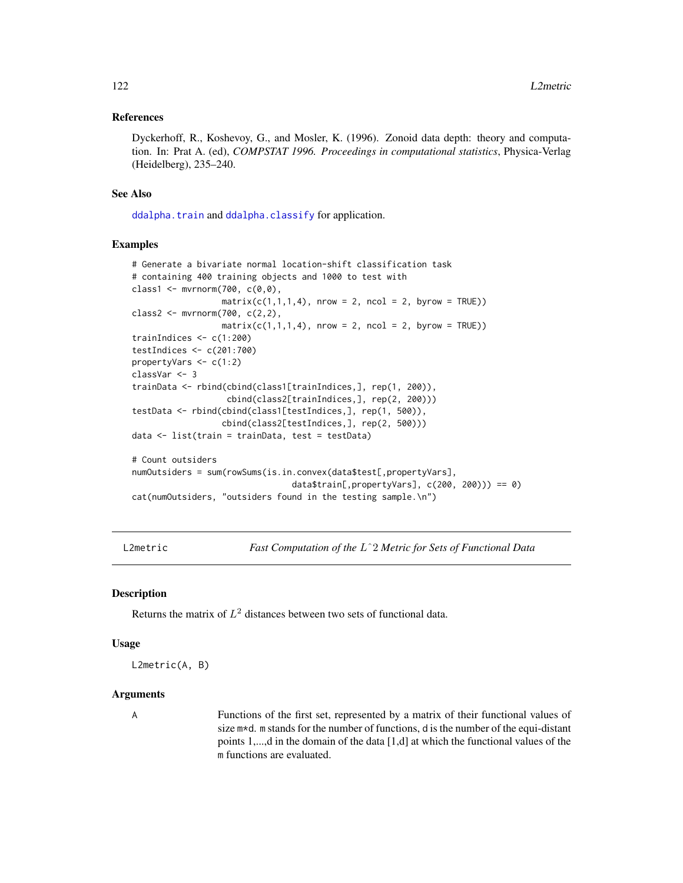#### <span id="page-121-0"></span>References

Dyckerhoff, R., Koshevoy, G., and Mosler, K. (1996). Zonoid data depth: theory and computation. In: Prat A. (ed), *COMPSTAT 1996. Proceedings in computational statistics*, Physica-Verlag (Heidelberg), 235–240.

#### See Also

[ddalpha.train](#page-36-0) and [ddalpha.classify](#page-30-0) for application.

# Examples

```
# Generate a bivariate normal location-shift classification task
# containing 400 training objects and 1000 to test with
class1 <- mvrnorm(700, c(0,0),
                  matrix(c(1,1,1,4), nrow = 2, ncol = 2, byrow = TRUE))class2 <- mvrnorm(700, c(2,2),
                  matrix(c(1,1,1,4), nrow = 2, ncol = 2, byrow = TRUE))
trainIndices <- c(1:200)
testIndices <- c(201:700)
propertyVars <- c(1:2)
classVar <- 3
trainData <- rbind(cbind(class1[trainIndices,], rep(1, 200)),
                   cbind(class2[trainIndices,], rep(2, 200)))
testData <- rbind(cbind(class1[testIndices,], rep(1, 500)),
                  cbind(class2[testIndices,], rep(2, 500)))
data <- list(train = trainData, test = testData)
# Count outsiders
numOutsiders = sum(rowSums(is.in.convex(data$test[,propertyVars],
                                data$train[,propertyVars], c(200, 200))) == 0)
cat(numOutsiders, "outsiders found in the testing sample.\n")
```
L2metric *Fast Computation of the* Lˆ2 *Metric for Sets of Functional Data*

#### **Description**

Returns the matrix of  $L^2$  distances between two sets of functional data.

#### Usage

L2metric(A, B)

#### Arguments

A Functions of the first set, represented by a matrix of their functional values of size  $m*d$ . m stands for the number of functions, d is the number of the equi-distant points 1,...,d in the domain of the data [1,d] at which the functional values of the m functions are evaluated.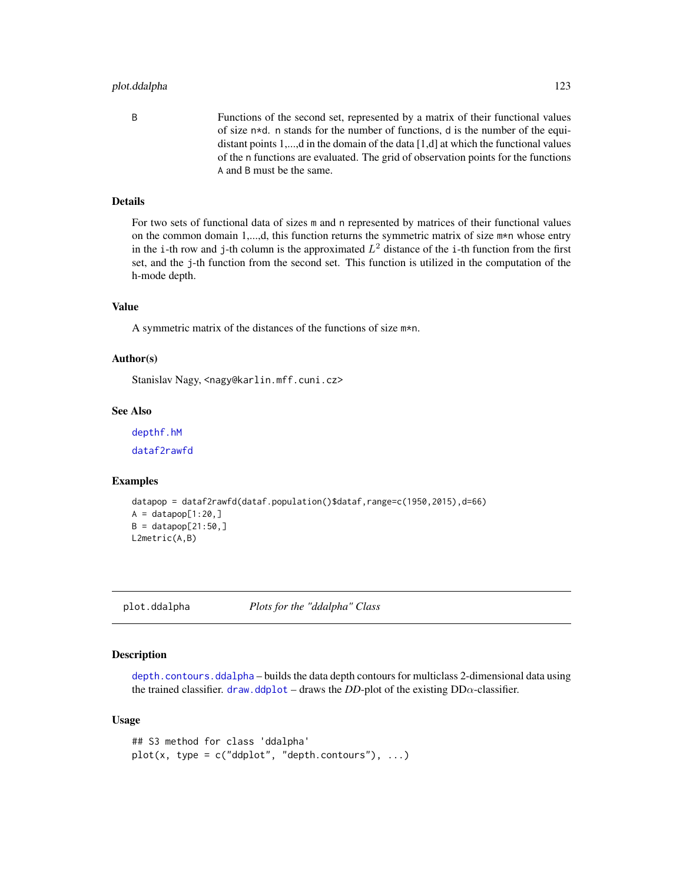# <span id="page-122-1"></span>plot.ddalpha 123

B Functions of the second set, represented by a matrix of their functional values of size n\*d. n stands for the number of functions, d is the number of the equidistant points 1,...,d in the domain of the data [1,d] at which the functional values of the n functions are evaluated. The grid of observation points for the functions A and B must be the same.

# Details

For two sets of functional data of sizes m and n represented by matrices of their functional values on the common domain 1,...,d, this function returns the symmetric matrix of size m\*n whose entry in the i-th row and j-th column is the approximated  $L^2$  distance of the i-th function from the first set, and the j-th function from the second set. This function is utilized in the computation of the h-mode depth.

# Value

A symmetric matrix of the distances of the functions of size m\*n.

#### Author(s)

Stanislav Nagy, <nagy@karlin.mff.cuni.cz>

# See Also

[depthf.hM](#page-99-0)

[dataf2rawfd](#page-28-0)

#### Examples

```
datapop = dataf2rawfd(dataf.population()$dataf,range=c(1950,2015),d=66)
A = datapop[1:20, ]B = datapop[21:50, ]L2metric(A,B)
```
<span id="page-122-0"></span>plot.ddalpha *Plots for the "ddalpha" Class*

# Description

[depth.contours.ddalpha](#page-55-0) – builds the data depth contours for multiclass 2-dimensional data using the trained classifier. [draw.ddplot](#page-113-0) – draws the *DD*-plot of the existing  $DD\alpha$ -classifier.

```
## S3 method for class 'ddalpha'
plot(x, type = c("ddplot", "depth. contours"), ...)
```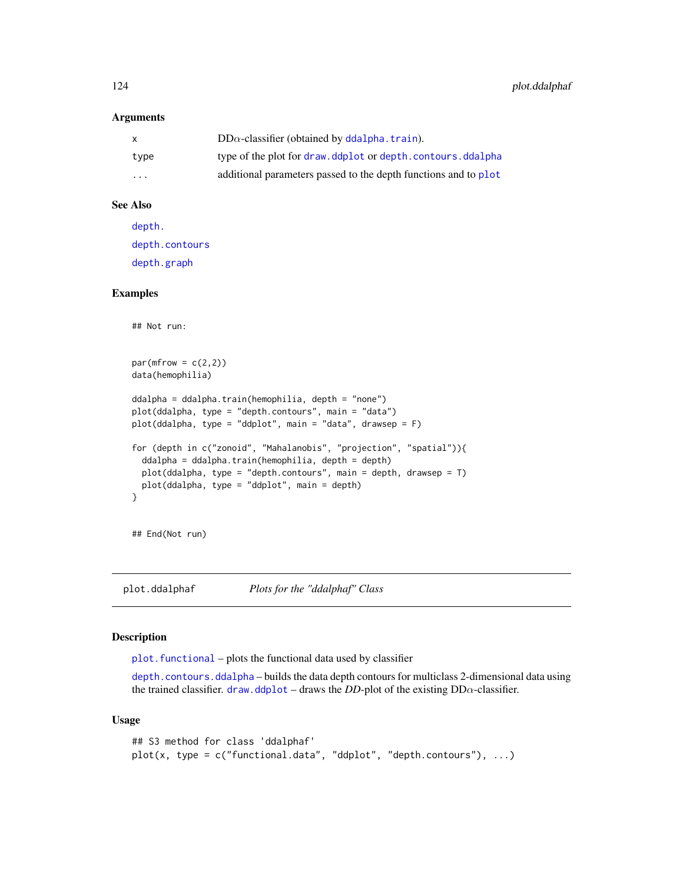#### <span id="page-123-0"></span>**Arguments**

| X                       | $DD\alpha$ -classifier (obtained by ddalpha. train).            |
|-------------------------|-----------------------------------------------------------------|
| type                    | type of the plot for draw.ddplot or depth.contours.ddalpha      |
| $\cdot$ $\cdot$ $\cdot$ | additional parameters passed to the depth functions and to plot |

#### See Also

[depth.](#page-50-0) [depth.contours](#page-54-0) [depth.graph](#page-57-0)

#### Examples

```
## Not run:
par(mfrow = c(2,2))data(hemophilia)
ddalpha = ddalpha.train(hemophilia, depth = "none")
plot(ddalpha, type = "depth.contours", main = "data")
plot(ddalpha, type = "ddplot", main = "data", drawsep = F)
for (depth in c("zonoid", "Mahalanobis", "projection", "spatial")){
  ddalpha = ddalpha.train(hemophilia, depth = depth)
  plot(ddalpha, type = "depth.contours", main = depth, drawsep = T)
  plot(ddalpha, type = "ddplot", main = depth)
}
```
## End(Not run)

plot.ddalphaf *Plots for the "ddalphaf" Class*

#### Description

[plot.functional](#page-124-0) – plots the functional data used by classifier

[depth.contours.ddalpha](#page-55-0) – builds the data depth contours for multiclass 2-dimensional data using the trained classifier. [draw.ddplot](#page-113-0) – draws the *DD*-plot of the existing  $DD\alpha$ -classifier.

```
## S3 method for class 'ddalphaf'
plot(x, type = c("functional.data", "ddplot", "depth.contrib"), ...)
```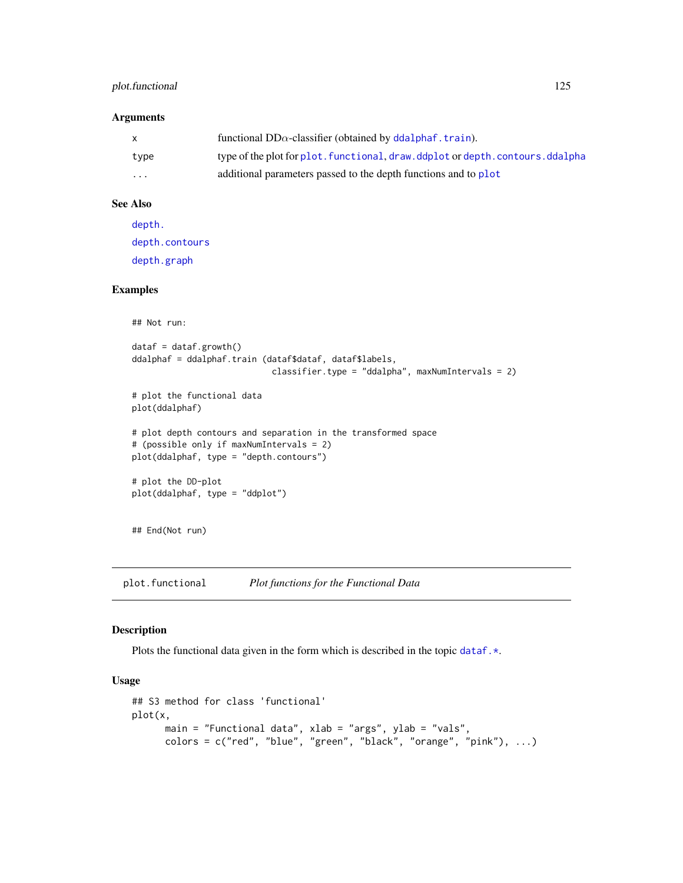# <span id="page-124-1"></span>plot.functional 125

### Arguments

|          | functional $DD\alpha$ -classifier (obtained by ddalphaf, train).                |
|----------|---------------------------------------------------------------------------------|
| type     | type of the plot for plot, functional, draw, ddplot or depth, contours, ddalpha |
| $\cdots$ | additional parameters passed to the depth functions and to plot                 |

# See Also

[depth.](#page-50-0) [depth.contours](#page-54-0) [depth.graph](#page-57-0)

# Examples

```
## Not run:
dataf = dataf.growth()ddalphaf = ddalphaf.train (dataf$dataf, dataf$labels,
                            classifier.type = "ddalpha", maxNumIntervals = 2)
# plot the functional data
plot(ddalphaf)
# plot depth contours and separation in the transformed space
# (possible only if maxNumIntervals = 2)
plot(ddalphaf, type = "depth.contours")
# plot the DD-plot
plot(ddalphaf, type = "ddplot")
## End(Not run)
```
<span id="page-124-0"></span>plot.functional *Plot functions for the Functional Data*

#### Description

Plots the functional data given in the form which is described in the topic dataf.  $\star$ .

```
## S3 method for class 'functional'
plot(x,
     main = "Functional data", xlab = "args", ylab = "vals",
      colors = c("red", "blue", "green", "black", "orange", "pink"), ...)
```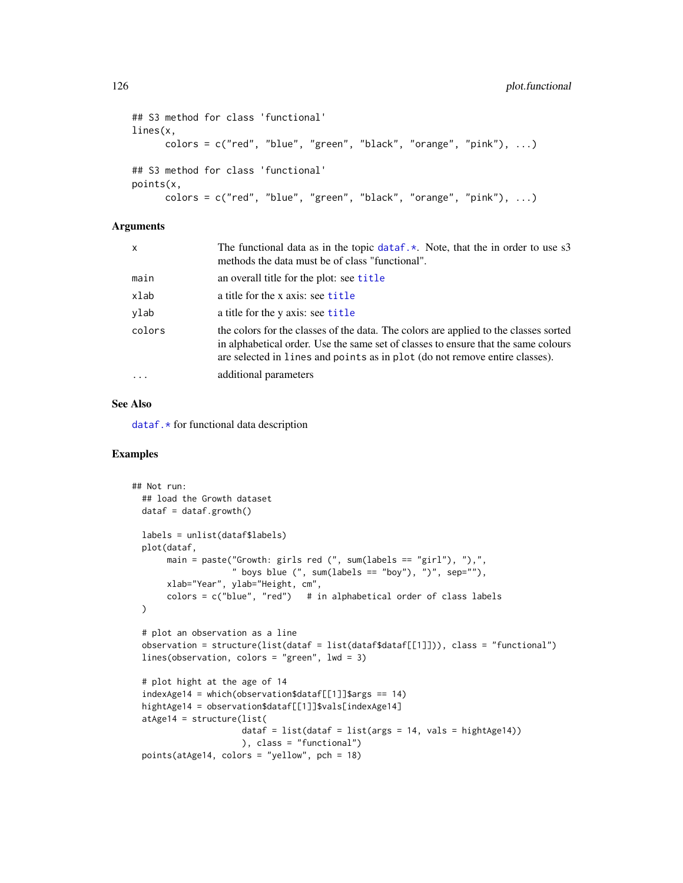```
## S3 method for class 'functional'
lines(x,
      colors = c("red", "blue", "green", "black", "orange", "pink"), ...)
## S3 method for class 'functional'
points(x,
      colors = c("red", "blue", "green", "black", "orange", "pink"), ...)
```
#### **Arguments**

| x        | The functional data as in the topic data $f \cdot \star$ . Note, that the in order to use s3<br>methods the data must be of class "functional".                                                                                                           |
|----------|-----------------------------------------------------------------------------------------------------------------------------------------------------------------------------------------------------------------------------------------------------------|
| main     | an overall title for the plot: see title                                                                                                                                                                                                                  |
| xlab     | a title for the x axis: see title                                                                                                                                                                                                                         |
| vlab     | a title for the y axis: see title                                                                                                                                                                                                                         |
| colors   | the colors for the classes of the data. The colors are applied to the classes sorted<br>in alphabetical order. Use the same set of classes to ensure that the same colours<br>are selected in lines and points as in plot (do not remove entire classes). |
| $\cdots$ | additional parameters                                                                                                                                                                                                                                     |

# See Also

[dataf.\\*](#page-16-0) for functional data description

```
## Not run:
 ## load the Growth dataset
 dataf = dataf.growth()labels = unlist(dataf$labels)
 plot(dataf,
      main = paste("Growth: girls red (", sum(labels == "girl"), "),",
                    " boys blue (", sum(labels == "boy"), ")", sep=""),
      xlab="Year", ylab="Height, cm",
      colors = c("blue", "red") # in alphabetical order of class labels
 \lambda# plot an observation as a line
 observation = structure(list(dataf = list(dataf$dataf[[1]])), class = "functional")
 lines(observation, colors = "green", lwd = 3)
 # plot hight at the age of 14
 indexAge14 = which (observation$dataf[[1]]$args == 14)hightAge14 = observation$dataf[[1]]$vals[indexAge14]
 atAge14 = structure(list(
                      dataf = list(dataf = list(args = 14, vals = hightAge14))
                      ), class = "functional")
 points(atAge14, colors = "yellow", pch = 18)
```
<span id="page-125-0"></span>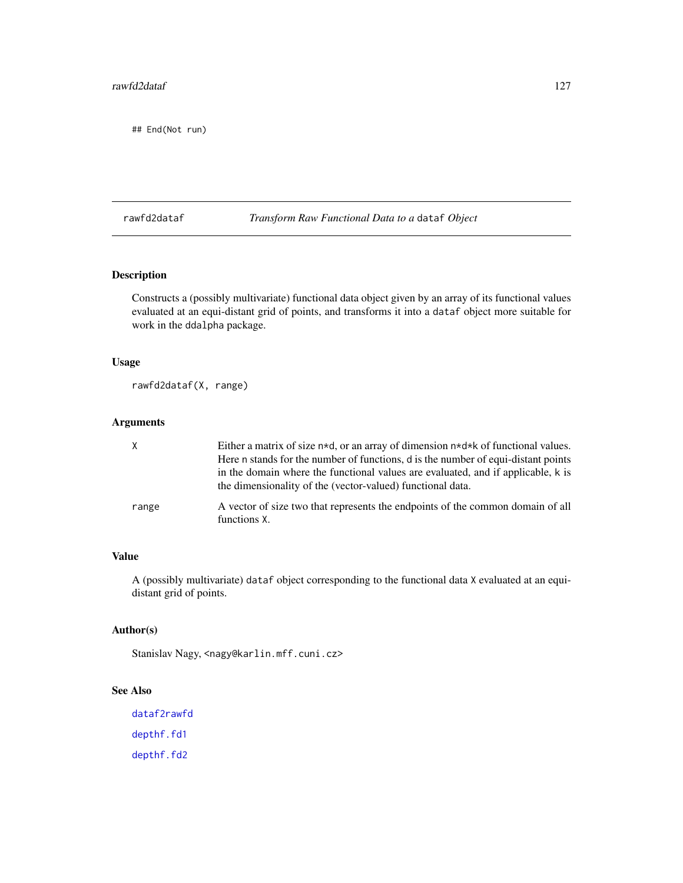<span id="page-126-0"></span>## End(Not run)

rawfd2dataf *Transform Raw Functional Data to a* dataf *Object*

# Description

Constructs a (possibly multivariate) functional data object given by an array of its functional values evaluated at an equi-distant grid of points, and transforms it into a dataf object more suitable for work in the ddalpha package.

# Usage

rawfd2dataf(X, range)

# Arguments

| X     | Either a matrix of size $n*d$ , or an array of dimension $n*d*k$ of functional values.                                                         |
|-------|------------------------------------------------------------------------------------------------------------------------------------------------|
|       | Here n stands for the number of functions, d is the number of equi-distant points                                                              |
|       | in the domain where the functional values are evaluated, and if applicable, k is<br>the dimensionality of the (vector-valued) functional data. |
| range | A vector of size two that represents the endpoints of the common domain of all<br>functions X.                                                 |

# Value

A (possibly multivariate) dataf object corresponding to the functional data X evaluated at an equidistant grid of points.

# Author(s)

Stanislav Nagy, <nagy@karlin.mff.cuni.cz>

# See Also

[dataf2rawfd](#page-28-0) [depthf.fd1](#page-95-0) [depthf.fd2](#page-97-0)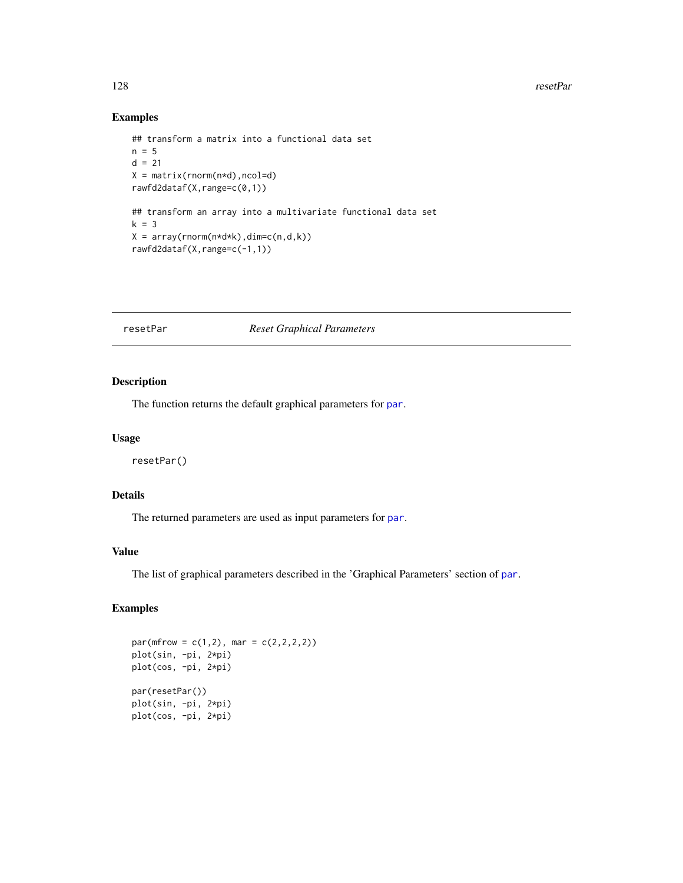#### <span id="page-127-0"></span>128 resetPar

# Examples

```
## transform a matrix into a functional data set
n = 5d = 21X = matrix(rnorm(n*d), ncol=d)rawfd2dataf(X,range=c(0,1))
## transform an array into a multivariate functional data set
k = 3X = array(rnorm(n*d*k),dim=c(n,d,k))rawfd2dataf(X,range=c(-1,1))
```
#### resetPar *Reset Graphical Parameters*

#### Description

The function returns the default graphical [par](#page-0-0)ameters for par.

#### Usage

resetPar()

#### Details

The returned parameters are used as input parameters for [par](#page-0-0).

# Value

The list of graphical parameters described in the 'Graphical Parameters' section of [par](#page-0-0).

```
par(mfrow = c(1,2), mar = c(2,2,2,2))plot(sin, -pi, 2*pi)
plot(cos, -pi, 2*pi)
par(resetPar())
plot(sin, -pi, 2*pi)
plot(cos, -pi, 2*pi)
```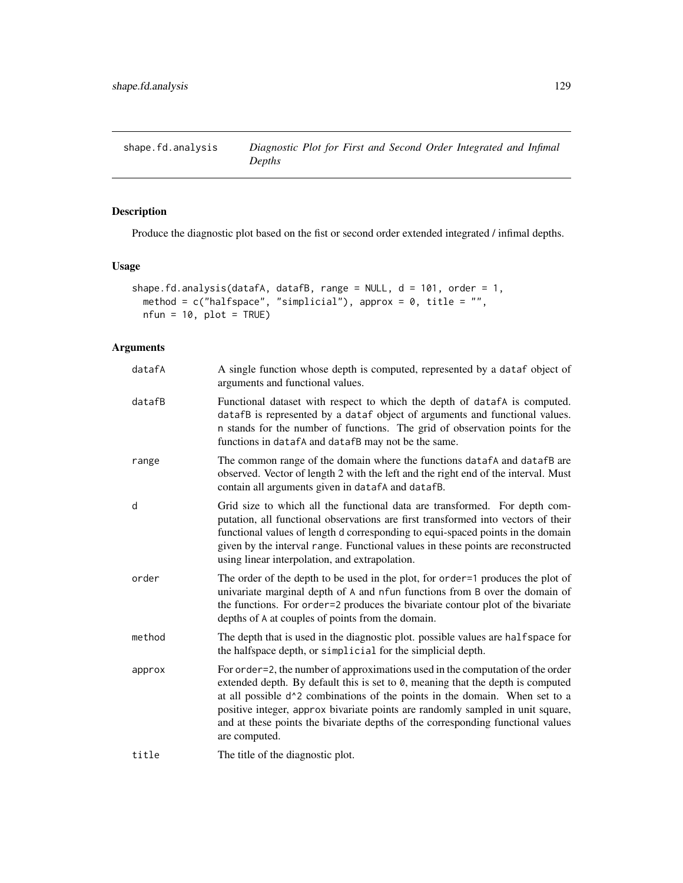<span id="page-128-1"></span><span id="page-128-0"></span>shape.fd.analysis *Diagnostic Plot for First and Second Order Integrated and Infimal Depths*

# Description

Produce the diagnostic plot based on the fist or second order extended integrated / infimal depths.

#### Usage

```
shape.fd.analysis(datafA, datafB, range = NULL, d = 101, order = 1,
  method = c("halfspace", "simplicial"), approx = 0, title = "",
 nfun = 10, plot = TRUE)
```
# Arguments

| datafA | A single function whose depth is computed, represented by a dataf object of<br>arguments and functional values.                                                                                                                                                                                                                                                                                                                        |
|--------|----------------------------------------------------------------------------------------------------------------------------------------------------------------------------------------------------------------------------------------------------------------------------------------------------------------------------------------------------------------------------------------------------------------------------------------|
| datafB | Functional dataset with respect to which the depth of datafA is computed.<br>datafB is represented by a dataf object of arguments and functional values.<br>n stands for the number of functions. The grid of observation points for the<br>functions in datafA and datafB may not be the same.                                                                                                                                        |
| range  | The common range of the domain where the functions datafA and datafB are<br>observed. Vector of length 2 with the left and the right end of the interval. Must<br>contain all arguments given in datafA and datafB.                                                                                                                                                                                                                    |
| d      | Grid size to which all the functional data are transformed. For depth com-<br>putation, all functional observations are first transformed into vectors of their<br>functional values of length d corresponding to equi-spaced points in the domain<br>given by the interval range. Functional values in these points are reconstructed<br>using linear interpolation, and extrapolation.                                               |
| order  | The order of the depth to be used in the plot, for order=1 produces the plot of<br>univariate marginal depth of A and nfun functions from B over the domain of<br>the functions. For order=2 produces the bivariate contour plot of the bivariate<br>depths of A at couples of points from the domain.                                                                                                                                 |
| method | The depth that is used in the diagnostic plot. possible values are halfspace for<br>the halfspace depth, or simplicial for the simplicial depth.                                                                                                                                                                                                                                                                                       |
| approx | For order=2, the number of approximations used in the computation of the order<br>extended depth. By default this is set to 0, meaning that the depth is computed<br>at all possible d^2 combinations of the points in the domain. When set to a<br>positive integer, approx bivariate points are randomly sampled in unit square,<br>and at these points the bivariate depths of the corresponding functional values<br>are computed. |
| title  | The title of the diagnostic plot.                                                                                                                                                                                                                                                                                                                                                                                                      |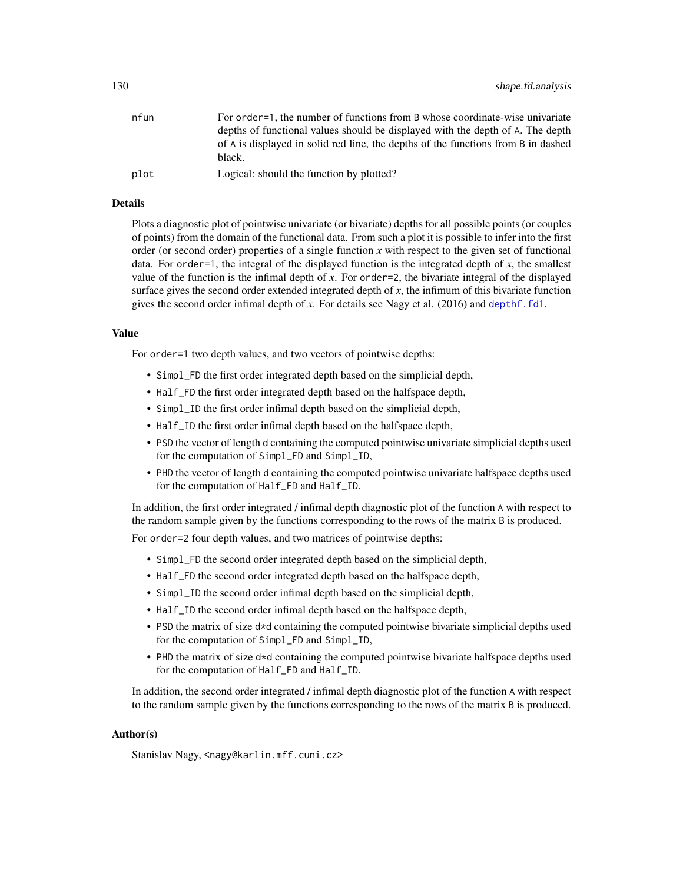<span id="page-129-0"></span>

| nfun | For order = 1, the number of functions from B whose coordinate-wise univariate    |
|------|-----------------------------------------------------------------------------------|
|      | depths of functional values should be displayed with the depth of A. The depth    |
|      | of A is displayed in solid red line, the depths of the functions from B in dashed |
|      | black.                                                                            |
| plot | Logical: should the function by plotted?                                          |
|      |                                                                                   |

#### Details

Plots a diagnostic plot of pointwise univariate (or bivariate) depths for all possible points (or couples of points) from the domain of the functional data. From such a plot it is possible to infer into the first order (or second order) properties of a single function  $x$  with respect to the given set of functional data. For order=1, the integral of the displayed function is the integrated depth of  $x$ , the smallest value of the function is the infimal depth of *x*. For order=2, the bivariate integral of the displayed surface gives the second order extended integrated depth of  $x$ , the infimum of this bivariate function gives the second order infimal depth of *x*. For details see Nagy et al. (2016) and [depthf.fd1](#page-95-0).

#### Value

For order=1 two depth values, and two vectors of pointwise depths:

- Simpl\_FD the first order integrated depth based on the simplicial depth,
- Half\_FD the first order integrated depth based on the halfspace depth,
- Simpl\_ID the first order infimal depth based on the simplicial depth,
- Half\_ID the first order infimal depth based on the halfspace depth,
- PSD the vector of length d containing the computed pointwise univariate simplicial depths used for the computation of Simpl\_FD and Simpl\_ID,
- PHD the vector of length d containing the computed pointwise univariate halfspace depths used for the computation of Half\_FD and Half\_ID.

In addition, the first order integrated / infimal depth diagnostic plot of the function A with respect to the random sample given by the functions corresponding to the rows of the matrix B is produced.

For order=2 four depth values, and two matrices of pointwise depths:

- Simpl\_FD the second order integrated depth based on the simplicial depth,
- Half\_FD the second order integrated depth based on the halfspace depth,
- Simpl\_ID the second order infimal depth based on the simplicial depth,
- Half\_ID the second order infimal depth based on the halfspace depth,
- PSD the matrix of size  $d * d$  containing the computed pointwise bivariate simplicial depths used for the computation of Simpl\_FD and Simpl\_ID,
- PHD the matrix of size d\*d containing the computed pointwise bivariate halfspace depths used for the computation of Half\_FD and Half\_ID.

In addition, the second order integrated / infimal depth diagnostic plot of the function A with respect to the random sample given by the functions corresponding to the rows of the matrix B is produced.

#### Author(s)

Stanislav Nagy, <nagy@karlin.mff.cuni.cz>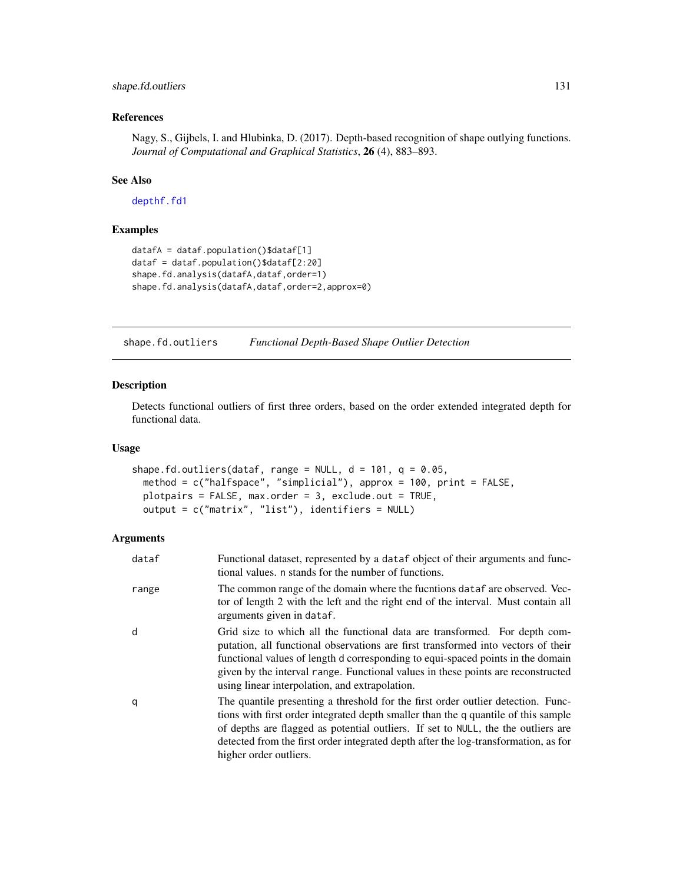# <span id="page-130-0"></span>shape.fd.outliers 131

# References

Nagy, S., Gijbels, I. and Hlubinka, D. (2017). Depth-based recognition of shape outlying functions. *Journal of Computational and Graphical Statistics*, 26 (4), 883–893.

# See Also

[depthf.fd1](#page-95-0)

#### Examples

```
datafA = dataf.population()$dataf[1]
dataf = dataf.population()$dataf[2:20]
shape.fd.analysis(datafA,dataf,order=1)
shape.fd.analysis(datafA,dataf,order=2,approx=0)
```
shape.fd.outliers *Functional Depth-Based Shape Outlier Detection*

# Description

Detects functional outliers of first three orders, based on the order extended integrated depth for functional data.

#### Usage

```
shape.fd.outliers(dataf, range = NULL, d = 101, q = 0.05,
 method = c("halfspace", "simplicial"), approx = 100, print = FALSE,
 plotpairs = FALSE, max.order = 3, exclude.out = TRUE,
 output = c("matrix", "list"), identifiers = NULL)
```
# Arguments

| dataf | Functional dataset, represented by a dataf object of their arguments and func-<br>tional values, n stands for the number of functions.                                                                                                                                                                                                                                                   |
|-------|------------------------------------------------------------------------------------------------------------------------------------------------------------------------------------------------------------------------------------------------------------------------------------------------------------------------------------------------------------------------------------------|
| range | The common range of the domain where the fucntions dataf are observed. Vec-<br>tor of length 2 with the left and the right end of the interval. Must contain all<br>arguments given in dataf.                                                                                                                                                                                            |
| d     | Grid size to which all the functional data are transformed. For depth com-<br>putation, all functional observations are first transformed into vectors of their<br>functional values of length d corresponding to equi-spaced points in the domain<br>given by the interval range. Functional values in these points are reconstructed<br>using linear interpolation, and extrapolation. |
| q     | The quantile presenting a threshold for the first order outlier detection. Func-<br>tions with first order integrated depth smaller than the q quantile of this sample<br>of depths are flagged as potential outliers. If set to NULL, the the outliers are<br>detected from the first order integrated depth after the log-transformation, as for<br>higher order outliers.             |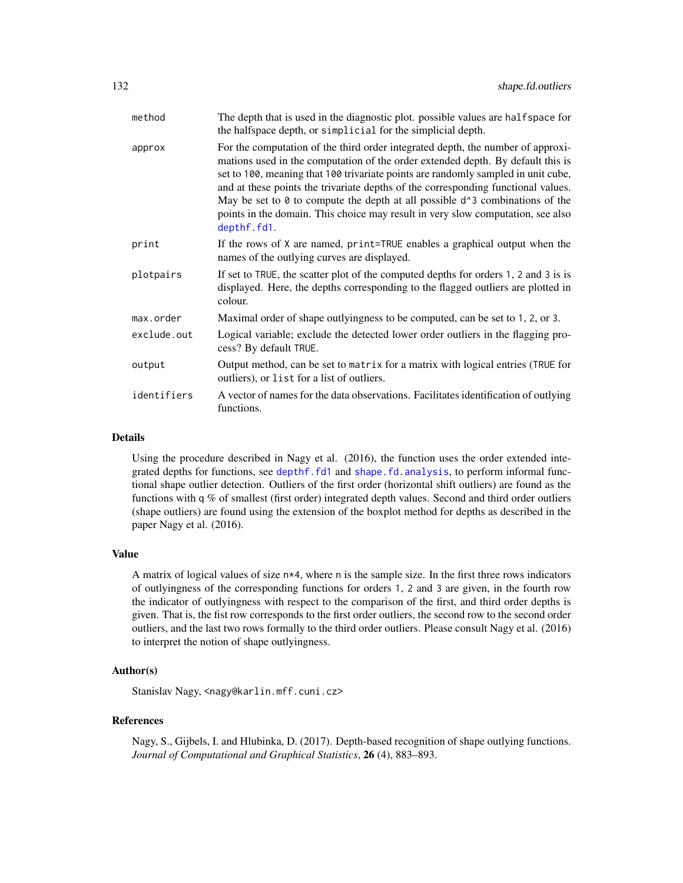<span id="page-131-0"></span>

| method      | The depth that is used in the diagnostic plot. possible values are halfspace for<br>the halfspace depth, or simplicial for the simplicial depth.                                                                                                                                                                                                                                                                                                                                                                                        |
|-------------|-----------------------------------------------------------------------------------------------------------------------------------------------------------------------------------------------------------------------------------------------------------------------------------------------------------------------------------------------------------------------------------------------------------------------------------------------------------------------------------------------------------------------------------------|
| approx      | For the computation of the third order integrated depth, the number of approxi-<br>mations used in the computation of the order extended depth. By default this is<br>set to 100, meaning that 100 trivariate points are randomly sampled in unit cube,<br>and at these points the trivariate depths of the corresponding functional values.<br>May be set to $\theta$ to compute the depth at all possible $d^3$ combinations of the<br>points in the domain. This choice may result in very slow computation, see also<br>depthf.fd1. |
| print       | If the rows of X are named, print=TRUE enables a graphical output when the<br>names of the outlying curves are displayed.                                                                                                                                                                                                                                                                                                                                                                                                               |
| plotpairs   | If set to TRUE, the scatter plot of the computed depths for orders 1, 2 and 3 is is<br>displayed. Here, the depths corresponding to the flagged outliers are plotted in<br>colour.                                                                                                                                                                                                                                                                                                                                                      |
| max.order   | Maximal order of shape outlyingness to be computed, can be set to 1, 2, or 3.                                                                                                                                                                                                                                                                                                                                                                                                                                                           |
| exclude.out | Logical variable; exclude the detected lower order outliers in the flagging pro-<br>cess? By default TRUE.                                                                                                                                                                                                                                                                                                                                                                                                                              |
| output      | Output method, can be set to matrix for a matrix with logical entries (TRUE for<br>outliers), or list for a list of outliers.                                                                                                                                                                                                                                                                                                                                                                                                           |
| identifiers | A vector of names for the data observations. Facilitates identification of outlying<br>functions.                                                                                                                                                                                                                                                                                                                                                                                                                                       |

#### Details

Using the procedure described in Nagy et al. (2016), the function uses the order extended integrated depths for functions, see [depthf.fd1](#page-95-0) and [shape.fd.analysis](#page-128-0), to perform informal functional shape outlier detection. Outliers of the first order (horizontal shift outliers) are found as the functions with q  $%$  of smallest (first order) integrated depth values. Second and third order outliers (shape outliers) are found using the extension of the boxplot method for depths as described in the paper Nagy et al. (2016).

#### Value

A matrix of logical values of size n\*4, where n is the sample size. In the first three rows indicators of outlyingness of the corresponding functions for orders 1, 2 and 3 are given, in the fourth row the indicator of outlyingness with respect to the comparison of the first, and third order depths is given. That is, the fist row corresponds to the first order outliers, the second row to the second order outliers, and the last two rows formally to the third order outliers. Please consult Nagy et al. (2016) to interpret the notion of shape outlyingness.

#### Author(s)

Stanislav Nagy, <nagy@karlin.mff.cuni.cz>

#### References

Nagy, S., Gijbels, I. and Hlubinka, D. (2017). Depth-based recognition of shape outlying functions. *Journal of Computational and Graphical Statistics*, 26 (4), 883–893.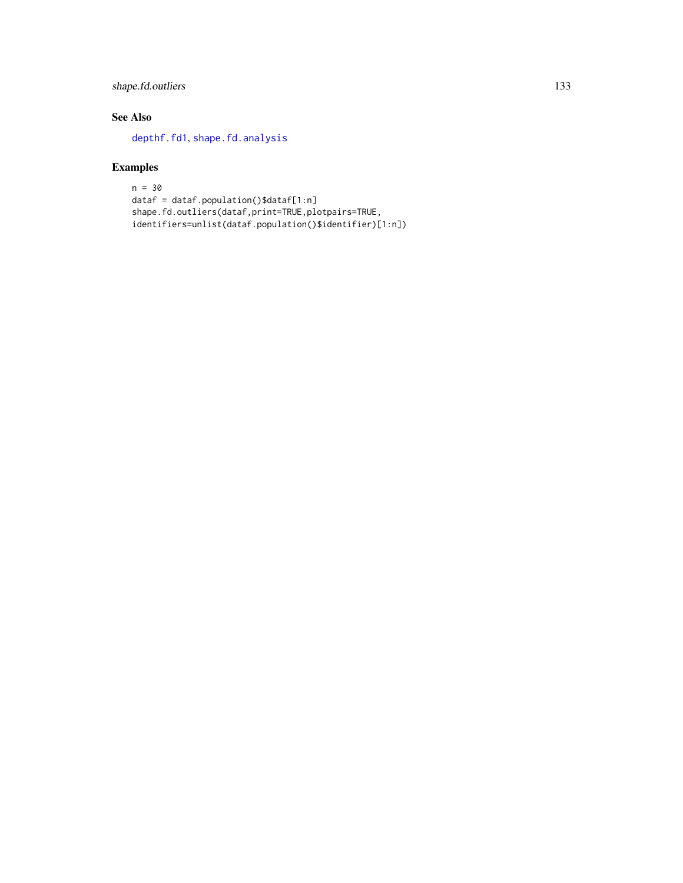# <span id="page-132-0"></span>shape.fd.outliers 133

# See Also

[depthf.fd1](#page-95-0), [shape.fd.analysis](#page-128-0)

```
n = 30
dataf = dataf.population()$dataf[1:n]
shape.fd.outliers(dataf,print=TRUE,plotpairs=TRUE,
identifiers=unlist(dataf.population()$identifier)[1:n])
```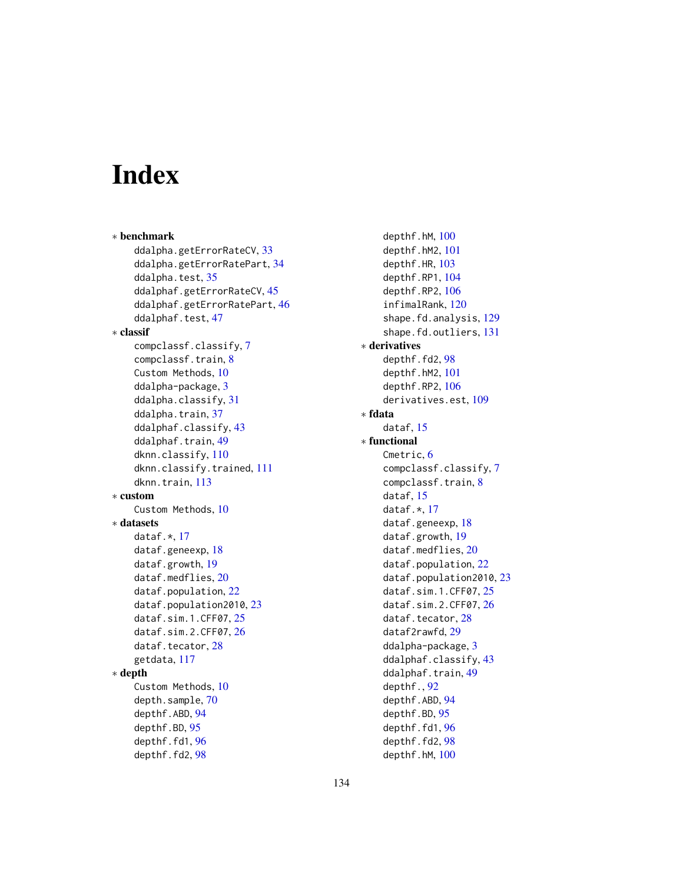# **Index**

```
∗ benchmark
   ddalpha.getErrorRateCV, 33
   ddalpha.getErrorRatePart, 34
   35
   45
   ddalphaf.getErrorRatePart, 46
   47
∗ classif
   compclassf.classify, 7
   compclassf.train, 8
   Custom Methods, 10
   ddalpha-package, 3
   ddalpha.classify, 31
   37
   ddalphaf.classify, 43
   49
   dknn.classify, 110
   dknn.classify.trained, 111
   dknn.train, 113
∗ custom
   Custom Methods, 10
∗ datasets
   dataf.\star17
   18
   dataf.growth, 19
   dataf.medflies, 20
   dataf.population, 22
   dataf.population2010, 23
   dataf.sim.1.CFF07, 25
   dataf.sim.2.CFF07, 26
   28
   getdata, 117
∗ depth
   Custom Methods, 10
   depth.sample, 70
   depthf.ABD, 94
   depthf.BD, 95
   96
   98
```
depthf.hM, [100](#page-99-1) depthf.hM2, [101](#page-100-0) depthf.HR, [103](#page-102-0) depthf.RP1, [104](#page-103-0) depthf.RP2, [106](#page-105-0) infimalRank, [120](#page-119-0) shape.fd.analysis, [129](#page-128-1) shape.fd.outliers, [131](#page-130-0) ∗ derivatives depthf.fd2, [98](#page-97-1) depthf.hM2, [101](#page-100-0) depthf.RP2, [106](#page-105-0) derivatives.est, [109](#page-108-0) ∗ fdata dataf, [15](#page-14-0) ∗ functional Cmetric, [6](#page-5-0) compclassf.classify, [7](#page-6-0) compclassf.train, [8](#page-7-0) dataf, [15](#page-14-0) dataf.\*, [17](#page-16-1) dataf.geneexp, [18](#page-17-0) dataf.growth, [19](#page-18-0) dataf.medflies, [20](#page-19-0) dataf.population, [22](#page-21-0) dataf.population2010, [23](#page-22-0) dataf.sim.1.CFF07, [25](#page-24-0) dataf.sim.2.CFF07, [26](#page-25-0) dataf.tecator, [28](#page-27-0) dataf2rawfd, [29](#page-28-1) ddalpha-package, [3](#page-2-0) ddalphaf.classify, [43](#page-42-0) ddalphaf.train, [49](#page-48-1) depthf., [92](#page-91-0) depthf.ABD, [94](#page-93-0) depthf.BD, [95](#page-94-0) depthf.fd1, [96](#page-95-1) depthf.fd2, [98](#page-97-1) depthf.hM, [100](#page-99-1)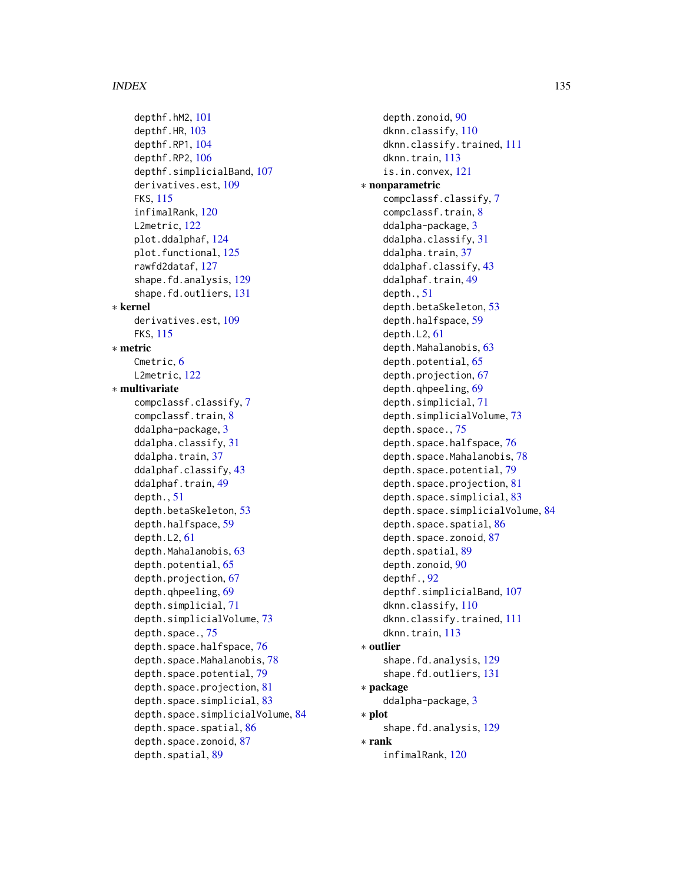#### INDEX 135

depthf.hM2, [101](#page-100-0) depthf.HR, [103](#page-102-0) depthf.RP1, [104](#page-103-0) depthf.RP2, [106](#page-105-0) depthf.simplicialBand, [107](#page-106-0) derivatives.est, [109](#page-108-0) FKS, [115](#page-114-0) infimalRank, [120](#page-119-0) L2metric, [122](#page-121-0) plot.ddalphaf, [124](#page-123-0) plot.functional, [125](#page-124-1) rawfd2dataf, [127](#page-126-0) shape.fd.analysis, [129](#page-128-1) shape.fd.outliers, [131](#page-130-0) ∗ kernel derivatives.est, [109](#page-108-0) FKS, [115](#page-114-0) ∗ metric Cmetric, [6](#page-5-0) L2metric, [122](#page-121-0) ∗ multivariate compclassf.classify, [7](#page-6-0) compclassf.train, [8](#page-7-0) ddalpha-package, [3](#page-2-0) ddalpha.classify, [31](#page-30-1) ddalpha.train, [37](#page-36-1) ddalphaf.classify, [43](#page-42-0) ddalphaf.train, [49](#page-48-1) depth., [51](#page-50-1) depth.betaSkeleton, [53](#page-52-0) depth.halfspace, [59](#page-58-0) depth.L2, [61](#page-60-0) depth.Mahalanobis, [63](#page-62-0) depth.potential, [65](#page-64-0) depth.projection, [67](#page-66-0) depth.qhpeeling, [69](#page-68-0) depth.simplicial, [71](#page-70-0) depth.simplicialVolume, [73](#page-72-0) depth.space., [75](#page-74-1) depth.space.halfspace, [76](#page-75-0) depth.space.Mahalanobis, [78](#page-77-0) depth.space.potential, [79](#page-78-0) depth.space.projection, [81](#page-80-0) depth.space.simplicial, [83](#page-82-0) depth.space.simplicialVolume, [84](#page-83-0) depth.space.spatial, [86](#page-85-0) depth.space.zonoid, [87](#page-86-0) depth.spatial, [89](#page-88-0)

depth.zonoid, [90](#page-89-0) dknn.classify, [110](#page-109-1) dknn.classify.trained, [111](#page-110-1) dknn.train, [113](#page-112-1) is.in.convex, [121](#page-120-0) ∗ nonparametric compclassf.classify, [7](#page-6-0) compclassf.train, [8](#page-7-0) ddalpha-package, [3](#page-2-0) ddalpha.classify, [31](#page-30-1) ddalpha.train, [37](#page-36-1) ddalphaf.classify, [43](#page-42-0) ddalphaf.train, [49](#page-48-1) depth., [51](#page-50-1) depth.betaSkeleton, [53](#page-52-0) depth.halfspace, [59](#page-58-0) depth.L2, [61](#page-60-0) depth.Mahalanobis, [63](#page-62-0) depth.potential, [65](#page-64-0) depth.projection, [67](#page-66-0) depth.qhpeeling, [69](#page-68-0) depth.simplicial, [71](#page-70-0) depth.simplicialVolume, [73](#page-72-0) depth.space., [75](#page-74-1) depth.space.halfspace, [76](#page-75-0) depth.space.Mahalanobis, [78](#page-77-0) depth.space.potential, [79](#page-78-0) depth.space.projection, [81](#page-80-0) depth.space.simplicial, [83](#page-82-0) depth.space.simplicialVolume, [84](#page-83-0) depth.space.spatial, [86](#page-85-0) depth.space.zonoid, [87](#page-86-0) depth.spatial, [89](#page-88-0) depth.zonoid, [90](#page-89-0) depthf., [92](#page-91-0) depthf.simplicialBand, [107](#page-106-0) dknn.classify, [110](#page-109-1) dknn.classify.trained, [111](#page-110-1) dknn.train, [113](#page-112-1) ∗ outlier shape.fd.analysis, [129](#page-128-1) shape.fd.outliers, [131](#page-130-0) ∗ package ddalpha-package, [3](#page-2-0) ∗ plot shape.fd.analysis, [129](#page-128-1) ∗ rank infimalRank, [120](#page-119-0)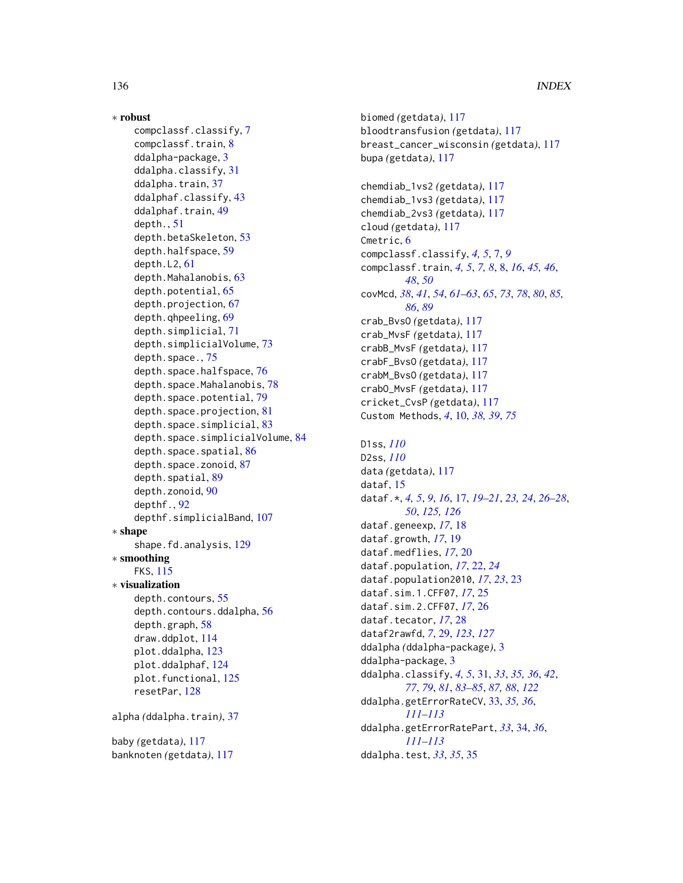136 INDEX

```
∗ robust
    compclassf.classify, 7
    compclassf.train, 8
    ddalpha-package, 3
    ddalpha.classify, 31
    37
    ddalphaf.classify, 43
    ddalphaf.train, 49
    depth., 51
    depth.betaSkeleton, 53
    depth.halfspace, 59
    depth.L2, 61
    depth.Mahalanobis, 63
    depth.potential, 65
    depth.projection, 67
    depth.qhpeeling, 69
    depth.simplicial, 71
    depth.simplicialVolume, 73
    depth.space., 75
    depth.space.halfspace, 76
    78
    depth.space.potential, 79
    depth.space.projection, 81
    depth.space.simplicial, 83
    depth.space.simplicialVolume, 84
    depth.space.spatial, 86
    depth.space.zonoid, 87
    depth.spatial, 89
    depth.zonoid, 90
    depthf., 92
    depthf.simplicialBand, 107
∗ shape
    shape.fd.analysis, 129
∗ smoothing
    FKS, 115
∗ visualization
    depth.contours, 55
    depth.contours.ddalpha, 56
    depth.graph, 58
    draw.ddplot, 114
    plot.ddalpha, 123
    plot.ddalphaf, 124
    plot.functional, 125
    resetPar, 128
alpha (ddalpha.train), 37
baby (getdata), 117
banknoten (getdata), 117
```
biomed *(*getdata*)*, [117](#page-116-0) bloodtransfusion *(*getdata*)*, [117](#page-116-0) breast\_cancer\_wisconsin *(*getdata*)*, [117](#page-116-0) bupa *(*getdata*)*, [117](#page-116-0) chemdiab\_1vs2 *(*getdata*)*, [117](#page-116-0) chemdiab\_1vs3 *(*getdata*)*, [117](#page-116-0) chemdiab\_2vs3 *(*getdata*)*, [117](#page-116-0) cloud *(*getdata*)*, [117](#page-116-0) Cmetric, [6](#page-5-0) compclassf.classify, *[4,](#page-3-0) [5](#page-4-0)*, [7,](#page-6-0) *[9](#page-8-0)* compclassf.train, *[4,](#page-3-0) [5](#page-4-0)*, *[7,](#page-6-0) [8](#page-7-0)*, [8,](#page-7-0) *[16](#page-15-0)*, *[45,](#page-44-0) [46](#page-45-0)*, *[48](#page-47-0)*, *[50](#page-49-0)* covMcd, *[38](#page-37-0)*, *[41](#page-40-0)*, *[54](#page-53-0)*, *[61](#page-60-0)[–63](#page-62-0)*, *[65](#page-64-0)*, *[73](#page-72-0)*, *[78](#page-77-0)*, *[80](#page-79-0)*, *[85,](#page-84-0) [86](#page-85-0)*, *[89](#page-88-0)* crab\_BvsO *(*getdata*)*, [117](#page-116-0) crab\_MvsF *(*getdata*)*, [117](#page-116-0) crabB\_MvsF *(*getdata*)*, [117](#page-116-0) crabF\_BvsO *(*getdata*)*, [117](#page-116-0) crabM\_BvsO *(*getdata*)*, [117](#page-116-0) crabO\_MvsF *(*getdata*)*, [117](#page-116-0) cricket\_CvsP *(*getdata*)*, [117](#page-116-0) Custom Methods, *[4](#page-3-0)*, [10,](#page-9-0) *[38,](#page-37-0) [39](#page-38-0)*, *[75](#page-74-1)* D1ss, *[110](#page-109-1)* D2ss, *[110](#page-109-1)* data *(*getdata*)*, [117](#page-116-0) dataf, [15](#page-14-0) dataf.\*, *[4,](#page-3-0) [5](#page-4-0)*, *[9](#page-8-0)*, *[16](#page-15-0)*, [17,](#page-16-1) *[19](#page-18-0)[–21](#page-20-0)*, *[23,](#page-22-0) [24](#page-23-0)*, *[26](#page-25-0)[–28](#page-27-0)*, *[50](#page-49-0)*, *[125,](#page-124-1) [126](#page-125-0)*

dataf.geneexp, *[17](#page-16-1)*, [18](#page-17-0) dataf.growth, *[17](#page-16-1)*, [19](#page-18-0) dataf.medflies, *[17](#page-16-1)*, [20](#page-19-0) dataf.population, *[17](#page-16-1)*, [22,](#page-21-0) *[24](#page-23-0)* dataf.population2010, *[17](#page-16-1)*, *[23](#page-22-0)*, [23](#page-22-0) dataf.sim.1.CFF07, *[17](#page-16-1)*, [25](#page-24-0) dataf.sim.2.CFF07, *[17](#page-16-1)*, [26](#page-25-0) dataf.tecator, *[17](#page-16-1)*, [28](#page-27-0) dataf2rawfd, *[7](#page-6-0)*, [29,](#page-28-1) *[123](#page-122-1)*, *[127](#page-126-0)* ddalpha *(*ddalpha-package*)*, [3](#page-2-0) ddalpha-package, [3](#page-2-0) ddalpha.classify, *[4,](#page-3-0) [5](#page-4-0)*, [31,](#page-30-1) *[33](#page-32-1)*, *[35,](#page-34-0) [36](#page-35-0)*, *[42](#page-41-0)*, *[77](#page-76-0)*, *[79](#page-78-0)*, *[81](#page-80-0)*, *[83](#page-82-0)[–85](#page-84-0)*, *[87,](#page-86-0) [88](#page-87-0)*, *[122](#page-121-0)* ddalpha.getErrorRateCV, [33,](#page-32-1) *[35,](#page-34-0) [36](#page-35-0)*, *[111](#page-110-1)[–113](#page-112-1)* ddalpha.getErrorRatePart, *[33](#page-32-1)*, [34,](#page-33-1) *[36](#page-35-0)*, *[111](#page-110-1)[–113](#page-112-1)* ddalpha.test, *[33](#page-32-1)*, *[35](#page-34-0)*, [35](#page-34-0)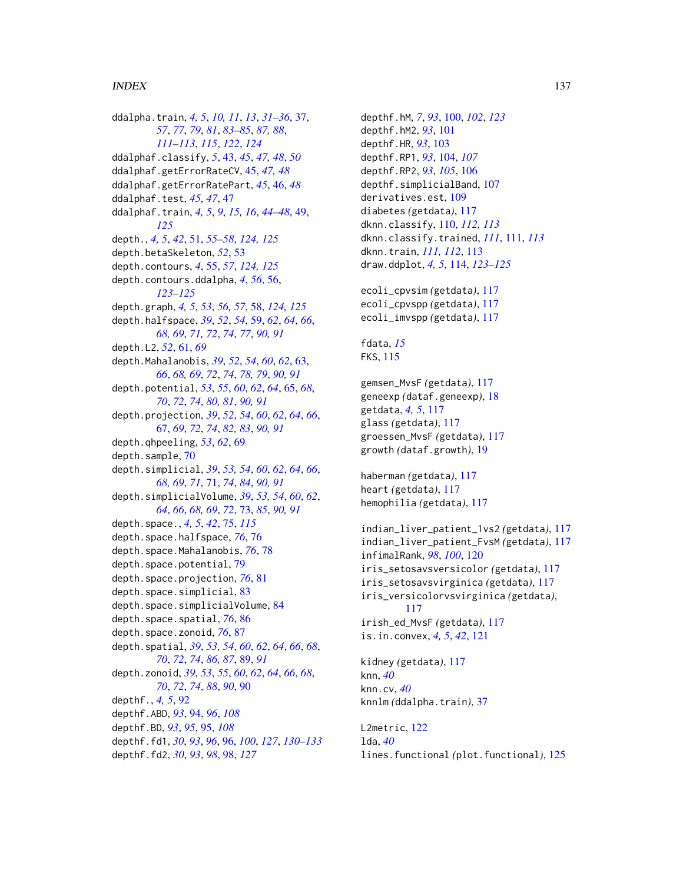ddalpha.train, *[4,](#page-3-0) [5](#page-4-0)*, *[10,](#page-9-0) [11](#page-10-0)*, *[13](#page-12-0)*, *[31–](#page-30-1)[36](#page-35-0)*, [37,](#page-36-1) *[57](#page-56-0)*, *[77](#page-76-0)*, *[79](#page-78-0)*, *[81](#page-80-0)*, *[83–](#page-82-0)[85](#page-84-0)*, *[87,](#page-86-0) [88](#page-87-0)*, *[111](#page-110-1)[–113](#page-112-1)*, *[115](#page-114-0)*, *[122](#page-121-0)*, *[124](#page-123-0)* ddalphaf.classify, *[5](#page-4-0)*, [43,](#page-42-0) *[45](#page-44-0)*, *[47,](#page-46-0) [48](#page-47-0)*, *[50](#page-49-0)* ddalphaf.getErrorRateCV, [45,](#page-44-0) *[47,](#page-46-0) [48](#page-47-0)* ddalphaf.getErrorRatePart, *[45](#page-44-0)*, [46,](#page-45-0) *[48](#page-47-0)* ddalphaf.test, *[45](#page-44-0)*, *[47](#page-46-0)*, [47](#page-46-0) ddalphaf.train, *[4,](#page-3-0) [5](#page-4-0)*, *[9](#page-8-0)*, *[15,](#page-14-0) [16](#page-15-0)*, *[44–](#page-43-0)[48](#page-47-0)*, [49,](#page-48-1) *[125](#page-124-1)* depth., *[4,](#page-3-0) [5](#page-4-0)*, *[42](#page-41-0)*, [51,](#page-50-1) *[55–](#page-54-1)[58](#page-57-1)*, *[124,](#page-123-0) [125](#page-124-1)* depth.betaSkeleton, *[52](#page-51-0)*, [53](#page-52-0) depth.contours, *[4](#page-3-0)*, [55,](#page-54-1) *[57](#page-56-0)*, *[124,](#page-123-0) [125](#page-124-1)* depth.contours.ddalpha, *[4](#page-3-0)*, *[56](#page-55-1)*, [56,](#page-55-1) *[123](#page-122-1)[–125](#page-124-1)* depth.graph, *[4,](#page-3-0) [5](#page-4-0)*, *[53](#page-52-0)*, *[56,](#page-55-1) [57](#page-56-0)*, [58,](#page-57-1) *[124,](#page-123-0) [125](#page-124-1)* depth.halfspace, *[39](#page-38-0)*, *[52](#page-51-0)*, *[54](#page-53-0)*, [59,](#page-58-0) *[62](#page-61-0)*, *[64](#page-63-0)*, *[66](#page-65-0)*, *[68,](#page-67-0) [69](#page-68-0)*, *[71,](#page-70-0) [72](#page-71-0)*, *[74](#page-73-0)*, *[77](#page-76-0)*, *[90,](#page-89-0) [91](#page-90-0)* depth.L2, *[52](#page-51-0)*, [61,](#page-60-0) *[69](#page-68-0)* depth.Mahalanobis, *[39](#page-38-0)*, *[52](#page-51-0)*, *[54](#page-53-0)*, *[60](#page-59-0)*, *[62](#page-61-0)*, [63,](#page-62-0) *[66](#page-65-0)*, *[68,](#page-67-0) [69](#page-68-0)*, *[72](#page-71-0)*, *[74](#page-73-0)*, *[78,](#page-77-0) [79](#page-78-0)*, *[90,](#page-89-0) [91](#page-90-0)* depth.potential, *[53](#page-52-0)*, *[55](#page-54-1)*, *[60](#page-59-0)*, *[62](#page-61-0)*, *[64](#page-63-0)*, [65,](#page-64-0) *[68](#page-67-0)*, *[70](#page-69-0)*, *[72](#page-71-0)*, *[74](#page-73-0)*, *[80,](#page-79-0) [81](#page-80-0)*, *[90,](#page-89-0) [91](#page-90-0)* depth.projection, *[39](#page-38-0)*, *[52](#page-51-0)*, *[54](#page-53-0)*, *[60](#page-59-0)*, *[62](#page-61-0)*, *[64](#page-63-0)*, *[66](#page-65-0)*, [67,](#page-66-0) *[69](#page-68-0)*, *[72](#page-71-0)*, *[74](#page-73-0)*, *[82,](#page-81-0) [83](#page-82-0)*, *[90,](#page-89-0) [91](#page-90-0)* depth.qhpeeling, *[53](#page-52-0)*, *[62](#page-61-0)*, [69](#page-68-0) depth.sample, [70](#page-69-0) depth.simplicial, *[39](#page-38-0)*, *[53,](#page-52-0) [54](#page-53-0)*, *[60](#page-59-0)*, *[62](#page-61-0)*, *[64](#page-63-0)*, *[66](#page-65-0)*, *[68,](#page-67-0) [69](#page-68-0)*, *[71](#page-70-0)*, [71,](#page-70-0) *[74](#page-73-0)*, *[84](#page-83-0)*, *[90,](#page-89-0) [91](#page-90-0)* depth.simplicialVolume, *[39](#page-38-0)*, *[53,](#page-52-0) [54](#page-53-0)*, *[60](#page-59-0)*, *[62](#page-61-0)*, *[64](#page-63-0)*, *[66](#page-65-0)*, *[68,](#page-67-0) [69](#page-68-0)*, *[72](#page-71-0)*, [73,](#page-72-0) *[85](#page-84-0)*, *[90,](#page-89-0) [91](#page-90-0)* depth.space., *[4,](#page-3-0) [5](#page-4-0)*, *[42](#page-41-0)*, [75,](#page-74-1) *[115](#page-114-0)* depth.space.halfspace, *[76](#page-75-0)*, [76](#page-75-0) depth.space.Mahalanobis, *[76](#page-75-0)*, [78](#page-77-0) depth.space.potential, [79](#page-78-0) depth.space.projection, *[76](#page-75-0)*, [81](#page-80-0) depth.space.simplicial, [83](#page-82-0) depth.space.simplicialVolume, [84](#page-83-0) depth.space.spatial, *[76](#page-75-0)*, [86](#page-85-0) depth.space.zonoid, *[76](#page-75-0)*, [87](#page-86-0) depth.spatial, *[39](#page-38-0)*, *[53,](#page-52-0) [54](#page-53-0)*, *[60](#page-59-0)*, *[62](#page-61-0)*, *[64](#page-63-0)*, *[66](#page-65-0)*, *[68](#page-67-0)*, *[70](#page-69-0)*, *[72](#page-71-0)*, *[74](#page-73-0)*, *[86,](#page-85-0) [87](#page-86-0)*, [89,](#page-88-0) *[91](#page-90-0)* depth.zonoid, *[39](#page-38-0)*, *[53](#page-52-0)*, *[55](#page-54-1)*, *[60](#page-59-0)*, *[62](#page-61-0)*, *[64](#page-63-0)*, *[66](#page-65-0)*, *[68](#page-67-0)*, *[70](#page-69-0)*, *[72](#page-71-0)*, *[74](#page-73-0)*, *[88](#page-87-0)*, *[90](#page-89-0)*, [90](#page-89-0) depthf., *[4,](#page-3-0) [5](#page-4-0)*, [92](#page-91-0) depthf.ABD, *[93](#page-92-0)*, [94,](#page-93-0) *[96](#page-95-1)*, *[108](#page-107-0)* depthf.BD, *[93](#page-92-0)*, *[95](#page-94-0)*, [95,](#page-94-0) *[108](#page-107-0)* depthf.fd1, *[30](#page-29-0)*, *[93](#page-92-0)*, *[96](#page-95-1)*, [96,](#page-95-1) *[100](#page-99-1)*, *[127](#page-126-0)*, *[130–](#page-129-0)[133](#page-132-0)* depthf.fd2, *[30](#page-29-0)*, *[93](#page-92-0)*, *[98](#page-97-1)*, [98,](#page-97-1) *[127](#page-126-0)*

depthf.hM, *[7](#page-6-0)*, *[93](#page-92-0)*, [100,](#page-99-1) *[102](#page-101-0)*, *[123](#page-122-1)* depthf.hM2, *[93](#page-92-0)*, [101](#page-100-0) depthf.HR, *[93](#page-92-0)*, [103](#page-102-0) depthf.RP1, *[93](#page-92-0)*, [104,](#page-103-0) *[107](#page-106-0)* depthf.RP2, *[93](#page-92-0)*, *[105](#page-104-0)*, [106](#page-105-0) depthf.simplicialBand, [107](#page-106-0) derivatives.est, [109](#page-108-0) diabetes *(*getdata*)*, [117](#page-116-0) dknn.classify, [110,](#page-109-1) *[112,](#page-111-0) [113](#page-112-1)* dknn.classify.trained, *[111](#page-110-1)*, [111,](#page-110-1) *[113](#page-112-1)* dknn.train, *[111,](#page-110-1) [112](#page-111-0)*, [113](#page-112-1) draw.ddplot, *[4,](#page-3-0) [5](#page-4-0)*, [114,](#page-113-1) *[123](#page-122-1)[–125](#page-124-1)* ecoli\_cpvsim *(*getdata*)*, [117](#page-116-0) ecoli\_cpvspp *(*getdata*)*, [117](#page-116-0) ecoli\_imvspp *(*getdata*)*, [117](#page-116-0) fdata, *[15](#page-14-0)* FKS, [115](#page-114-0) gemsen\_MvsF *(*getdata*)*, [117](#page-116-0) geneexp *(*dataf.geneexp*)*, [18](#page-17-0) getdata, *[4,](#page-3-0) [5](#page-4-0)*, [117](#page-116-0) glass *(*getdata*)*, [117](#page-116-0) groessen\_MvsF *(*getdata*)*, [117](#page-116-0) growth *(*dataf.growth*)*, [19](#page-18-0) haberman *(*getdata*)*, [117](#page-116-0) heart *(*getdata*)*, [117](#page-116-0) hemophilia *(*getdata*)*, [117](#page-116-0) indian\_liver\_patient\_1vs2 *(*getdata*)*, [117](#page-116-0) indian\_liver\_patient\_FvsM *(*getdata*)*, [117](#page-116-0) infimalRank, *[98](#page-97-1)*, *[100](#page-99-1)*, [120](#page-119-0) iris\_setosavsversicolor *(*getdata*)*, [117](#page-116-0) iris\_setosavsvirginica *(*getdata*)*, [117](#page-116-0) iris\_versicolorvsvirginica *(*getdata*)*, [117](#page-116-0) irish\_ed\_MvsF *(*getdata*)*, [117](#page-116-0) is.in.convex, *[4,](#page-3-0) [5](#page-4-0)*, *[42](#page-41-0)*, [121](#page-120-0) kidney *(*getdata*)*, [117](#page-116-0) knn, *[40](#page-39-0)* knn.cv, *[40](#page-39-0)* knnlm *(*ddalpha.train*)*, [37](#page-36-1) L2metric, [122](#page-121-0)

lda, *[40](#page-39-0)* lines.functional *(*plot.functional*)*, [125](#page-124-1)